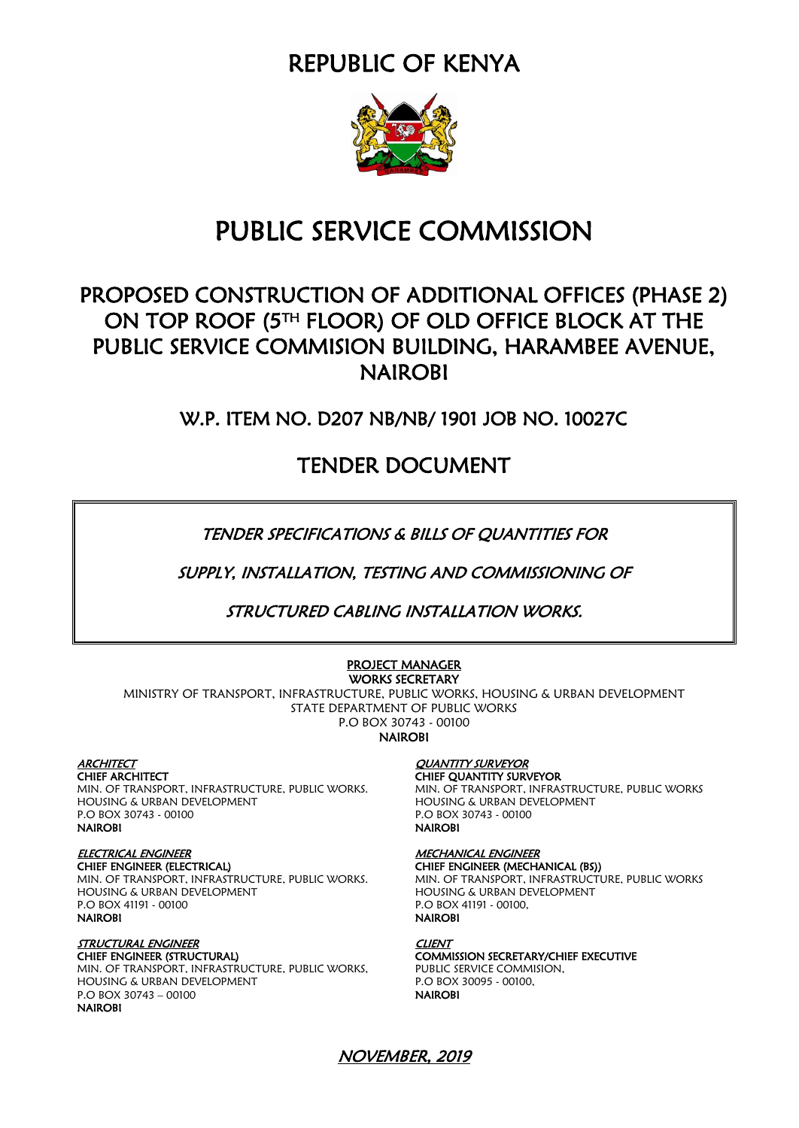REPUBLIC OF KENYA



## PUBLIC SERVICE COMMISSION

## PROPOSED CONSTRUCTION OF ADDITIONAL OFFICES (PHASE 2) ON TOP ROOF (5TH FLOOR) OF OLD OFFICE BLOCK AT THE PUBLIC SERVICE COMMISION BUILDING, HARAMBEE AVENUE, NAIROBI

W.P. ITEM NO. D207 NB/NB/ 1901 JOB NO. 10027C

TENDER DOCUMENT

TENDER SPECIFICATIONS & BILLS OF QUANTITIES FOR

SUPPLY, INSTALLATION, TESTING AND COMMISSIONING OF

STRUCTURED CABLING INSTALLATION WORKS.

#### PROJECT MANAGER WORKS SECRETARY

MINISTRY OF TRANSPORT, INFRASTRUCTURE, PUBLIC WORKS, HOUSING & URBAN DEVELOPMENT STATE DEPARTMENT OF PUBLIC WORKS P.O BOX 30743 - 00100

**NAIROBI** 

ARCHITECT QUANTITY SURVEYOR MIN. OF TRANSPORT, INFRASTRUCTURE, PUBLIC WORKS.<br>HOUSING & URBAN DEVELOPMENT P.O BOX 30743 - 00100 P.O BOX 30743 - 00100

#### ELECTRICAL ENGINEER MECHANICAL ENGINEER

CHIEF ENGINEER (ELECTRICAL) CHIEF ENGINEER (MECHANICAL (BS)) MIN. OF TRANSPORT, INFRASTRUCTURE, PUBLIC WORKS. MIN. OF TRANSPORT, INFRASTRUCTURE, PUBLIC WORKS P.O BOX 41191 - 00100<br> **NAIROBI** P.O BOX 41191 - 00100,<br> **NAIROBI** PAIROBI

STRUCTURAL ENGINEER CLIENT MIN. OF TRANSPORT, INFRASTRUCTURE, PUBLIC WORKS, PUBLIC SERVICE COMMISION,<br>HOUSING & URBAN DEVELOPMENT P.O BOX 30095 - 00100, HOUSING & URBAN DEVELOPMENT P.O BOX 30743 – 00100 NAIROBI NAIROBI

**CHIEF QUANTITY SURVEYOR<br>MIN. OF TRANSPORT, INFRASTRUCTURE, PUBLIC WORKS** HOUSING & URBAN DEVELOPMENT HOUSING & URBAN DEVELOPMENT **NAIROBI** 

HOUSING & URBAN DEVELOPMENT **NAIROBI** 

# COMMISSION SECRETARY/CHIEF EXECUTIVE

NOVEMBER, 2019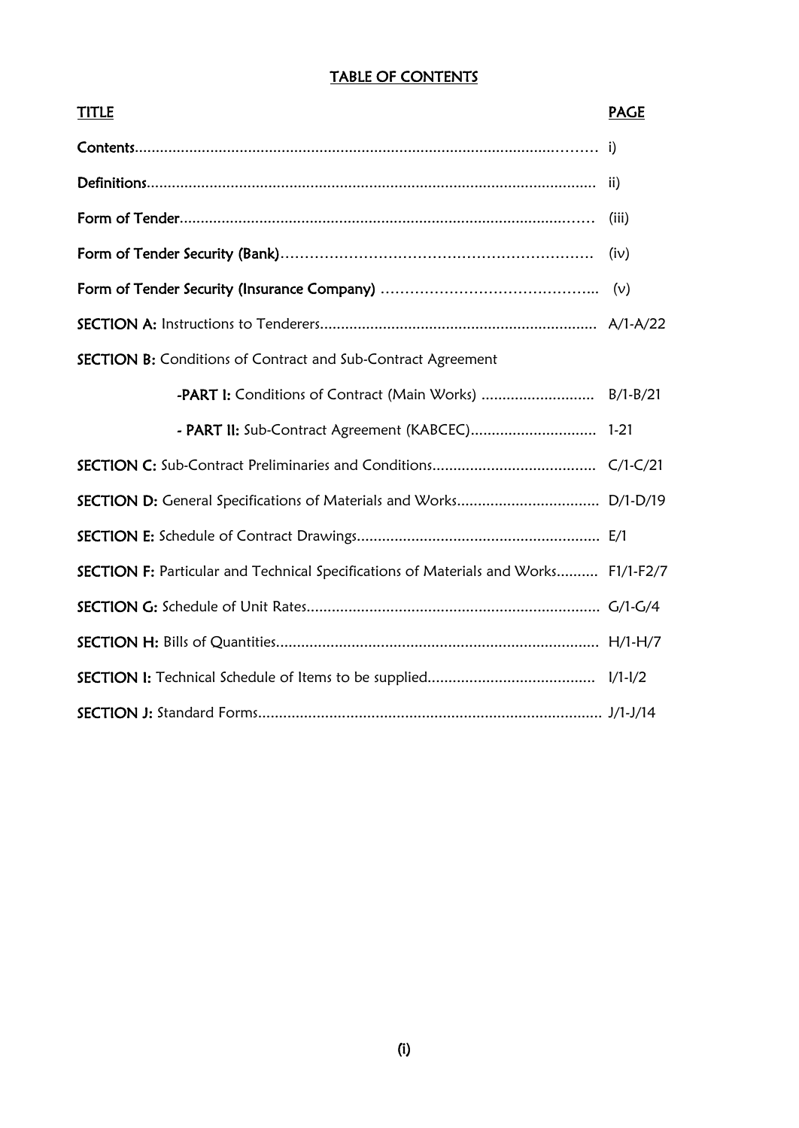#### TABLE OF CONTENTS

| <b>TITLE</b>                                                                        | <b>PAGE</b> |
|-------------------------------------------------------------------------------------|-------------|
|                                                                                     |             |
|                                                                                     |             |
|                                                                                     | (iii)       |
|                                                                                     | (iv)        |
|                                                                                     |             |
|                                                                                     |             |
| <b>SECTION B:</b> Conditions of Contract and Sub-Contract Agreement                 |             |
| -PART I: Conditions of Contract (Main Works)  B/1-B/21                              |             |
| - PART II: Sub-Contract Agreement (KABCEC) 1-21                                     |             |
|                                                                                     |             |
|                                                                                     |             |
|                                                                                     |             |
| SECTION F: Particular and Technical Specifications of Materials and Works F1/1-F2/7 |             |
|                                                                                     |             |
|                                                                                     |             |
|                                                                                     |             |
|                                                                                     |             |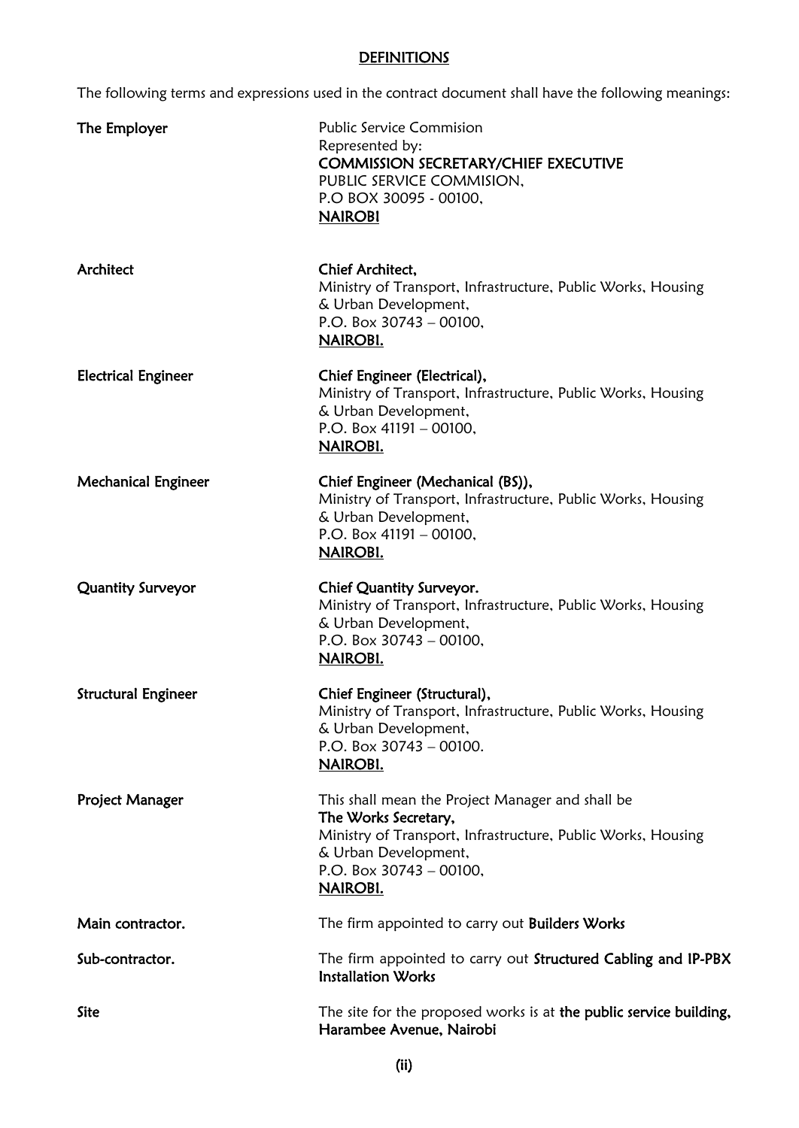#### **DEFINITIONS**

The following terms and expressions used in the contract document shall have the following meanings:

| The Employer               | <b>Public Service Commision</b><br>Represented by:<br><b>COMMISSION SECRETARY/CHIEF EXECUTIVE</b><br>PUBLIC SERVICE COMMISION,<br>P.O BOX 30095 - 00100,<br><b>NAIROBI</b>                                 |
|----------------------------|------------------------------------------------------------------------------------------------------------------------------------------------------------------------------------------------------------|
| Architect                  | Chief Architect,<br>Ministry of Transport, Infrastructure, Public Works, Housing<br>& Urban Development,<br>P.O. Box $30743 - 00100$ ,<br>NAIROBI.                                                         |
| <b>Electrical Engineer</b> | Chief Engineer (Electrical),<br>Ministry of Transport, Infrastructure, Public Works, Housing<br>& Urban Development,<br>P.O. Box $41191 - 00100$ ,<br>NAIROBI.                                             |
| <b>Mechanical Engineer</b> | Chief Engineer (Mechanical (BS)),<br>Ministry of Transport, Infrastructure, Public Works, Housing<br>& Urban Development,<br>P.O. Box 41191 - 00100,<br><b>NAIROBI.</b>                                    |
| Quantity Surveyor          | Chief Quantity Surveyor.<br>Ministry of Transport, Infrastructure, Public Works, Housing<br>& Urban Development,<br>P.O. Box $30743 - 00100$ ,<br><b>NAIROBI.</b>                                          |
| <b>Structural Engineer</b> | Chief Engineer (Structural),<br>Ministry of Transport, Infrastructure, Public Works, Housing<br>& Urban Development,<br>P.O. Box $30743 - 00100$ .<br><b>NAIROBI.</b>                                      |
| Project Manager            | This shall mean the Project Manager and shall be<br>The Works Secretary,<br>Ministry of Transport, Infrastructure, Public Works, Housing<br>& Urban Development,<br>P.O. Box $30743 - 00100$ ,<br>NAIROBI. |
| Main contractor.           | The firm appointed to carry out Builders Works                                                                                                                                                             |
| Sub-contractor.            | The firm appointed to carry out Structured Cabling and IP-PBX<br><b>Installation Works</b>                                                                                                                 |
| <b>Site</b>                | The site for the proposed works is at the public service building,<br>Harambee Avenue, Nairobi                                                                                                             |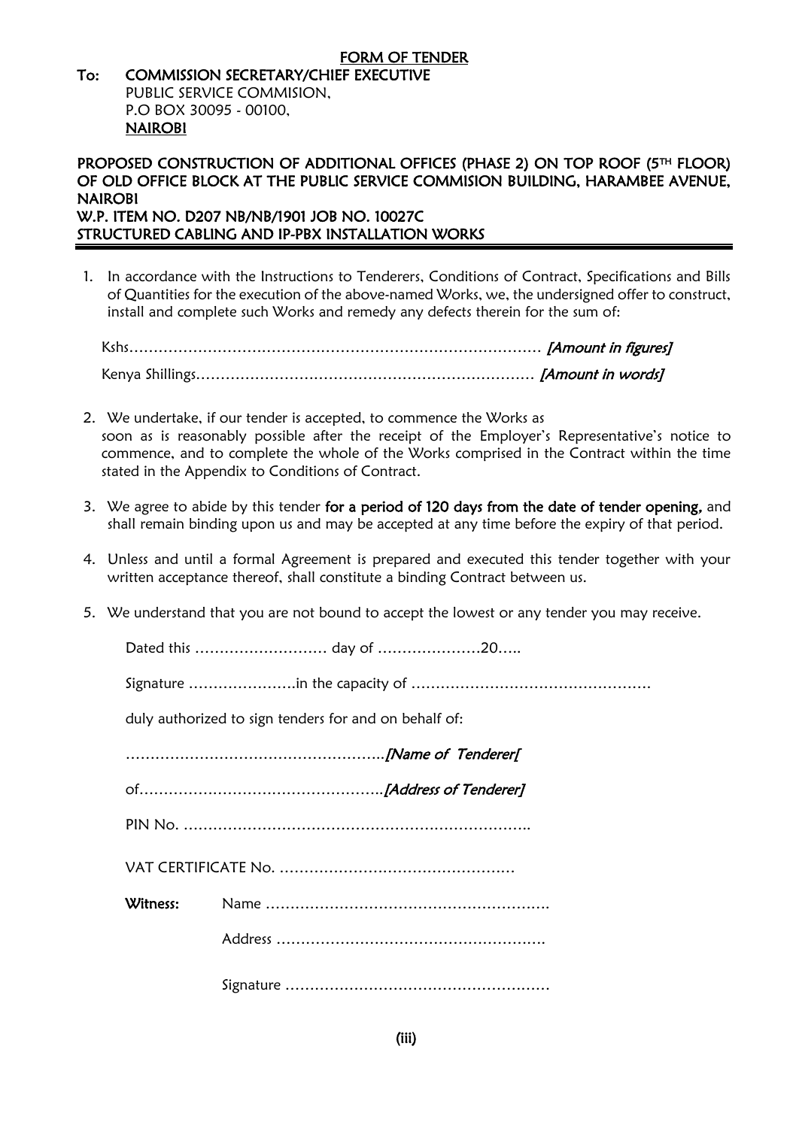#### FORM OF TENDER To: COMMISSION SECRETARY/CHIEF EXECUTIVE PUBLIC SERVICE COMMISION, P.O BOX 30095 - 00100, NAIROBI

#### PROPOSED CONSTRUCTION OF ADDITIONAL OFFICES (PHASE 2) ON TOP ROOF (5TH FLOOR) OF OLD OFFICE BLOCK AT THE PUBLIC SERVICE COMMISION BUILDING, HARAMBEE AVENUE, NAIROBI

W.P. ITEM NO. D207 NB/NB/1901 JOB NO. 10027C STRUCTURED CABLING AND IP-PBX INSTALLATION WORKS

1. In accordance with the Instructions to Tenderers, Conditions of Contract, Specifications and Bills of Quantities for the execution of the above-named Works, we, the undersigned offer to construct, install and complete such Works and remedy any defects therein for the sum of:

Kshs………………………………………………………………………… [Amount in figures] Kenya Shillings………………………………………………………………… [Amount in words]

- 2. We undertake, if our tender is accepted, to commence the Works as soon as is reasonably possible after the receipt of the Employer's Representative's notice to commence, and to complete the whole of the Works comprised in the Contract within the time stated in the Appendix to Conditions of Contract.
- 3. We agree to abide by this tender for a period of 120 days from the date of tender opening, and shall remain binding upon us and may be accepted at any time before the expiry of that period.
- 4. Unless and until a formal Agreement is prepared and executed this tender together with your written acceptance thereof, shall constitute a binding Contract between us.
- 5. We understand that you are not bound to accept the lowest or any tender you may receive.

Dated this ……………………… day of …………………20…..

Signature ………………….in the capacity of ………………………………………….

duly authorized to sign tenders for and on behalf of:

| Witness: |  |
|----------|--|
|          |  |
|          |  |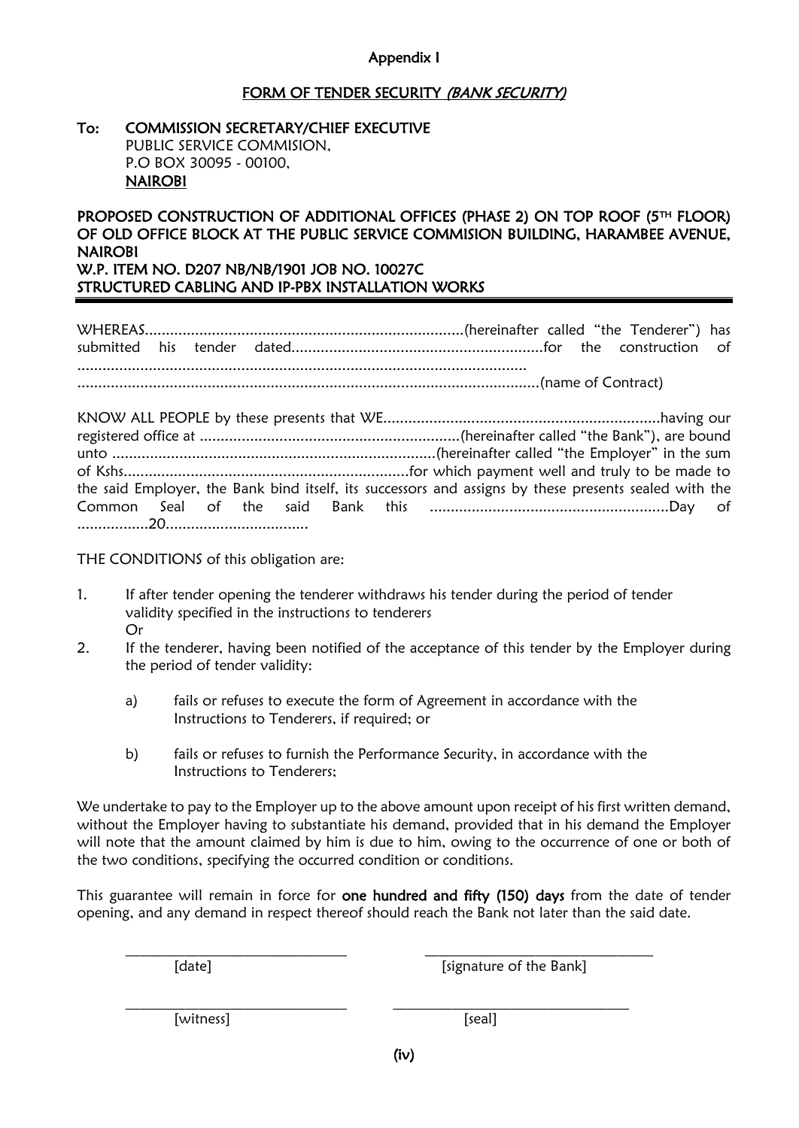#### Appendix I

#### FORM OF TENDER SECURITY (BANK SECURITY)

#### To: COMMISSION SECRETARY/CHIEF EXECUTIVE PUBLIC SERVICE COMMISION, P.O BOX 30095 - 00100, NAIROBI

#### PROPOSED CONSTRUCTION OF ADDITIONAL OFFICES (PHASE 2) ON TOP ROOF (5TH FLOOR) OF OLD OFFICE BLOCK AT THE PUBLIC SERVICE COMMISION BUILDING, HARAMBEE AVENUE, NAIROBI W.P. ITEM NO. D207 NB/NB/1901 JOB NO. 10027C

STRUCTURED CABLING AND IP-PBX INSTALLATION WORKS

WHEREAS............................................................................(hereinafter called "the Tenderer") has submitted his tender dated............................................................for the construction of ...........................................................................................................

..............................................................................................................(name of Contract)

KNOW ALL PEOPLE by these presents that WE..................................................................having our registered office at ..............................................................(hereinafter called "the Bank"), are bound unto .............................................................................(hereinafter called "the Employer" in the sum of Kshs....................................................................for which payment well and truly to be made to the said Employer, the Bank bind itself, its successors and assigns by these presents sealed with the Common Seal of the said Bank this .........................................................Day of .................20..................................

THE CONDITIONS of this obligation are:

- 1. If after tender opening the tenderer withdraws his tender during the period of tender validity specified in the instructions to tenderers Or
- 2. If the tenderer, having been notified of the acceptance of this tender by the Employer during the period of tender validity:
	- a) fails or refuses to execute the form of Agreement in accordance with the Instructions to Tenderers, if required; or
	- b) fails or refuses to furnish the Performance Security, in accordance with the Instructions to Tenderers;

We undertake to pay to the Employer up to the above amount upon receipt of his first written demand, without the Employer having to substantiate his demand, provided that in his demand the Employer will note that the amount claimed by him is due to him, owing to the occurrence of one or both of the two conditions, specifying the occurred condition or conditions.

This guarantee will remain in force for one hundred and fifty (150) days from the date of tender opening, and any demand in respect thereof should reach the Bank not later than the said date.

 $\mathcal{L}_\text{max} = \frac{1}{2} \sum_{i=1}^n \mathcal{L}_\text{max}(\mathbf{z}_i - \mathbf{z}_i)$ 

\_\_\_\_\_\_\_\_\_\_\_\_\_\_\_\_\_\_\_\_\_\_\_\_\_\_\_\_\_\_ \_\_\_\_\_\_\_\_\_\_\_\_\_\_\_\_\_\_\_\_\_\_\_\_\_\_\_\_\_\_\_\_

[date] [signature of the Bank]

[witness] [seal]

(iv)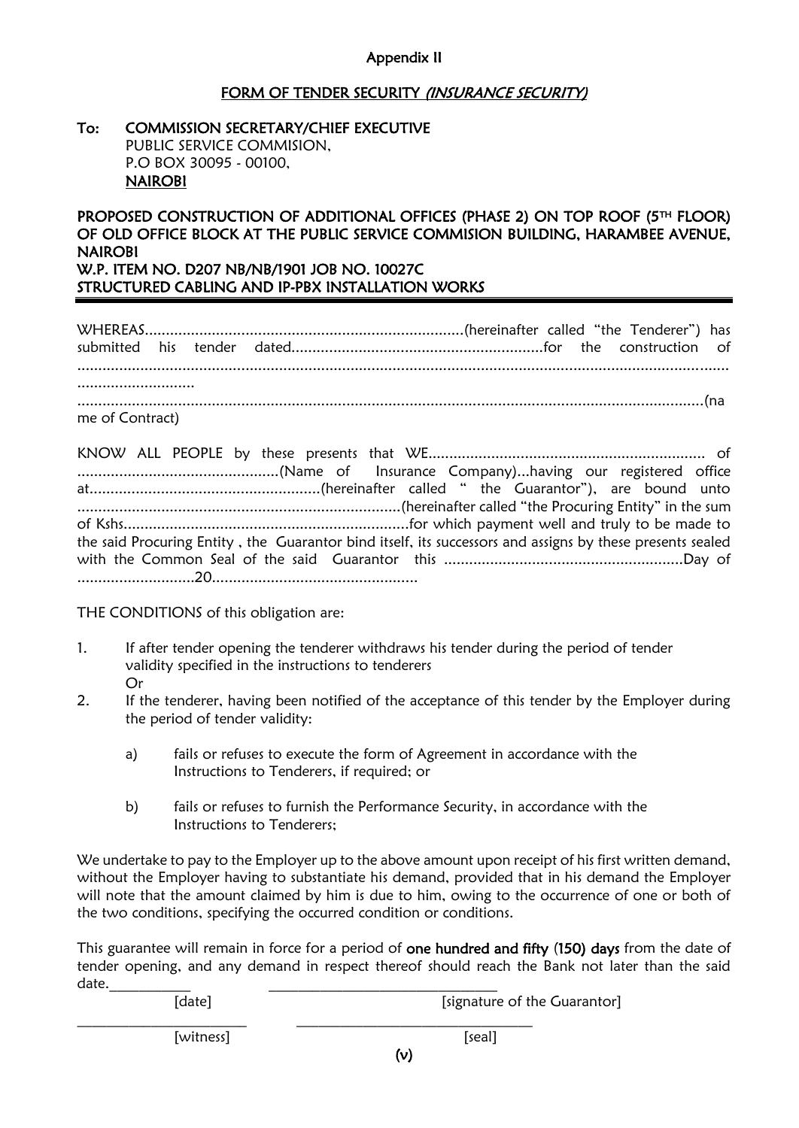#### Appendix II

#### FORM OF TENDER SECURITY (INSURANCE SECURITY)

| To: | <b>COMMISSION SECRETARY/CHIEF EXECUTIVE</b> |
|-----|---------------------------------------------|
|     | PUBLIC SERVICE COMMISION,                   |
|     | P.O BOX 30095 - 00100,                      |
|     | <b>NAIROBI</b>                              |

#### PROPOSED CONSTRUCTION OF ADDITIONAL OFFICES (PHASE 2) ON TOP ROOF (5TH FLOOR) OF OLD OFFICE BLOCK AT THE PUBLIC SERVICE COMMISION BUILDING, HARAMBEE AVENUE, NAIROBI W.P. ITEM NO. D207 NB/NB/1901 JOB NO. 10027C

STRUCTURED CABLING AND IP-PBX INSTALLATION WORKS

WHEREAS............................................................................(hereinafter called "the Tenderer") has submitted his tender dated............................................................for the construction of ........................................................................................................................................................... ............................ .....................................................................................................................................................(na

me of Contract)

KNOW ALL PEOPLE by these presents that WE.................................................................. of ................................................(Name of Insurance Company)...having our registered office at.......................................................(hereinafter called " the Guarantor"), are bound unto .............................................................................(hereinafter called "the Procuring Entity" in the sum of Kshs....................................................................for which payment well and truly to be made to the said Procuring Entity , the Guarantor bind itself, its successors and assigns by these presents sealed with the Common Seal of the said Guarantor this .........................................................Day of ............................20.................................................

THE CONDITIONS of this obligation are:

- 1. If after tender opening the tenderer withdraws his tender during the period of tender validity specified in the instructions to tenderers Or
- 2. If the tenderer, having been notified of the acceptance of this tender by the Employer during the period of tender validity:
	- a) fails or refuses to execute the form of Agreement in accordance with the Instructions to Tenderers, if required; or
	- b) fails or refuses to furnish the Performance Security, in accordance with the Instructions to Tenderers;

We undertake to pay to the Employer up to the above amount upon receipt of his first written demand, without the Employer having to substantiate his demand, provided that in his demand the Employer will note that the amount claimed by him is due to him, owing to the occurrence of one or both of the two conditions, specifying the occurred condition or conditions.

This guarantee will remain in force for a period of one hundred and fifty (150) days from the date of tender opening, and any demand in respect thereof should reach the Bank not later than the said date.\_\_\_\_\_\_\_\_\_\_\_ \_\_\_\_\_\_\_\_\_\_\_\_\_\_\_\_\_\_\_\_\_\_\_\_\_\_\_\_\_\_\_

| ualc.<br>[date] | [signature of the Guarantor] |
|-----------------|------------------------------|
| [witness]       | [seal]                       |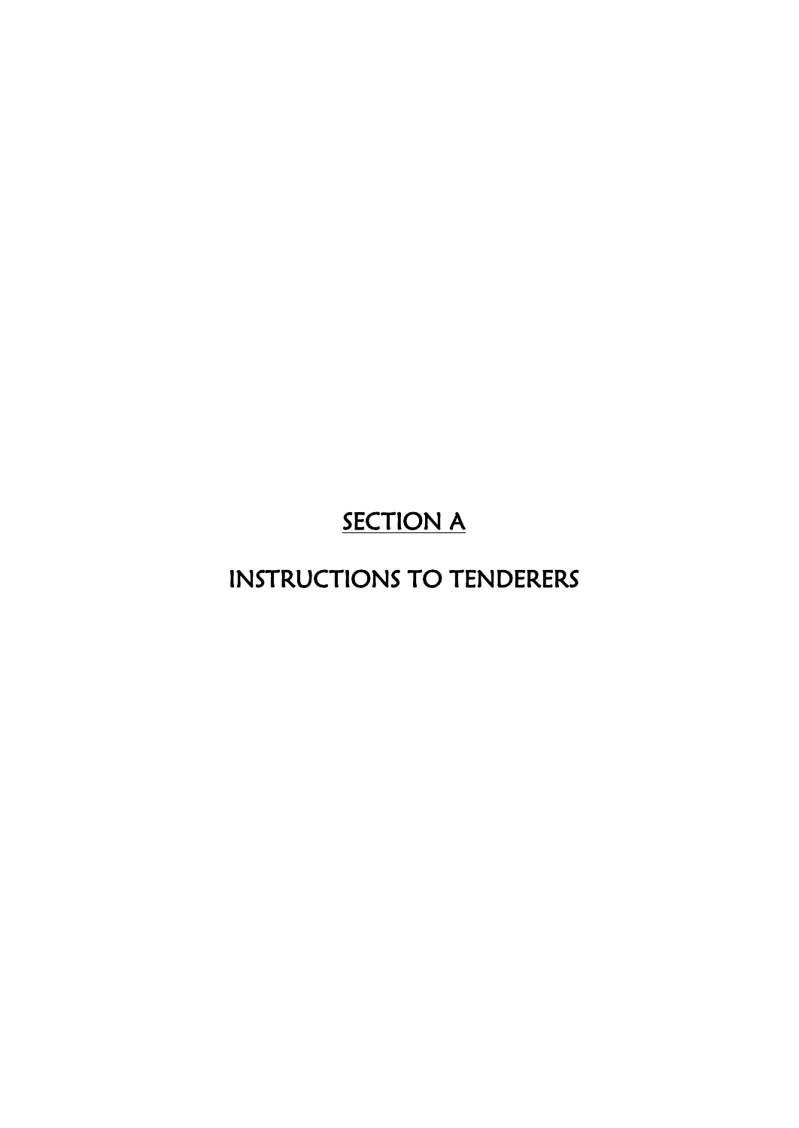# **SECTION A**

# INSTRUCTIONS TO TENDERERS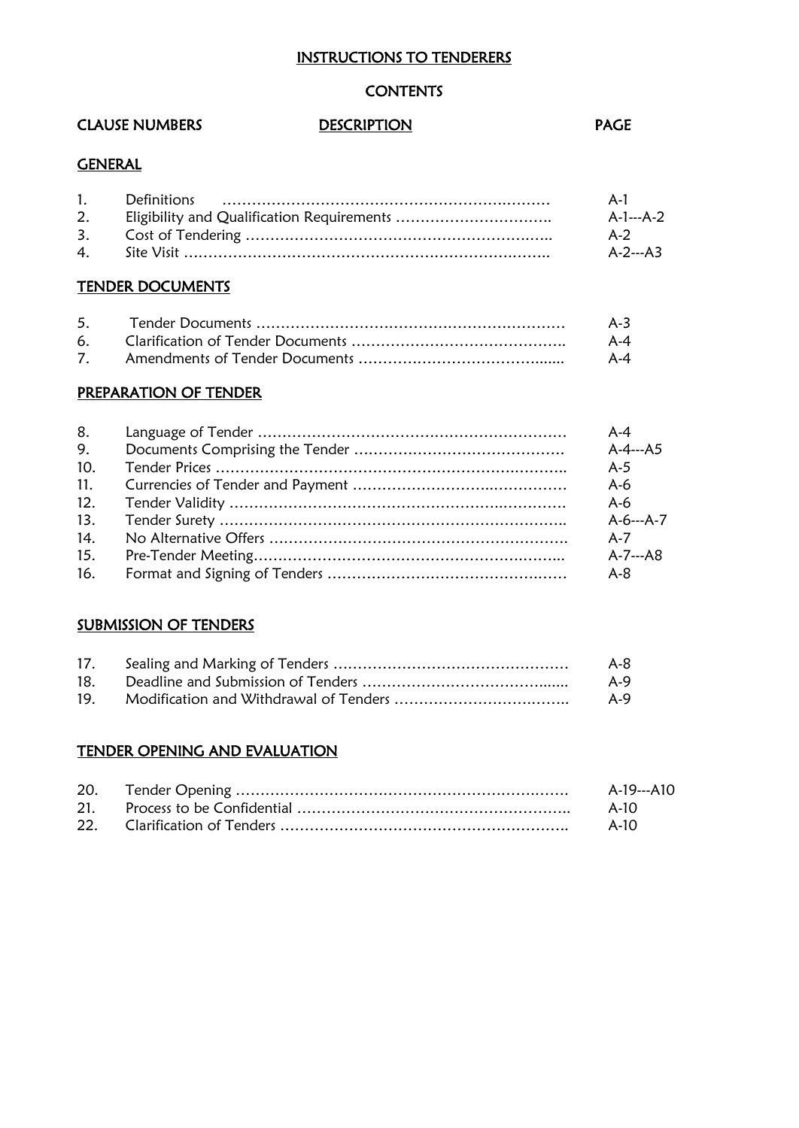#### INSTRUCTIONS TO TENDERERS

#### **CONTENTS**

#### CLAUSE NUMBERS DESCRIPTION DESCRIPTION

#### **GENERAL**

| 1. | $A - I$   |
|----|-----------|
| 2. | A-1---A-2 |
|    | A-2       |
|    | A-2---A3  |

#### TENDER DOCUMENTS

|  | $A-3$ |
|--|-------|
|  | A-4   |
|  | A-4   |

#### PREPARATION OF TENDER

| 8.  | $A - 4$          |
|-----|------------------|
| 9.  | A-4---A5         |
| 10. | $A-5$            |
| 11. | $A-6$            |
| 12. | $A - 6$          |
| 13. | $A - 6 - -A - 7$ |
| 14. | $A - 7$          |
| 15. | $A - 7 - A8$     |
| 16. | $A - 8$          |

#### **SUBMISSION OF TENDERS**

| 17.             | $A-8$ |
|-----------------|-------|
| 18.             | $A-9$ |
| 19 <sub>1</sub> | A-9   |

#### TENDER OPENING AND EVALUATION

|  | A-19---A10 |
|--|------------|
|  | A-10       |
|  | A-10       |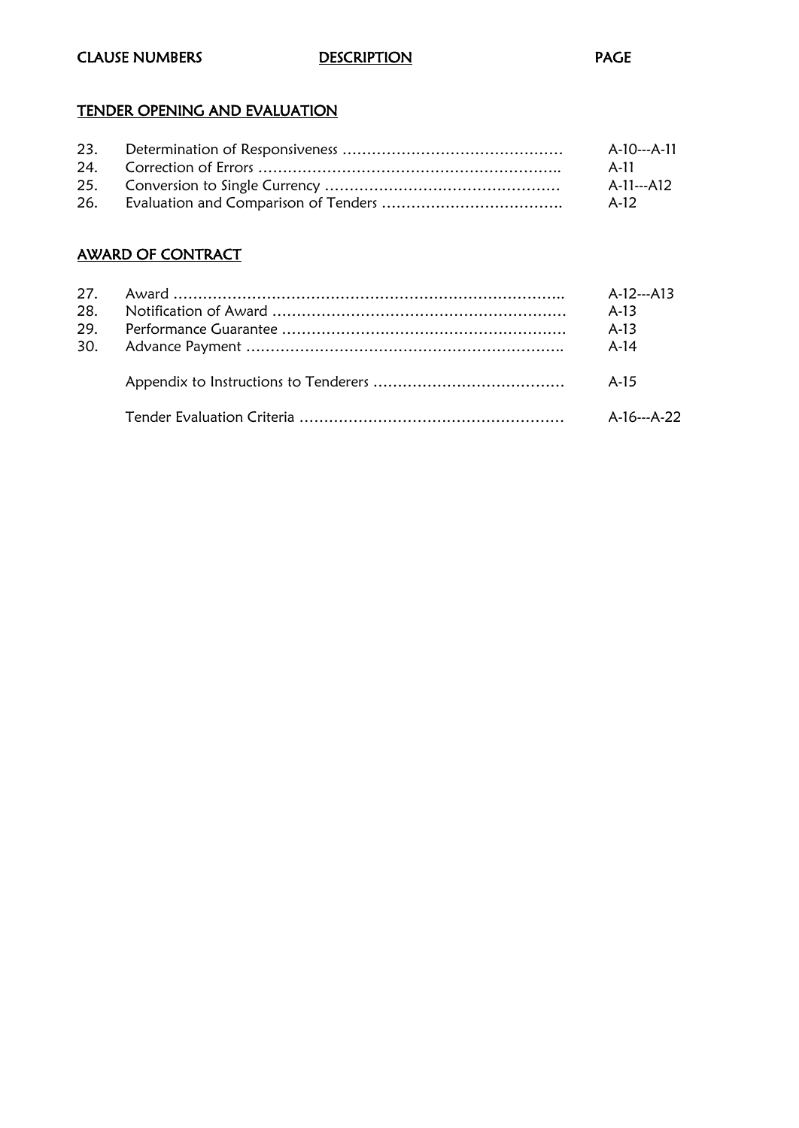#### **CLAUSE NUMBERS** DESCRIPTION DESCRIPTION

#### TENDER OPENING AND EVALUATION

| 23. | A-10---A-11 |
|-----|-------------|
|     | A-11        |
|     | A-11---A12  |
|     | A-12        |

#### AWARD OF CONTRACT

|  | $A-12- A13$ |
|--|-------------|
|  | $A-13$      |
|  | $A-13$      |
|  | $A-14$      |
|  | A-15        |
|  | A-16---A-22 |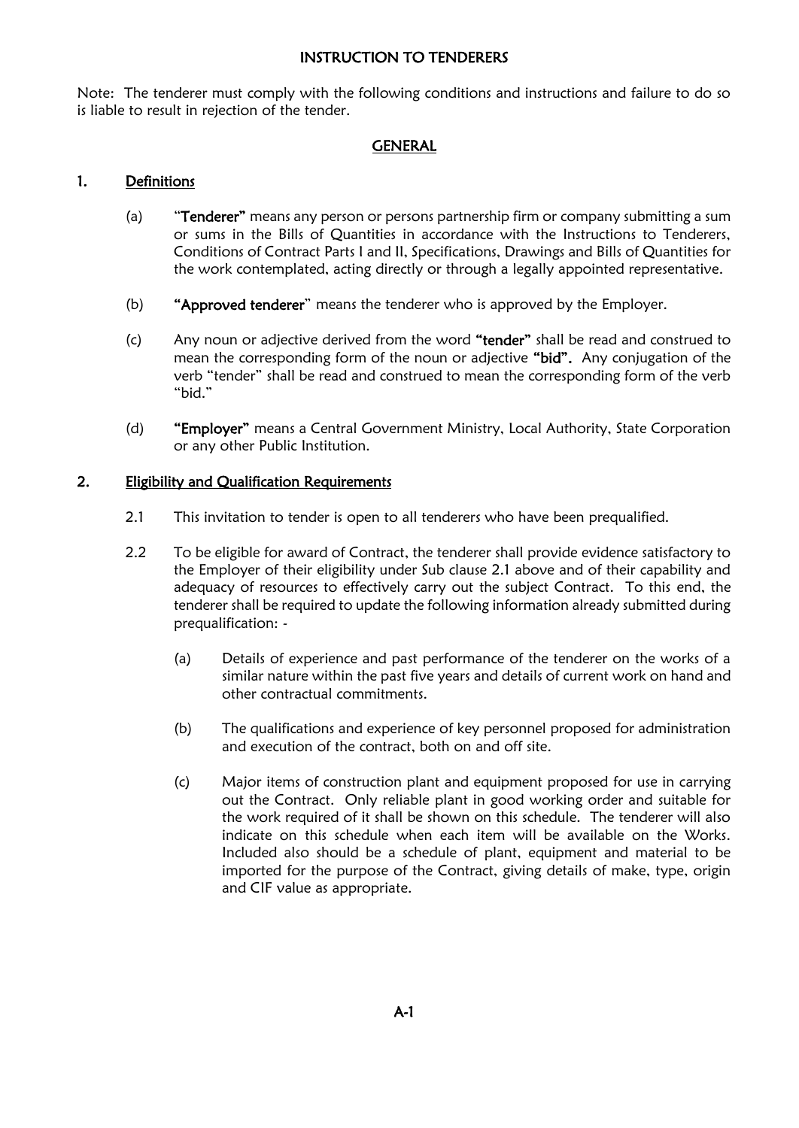#### INSTRUCTION TO TENDERERS

Note: The tenderer must comply with the following conditions and instructions and failure to do so is liable to result in rejection of the tender.

#### GENERAL

#### 1. Definitions

- (a) "Tenderer" means any person or persons partnership firm or company submitting a sum or sums in the Bills of Quantities in accordance with the Instructions to Tenderers, Conditions of Contract Parts I and II, Specifications, Drawings and Bills of Quantities for the work contemplated, acting directly or through a legally appointed representative.
- (b) "Approved tenderer" means the tenderer who is approved by the Employer.
- (c) Any noun or adjective derived from the word "tender" shall be read and construed to mean the corresponding form of the noun or adjective "bid". Any conjugation of the verb "tender" shall be read and construed to mean the corresponding form of the verb "bid."
- (d) "Employer" means a Central Government Ministry, Local Authority, State Corporation or any other Public Institution.

#### 2. Eligibility and Qualification Requirements

- 2.1 This invitation to tender is open to all tenderers who have been prequalified.
- 2.2 To be eligible for award of Contract, the tenderer shall provide evidence satisfactory to the Employer of their eligibility under Sub clause 2.1 above and of their capability and adequacy of resources to effectively carry out the subject Contract. To this end, the tenderer shall be required to update the following information already submitted during prequalification: -
	- (a) Details of experience and past performance of the tenderer on the works of a similar nature within the past five years and details of current work on hand and other contractual commitments.
	- (b) The qualifications and experience of key personnel proposed for administration and execution of the contract, both on and off site.
	- (c) Major items of construction plant and equipment proposed for use in carrying out the Contract. Only reliable plant in good working order and suitable for the work required of it shall be shown on this schedule. The tenderer will also indicate on this schedule when each item will be available on the Works. Included also should be a schedule of plant, equipment and material to be imported for the purpose of the Contract, giving details of make, type, origin and CIF value as appropriate.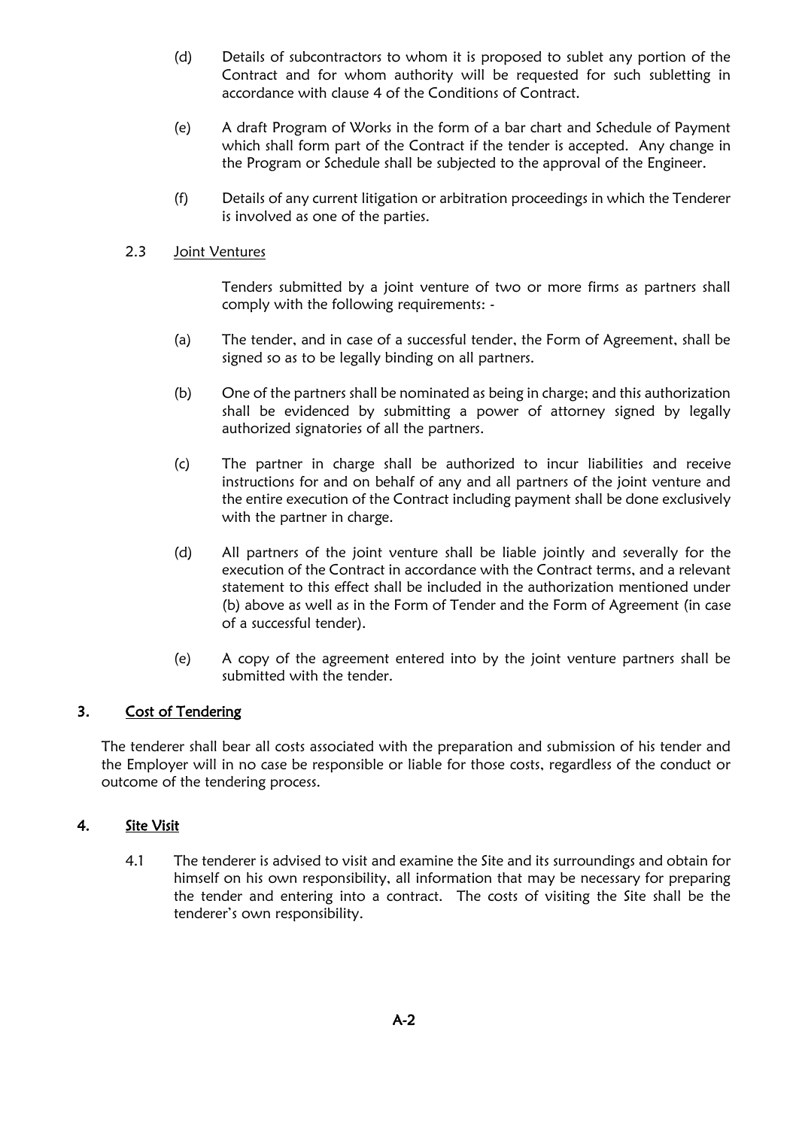- (d) Details of subcontractors to whom it is proposed to sublet any portion of the Contract and for whom authority will be requested for such subletting in accordance with clause 4 of the Conditions of Contract.
- (e) A draft Program of Works in the form of a bar chart and Schedule of Payment which shall form part of the Contract if the tender is accepted. Any change in the Program or Schedule shall be subjected to the approval of the Engineer.
- (f) Details of any current litigation or arbitration proceedings in which the Tenderer is involved as one of the parties.

#### 2.3 Joint Ventures

Tenders submitted by a joint venture of two or more firms as partners shall comply with the following requirements: -

- (a) The tender, and in case of a successful tender, the Form of Agreement, shall be signed so as to be legally binding on all partners.
- (b) One of the partners shall be nominated as being in charge; and this authorization shall be evidenced by submitting a power of attorney signed by legally authorized signatories of all the partners.
- (c) The partner in charge shall be authorized to incur liabilities and receive instructions for and on behalf of any and all partners of the joint venture and the entire execution of the Contract including payment shall be done exclusively with the partner in charge.
- (d) All partners of the joint venture shall be liable jointly and severally for the execution of the Contract in accordance with the Contract terms, and a relevant statement to this effect shall be included in the authorization mentioned under (b) above as well as in the Form of Tender and the Form of Agreement (in case of a successful tender).
- (e) A copy of the agreement entered into by the joint venture partners shall be submitted with the tender.

#### 3. Cost of Tendering

The tenderer shall bear all costs associated with the preparation and submission of his tender and the Employer will in no case be responsible or liable for those costs, regardless of the conduct or outcome of the tendering process.

#### 4. Site Visit

4.1 The tenderer is advised to visit and examine the Site and its surroundings and obtain for himself on his own responsibility, all information that may be necessary for preparing the tender and entering into a contract. The costs of visiting the Site shall be the tenderer's own responsibility.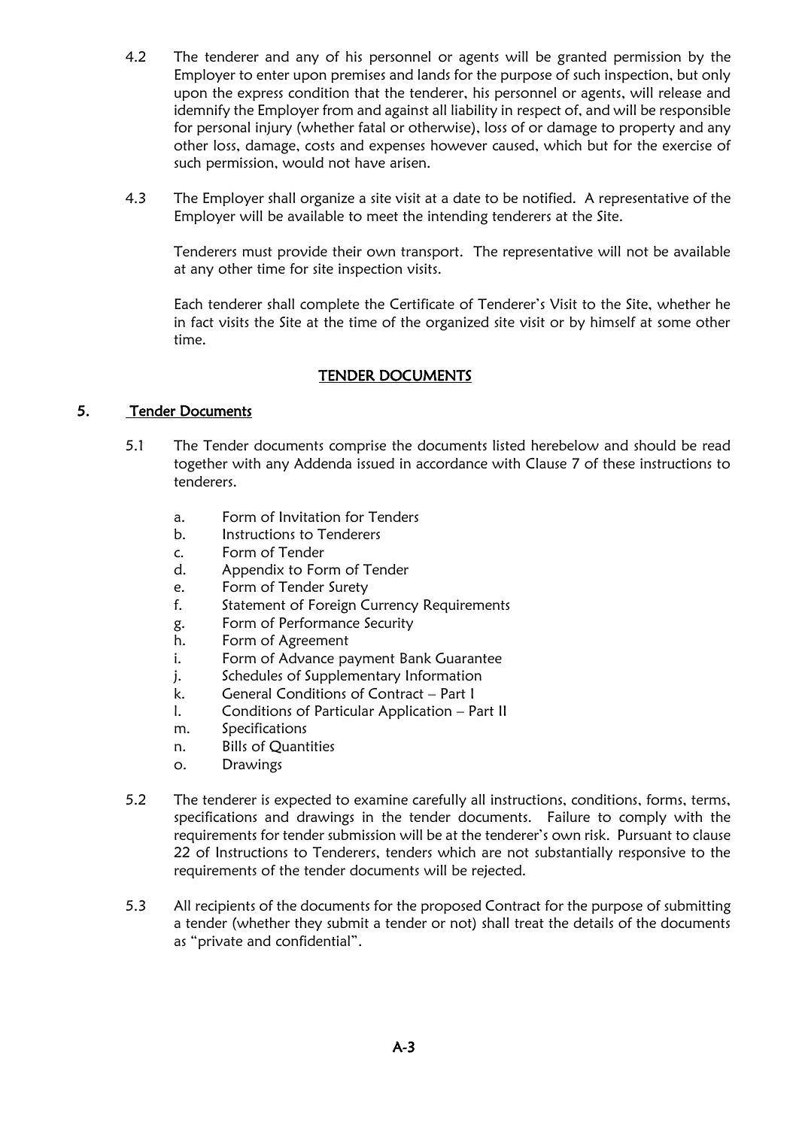- 4.2 The tenderer and any of his personnel or agents will be granted permission by the Employer to enter upon premises and lands for the purpose of such inspection, but only upon the express condition that the tenderer, his personnel or agents, will release and idemnify the Employer from and against all liability in respect of, and will be responsible for personal injury (whether fatal or otherwise), loss of or damage to property and any other loss, damage, costs and expenses however caused, which but for the exercise of such permission, would not have arisen.
- 4.3 The Employer shall organize a site visit at a date to be notified. A representative of the Employer will be available to meet the intending tenderers at the Site.

Tenderers must provide their own transport. The representative will not be available at any other time for site inspection visits.

Each tenderer shall complete the Certificate of Tenderer's Visit to the Site, whether he in fact visits the Site at the time of the organized site visit or by himself at some other time.

#### TENDER DOCUMENTS

#### 5. Tender Documents

- 5.1 The Tender documents comprise the documents listed herebelow and should be read together with any Addenda issued in accordance with Clause 7 of these instructions to tenderers.
	- a. Form of Invitation for Tenders
	- b. Instructions to Tenderers
	- c. Form of Tender
	- d. Appendix to Form of Tender
	- e. Form of Tender Surety
	- f. Statement of Foreign Currency Requirements
	- g. Form of Performance Security
	- h. Form of Agreement
	- i. Form of Advance payment Bank Guarantee
	- j. Schedules of Supplementary Information
	- k. General Conditions of Contract Part I
	- l. Conditions of Particular Application Part II
	- m. Specifications
	- n. Bills of Quantities
	- o. Drawings
- 5.2 The tenderer is expected to examine carefully all instructions, conditions, forms, terms, specifications and drawings in the tender documents. Failure to comply with the requirements for tender submission will be at the tenderer's own risk. Pursuant to clause 22 of Instructions to Tenderers, tenders which are not substantially responsive to the requirements of the tender documents will be rejected.
- 5.3 All recipients of the documents for the proposed Contract for the purpose of submitting a tender (whether they submit a tender or not) shall treat the details of the documents as "private and confidential".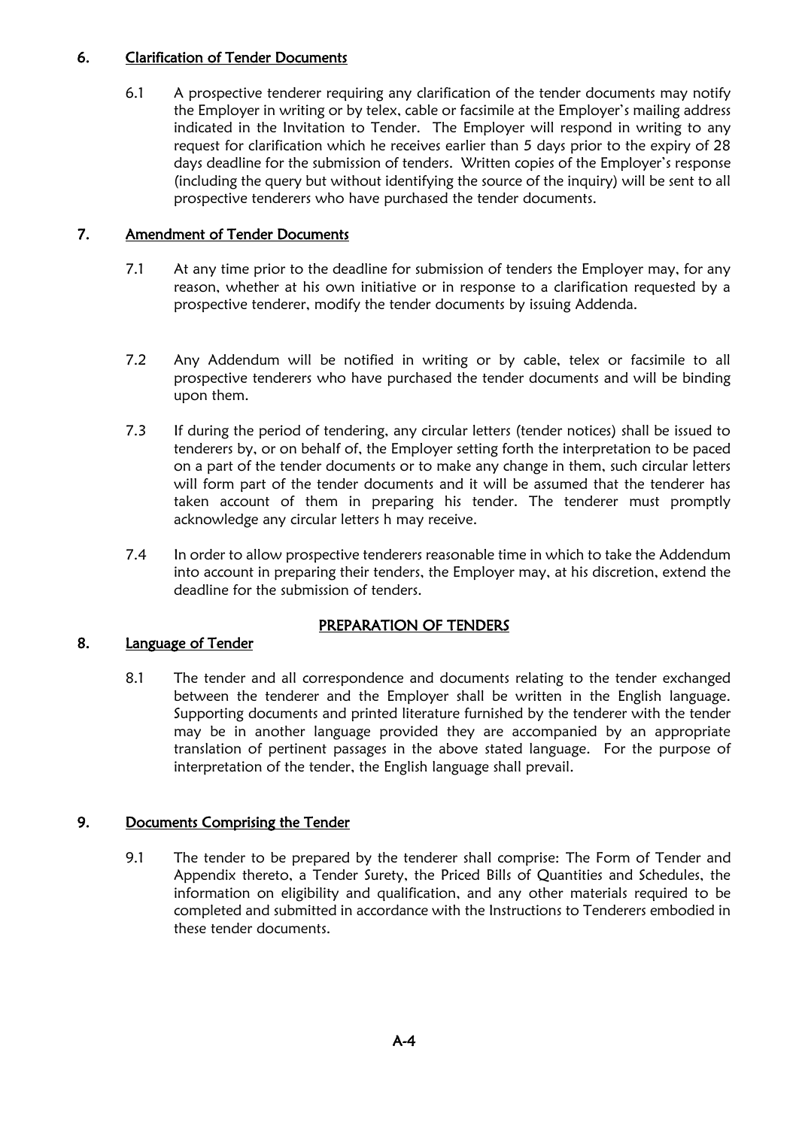#### 6. Clarification of Tender Documents

6.1 A prospective tenderer requiring any clarification of the tender documents may notify the Employer in writing or by telex, cable or facsimile at the Employer's mailing address indicated in the Invitation to Tender. The Employer will respond in writing to any request for clarification which he receives earlier than 5 days prior to the expiry of 28 days deadline for the submission of tenders. Written copies of the Employer's response (including the query but without identifying the source of the inquiry) will be sent to all prospective tenderers who have purchased the tender documents.

#### 7. Amendment of Tender Documents

- 7.1 At any time prior to the deadline for submission of tenders the Employer may, for any reason, whether at his own initiative or in response to a clarification requested by a prospective tenderer, modify the tender documents by issuing Addenda.
- 7.2 Any Addendum will be notified in writing or by cable, telex or facsimile to all prospective tenderers who have purchased the tender documents and will be binding upon them.
- 7.3 If during the period of tendering, any circular letters (tender notices) shall be issued to tenderers by, or on behalf of, the Employer setting forth the interpretation to be paced on a part of the tender documents or to make any change in them, such circular letters will form part of the tender documents and it will be assumed that the tenderer has taken account of them in preparing his tender. The tenderer must promptly acknowledge any circular letters h may receive.
- 7.4 In order to allow prospective tenderers reasonable time in which to take the Addendum into account in preparing their tenders, the Employer may, at his discretion, extend the deadline for the submission of tenders.

#### PREPARATION OF TENDERS

#### 8. Language of Tender

8.1 The tender and all correspondence and documents relating to the tender exchanged between the tenderer and the Employer shall be written in the English language. Supporting documents and printed literature furnished by the tenderer with the tender may be in another language provided they are accompanied by an appropriate translation of pertinent passages in the above stated language. For the purpose of interpretation of the tender, the English language shall prevail.

#### 9. Documents Comprising the Tender

9.1 The tender to be prepared by the tenderer shall comprise: The Form of Tender and Appendix thereto, a Tender Surety, the Priced Bills of Quantities and Schedules, the information on eligibility and qualification, and any other materials required to be completed and submitted in accordance with the Instructions to Tenderers embodied in these tender documents.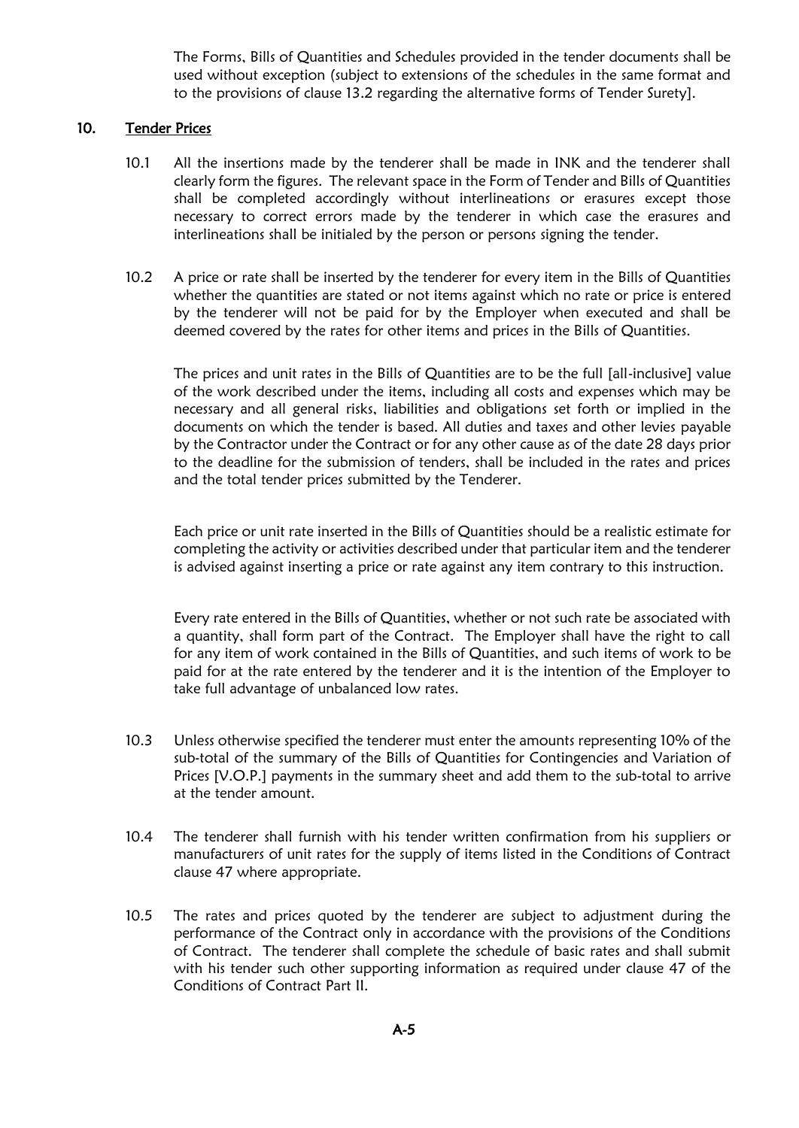The Forms, Bills of Quantities and Schedules provided in the tender documents shall be used without exception (subject to extensions of the schedules in the same format and to the provisions of clause 13.2 regarding the alternative forms of Tender Surety].

#### 10. Tender Prices

- 10.1 All the insertions made by the tenderer shall be made in INK and the tenderer shall clearly form the figures. The relevant space in the Form of Tender and Bills of Quantities shall be completed accordingly without interlineations or erasures except those necessary to correct errors made by the tenderer in which case the erasures and interlineations shall be initialed by the person or persons signing the tender.
- 10.2 A price or rate shall be inserted by the tenderer for every item in the Bills of Quantities whether the quantities are stated or not items against which no rate or price is entered by the tenderer will not be paid for by the Employer when executed and shall be deemed covered by the rates for other items and prices in the Bills of Quantities.

The prices and unit rates in the Bills of Quantities are to be the full [all-inclusive] value of the work described under the items, including all costs and expenses which may be necessary and all general risks, liabilities and obligations set forth or implied in the documents on which the tender is based. All duties and taxes and other levies payable by the Contractor under the Contract or for any other cause as of the date 28 days prior to the deadline for the submission of tenders, shall be included in the rates and prices and the total tender prices submitted by the Tenderer.

Each price or unit rate inserted in the Bills of Quantities should be a realistic estimate for completing the activity or activities described under that particular item and the tenderer is advised against inserting a price or rate against any item contrary to this instruction.

Every rate entered in the Bills of Quantities, whether or not such rate be associated with a quantity, shall form part of the Contract. The Employer shall have the right to call for any item of work contained in the Bills of Quantities, and such items of work to be paid for at the rate entered by the tenderer and it is the intention of the Employer to take full advantage of unbalanced low rates.

- 10.3 Unless otherwise specified the tenderer must enter the amounts representing 10% of the sub-total of the summary of the Bills of Quantities for Contingencies and Variation of Prices [V.O.P.] payments in the summary sheet and add them to the sub-total to arrive at the tender amount.
- 10.4 The tenderer shall furnish with his tender written confirmation from his suppliers or manufacturers of unit rates for the supply of items listed in the Conditions of Contract clause 47 where appropriate.
- 10.5 The rates and prices quoted by the tenderer are subject to adjustment during the performance of the Contract only in accordance with the provisions of the Conditions of Contract. The tenderer shall complete the schedule of basic rates and shall submit with his tender such other supporting information as required under clause 47 of the Conditions of Contract Part II.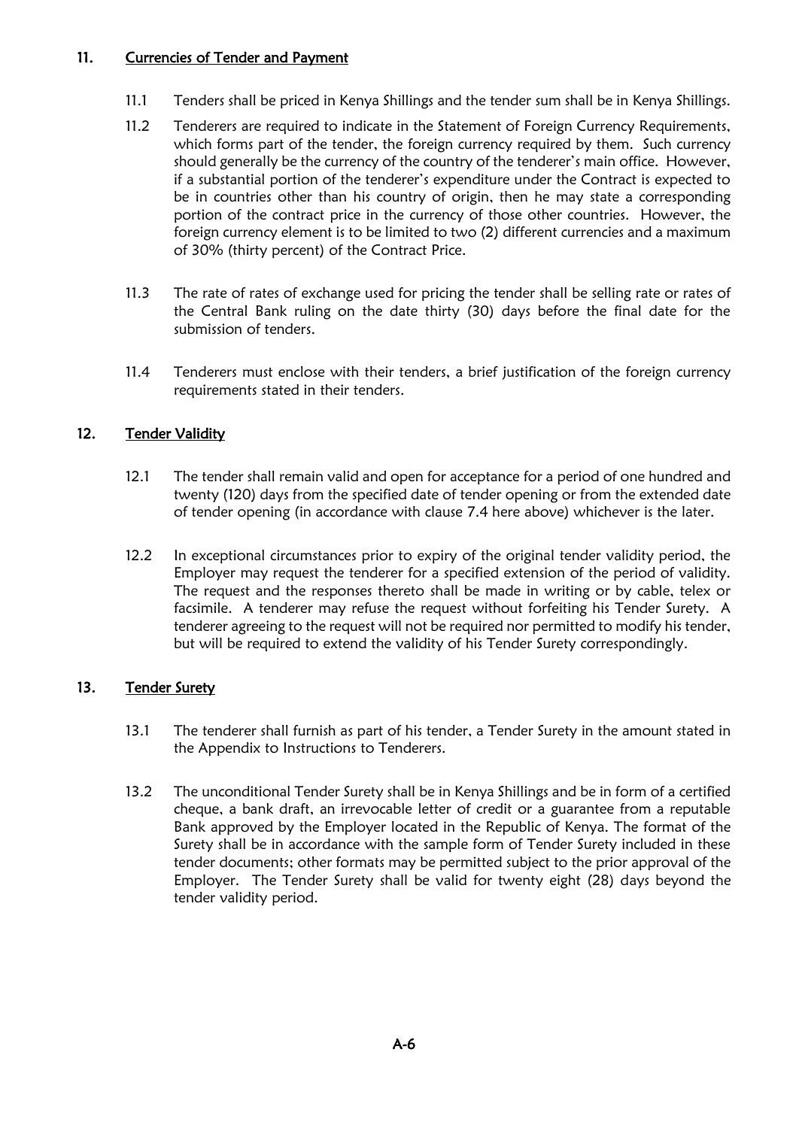#### 11. Currencies of Tender and Payment

- 11.1 Tenders shall be priced in Kenya Shillings and the tender sum shall be in Kenya Shillings.
- 11.2 Tenderers are required to indicate in the Statement of Foreign Currency Requirements, which forms part of the tender, the foreign currency required by them. Such currency should generally be the currency of the country of the tenderer's main office. However, if a substantial portion of the tenderer's expenditure under the Contract is expected to be in countries other than his country of origin, then he may state a corresponding portion of the contract price in the currency of those other countries. However, the foreign currency element is to be limited to two (2) different currencies and a maximum of 30% (thirty percent) of the Contract Price.
- 11.3 The rate of rates of exchange used for pricing the tender shall be selling rate or rates of the Central Bank ruling on the date thirty (30) days before the final date for the submission of tenders.
- 11.4 Tenderers must enclose with their tenders, a brief justification of the foreign currency requirements stated in their tenders.

#### 12. Tender Validity

- 12.1 The tender shall remain valid and open for acceptance for a period of one hundred and twenty (120) days from the specified date of tender opening or from the extended date of tender opening (in accordance with clause 7.4 here above) whichever is the later.
- 12.2 In exceptional circumstances prior to expiry of the original tender validity period, the Employer may request the tenderer for a specified extension of the period of validity. The request and the responses thereto shall be made in writing or by cable, telex or facsimile. A tenderer may refuse the request without forfeiting his Tender Surety. A tenderer agreeing to the request will not be required nor permitted to modify his tender, but will be required to extend the validity of his Tender Surety correspondingly.

#### 13. Tender Surety

- 13.1 The tenderer shall furnish as part of his tender, a Tender Surety in the amount stated in the Appendix to Instructions to Tenderers.
- 13.2 The unconditional Tender Surety shall be in Kenya Shillings and be in form of a certified cheque, a bank draft, an irrevocable letter of credit or a guarantee from a reputable Bank approved by the Employer located in the Republic of Kenya. The format of the Surety shall be in accordance with the sample form of Tender Surety included in these tender documents; other formats may be permitted subject to the prior approval of the Employer. The Tender Surety shall be valid for twenty eight (28) days beyond the tender validity period.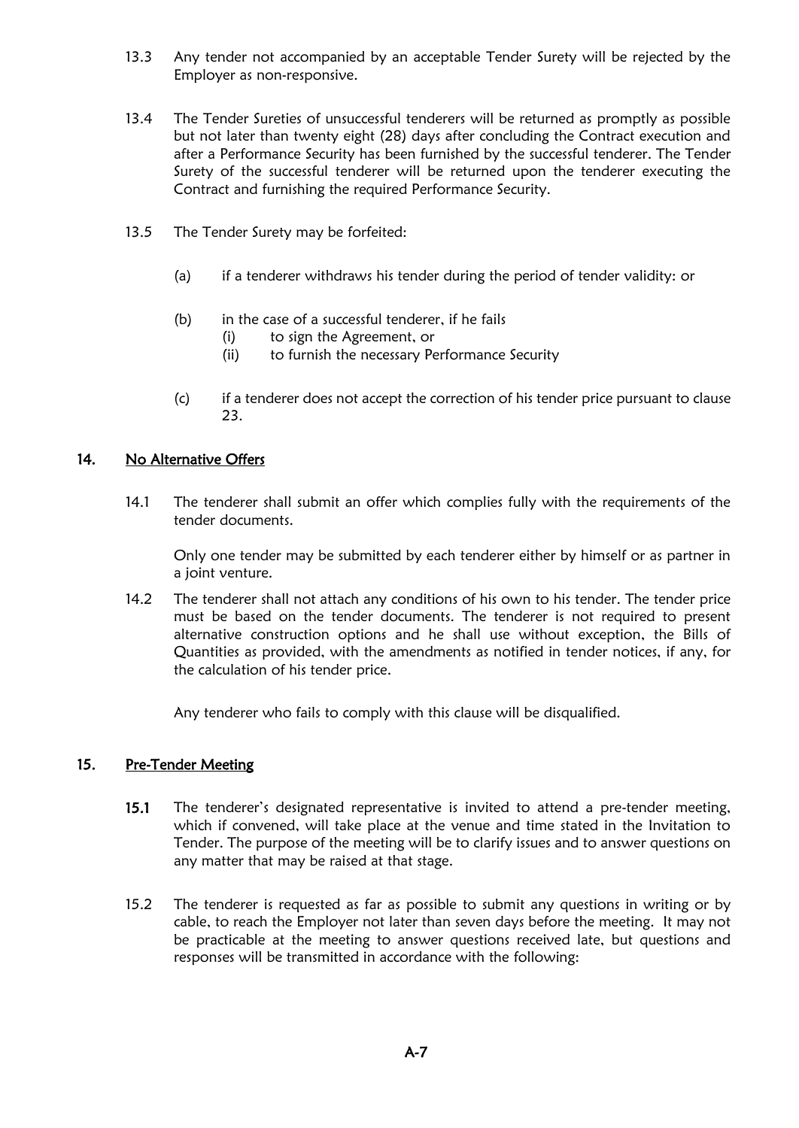- 13.3 Any tender not accompanied by an acceptable Tender Surety will be rejected by the Employer as non-responsive.
- 13.4 The Tender Sureties of unsuccessful tenderers will be returned as promptly as possible but not later than twenty eight (28) days after concluding the Contract execution and after a Performance Security has been furnished by the successful tenderer. The Tender Surety of the successful tenderer will be returned upon the tenderer executing the Contract and furnishing the required Performance Security.
- 13.5 The Tender Surety may be forfeited:
	- (a) if a tenderer withdraws his tender during the period of tender validity: or
	- (b) in the case of a successful tenderer, if he fails
		- (i) to sign the Agreement, or
		- (ii) to furnish the necessary Performance Security
	- (c) if a tenderer does not accept the correction of his tender price pursuant to clause 23.

#### 14. No Alternative Offers

14.1 The tenderer shall submit an offer which complies fully with the requirements of the tender documents.

Only one tender may be submitted by each tenderer either by himself or as partner in a joint venture.

14.2 The tenderer shall not attach any conditions of his own to his tender. The tender price must be based on the tender documents. The tenderer is not required to present alternative construction options and he shall use without exception, the Bills of Quantities as provided, with the amendments as notified in tender notices, if any, for the calculation of his tender price.

Any tenderer who fails to comply with this clause will be disqualified.

#### 15. Pre-Tender Meeting

- 15.1 The tenderer's designated representative is invited to attend a pre-tender meeting, which if convened, will take place at the venue and time stated in the Invitation to Tender. The purpose of the meeting will be to clarify issues and to answer questions on any matter that may be raised at that stage.
- 15.2 The tenderer is requested as far as possible to submit any questions in writing or by cable, to reach the Employer not later than seven days before the meeting. It may not be practicable at the meeting to answer questions received late, but questions and responses will be transmitted in accordance with the following: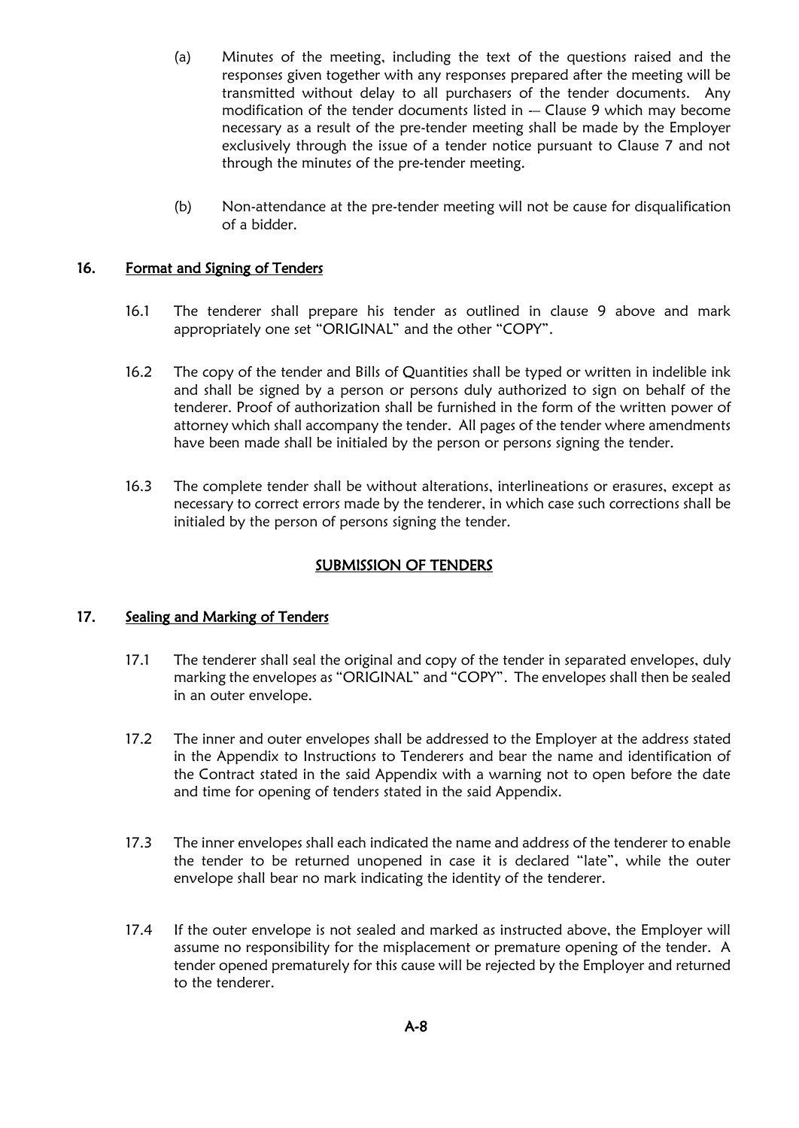- (a) Minutes of the meeting, including the text of the questions raised and the responses given together with any responses prepared after the meeting will be transmitted without delay to all purchasers of the tender documents. Any modification of the tender documents listed in -- Clause 9 which may become necessary as a result of the pre-tender meeting shall be made by the Employer exclusively through the issue of a tender notice pursuant to Clause 7 and not through the minutes of the pre-tender meeting.
- (b) Non-attendance at the pre-tender meeting will not be cause for disqualification of a bidder.

#### 16. Format and Signing of Tenders

- 16.1 The tenderer shall prepare his tender as outlined in clause 9 above and mark appropriately one set "ORIGINAL" and the other "COPY".
- 16.2 The copy of the tender and Bills of Quantities shall be typed or written in indelible ink and shall be signed by a person or persons duly authorized to sign on behalf of the tenderer. Proof of authorization shall be furnished in the form of the written power of attorney which shall accompany the tender. All pages of the tender where amendments have been made shall be initialed by the person or persons signing the tender.
- 16.3 The complete tender shall be without alterations, interlineations or erasures, except as necessary to correct errors made by the tenderer, in which case such corrections shall be initialed by the person of persons signing the tender.

#### SUBMISSION OF TENDERS

#### 17. Sealing and Marking of Tenders

- 17.1 The tenderer shall seal the original and copy of the tender in separated envelopes, duly marking the envelopes as "ORIGINAL" and "COPY". The envelopes shall then be sealed in an outer envelope.
- 17.2 The inner and outer envelopes shall be addressed to the Employer at the address stated in the Appendix to Instructions to Tenderers and bear the name and identification of the Contract stated in the said Appendix with a warning not to open before the date and time for opening of tenders stated in the said Appendix.
- 17.3 The inner envelopes shall each indicated the name and address of the tenderer to enable the tender to be returned unopened in case it is declared "late", while the outer envelope shall bear no mark indicating the identity of the tenderer.
- 17.4 If the outer envelope is not sealed and marked as instructed above, the Employer will assume no responsibility for the misplacement or premature opening of the tender. A tender opened prematurely for this cause will be rejected by the Employer and returned to the tenderer.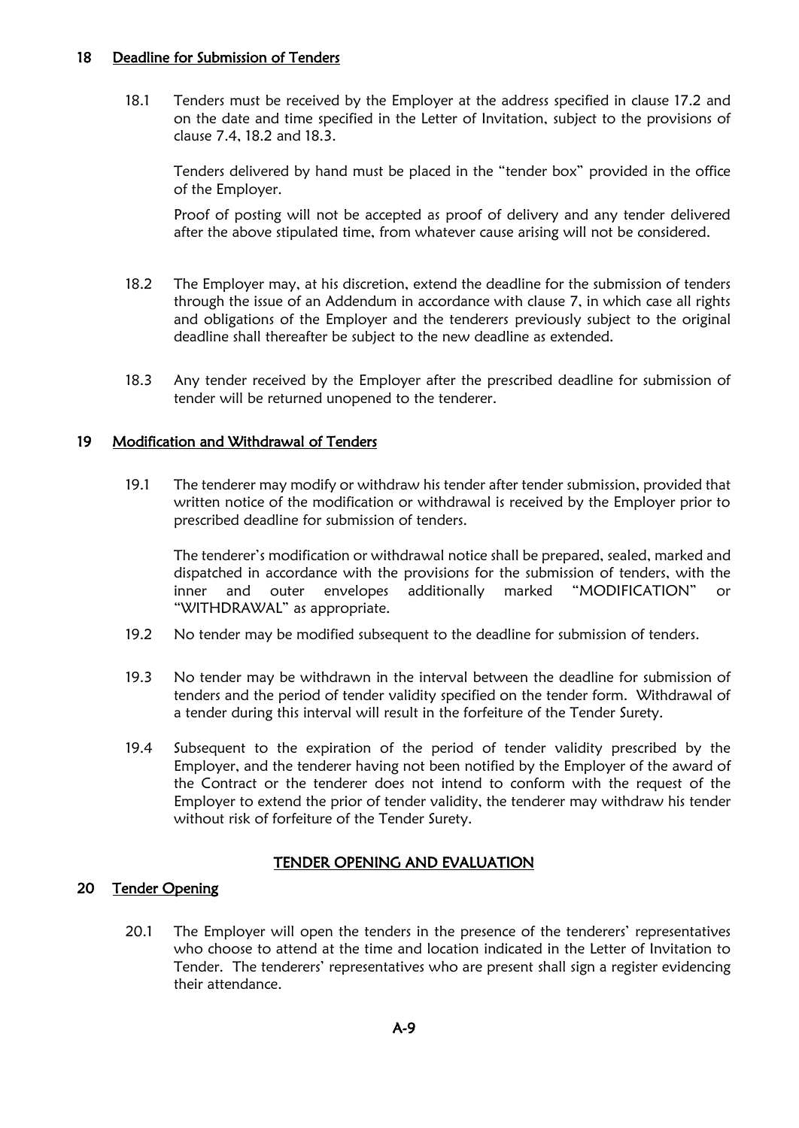#### 18 Deadline for Submission of Tenders

18.1 Tenders must be received by the Employer at the address specified in clause 17.2 and on the date and time specified in the Letter of Invitation, subject to the provisions of clause 7.4, 18.2 and 18.3.

Tenders delivered by hand must be placed in the "tender box" provided in the office of the Employer.

Proof of posting will not be accepted as proof of delivery and any tender delivered after the above stipulated time, from whatever cause arising will not be considered.

- 18.2 The Employer may, at his discretion, extend the deadline for the submission of tenders through the issue of an Addendum in accordance with clause 7, in which case all rights and obligations of the Employer and the tenderers previously subject to the original deadline shall thereafter be subject to the new deadline as extended.
- 18.3 Any tender received by the Employer after the prescribed deadline for submission of tender will be returned unopened to the tenderer.

#### 19 Modification and Withdrawal of Tenders

19.1 The tenderer may modify or withdraw his tender after tender submission, provided that written notice of the modification or withdrawal is received by the Employer prior to prescribed deadline for submission of tenders.

The tenderer's modification or withdrawal notice shall be prepared, sealed, marked and dispatched in accordance with the provisions for the submission of tenders, with the inner and outer envelopes additionally marked "MODIFICATION" or "WITHDRAWAL" as appropriate.

- 19.2 No tender may be modified subsequent to the deadline for submission of tenders.
- 19.3 No tender may be withdrawn in the interval between the deadline for submission of tenders and the period of tender validity specified on the tender form. Withdrawal of a tender during this interval will result in the forfeiture of the Tender Surety.
- 19.4 Subsequent to the expiration of the period of tender validity prescribed by the Employer, and the tenderer having not been notified by the Employer of the award of the Contract or the tenderer does not intend to conform with the request of the Employer to extend the prior of tender validity, the tenderer may withdraw his tender without risk of forfeiture of the Tender Surety.

#### TENDER OPENING AND EVALUATION

#### 20 Tender Opening

20.1 The Employer will open the tenders in the presence of the tenderers' representatives who choose to attend at the time and location indicated in the Letter of Invitation to Tender. The tenderers' representatives who are present shall sign a register evidencing their attendance.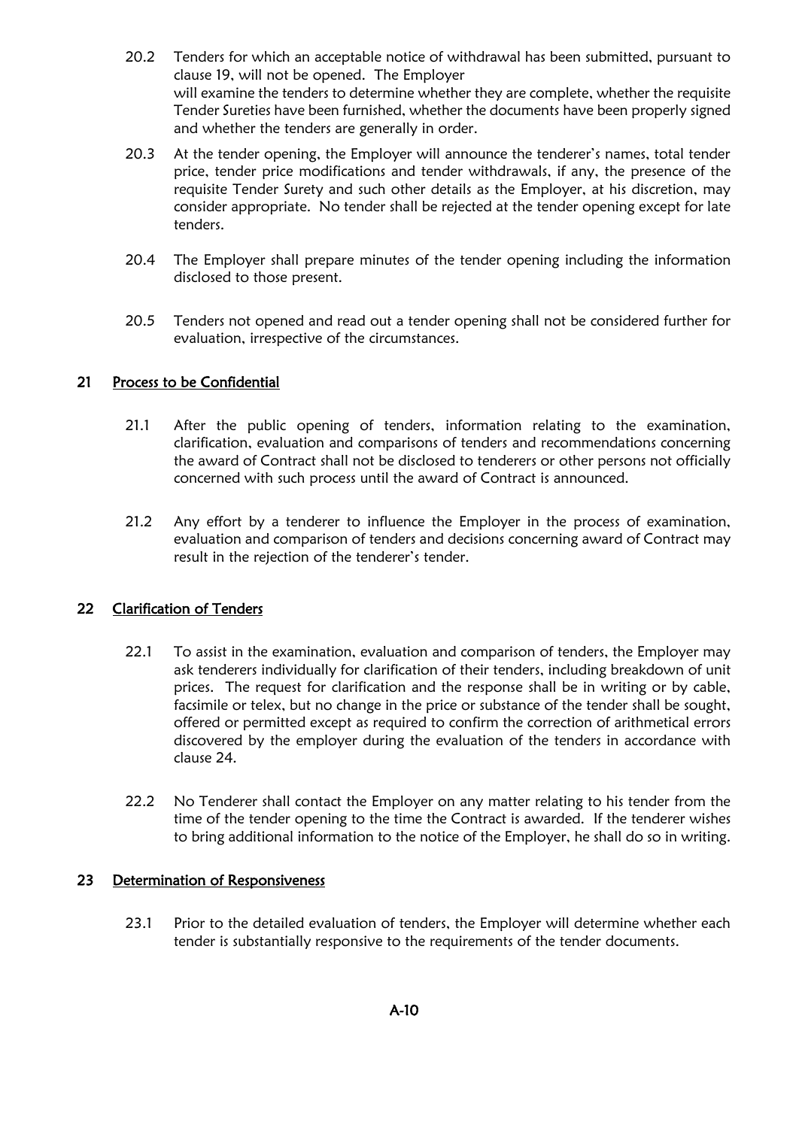- 20.2 Tenders for which an acceptable notice of withdrawal has been submitted, pursuant to clause 19, will not be opened. The Employer will examine the tenders to determine whether they are complete, whether the requisite Tender Sureties have been furnished, whether the documents have been properly signed and whether the tenders are generally in order.
- 20.3 At the tender opening, the Employer will announce the tenderer's names, total tender price, tender price modifications and tender withdrawals, if any, the presence of the requisite Tender Surety and such other details as the Employer, at his discretion, may consider appropriate. No tender shall be rejected at the tender opening except for late tenders.
- 20.4 The Employer shall prepare minutes of the tender opening including the information disclosed to those present.
- 20.5 Tenders not opened and read out a tender opening shall not be considered further for evaluation, irrespective of the circumstances.

#### 21 Process to be Confidential

- 21.1 After the public opening of tenders, information relating to the examination, clarification, evaluation and comparisons of tenders and recommendations concerning the award of Contract shall not be disclosed to tenderers or other persons not officially concerned with such process until the award of Contract is announced.
- 21.2 Any effort by a tenderer to influence the Employer in the process of examination, evaluation and comparison of tenders and decisions concerning award of Contract may result in the rejection of the tenderer's tender.

#### 22 Clarification of Tenders

- 22.1 To assist in the examination, evaluation and comparison of tenders, the Employer may ask tenderers individually for clarification of their tenders, including breakdown of unit prices. The request for clarification and the response shall be in writing or by cable, facsimile or telex, but no change in the price or substance of the tender shall be sought, offered or permitted except as required to confirm the correction of arithmetical errors discovered by the employer during the evaluation of the tenders in accordance with clause 24.
- 22.2 No Tenderer shall contact the Employer on any matter relating to his tender from the time of the tender opening to the time the Contract is awarded. If the tenderer wishes to bring additional information to the notice of the Employer, he shall do so in writing.

#### 23 Determination of Responsiveness

23.1 Prior to the detailed evaluation of tenders, the Employer will determine whether each tender is substantially responsive to the requirements of the tender documents.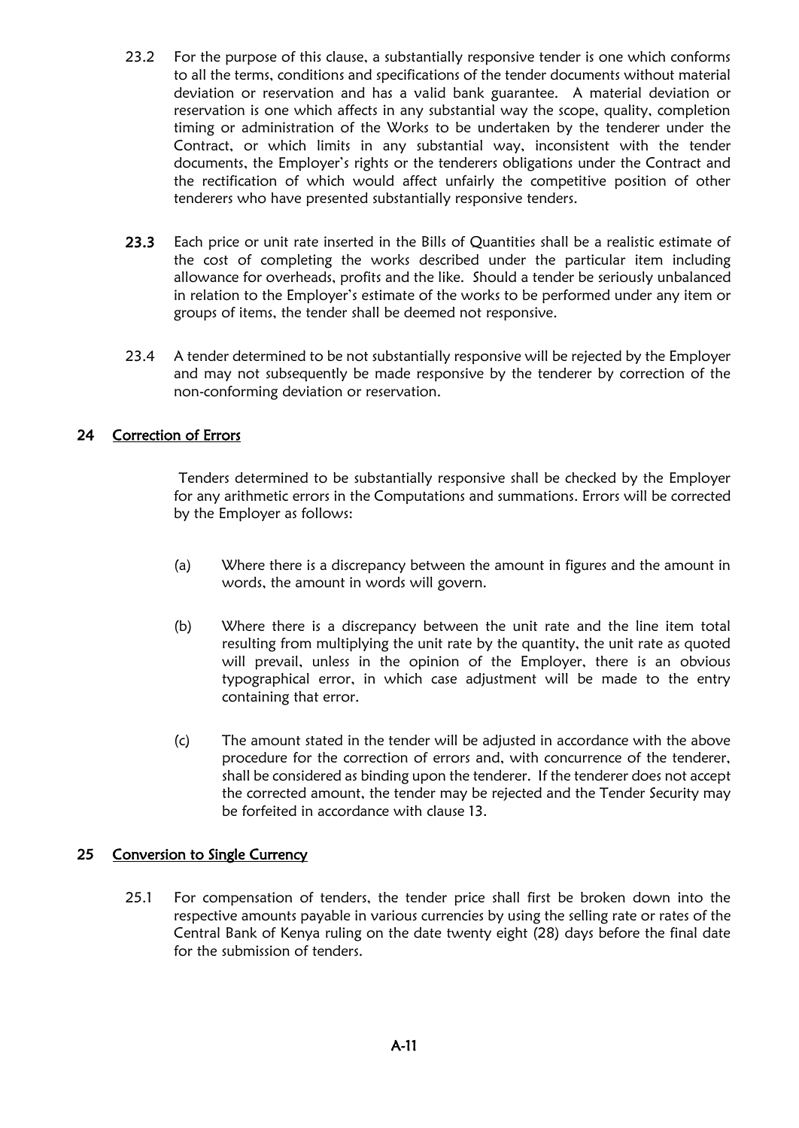- 23.2 For the purpose of this clause, a substantially responsive tender is one which conforms to all the terms, conditions and specifications of the tender documents without material deviation or reservation and has a valid bank guarantee. A material deviation or reservation is one which affects in any substantial way the scope, quality, completion timing or administration of the Works to be undertaken by the tenderer under the Contract, or which limits in any substantial way, inconsistent with the tender documents, the Employer's rights or the tenderers obligations under the Contract and the rectification of which would affect unfairly the competitive position of other tenderers who have presented substantially responsive tenders.
- 23.3 Each price or unit rate inserted in the Bills of Quantities shall be a realistic estimate of the cost of completing the works described under the particular item including allowance for overheads, profits and the like. Should a tender be seriously unbalanced in relation to the Employer's estimate of the works to be performed under any item or groups of items, the tender shall be deemed not responsive.
- 23.4 A tender determined to be not substantially responsive will be rejected by the Employer and may not subsequently be made responsive by the tenderer by correction of the non-conforming deviation or reservation.

#### 24 Correction of Errors

Tenders determined to be substantially responsive shall be checked by the Employer for any arithmetic errors in the Computations and summations. Errors will be corrected by the Employer as follows:

- (a) Where there is a discrepancy between the amount in figures and the amount in words, the amount in words will govern.
- (b) Where there is a discrepancy between the unit rate and the line item total resulting from multiplying the unit rate by the quantity, the unit rate as quoted will prevail, unless in the opinion of the Employer, there is an obvious typographical error, in which case adjustment will be made to the entry containing that error.
- (c) The amount stated in the tender will be adjusted in accordance with the above procedure for the correction of errors and, with concurrence of the tenderer, shall be considered as binding upon the tenderer. If the tenderer does not accept the corrected amount, the tender may be rejected and the Tender Security may be forfeited in accordance with clause 13.

#### 25 Conversion to Single Currency

25.1 For compensation of tenders, the tender price shall first be broken down into the respective amounts payable in various currencies by using the selling rate or rates of the Central Bank of Kenya ruling on the date twenty eight (28) days before the final date for the submission of tenders.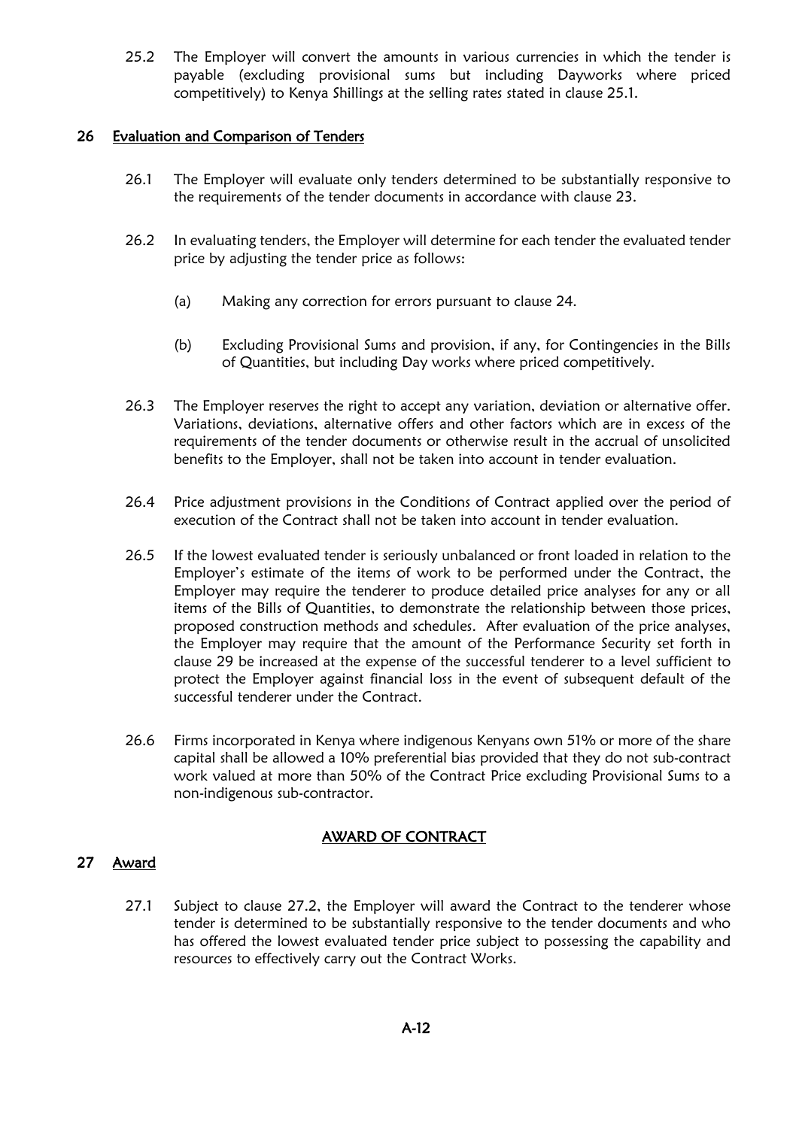25.2 The Employer will convert the amounts in various currencies in which the tender is payable (excluding provisional sums but including Dayworks where priced competitively) to Kenya Shillings at the selling rates stated in clause 25.1.

#### 26 Evaluation and Comparison of Tenders

- 26.1 The Employer will evaluate only tenders determined to be substantially responsive to the requirements of the tender documents in accordance with clause 23.
- 26.2 In evaluating tenders, the Employer will determine for each tender the evaluated tender price by adjusting the tender price as follows:
	- (a) Making any correction for errors pursuant to clause 24.
	- (b) Excluding Provisional Sums and provision, if any, for Contingencies in the Bills of Quantities, but including Day works where priced competitively.
- 26.3 The Employer reserves the right to accept any variation, deviation or alternative offer. Variations, deviations, alternative offers and other factors which are in excess of the requirements of the tender documents or otherwise result in the accrual of unsolicited benefits to the Employer, shall not be taken into account in tender evaluation.
- 26.4 Price adjustment provisions in the Conditions of Contract applied over the period of execution of the Contract shall not be taken into account in tender evaluation.
- 26.5 If the lowest evaluated tender is seriously unbalanced or front loaded in relation to the Employer's estimate of the items of work to be performed under the Contract, the Employer may require the tenderer to produce detailed price analyses for any or all items of the Bills of Quantities, to demonstrate the relationship between those prices, proposed construction methods and schedules. After evaluation of the price analyses, the Employer may require that the amount of the Performance Security set forth in clause 29 be increased at the expense of the successful tenderer to a level sufficient to protect the Employer against financial loss in the event of subsequent default of the successful tenderer under the Contract.
- 26.6 Firms incorporated in Kenya where indigenous Kenyans own 51% or more of the share capital shall be allowed a 10% preferential bias provided that they do not sub-contract work valued at more than 50% of the Contract Price excluding Provisional Sums to a non-indigenous sub-contractor.

#### AWARD OF CONTRACT

#### 27 Award

27.1 Subject to clause 27.2, the Employer will award the Contract to the tenderer whose tender is determined to be substantially responsive to the tender documents and who has offered the lowest evaluated tender price subject to possessing the capability and resources to effectively carry out the Contract Works.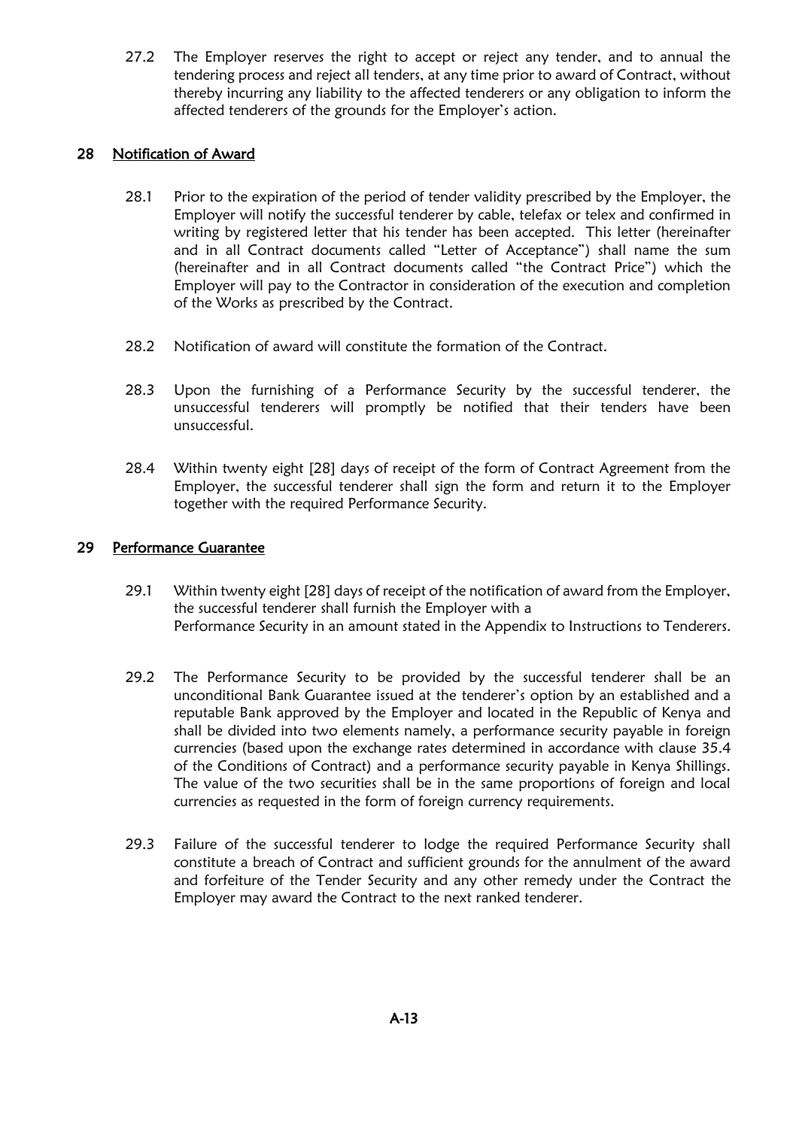27.2 The Employer reserves the right to accept or reject any tender, and to annual the tendering process and reject all tenders, at any time prior to award of Contract, without thereby incurring any liability to the affected tenderers or any obligation to inform the affected tenderers of the grounds for the Employer's action.

#### 28 Notification of Award

- 28.1 Prior to the expiration of the period of tender validity prescribed by the Employer, the Employer will notify the successful tenderer by cable, telefax or telex and confirmed in writing by registered letter that his tender has been accepted. This letter (hereinafter and in all Contract documents called "Letter of Acceptance") shall name the sum (hereinafter and in all Contract documents called "the Contract Price") which the Employer will pay to the Contractor in consideration of the execution and completion of the Works as prescribed by the Contract.
- 28.2 Notification of award will constitute the formation of the Contract.
- 28.3 Upon the furnishing of a Performance Security by the successful tenderer, the unsuccessful tenderers will promptly be notified that their tenders have been unsuccessful.
- 28.4 Within twenty eight [28] days of receipt of the form of Contract Agreement from the Employer, the successful tenderer shall sign the form and return it to the Employer together with the required Performance Security.

#### 29 Performance Guarantee

- 29.1 Within twenty eight [28] days of receipt of the notification of award from the Employer, the successful tenderer shall furnish the Employer with a Performance Security in an amount stated in the Appendix to Instructions to Tenderers.
- 29.2 The Performance Security to be provided by the successful tenderer shall be an unconditional Bank Guarantee issued at the tenderer's option by an established and a reputable Bank approved by the Employer and located in the Republic of Kenya and shall be divided into two elements namely, a performance security payable in foreign currencies (based upon the exchange rates determined in accordance with clause 35.4 of the Conditions of Contract) and a performance security payable in Kenya Shillings. The value of the two securities shall be in the same proportions of foreign and local currencies as requested in the form of foreign currency requirements.
- 29.3 Failure of the successful tenderer to lodge the required Performance Security shall constitute a breach of Contract and sufficient grounds for the annulment of the award and forfeiture of the Tender Security and any other remedy under the Contract the Employer may award the Contract to the next ranked tenderer.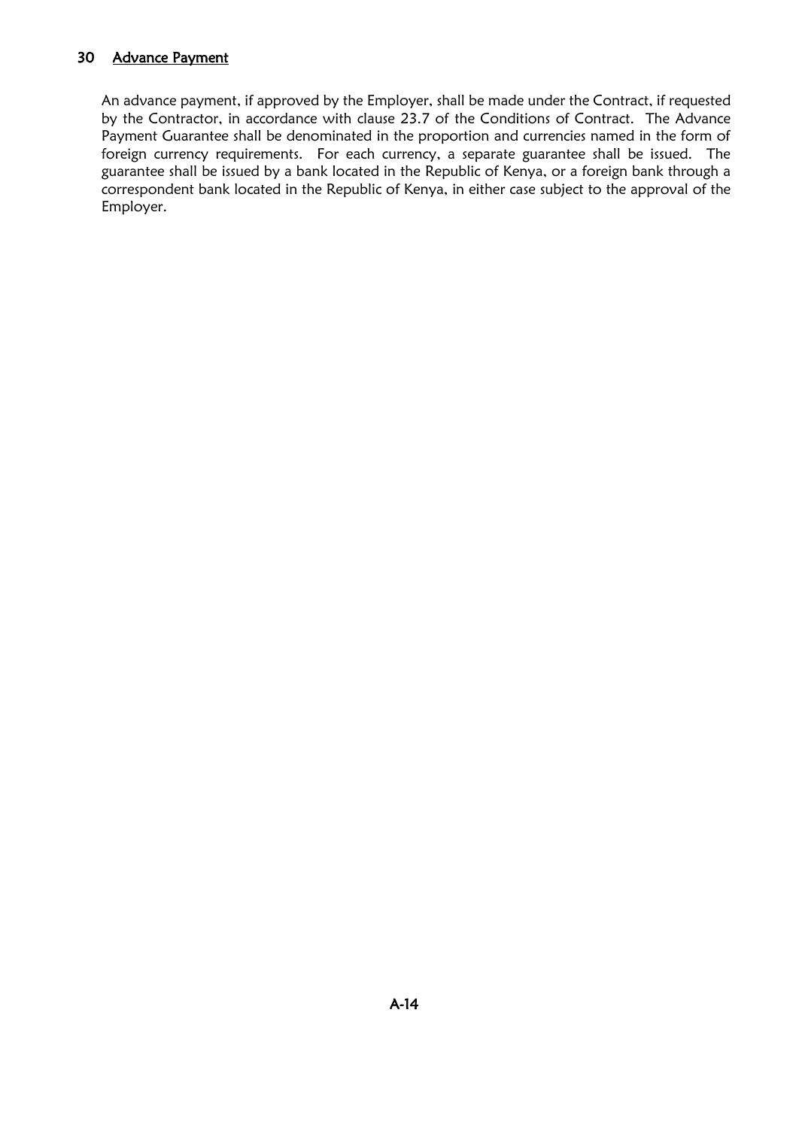#### 30 Advance Payment

An advance payment, if approved by the Employer, shall be made under the Contract, if requested by the Contractor, in accordance with clause 23.7 of the Conditions of Contract. The Advance Payment Guarantee shall be denominated in the proportion and currencies named in the form of foreign currency requirements. For each currency, a separate guarantee shall be issued. The guarantee shall be issued by a bank located in the Republic of Kenya, or a foreign bank through a correspondent bank located in the Republic of Kenya, in either case subject to the approval of the Employer.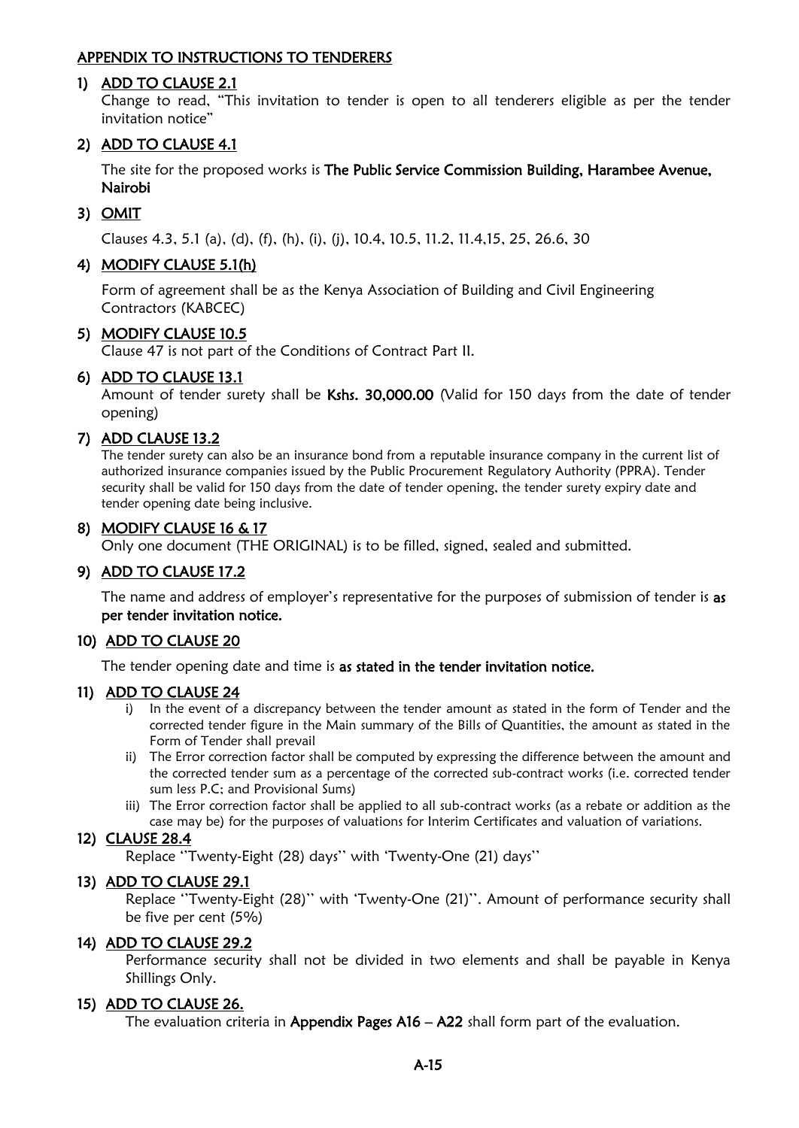#### APPENDIX TO INSTRUCTIONS TO TENDERERS

#### 1) ADD TO CLAUSE 2.1

Change to read, "This invitation to tender is open to all tenderers eligible as per the tender invitation notice"

#### 2) ADD TO CLAUSE 4.1

The site for the proposed works is The Public Service Commission Building, Harambee Avenue, Nairobi

#### 3) OMIT

Clauses 4.3, 5.1 (a), (d), (f), (h), (i), (j), 10.4, 10.5, 11.2, 11.4,15, 25, 26.6, 30

#### 4) MODIFY CLAUSE 5.1(h)

Form of agreement shall be as the Kenya Association of Building and Civil Engineering Contractors (KABCEC)

#### 5) MODIFY CLAUSE 10.5

Clause 47 is not part of the Conditions of Contract Part II.

#### 6) ADD TO CLAUSE 13.1

Amount of tender surety shall be Kshs. 30,000.00 (Valid for 150 days from the date of tender opening)

#### 7) ADD CLAUSE 13.2

The tender surety can also be an insurance bond from a reputable insurance company in the current list of authorized insurance companies issued by the Public Procurement Regulatory Authority (PPRA). Tender security shall be valid for 150 days from the date of tender opening, the tender surety expiry date and tender opening date being inclusive.

#### 8) MODIFY CLAUSE 16 & 17

Only one document (THE ORIGINAL) is to be filled, signed, sealed and submitted.

#### 9) ADD TO CLAUSE 17.2

The name and address of employer's representative for the purposes of submission of tender is as per tender invitation notice.

#### 10) ADD TO CLAUSE 20

The tender opening date and time is as stated in the tender invitation notice.

#### 11) ADD TO CLAUSE 24

- i) In the event of a discrepancy between the tender amount as stated in the form of Tender and the corrected tender figure in the Main summary of the Bills of Quantities, the amount as stated in the Form of Tender shall prevail
- ii) The Error correction factor shall be computed by expressing the difference between the amount and the corrected tender sum as a percentage of the corrected sub-contract works (i.e. corrected tender sum less P.C; and Provisional Sums)
- iii) The Error correction factor shall be applied to all sub-contract works (as a rebate or addition as the case may be) for the purposes of valuations for Interim Certificates and valuation of variations.

#### 12) CLAUSE 28.4

Replace ''Twenty-Eight (28) days'' with 'Twenty-One (21) days''

#### 13) ADD TO CLAUSE 29.1

Replace ''Twenty-Eight (28)'' with 'Twenty-One (21)''. Amount of performance security shall be five per cent (5%)

#### 14) ADD TO CLAUSE 29.2

Performance security shall not be divided in two elements and shall be payable in Kenya Shillings Only.

#### 15) ADD TO CLAUSE 26.

The evaluation criteria in Appendix Pages A16 – A22 shall form part of the evaluation.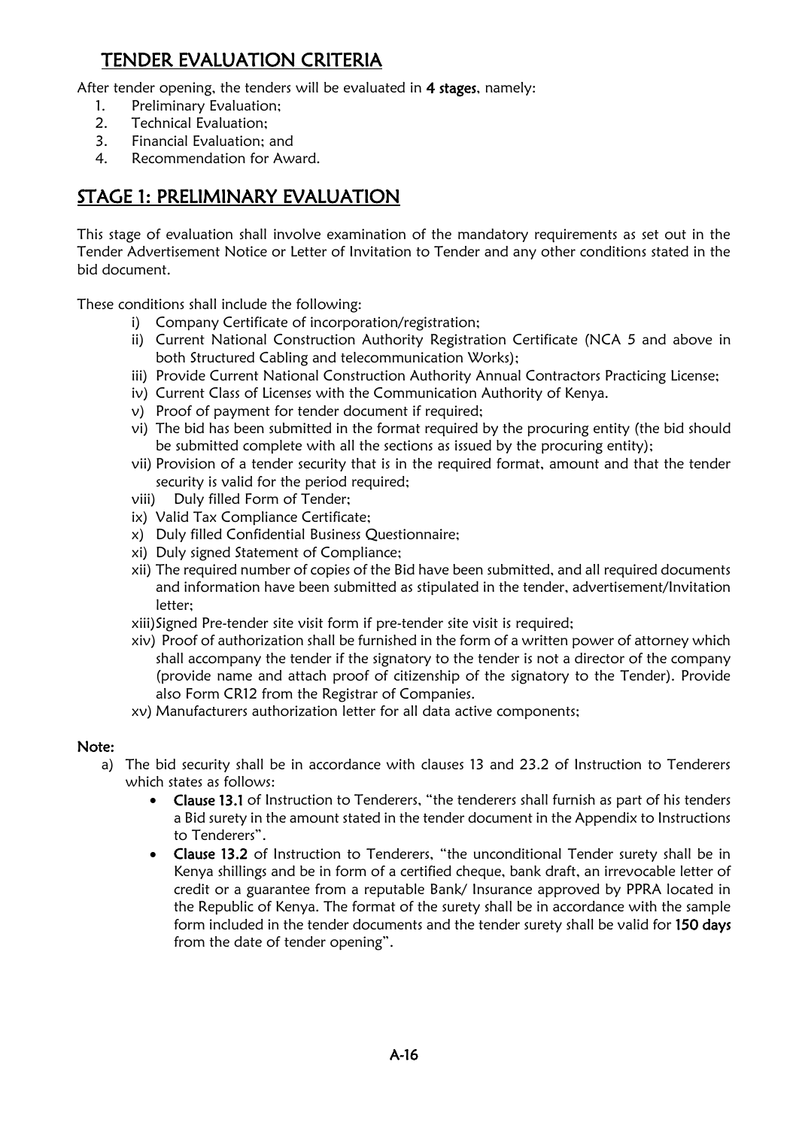## TENDER EVALUATION CRITERIA

After tender opening, the tenders will be evaluated in 4 stages, namely:

- 1. Preliminary Evaluation;
- 2. Technical Evaluation;
- 3. Financial Evaluation; and
- 4. Recommendation for Award.

## STAGE 1: PRELIMINARY EVALUATION

This stage of evaluation shall involve examination of the mandatory requirements as set out in the Tender Advertisement Notice or Letter of Invitation to Tender and any other conditions stated in the bid document.

These conditions shall include the following:

- i) Company Certificate of incorporation/registration;
- ii) Current National Construction Authority Registration Certificate (NCA 5 and above in both Structured Cabling and telecommunication Works);
- iii) Provide Current National Construction Authority Annual Contractors Practicing License;
- iv) Current Class of Licenses with the Communication Authority of Kenya.
- v) Proof of payment for tender document if required;
- vi) The bid has been submitted in the format required by the procuring entity (the bid should be submitted complete with all the sections as issued by the procuring entity);
- vii) Provision of a tender security that is in the required format, amount and that the tender security is valid for the period required;
- viii) Duly filled Form of Tender;
- ix) Valid Tax Compliance Certificate;
- x) Duly filled Confidential Business Questionnaire;
- xi) Duly signed Statement of Compliance;
- xii) The required number of copies of the Bid have been submitted, and all required documents and information have been submitted as stipulated in the tender, advertisement/Invitation letter;
- xiii)Signed Pre-tender site visit form if pre-tender site visit is required;
- xiv) Proof of authorization shall be furnished in the form of a written power of attorney which shall accompany the tender if the signatory to the tender is not a director of the company (provide name and attach proof of citizenship of the signatory to the Tender). Provide also Form CR12 from the Registrar of Companies.
- xv) Manufacturers authorization letter for all data active components;

#### Note:

- a) The bid security shall be in accordance with clauses 13 and 23.2 of Instruction to Tenderers which states as follows:
	- Clause 13.1 of Instruction to Tenderers, "the tenderers shall furnish as part of his tenders a Bid surety in the amount stated in the tender document in the Appendix to Instructions to Tenderers".
	- Clause 13.2 of Instruction to Tenderers, "the unconditional Tender surety shall be in Kenya shillings and be in form of a certified cheque, bank draft, an irrevocable letter of credit or a guarantee from a reputable Bank/ Insurance approved by PPRA located in the Republic of Kenya. The format of the surety shall be in accordance with the sample form included in the tender documents and the tender surety shall be valid for 150 days from the date of tender opening".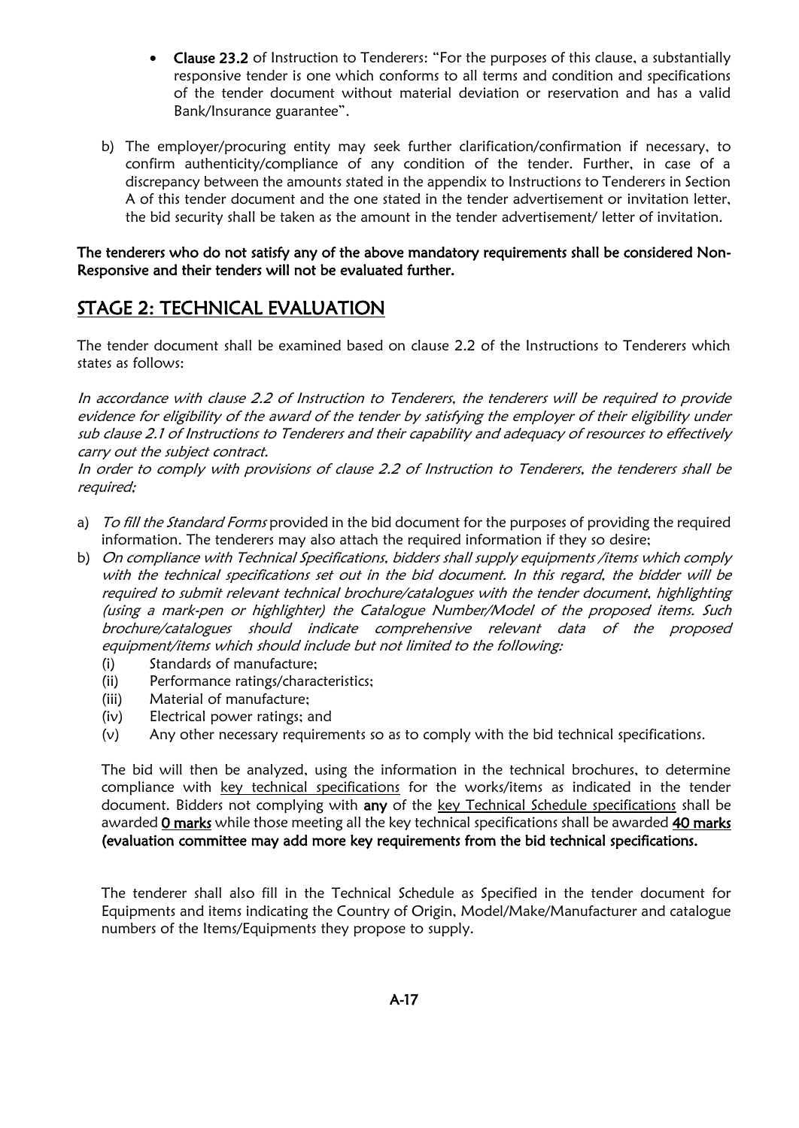- Clause 23.2 of Instruction to Tenderers: "For the purposes of this clause, a substantially responsive tender is one which conforms to all terms and condition and specifications of the tender document without material deviation or reservation and has a valid Bank/Insurance guarantee".
- b) The employer/procuring entity may seek further clarification/confirmation if necessary, to confirm authenticity/compliance of any condition of the tender. Further, in case of a discrepancy between the amounts stated in the appendix to Instructions to Tenderers in Section A of this tender document and the one stated in the tender advertisement or invitation letter, the bid security shall be taken as the amount in the tender advertisement/ letter of invitation.

The tenderers who do not satisfy any of the above mandatory requirements shall be considered Non-Responsive and their tenders will not be evaluated further.

#### STAGE 2: TECHNICAL EVALUATION

The tender document shall be examined based on clause 2.2 of the Instructions to Tenderers which states as follows:

In accordance with clause 2.2 of Instruction to Tenderers, the tenderers will be required to provide evidence for eligibility of the award of the tender by satisfying the employer of their eligibility under sub clause 2.1 of Instructions to Tenderers and their capability and adequacy of resources to effectively carry out the subject contract.

In order to comply with provisions of clause 2.2 of Instruction to Tenderers, the tenderers shall be required;

- a) To fill the Standard Forms provided in the bid document for the purposes of providing the required information. The tenderers may also attach the required information if they so desire;
- b) On compliance with Technical Specifications, bidders shall supply equipments /items which comply with the technical specifications set out in the bid document. In this regard, the bidder will be required to submit relevant technical brochure/catalogues with the tender document, highlighting (using a mark-pen or highlighter) the Catalogue Number/Model of the proposed items. Such brochure/catalogues should indicate comprehensive relevant data of the proposed equipment/items which should include but not limited to the following:
	- (i) Standards of manufacture;
	- (ii) Performance ratings/characteristics;
	- (iii) Material of manufacture;
	- (iv) Electrical power ratings; and
	- (v) Any other necessary requirements so as to comply with the bid technical specifications.

The bid will then be analyzed, using the information in the technical brochures, to determine compliance with key technical specifications for the works/items as indicated in the tender document. Bidders not complying with any of the key Technical Schedule specifications shall be awarded 0 marks while those meeting all the key technical specifications shall be awarded 40 marks (evaluation committee may add more key requirements from the bid technical specifications.

The tenderer shall also fill in the Technical Schedule as Specified in the tender document for Equipments and items indicating the Country of Origin, Model/Make/Manufacturer and catalogue numbers of the Items/Equipments they propose to supply.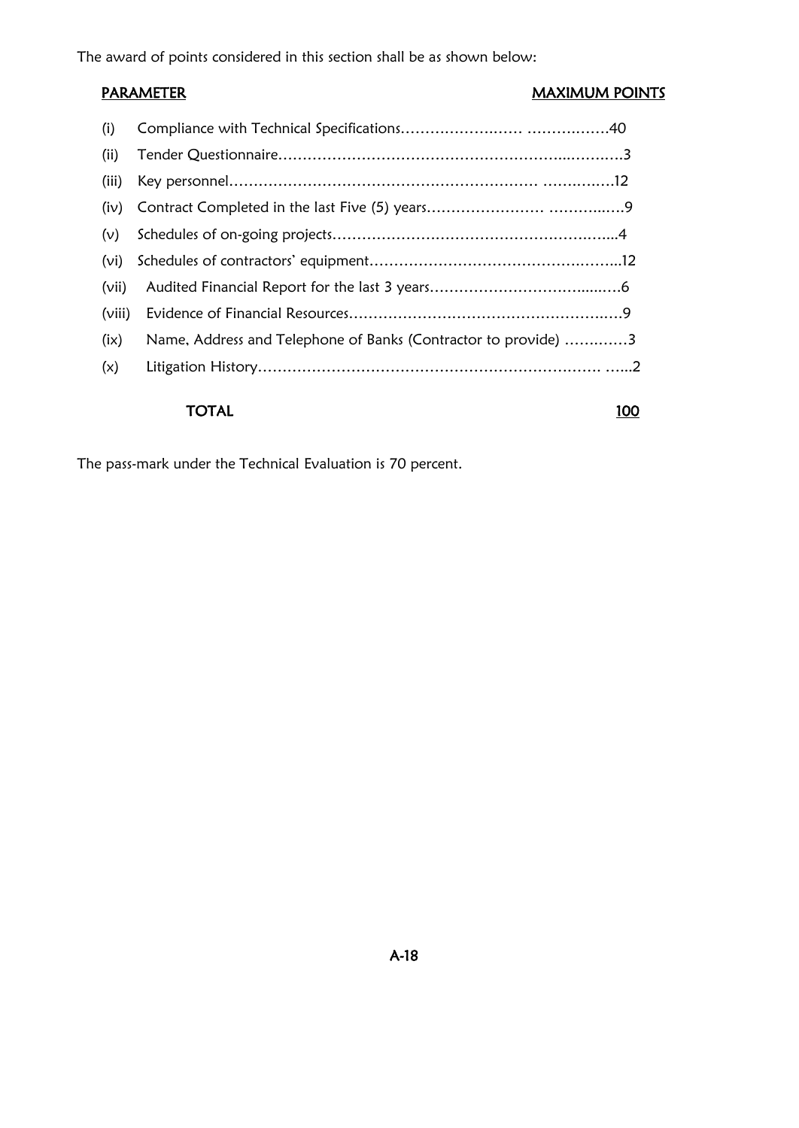The award of points considered in this section shall be as shown below:

#### PARAMETER MAXIMUM POINTS

| (i)    |                                                                |
|--------|----------------------------------------------------------------|
| (ii)   |                                                                |
| (iii)  |                                                                |
| (iv)   |                                                                |
| (v)    |                                                                |
| (vi)   |                                                                |
| (vii)  |                                                                |
| (viii) |                                                                |
| (ix)   | Name, Address and Telephone of Banks (Contractor to provide) 3 |
| (x)    |                                                                |
|        |                                                                |

#### TOTAL 100

The pass-mark under the Technical Evaluation is 70 percent.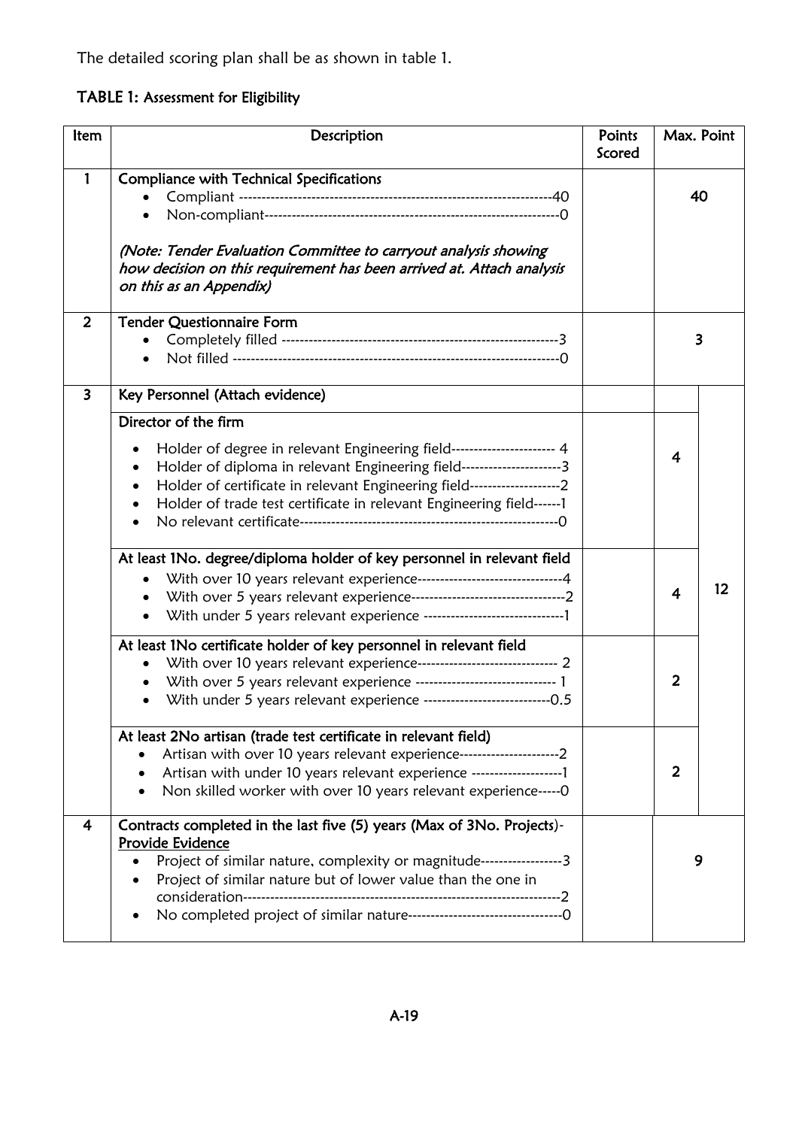The detailed scoring plan shall be as shown in table 1.

TABLE 1: Assessment for Eligibility

| ltem           | Description                                                                                                                                                                                                                                                                                                                       | Points<br>Scored | Max. Point |    |
|----------------|-----------------------------------------------------------------------------------------------------------------------------------------------------------------------------------------------------------------------------------------------------------------------------------------------------------------------------------|------------------|------------|----|
|                | <b>Compliance with Technical Specifications</b><br>$\bullet$<br>$\bullet$<br>(Note: Tender Evaluation Committee to carryout analysis showing<br>how decision on this requirement has been arrived at. Attach analysis<br>on this as an Appendix)                                                                                  |                  |            | 40 |
| $\overline{2}$ | <b>Tender Questionnaire Form</b>                                                                                                                                                                                                                                                                                                  |                  |            | 3  |
| 3              | Key Personnel (Attach evidence)                                                                                                                                                                                                                                                                                                   |                  |            |    |
|                | Director of the firm<br>Holder of degree in relevant Engineering field----------------------- 4<br>Holder of diploma in relevant Engineering field-----------------------3<br>Holder of certificate in relevant Engineering field----------------------2<br>Holder of trade test certificate in relevant Engineering field------1 |                  | 4          |    |
|                | At least 1No. degree/diploma holder of key personnel in relevant field<br>With over 10 years relevant experience-------------------------------4<br>$\bullet$                                                                                                                                                                     |                  | 4          | 12 |
|                | At least 1No certificate holder of key personnel in relevant field<br>With over 10 years relevant experience------------------------------- 2<br>$\bullet$<br>With over 5 years relevant experience ------------------------------ 1<br>$\bullet$<br>With under 5 years relevant experience ------------------------------0.5     |                  | 2          |    |
|                | At least 2No artisan (trade test certificate in relevant field)<br>Artisan with over 10 years relevant experience-------------------------2<br>Artisan with under 10 years relevant experience --------------------------------<br>Non skilled worker with over 10 years relevant experience----- 0                               |                  | 2          |    |
| 4              | Contracts completed in the last five (5) years (Max of 3No. Projects)-<br><b>Provide Evidence</b><br>Project of similar nature, complexity or magnitude------------------3<br>Project of similar nature but of lower value than the one in                                                                                        |                  | 9          |    |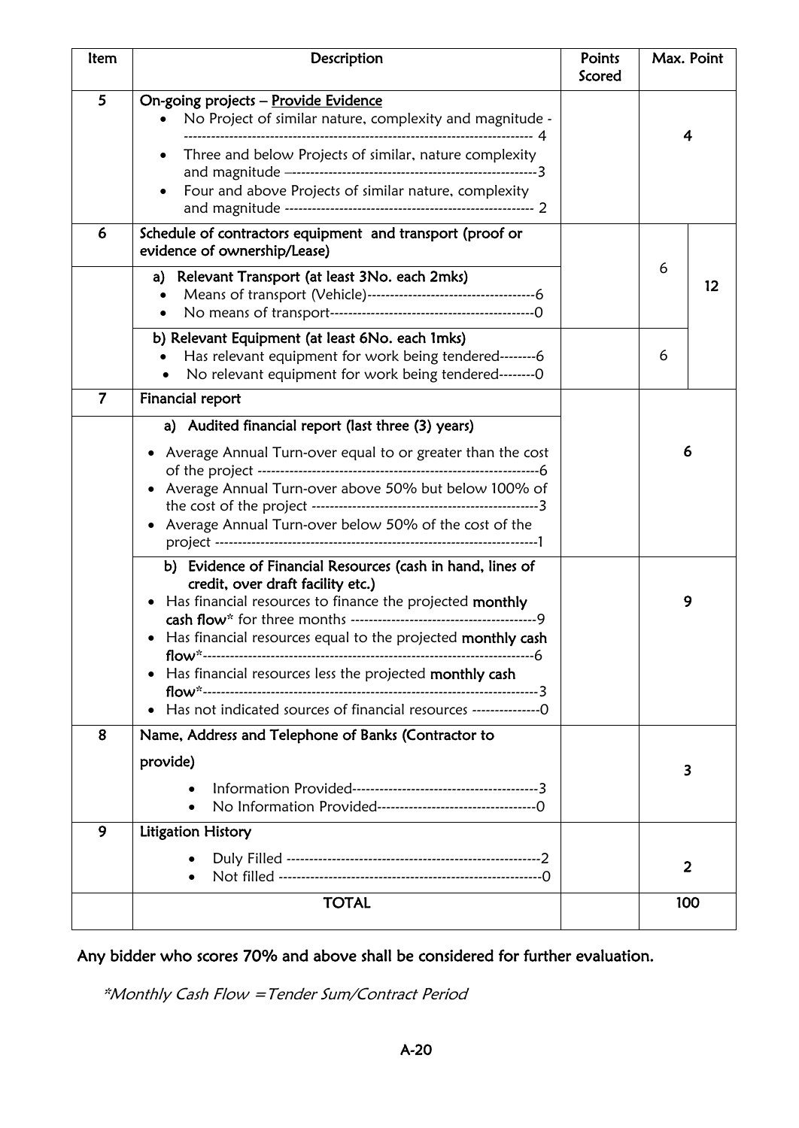| Item           | Description                                                                                                                                                                                                                                                                                                                                                                                                                                                                                                                                                                                                               | Points<br>Scored | Max. Point              |  |
|----------------|---------------------------------------------------------------------------------------------------------------------------------------------------------------------------------------------------------------------------------------------------------------------------------------------------------------------------------------------------------------------------------------------------------------------------------------------------------------------------------------------------------------------------------------------------------------------------------------------------------------------------|------------------|-------------------------|--|
| 5              | On-going projects - Provide Evidence<br>No Project of similar nature, complexity and magnitude -<br>Three and below Projects of similar, nature complexity<br>٠<br>Four and above Projects of similar nature, complexity<br>٠                                                                                                                                                                                                                                                                                                                                                                                             |                  | 4                       |  |
| 6              | Schedule of contractors equipment and transport (proof or<br>evidence of ownership/Lease)<br>Relevant Transport (at least 3No. each 2mks)<br>a)                                                                                                                                                                                                                                                                                                                                                                                                                                                                           |                  | 6<br>12                 |  |
|                | b) Relevant Equipment (at least 6No. each 1mks)<br>Has relevant equipment for work being tendered--------6<br>No relevant equipment for work being tendered--------0                                                                                                                                                                                                                                                                                                                                                                                                                                                      |                  | 6                       |  |
| $\overline{7}$ | Financial report<br>a) Audited financial report (last three (3) years)<br>Average Annual Turn-over equal to or greater than the cost<br>Average Annual Turn-over above 50% but below 100% of<br>• Average Annual Turn-over below 50% of the cost of the<br>b) Evidence of Financial Resources (cash in hand, lines of<br>credit, over draft facility etc.)<br>• Has financial resources to finance the projected monthly<br>Has financial resources equal to the projected monthly cash<br>Has financial resources less the projected monthly cash<br>Has not indicated sources of financial resources -----------------0 |                  | 6<br>9                  |  |
| 8              | Name, Address and Telephone of Banks (Contractor to<br>provide)                                                                                                                                                                                                                                                                                                                                                                                                                                                                                                                                                           |                  | 3                       |  |
| 9              | Litigation History                                                                                                                                                                                                                                                                                                                                                                                                                                                                                                                                                                                                        |                  | $\overline{\mathbf{2}}$ |  |
|                | <b>TOTAL</b>                                                                                                                                                                                                                                                                                                                                                                                                                                                                                                                                                                                                              |                  | 100                     |  |

Any bidder who scores 70% and above shall be considered for further evaluation.

\*Monthly Cash Flow =Tender Sum/Contract Period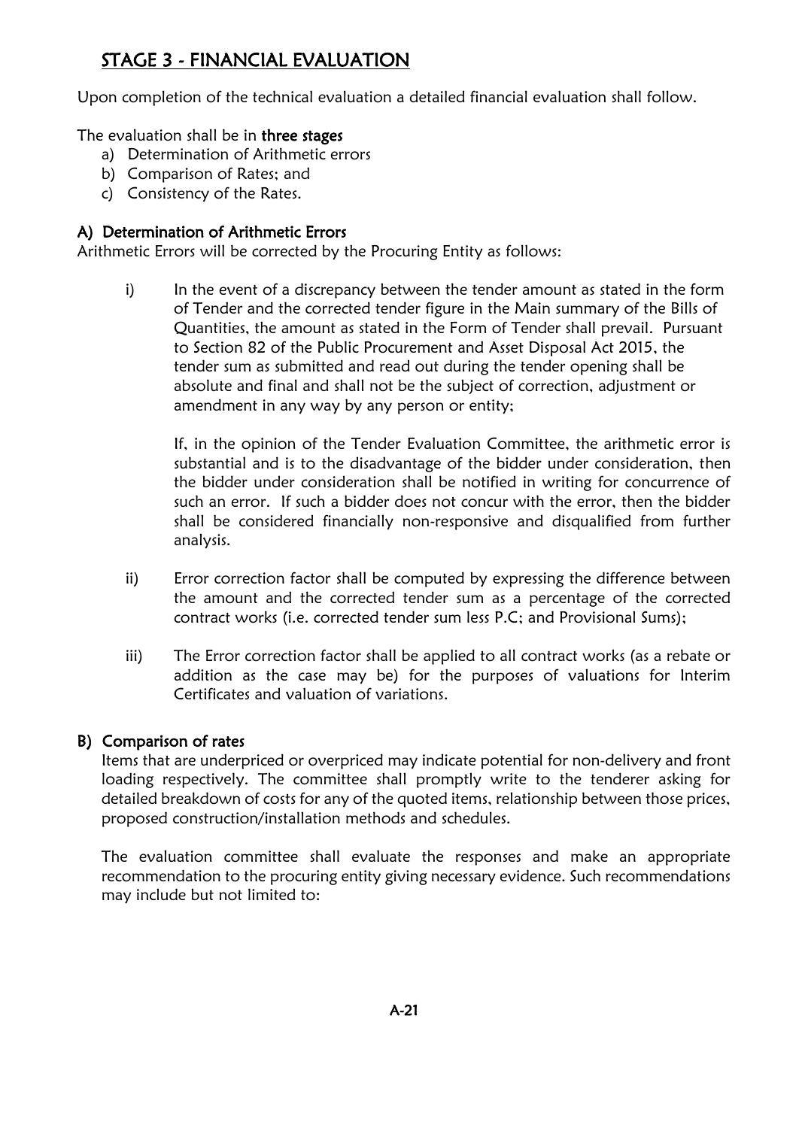## STAGE 3 - FINANCIAL EVALUATION

Upon completion of the technical evaluation a detailed financial evaluation shall follow.

The evaluation shall be in three stages

- a) Determination of Arithmetic errors
- b) Comparison of Rates; and
- c) Consistency of the Rates.

#### A) Determination of Arithmetic Errors

Arithmetic Errors will be corrected by the Procuring Entity as follows:

i) In the event of a discrepancy between the tender amount as stated in the form of Tender and the corrected tender figure in the Main summary of the Bills of Quantities, the amount as stated in the Form of Tender shall prevail. Pursuant to Section 82 of the Public Procurement and Asset Disposal Act 2015, the tender sum as submitted and read out during the tender opening shall be absolute and final and shall not be the subject of correction, adjustment or amendment in any way by any person or entity;

If, in the opinion of the Tender Evaluation Committee, the arithmetic error is substantial and is to the disadvantage of the bidder under consideration, then the bidder under consideration shall be notified in writing for concurrence of such an error. If such a bidder does not concur with the error, then the bidder shall be considered financially non-responsive and disqualified from further analysis.

- ii) Error correction factor shall be computed by expressing the difference between the amount and the corrected tender sum as a percentage of the corrected contract works (i.e. corrected tender sum less P.C; and Provisional Sums);
- iii) The Error correction factor shall be applied to all contract works (as a rebate or addition as the case may be) for the purposes of valuations for Interim Certificates and valuation of variations.

#### B) Comparison of rates

Items that are underpriced or overpriced may indicate potential for non-delivery and front loading respectively. The committee shall promptly write to the tenderer asking for detailed breakdown of costs for any of the quoted items, relationship between those prices, proposed construction/installation methods and schedules.

The evaluation committee shall evaluate the responses and make an appropriate recommendation to the procuring entity giving necessary evidence. Such recommendations may include but not limited to: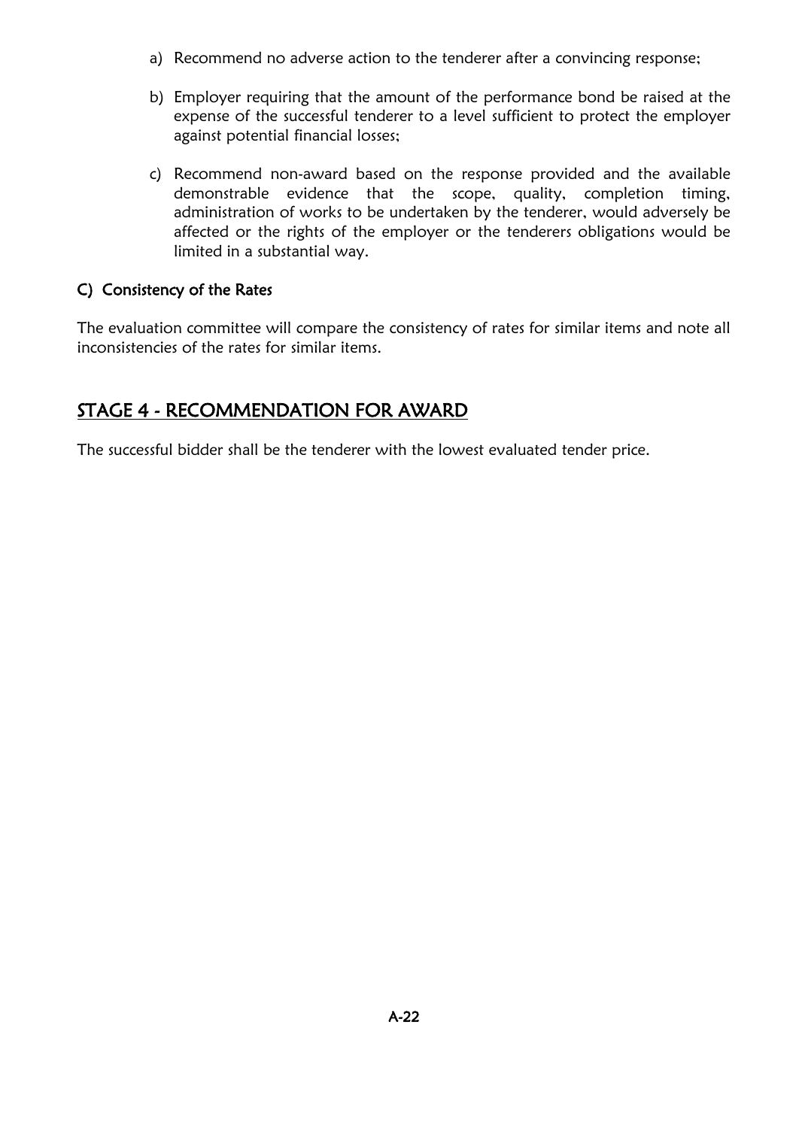- a) Recommend no adverse action to the tenderer after a convincing response;
- b) Employer requiring that the amount of the performance bond be raised at the expense of the successful tenderer to a level sufficient to protect the employer against potential financial losses;
- c) Recommend non-award based on the response provided and the available demonstrable evidence that the scope, quality, completion timing, administration of works to be undertaken by the tenderer, would adversely be affected or the rights of the employer or the tenderers obligations would be limited in a substantial way.

#### C) Consistency of the Rates

The evaluation committee will compare the consistency of rates for similar items and note all inconsistencies of the rates for similar items.

### STAGE 4 - RECOMMENDATION FOR AWARD

The successful bidder shall be the tenderer with the lowest evaluated tender price.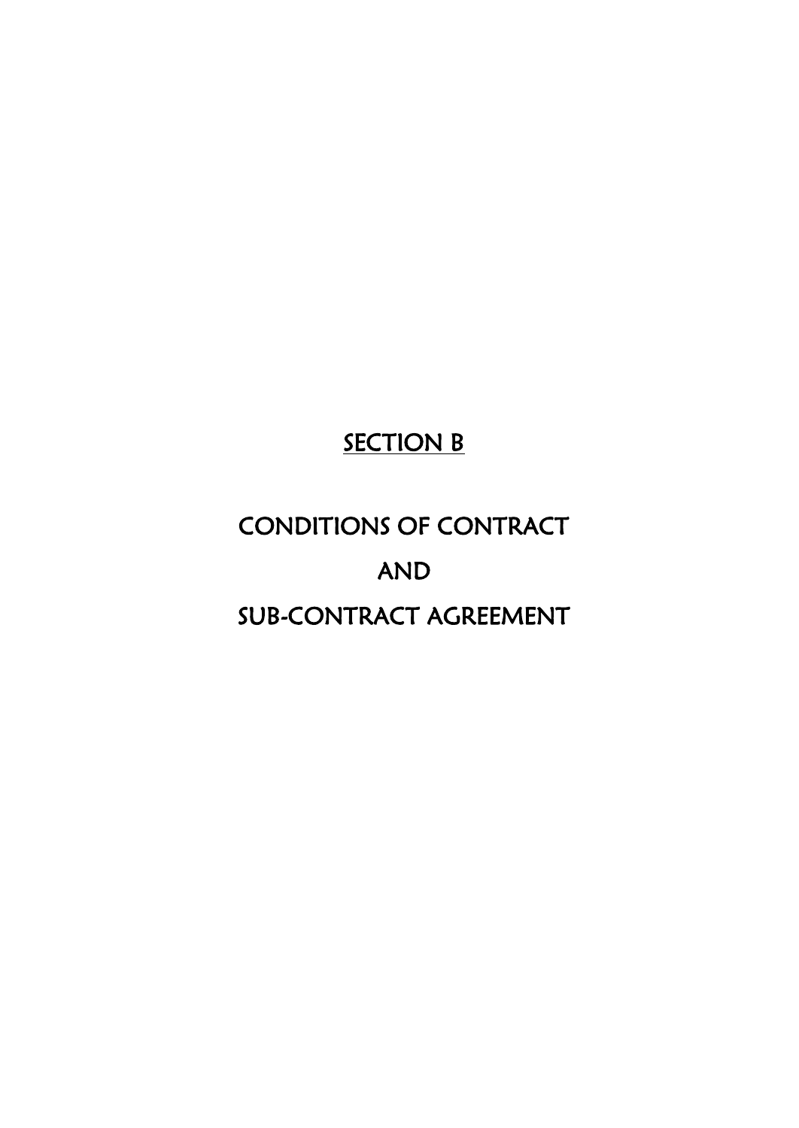# **SECTION B**

# CONDITIONS OF CONTRACT AND SUB-CONTRACT AGREEMENT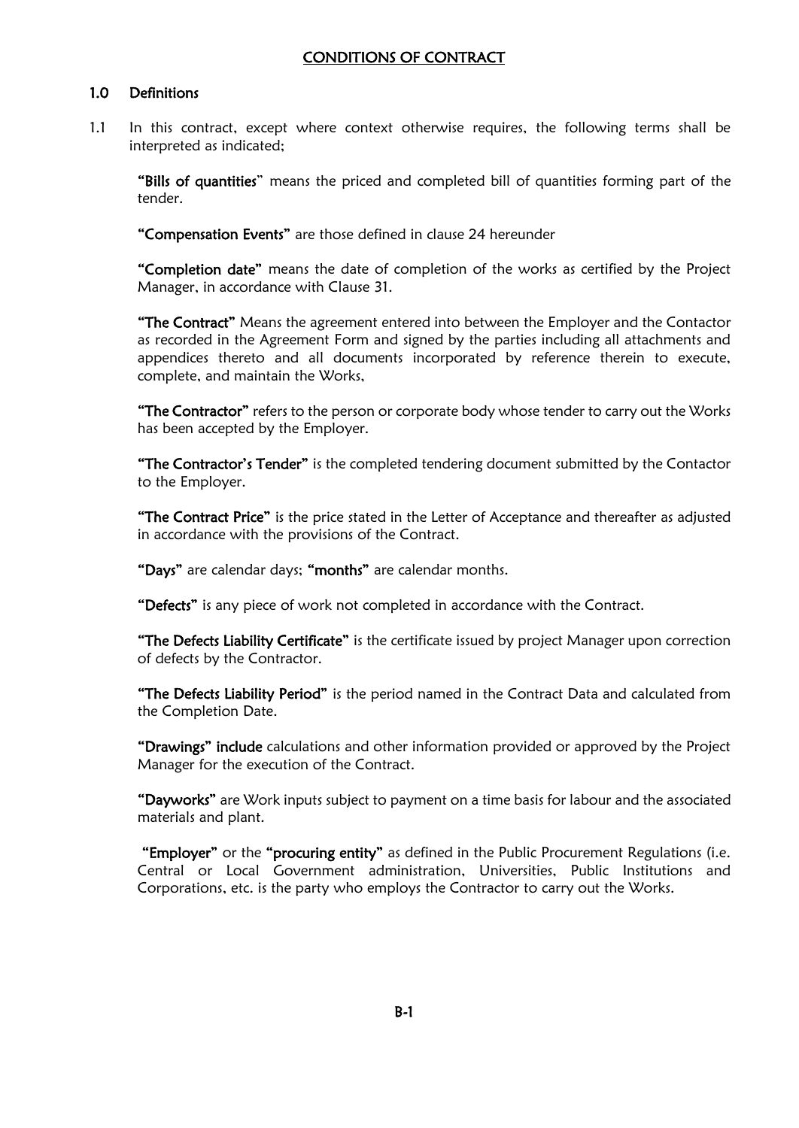#### CONDITIONS OF CONTRACT

#### 1.0 Definitions

1.1 In this contract, except where context otherwise requires, the following terms shall be interpreted as indicated;

"Bills of quantities" means the priced and completed bill of quantities forming part of the tender.

"Compensation Events" are those defined in clause 24 hereunder

"Completion date" means the date of completion of the works as certified by the Project Manager, in accordance with Clause 31.

**"The Contract"** Means the agreement entered into between the Employer and the Contactor as recorded in the Agreement Form and signed by the parties including all attachments and appendices thereto and all documents incorporated by reference therein to execute, complete, and maintain the Works,

"The Contractor" refers to the person or corporate body whose tender to carry out the Works has been accepted by the Employer.

**"The Contractor's Tender"** is the completed tendering document submitted by the Contactor to the Employer.

"The Contract Price" is the price stated in the Letter of Acceptance and thereafter as adjusted in accordance with the provisions of the Contract.

"Days" are calendar days; "months" are calendar months.

"Defects" is any piece of work not completed in accordance with the Contract.

"The Defects Liability Certificate" is the certificate issued by project Manager upon correction of defects by the Contractor.

"The Defects Liability Period" is the period named in the Contract Data and calculated from the Completion Date.

"Drawings" include calculations and other information provided or approved by the Project Manager for the execution of the Contract.

"Dayworks" are Work inputs subject to payment on a time basis for labour and the associated materials and plant.

"Employer" or the "procuring entity" as defined in the Public Procurement Regulations (i.e. Central or Local Government administration, Universities, Public Institutions and Corporations, etc. is the party who employs the Contractor to carry out the Works.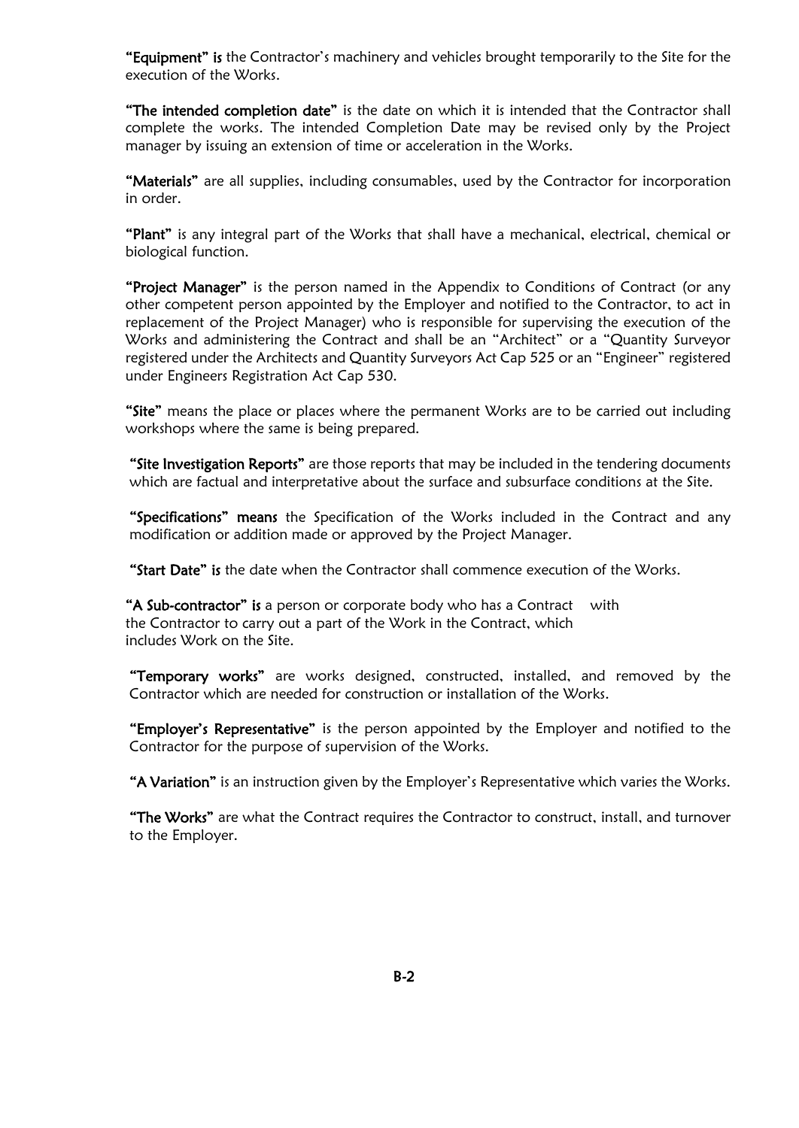"Equipment" is the Contractor's machinery and vehicles brought temporarily to the Site for the execution of the Works.

"The intended completion date" is the date on which it is intended that the Contractor shall complete the works. The intended Completion Date may be revised only by the Project manager by issuing an extension of time or acceleration in the Works.

"Materials" are all supplies, including consumables, used by the Contractor for incorporation in order.

"Plant" is any integral part of the Works that shall have a mechanical, electrical, chemical or biological function.

"Project Manager" is the person named in the Appendix to Conditions of Contract (or any other competent person appointed by the Employer and notified to the Contractor, to act in replacement of the Project Manager) who is responsible for supervising the execution of the Works and administering the Contract and shall be an "Architect" or a "Quantity Surveyor registered under the Architects and Quantity Surveyors Act Cap 525 or an "Engineer" registered under Engineers Registration Act Cap 530.

"Site" means the place or places where the permanent Works are to be carried out including workshops where the same is being prepared.

"Site Investigation Reports" are those reports that may be included in the tendering documents which are factual and interpretative about the surface and subsurface conditions at the Site.

"Specifications" means the Specification of the Works included in the Contract and any modification or addition made or approved by the Project Manager.

"Start Date" is the date when the Contractor shall commence execution of the Works.

"A Sub-contractor" is a person or corporate body who has a Contract with the Contractor to carry out a part of the Work in the Contract, which includes Work on the Site.

"Temporary works" are works designed, constructed, installed, and removed by the Contractor which are needed for construction or installation of the Works.

"Employer's Representative" is the person appointed by the Employer and notified to the Contractor for the purpose of supervision of the Works.

"A Variation" is an instruction given by the Employer's Representative which varies the Works.

**"The Works"** are what the Contract requires the Contractor to construct, install, and turnover to the Employer.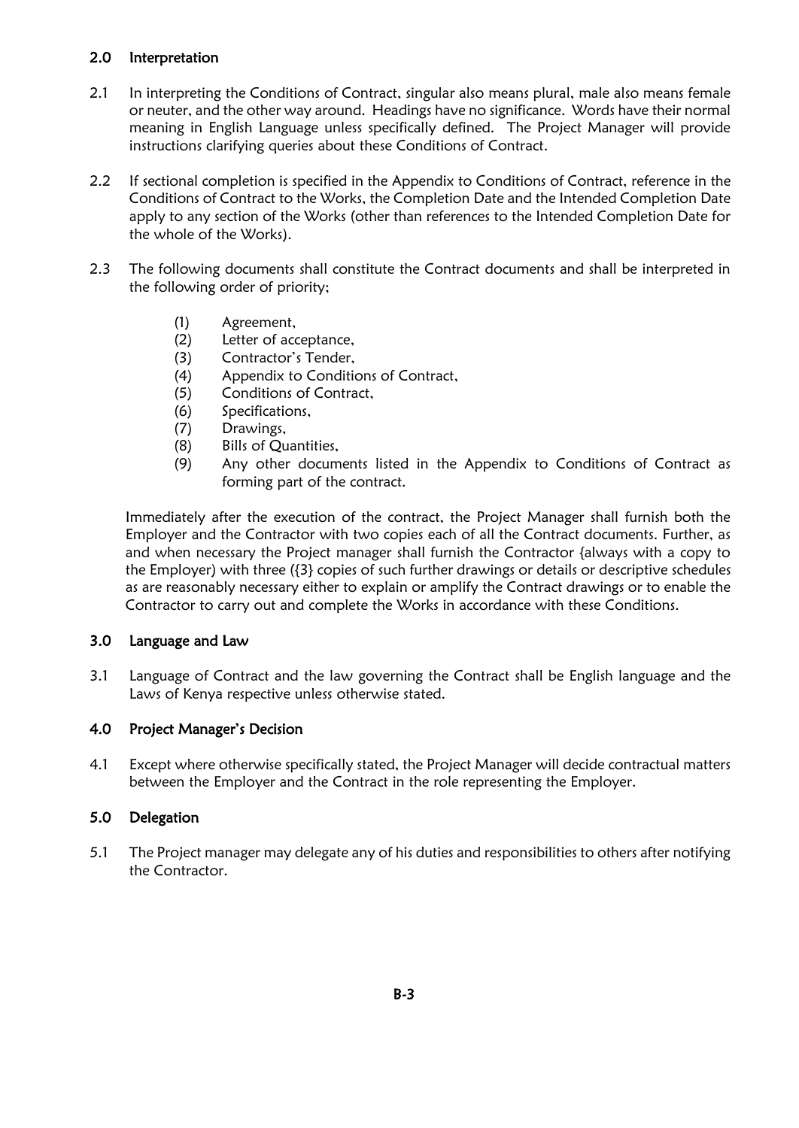#### 2.0 Interpretation

- 2.1 In interpreting the Conditions of Contract, singular also means plural, male also means female or neuter, and the other way around. Headings have no significance. Words have their normal meaning in English Language unless specifically defined. The Project Manager will provide instructions clarifying queries about these Conditions of Contract.
- 2.2 If sectional completion is specified in the Appendix to Conditions of Contract, reference in the Conditions of Contract to the Works, the Completion Date and the Intended Completion Date apply to any section of the Works (other than references to the Intended Completion Date for the whole of the Works).
- 2.3 The following documents shall constitute the Contract documents and shall be interpreted in the following order of priority;
	- (1) Agreement,
	- (2) Letter of acceptance,
	- (3) Contractor's Tender,
	- (4) Appendix to Conditions of Contract,
	- (5) Conditions of Contract,
	- (6) Specifications,
	- (7) Drawings,
	- (8) Bills of Quantities,
	- (9) Any other documents listed in the Appendix to Conditions of Contract as forming part of the contract.

Immediately after the execution of the contract, the Project Manager shall furnish both the Employer and the Contractor with two copies each of all the Contract documents. Further, as and when necessary the Project manager shall furnish the Contractor {always with a copy to the Employer) with three ({3} copies of such further drawings or details or descriptive schedules as are reasonably necessary either to explain or amplify the Contract drawings or to enable the Contractor to carry out and complete the Works in accordance with these Conditions.

#### 3.0 Language and Law

3.1 Language of Contract and the law governing the Contract shall be English language and the Laws of Kenya respective unless otherwise stated.

#### 4.0 Project Manager's Decision

4.1 Except where otherwise specifically stated, the Project Manager will decide contractual matters between the Employer and the Contract in the role representing the Employer.

#### 5.0 Delegation

5.1 The Project manager may delegate any of his duties and responsibilities to others after notifying the Contractor.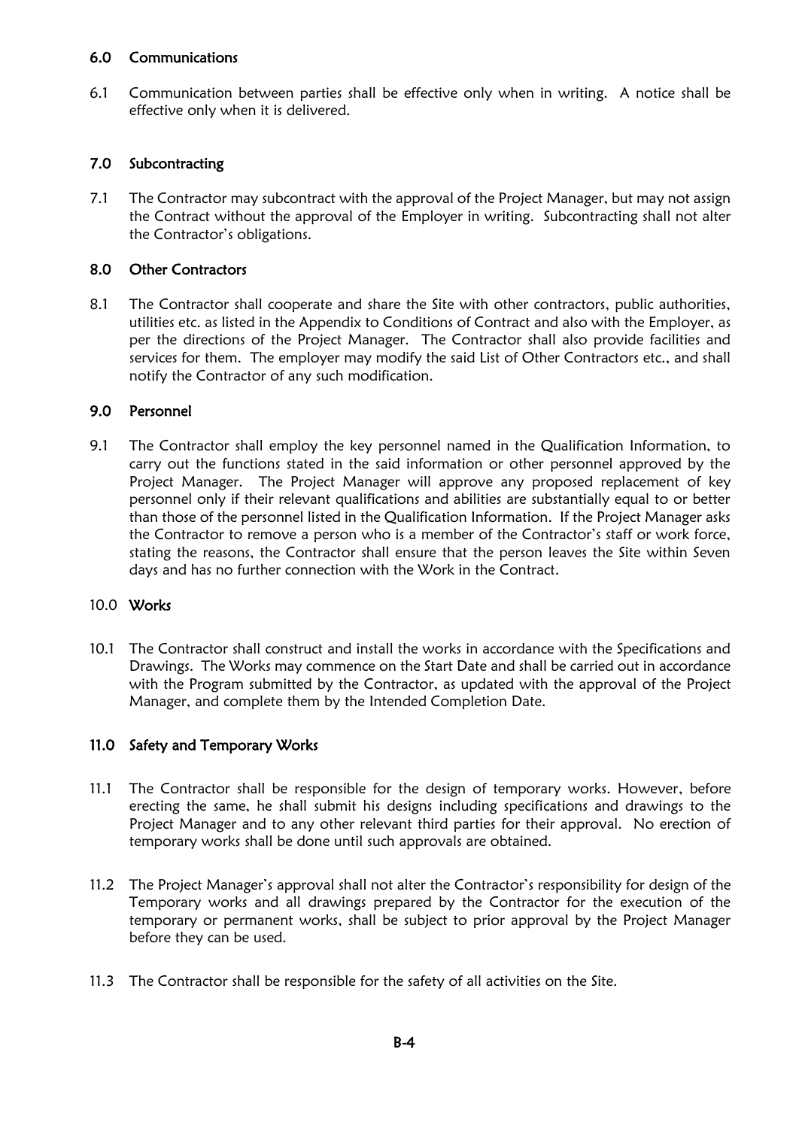#### 6.0 Communications

6.1 Communication between parties shall be effective only when in writing. A notice shall be effective only when it is delivered.

#### 7.0 Subcontracting

7.1 The Contractor may subcontract with the approval of the Project Manager, but may not assign the Contract without the approval of the Employer in writing. Subcontracting shall not alter the Contractor's obligations.

#### 8.0 Other Contractors

8.1 The Contractor shall cooperate and share the Site with other contractors, public authorities, utilities etc. as listed in the Appendix to Conditions of Contract and also with the Employer, as per the directions of the Project Manager. The Contractor shall also provide facilities and services for them. The employer may modify the said List of Other Contractors etc., and shall notify the Contractor of any such modification.

#### 9.0 Personnel

9.1 The Contractor shall employ the key personnel named in the Qualification Information, to carry out the functions stated in the said information or other personnel approved by the Project Manager. The Project Manager will approve any proposed replacement of key personnel only if their relevant qualifications and abilities are substantially equal to or better than those of the personnel listed in the Qualification Information. If the Project Manager asks the Contractor to remove a person who is a member of the Contractor's staff or work force, stating the reasons, the Contractor shall ensure that the person leaves the Site within Seven days and has no further connection with the Work in the Contract.

#### 10.0 Works

10.1 The Contractor shall construct and install the works in accordance with the Specifications and Drawings. The Works may commence on the Start Date and shall be carried out in accordance with the Program submitted by the Contractor, as updated with the approval of the Project Manager, and complete them by the Intended Completion Date.

#### 11.0 Safety and Temporary Works

- 11.1 The Contractor shall be responsible for the design of temporary works. However, before erecting the same, he shall submit his designs including specifications and drawings to the Project Manager and to any other relevant third parties for their approval. No erection of temporary works shall be done until such approvals are obtained.
- 11.2 The Project Manager's approval shall not alter the Contractor's responsibility for design of the Temporary works and all drawings prepared by the Contractor for the execution of the temporary or permanent works, shall be subject to prior approval by the Project Manager before they can be used.
- 11.3 The Contractor shall be responsible for the safety of all activities on the Site.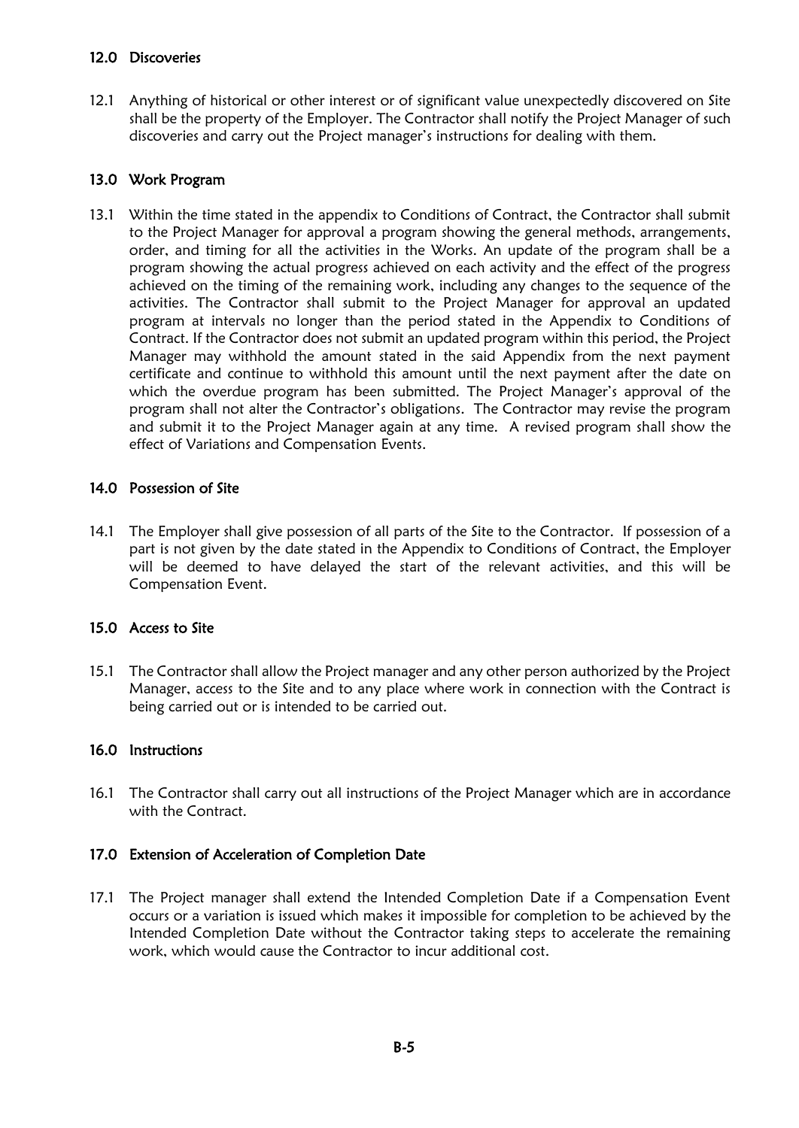## 12.0 Discoveries

12.1 Anything of historical or other interest or of significant value unexpectedly discovered on Site shall be the property of the Employer. The Contractor shall notify the Project Manager of such discoveries and carry out the Project manager's instructions for dealing with them.

## 13.0 Work Program

13.1 Within the time stated in the appendix to Conditions of Contract, the Contractor shall submit to the Project Manager for approval a program showing the general methods, arrangements, order, and timing for all the activities in the Works. An update of the program shall be a program showing the actual progress achieved on each activity and the effect of the progress achieved on the timing of the remaining work, including any changes to the sequence of the activities. The Contractor shall submit to the Project Manager for approval an updated program at intervals no longer than the period stated in the Appendix to Conditions of Contract. If the Contractor does not submit an updated program within this period, the Project Manager may withhold the amount stated in the said Appendix from the next payment certificate and continue to withhold this amount until the next payment after the date on which the overdue program has been submitted. The Project Manager's approval of the program shall not alter the Contractor's obligations. The Contractor may revise the program and submit it to the Project Manager again at any time. A revised program shall show the effect of Variations and Compensation Events.

## 14.0 Possession of Site

14.1 The Employer shall give possession of all parts of the Site to the Contractor. If possession of a part is not given by the date stated in the Appendix to Conditions of Contract, the Employer will be deemed to have delayed the start of the relevant activities, and this will be Compensation Event.

## 15.0 Access to Site

15.1 The Contractor shall allow the Project manager and any other person authorized by the Project Manager, access to the Site and to any place where work in connection with the Contract is being carried out or is intended to be carried out.

## 16.0 Instructions

16.1 The Contractor shall carry out all instructions of the Project Manager which are in accordance with the Contract.

## 17.0 Extension of Acceleration of Completion Date

17.1 The Project manager shall extend the Intended Completion Date if a Compensation Event occurs or a variation is issued which makes it impossible for completion to be achieved by the Intended Completion Date without the Contractor taking steps to accelerate the remaining work, which would cause the Contractor to incur additional cost.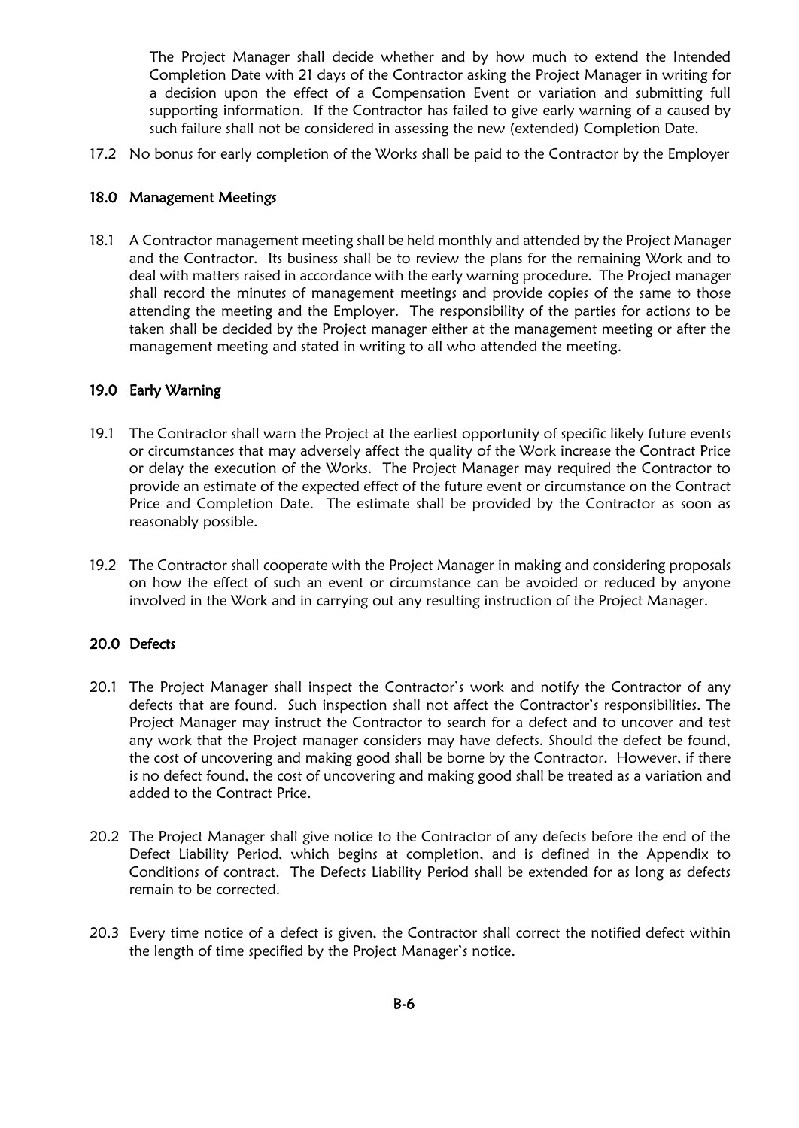The Project Manager shall decide whether and by how much to extend the Intended Completion Date with 21 days of the Contractor asking the Project Manager in writing for a decision upon the effect of a Compensation Event or variation and submitting full supporting information. If the Contractor has failed to give early warning of a caused by such failure shall not be considered in assessing the new (extended) Completion Date.

17.2 No bonus for early completion of the Works shall be paid to the Contractor by the Employer

#### 18.0 Management Meetings

18.1 A Contractor management meeting shall be held monthly and attended by the Project Manager and the Contractor. Its business shall be to review the plans for the remaining Work and to deal with matters raised in accordance with the early warning procedure. The Project manager shall record the minutes of management meetings and provide copies of the same to those attending the meeting and the Employer. The responsibility of the parties for actions to be taken shall be decided by the Project manager either at the management meeting or after the management meeting and stated in writing to all who attended the meeting.

## 19.0 Early Warning

- 19.1 The Contractor shall warn the Project at the earliest opportunity of specific likely future events or circumstances that may adversely affect the quality of the Work increase the Contract Price or delay the execution of the Works. The Project Manager may required the Contractor to provide an estimate of the expected effect of the future event or circumstance on the Contract Price and Completion Date. The estimate shall be provided by the Contractor as soon as reasonably possible.
- 19.2 The Contractor shall cooperate with the Project Manager in making and considering proposals on how the effect of such an event or circumstance can be avoided or reduced by anyone involved in the Work and in carrying out any resulting instruction of the Project Manager.

## 20.0 Defects

- 20.1 The Project Manager shall inspect the Contractor's work and notify the Contractor of any defects that are found. Such inspection shall not affect the Contractor's responsibilities. The Project Manager may instruct the Contractor to search for a defect and to uncover and test any work that the Project manager considers may have defects. Should the defect be found, the cost of uncovering and making good shall be borne by the Contractor. However, if there is no defect found, the cost of uncovering and making good shall be treated as a variation and added to the Contract Price.
- 20.2 The Project Manager shall give notice to the Contractor of any defects before the end of the Defect Liability Period, which begins at completion, and is defined in the Appendix to Conditions of contract. The Defects Liability Period shall be extended for as long as defects remain to be corrected.
- 20.3 Every time notice of a defect is given, the Contractor shall correct the notified defect within the length of time specified by the Project Manager's notice.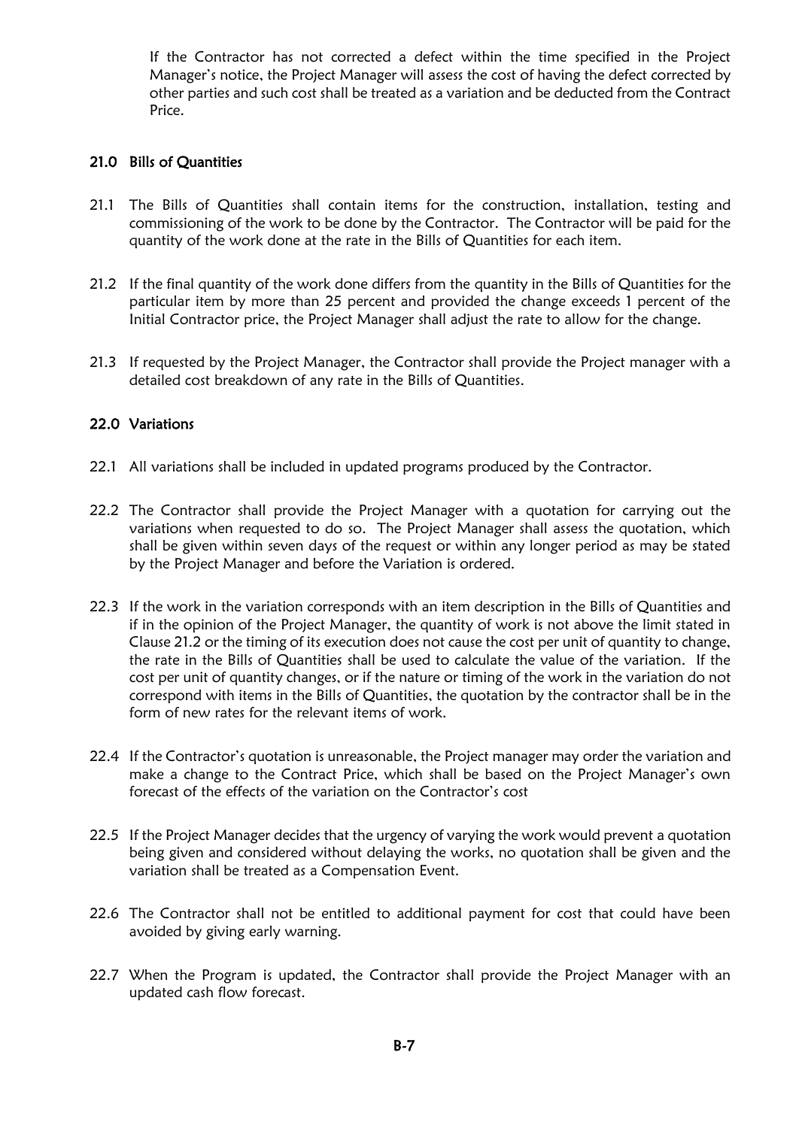If the Contractor has not corrected a defect within the time specified in the Project Manager's notice, the Project Manager will assess the cost of having the defect corrected by other parties and such cost shall be treated as a variation and be deducted from the Contract Price.

## 21.0 Bills of Quantities

- 21.1 The Bills of Quantities shall contain items for the construction, installation, testing and commissioning of the work to be done by the Contractor. The Contractor will be paid for the quantity of the work done at the rate in the Bills of Quantities for each item.
- 21.2 If the final quantity of the work done differs from the quantity in the Bills of Quantities for the particular item by more than 25 percent and provided the change exceeds 1 percent of the Initial Contractor price, the Project Manager shall adjust the rate to allow for the change.
- 21.3 If requested by the Project Manager, the Contractor shall provide the Project manager with a detailed cost breakdown of any rate in the Bills of Quantities.

## 22.0 Variations

- 22.1 All variations shall be included in updated programs produced by the Contractor.
- 22.2 The Contractor shall provide the Project Manager with a quotation for carrying out the variations when requested to do so. The Project Manager shall assess the quotation, which shall be given within seven days of the request or within any longer period as may be stated by the Project Manager and before the Variation is ordered.
- 22.3 If the work in the variation corresponds with an item description in the Bills of Quantities and if in the opinion of the Project Manager, the quantity of work is not above the limit stated in Clause 21.2 or the timing of its execution does not cause the cost per unit of quantity to change, the rate in the Bills of Quantities shall be used to calculate the value of the variation. If the cost per unit of quantity changes, or if the nature or timing of the work in the variation do not correspond with items in the Bills of Quantities, the quotation by the contractor shall be in the form of new rates for the relevant items of work.
- 22.4 If the Contractor's quotation is unreasonable, the Project manager may order the variation and make a change to the Contract Price, which shall be based on the Project Manager's own forecast of the effects of the variation on the Contractor's cost
- 22.5 If the Project Manager decides that the urgency of varying the work would prevent a quotation being given and considered without delaying the works, no quotation shall be given and the variation shall be treated as a Compensation Event.
- 22.6 The Contractor shall not be entitled to additional payment for cost that could have been avoided by giving early warning.
- 22.7 When the Program is updated, the Contractor shall provide the Project Manager with an updated cash flow forecast.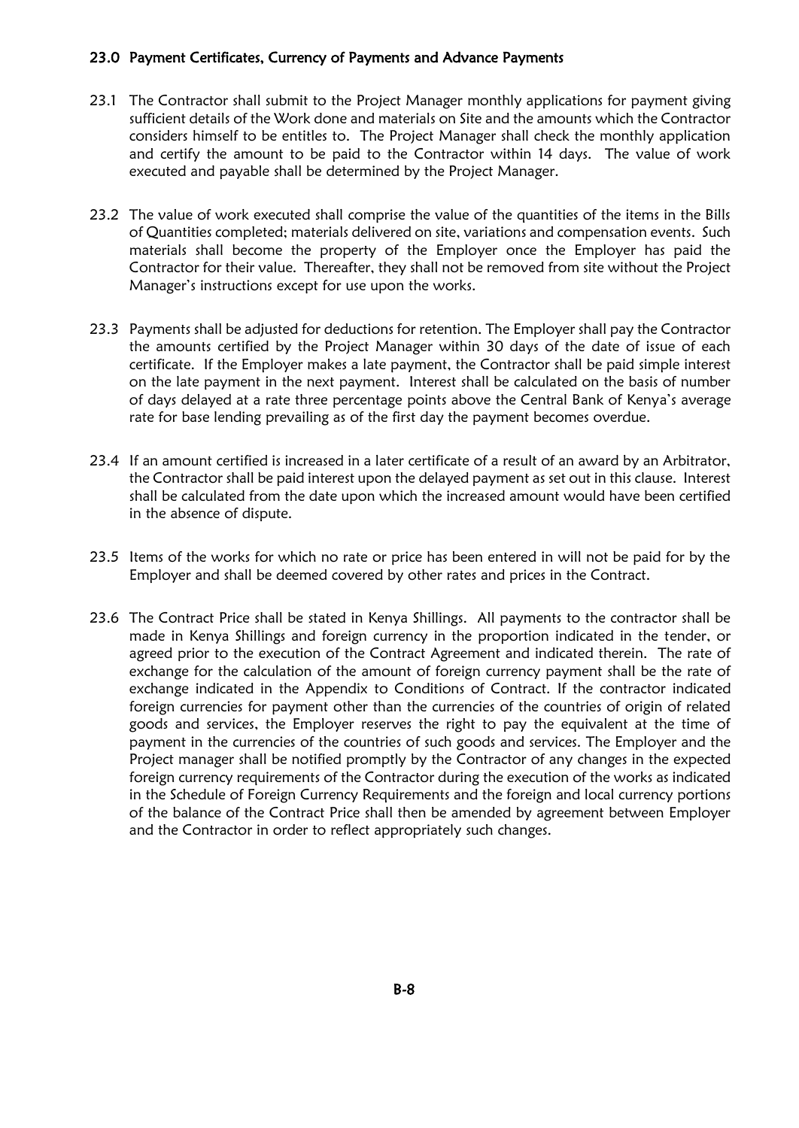## 23.0 Payment Certificates, Currency of Payments and Advance Payments

- 23.1 The Contractor shall submit to the Project Manager monthly applications for payment giving sufficient details of the Work done and materials on Site and the amounts which the Contractor considers himself to be entitles to. The Project Manager shall check the monthly application and certify the amount to be paid to the Contractor within 14 days. The value of work executed and payable shall be determined by the Project Manager.
- 23.2 The value of work executed shall comprise the value of the quantities of the items in the Bills of Quantities completed; materials delivered on site, variations and compensation events. Such materials shall become the property of the Employer once the Employer has paid the Contractor for their value. Thereafter, they shall not be removed from site without the Project Manager's instructions except for use upon the works.
- 23.3 Payments shall be adjusted for deductions for retention. The Employer shall pay the Contractor the amounts certified by the Project Manager within 30 days of the date of issue of each certificate. If the Employer makes a late payment, the Contractor shall be paid simple interest on the late payment in the next payment. Interest shall be calculated on the basis of number of days delayed at a rate three percentage points above the Central Bank of Kenya's average rate for base lending prevailing as of the first day the payment becomes overdue.
- 23.4 If an amount certified is increased in a later certificate of a result of an award by an Arbitrator, the Contractor shall be paid interest upon the delayed payment as set out in this clause. Interest shall be calculated from the date upon which the increased amount would have been certified in the absence of dispute.
- 23.5 Items of the works for which no rate or price has been entered in will not be paid for by the Employer and shall be deemed covered by other rates and prices in the Contract.
- 23.6 The Contract Price shall be stated in Kenya Shillings. All payments to the contractor shall be made in Kenya Shillings and foreign currency in the proportion indicated in the tender, or agreed prior to the execution of the Contract Agreement and indicated therein. The rate of exchange for the calculation of the amount of foreign currency payment shall be the rate of exchange indicated in the Appendix to Conditions of Contract. If the contractor indicated foreign currencies for payment other than the currencies of the countries of origin of related goods and services, the Employer reserves the right to pay the equivalent at the time of payment in the currencies of the countries of such goods and services. The Employer and the Project manager shall be notified promptly by the Contractor of any changes in the expected foreign currency requirements of the Contractor during the execution of the works as indicated in the Schedule of Foreign Currency Requirements and the foreign and local currency portions of the balance of the Contract Price shall then be amended by agreement between Employer and the Contractor in order to reflect appropriately such changes.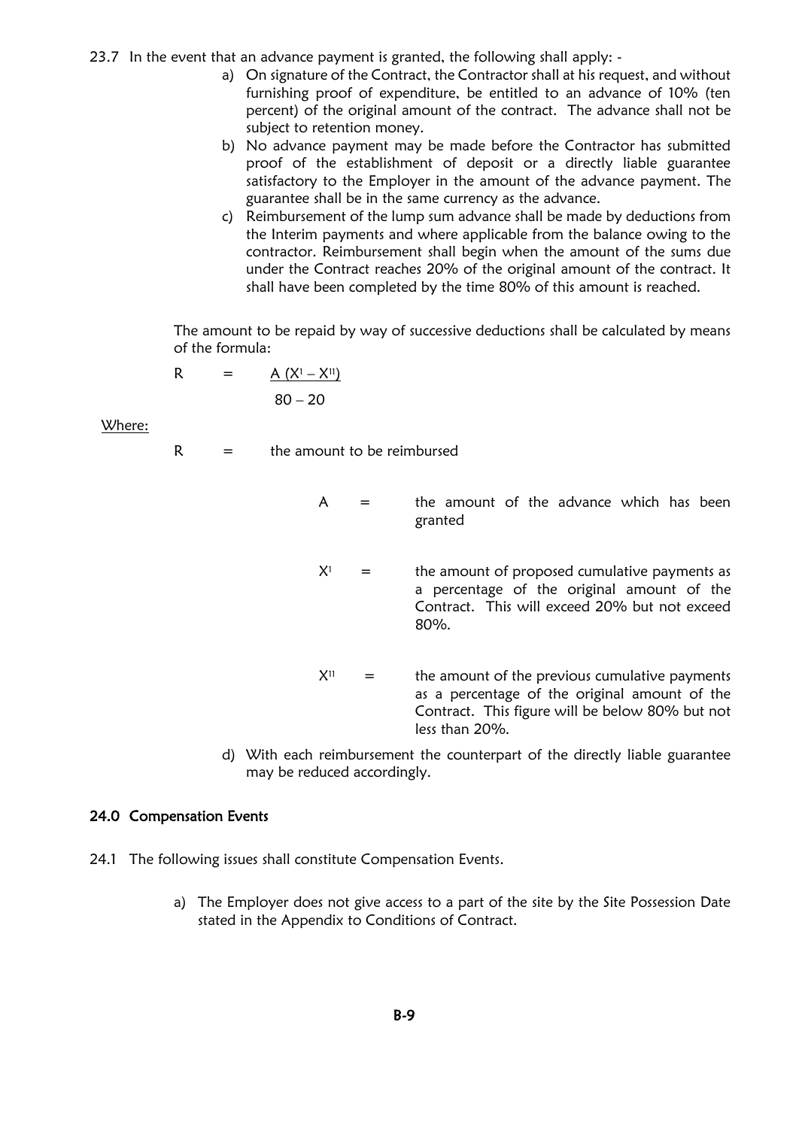23.7 In the event that an advance payment is granted, the following shall apply: -

- a) On signature of the Contract, the Contractor shall at his request, and without furnishing proof of expenditure, be entitled to an advance of 10% (ten percent) of the original amount of the contract. The advance shall not be subject to retention money.
- b) No advance payment may be made before the Contractor has submitted proof of the establishment of deposit or a directly liable guarantee satisfactory to the Employer in the amount of the advance payment. The guarantee shall be in the same currency as the advance.
- c) Reimbursement of the lump sum advance shall be made by deductions from the Interim payments and where applicable from the balance owing to the contractor. Reimbursement shall begin when the amount of the sums due under the Contract reaches 20% of the original amount of the contract. It shall have been completed by the time 80% of this amount is reached.

The amount to be repaid by way of successive deductions shall be calculated by means of the formula:

$$
R = \underline{A (X^1 - X^{11})}
$$
  
80 - 20

Where:

 $R =$  the amount to be reimbursed

- $A =$  the amount of the advance which has been granted
- $X^1$  = the amount of proposed cumulative payments as a percentage of the original amount of the Contract. This will exceed 20% but not exceed 80%.
- $X^{11}$  = the amount of the previous cumulative payments as a percentage of the original amount of the Contract. This figure will be below 80% but not less than 20%.
- d) With each reimbursement the counterpart of the directly liable guarantee may be reduced accordingly.

#### 24.0 Compensation Events

- 24.1 The following issues shall constitute Compensation Events.
	- a) The Employer does not give access to a part of the site by the Site Possession Date stated in the Appendix to Conditions of Contract.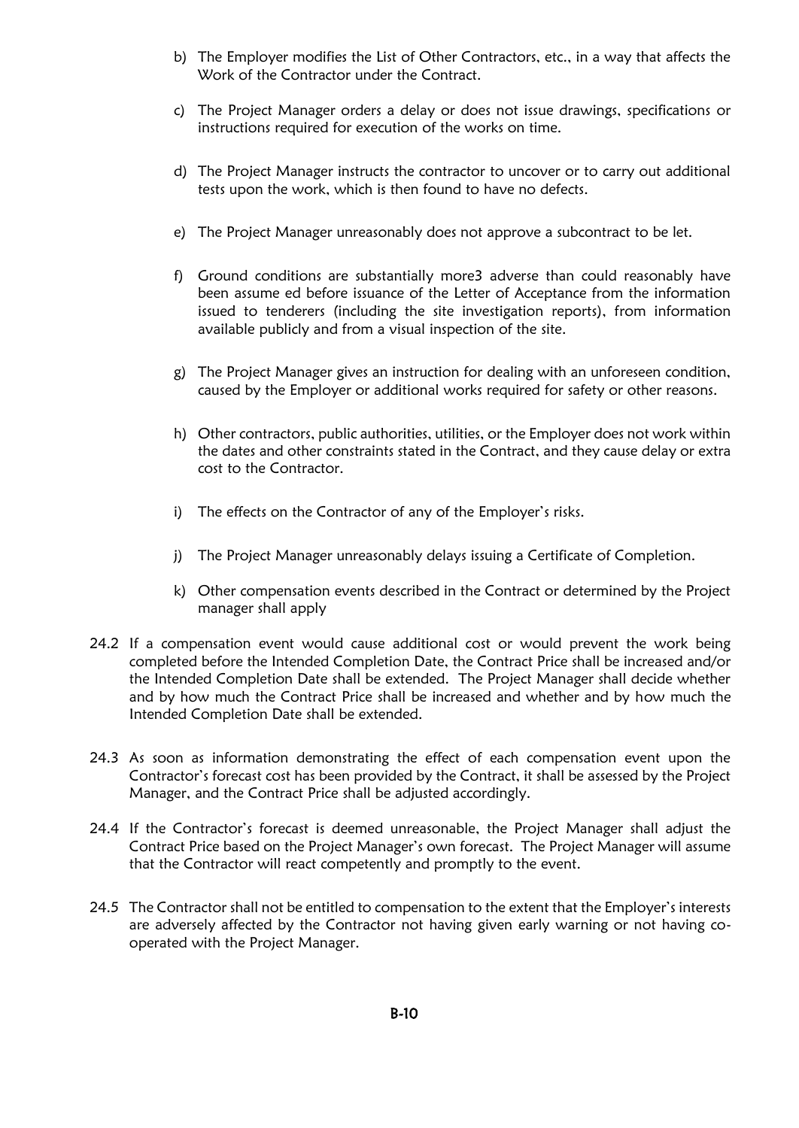- b) The Employer modifies the List of Other Contractors, etc., in a way that affects the Work of the Contractor under the Contract.
- c) The Project Manager orders a delay or does not issue drawings, specifications or instructions required for execution of the works on time.
- d) The Project Manager instructs the contractor to uncover or to carry out additional tests upon the work, which is then found to have no defects.
- e) The Project Manager unreasonably does not approve a subcontract to be let.
- f) Ground conditions are substantially more3 adverse than could reasonably have been assume ed before issuance of the Letter of Acceptance from the information issued to tenderers (including the site investigation reports), from information available publicly and from a visual inspection of the site.
- g) The Project Manager gives an instruction for dealing with an unforeseen condition, caused by the Employer or additional works required for safety or other reasons.
- h) Other contractors, public authorities, utilities, or the Employer does not work within the dates and other constraints stated in the Contract, and they cause delay or extra cost to the Contractor.
- i) The effects on the Contractor of any of the Employer's risks.
- j) The Project Manager unreasonably delays issuing a Certificate of Completion.
- k) Other compensation events described in the Contract or determined by the Project manager shall apply
- 24.2 If a compensation event would cause additional cost or would prevent the work being completed before the Intended Completion Date, the Contract Price shall be increased and/or the Intended Completion Date shall be extended. The Project Manager shall decide whether and by how much the Contract Price shall be increased and whether and by how much the Intended Completion Date shall be extended.
- 24.3 As soon as information demonstrating the effect of each compensation event upon the Contractor's forecast cost has been provided by the Contract, it shall be assessed by the Project Manager, and the Contract Price shall be adjusted accordingly.
- 24.4 If the Contractor's forecast is deemed unreasonable, the Project Manager shall adjust the Contract Price based on the Project Manager's own forecast. The Project Manager will assume that the Contractor will react competently and promptly to the event.
- 24.5 The Contractor shall not be entitled to compensation to the extent that the Employer's interests are adversely affected by the Contractor not having given early warning or not having cooperated with the Project Manager.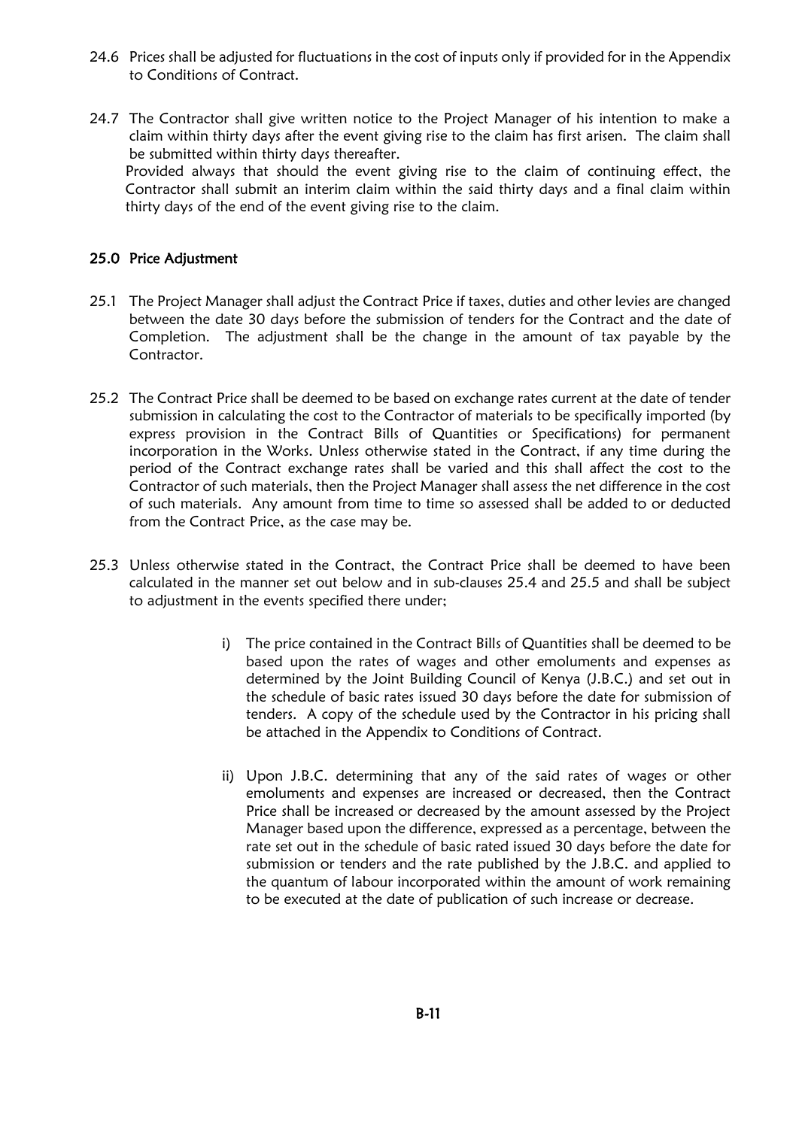- 24.6 Prices shall be adjusted for fluctuations in the cost of inputs only if provided for in the Appendix to Conditions of Contract.
- 24.7 The Contractor shall give written notice to the Project Manager of his intention to make a claim within thirty days after the event giving rise to the claim has first arisen. The claim shall be submitted within thirty days thereafter. Provided always that should the event giving rise to the claim of continuing effect, the Contractor shall submit an interim claim within the said thirty days and a final claim within thirty days of the end of the event giving rise to the claim.

## 25.0 Price Adjustment

- 25.1 The Project Manager shall adjust the Contract Price if taxes, duties and other levies are changed between the date 30 days before the submission of tenders for the Contract and the date of Completion. The adjustment shall be the change in the amount of tax payable by the Contractor.
- 25.2 The Contract Price shall be deemed to be based on exchange rates current at the date of tender submission in calculating the cost to the Contractor of materials to be specifically imported (by express provision in the Contract Bills of Quantities or Specifications) for permanent incorporation in the Works. Unless otherwise stated in the Contract, if any time during the period of the Contract exchange rates shall be varied and this shall affect the cost to the Contractor of such materials, then the Project Manager shall assess the net difference in the cost of such materials. Any amount from time to time so assessed shall be added to or deducted from the Contract Price, as the case may be.
- 25.3 Unless otherwise stated in the Contract, the Contract Price shall be deemed to have been calculated in the manner set out below and in sub-clauses 25.4 and 25.5 and shall be subject to adjustment in the events specified there under;
	- i) The price contained in the Contract Bills of Quantities shall be deemed to be based upon the rates of wages and other emoluments and expenses as determined by the Joint Building Council of Kenya (J.B.C.) and set out in the schedule of basic rates issued 30 days before the date for submission of tenders. A copy of the schedule used by the Contractor in his pricing shall be attached in the Appendix to Conditions of Contract.
	- ii) Upon J.B.C. determining that any of the said rates of wages or other emoluments and expenses are increased or decreased, then the Contract Price shall be increased or decreased by the amount assessed by the Project Manager based upon the difference, expressed as a percentage, between the rate set out in the schedule of basic rated issued 30 days before the date for submission or tenders and the rate published by the J.B.C. and applied to the quantum of labour incorporated within the amount of work remaining to be executed at the date of publication of such increase or decrease.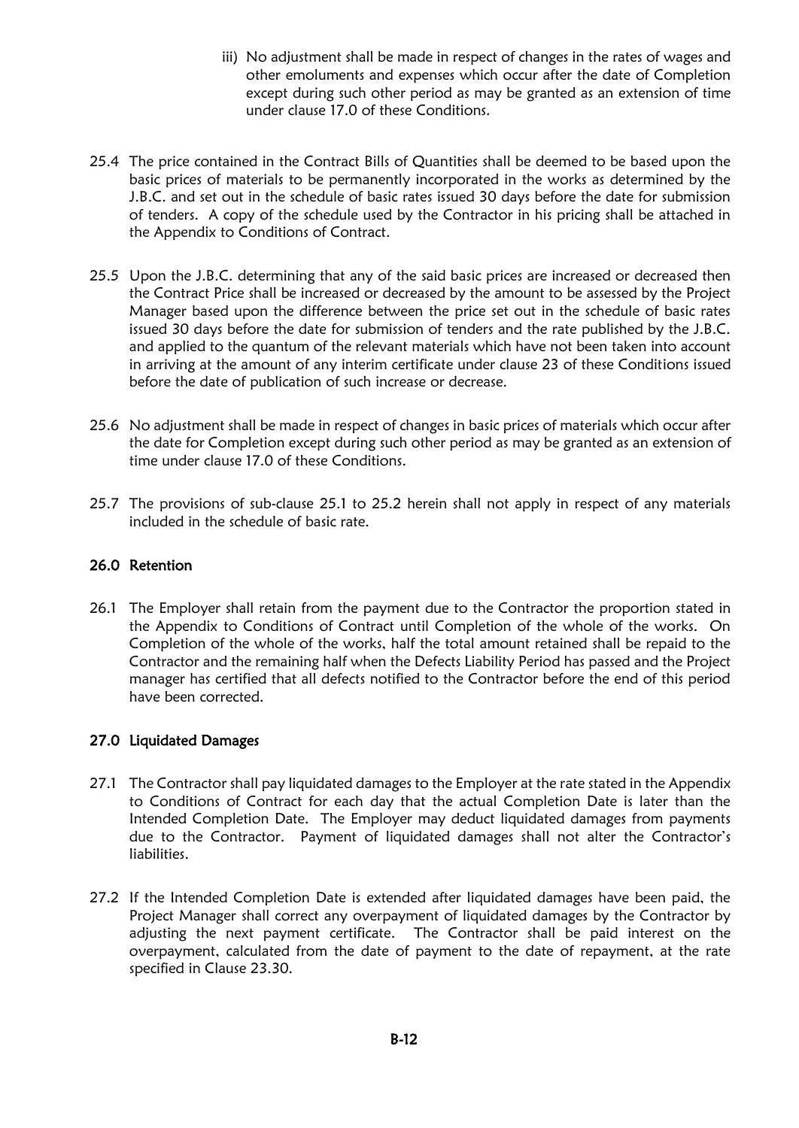- iii) No adjustment shall be made in respect of changes in the rates of wages and other emoluments and expenses which occur after the date of Completion except during such other period as may be granted as an extension of time under clause 17.0 of these Conditions.
- 25.4 The price contained in the Contract Bills of Quantities shall be deemed to be based upon the basic prices of materials to be permanently incorporated in the works as determined by the J.B.C. and set out in the schedule of basic rates issued 30 days before the date for submission of tenders. A copy of the schedule used by the Contractor in his pricing shall be attached in the Appendix to Conditions of Contract.
- 25.5 Upon the J.B.C. determining that any of the said basic prices are increased or decreased then the Contract Price shall be increased or decreased by the amount to be assessed by the Project Manager based upon the difference between the price set out in the schedule of basic rates issued 30 days before the date for submission of tenders and the rate published by the J.B.C. and applied to the quantum of the relevant materials which have not been taken into account in arriving at the amount of any interim certificate under clause 23 of these Conditions issued before the date of publication of such increase or decrease.
- 25.6 No adjustment shall be made in respect of changes in basic prices of materials which occur after the date for Completion except during such other period as may be granted as an extension of time under clause 17.0 of these Conditions.
- 25.7 The provisions of sub-clause 25.1 to 25.2 herein shall not apply in respect of any materials included in the schedule of basic rate.

## 26.0 Retention

26.1 The Employer shall retain from the payment due to the Contractor the proportion stated in the Appendix to Conditions of Contract until Completion of the whole of the works. On Completion of the whole of the works, half the total amount retained shall be repaid to the Contractor and the remaining half when the Defects Liability Period has passed and the Project manager has certified that all defects notified to the Contractor before the end of this period have been corrected.

## 27.0 Liquidated Damages

- 27.1 The Contractor shall pay liquidated damages to the Employer at the rate stated in the Appendix to Conditions of Contract for each day that the actual Completion Date is later than the Intended Completion Date. The Employer may deduct liquidated damages from payments due to the Contractor. Payment of liquidated damages shall not alter the Contractor's liabilities.
- 27.2 If the Intended Completion Date is extended after liquidated damages have been paid, the Project Manager shall correct any overpayment of liquidated damages by the Contractor by adjusting the next payment certificate. The Contractor shall be paid interest on the overpayment, calculated from the date of payment to the date of repayment, at the rate specified in Clause 23.30.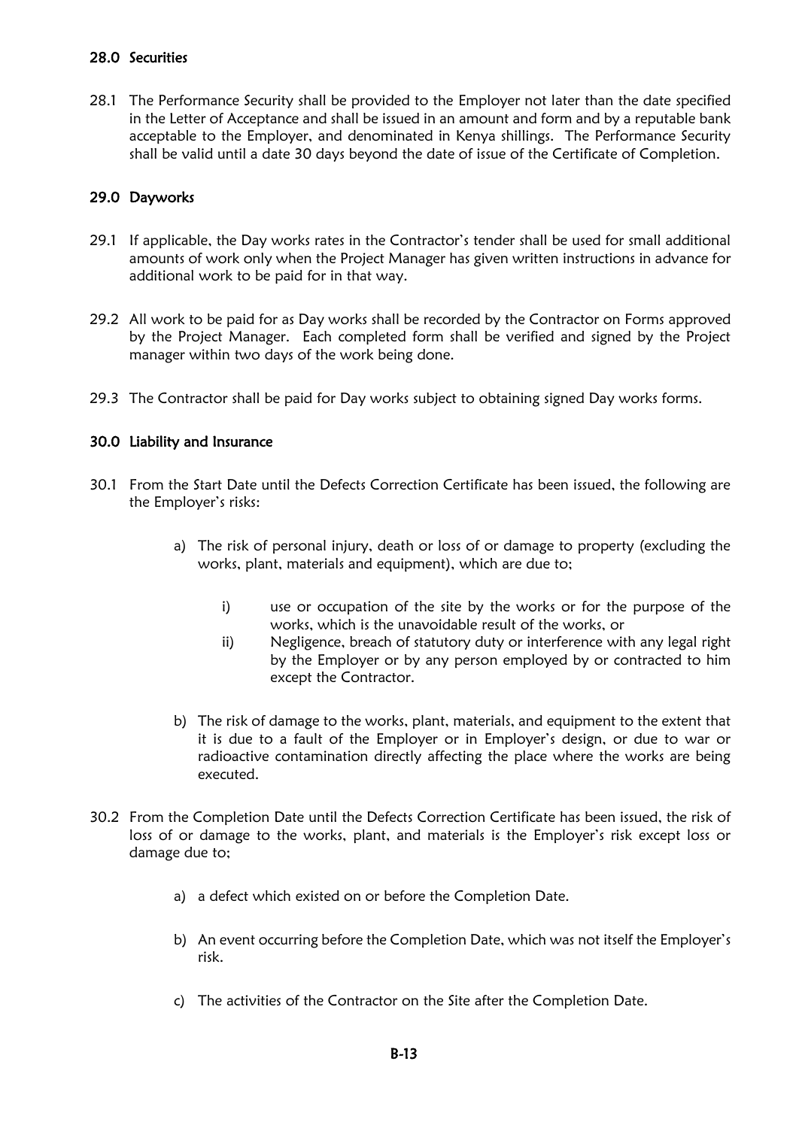## 28.0 Securities

28.1 The Performance Security shall be provided to the Employer not later than the date specified in the Letter of Acceptance and shall be issued in an amount and form and by a reputable bank acceptable to the Employer, and denominated in Kenya shillings. The Performance Security shall be valid until a date 30 days beyond the date of issue of the Certificate of Completion.

## 29.0 Dayworks

- 29.1 If applicable, the Day works rates in the Contractor's tender shall be used for small additional amounts of work only when the Project Manager has given written instructions in advance for additional work to be paid for in that way.
- 29.2 All work to be paid for as Day works shall be recorded by the Contractor on Forms approved by the Project Manager. Each completed form shall be verified and signed by the Project manager within two days of the work being done.
- 29.3 The Contractor shall be paid for Day works subject to obtaining signed Day works forms.

## 30.0 Liability and Insurance

- 30.1 From the Start Date until the Defects Correction Certificate has been issued, the following are the Employer's risks:
	- a) The risk of personal injury, death or loss of or damage to property (excluding the works, plant, materials and equipment), which are due to;
		- i) use or occupation of the site by the works or for the purpose of the works, which is the unavoidable result of the works, or
		- ii) Negligence, breach of statutory duty or interference with any legal right by the Employer or by any person employed by or contracted to him except the Contractor.
	- b) The risk of damage to the works, plant, materials, and equipment to the extent that it is due to a fault of the Employer or in Employer's design, or due to war or radioactive contamination directly affecting the place where the works are being executed.
- 30.2 From the Completion Date until the Defects Correction Certificate has been issued, the risk of loss of or damage to the works, plant, and materials is the Employer's risk except loss or damage due to;
	- a) a defect which existed on or before the Completion Date.
	- b) An event occurring before the Completion Date, which was not itself the Employer's risk.
	- c) The activities of the Contractor on the Site after the Completion Date.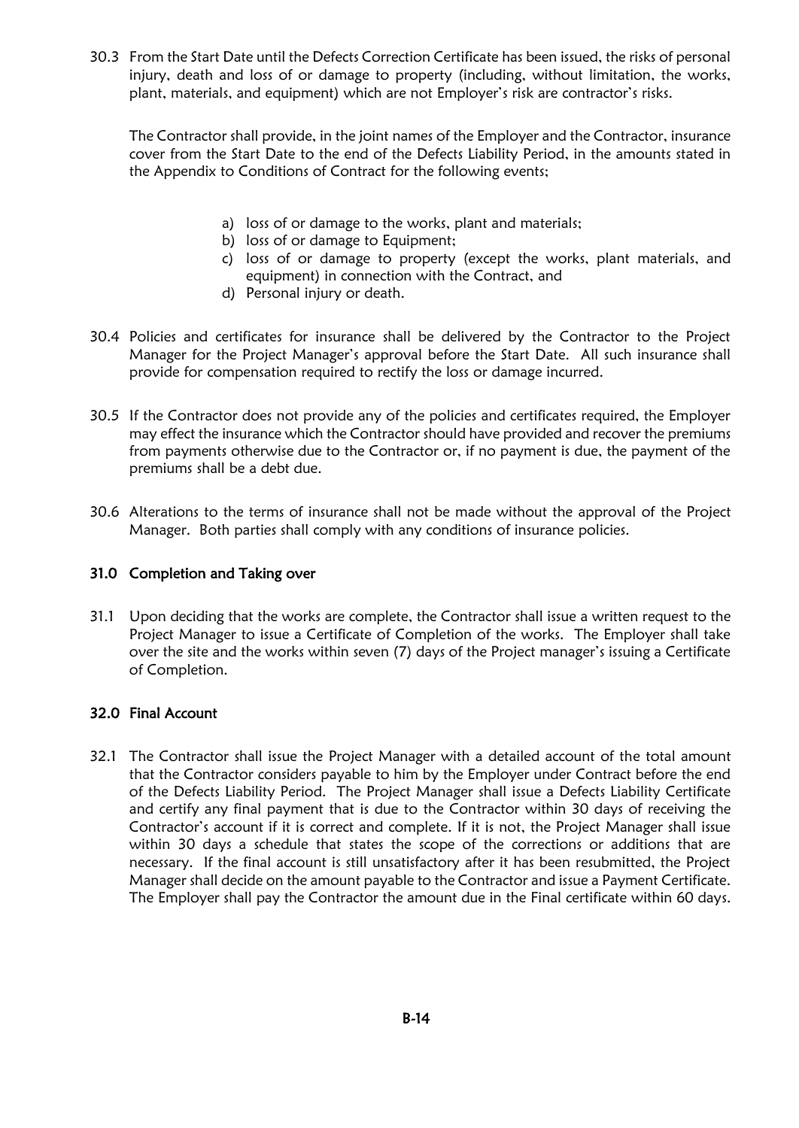30.3 From the Start Date until the Defects Correction Certificate has been issued, the risks of personal injury, death and loss of or damage to property (including, without limitation, the works, plant, materials, and equipment) which are not Employer's risk are contractor's risks.

The Contractor shall provide, in the joint names of the Employer and the Contractor, insurance cover from the Start Date to the end of the Defects Liability Period, in the amounts stated in the Appendix to Conditions of Contract for the following events;

- a) loss of or damage to the works, plant and materials;
- b) loss of or damage to Equipment;
- c) loss of or damage to property (except the works, plant materials, and equipment) in connection with the Contract, and
- d) Personal injury or death.
- 30.4 Policies and certificates for insurance shall be delivered by the Contractor to the Project Manager for the Project Manager's approval before the Start Date. All such insurance shall provide for compensation required to rectify the loss or damage incurred.
- 30.5 If the Contractor does not provide any of the policies and certificates required, the Employer may effect the insurance which the Contractor should have provided and recover the premiums from payments otherwise due to the Contractor or, if no payment is due, the payment of the premiums shall be a debt due.
- 30.6 Alterations to the terms of insurance shall not be made without the approval of the Project Manager. Both parties shall comply with any conditions of insurance policies.

## 31.0 Completion and Taking over

31.1 Upon deciding that the works are complete, the Contractor shall issue a written request to the Project Manager to issue a Certificate of Completion of the works. The Employer shall take over the site and the works within seven (7) days of the Project manager's issuing a Certificate of Completion.

## 32.0 Final Account

32.1 The Contractor shall issue the Project Manager with a detailed account of the total amount that the Contractor considers payable to him by the Employer under Contract before the end of the Defects Liability Period. The Project Manager shall issue a Defects Liability Certificate and certify any final payment that is due to the Contractor within 30 days of receiving the Contractor's account if it is correct and complete. If it is not, the Project Manager shall issue within 30 days a schedule that states the scope of the corrections or additions that are necessary. If the final account is still unsatisfactory after it has been resubmitted, the Project Manager shall decide on the amount payable to the Contractor and issue a Payment Certificate. The Employer shall pay the Contractor the amount due in the Final certificate within 60 days.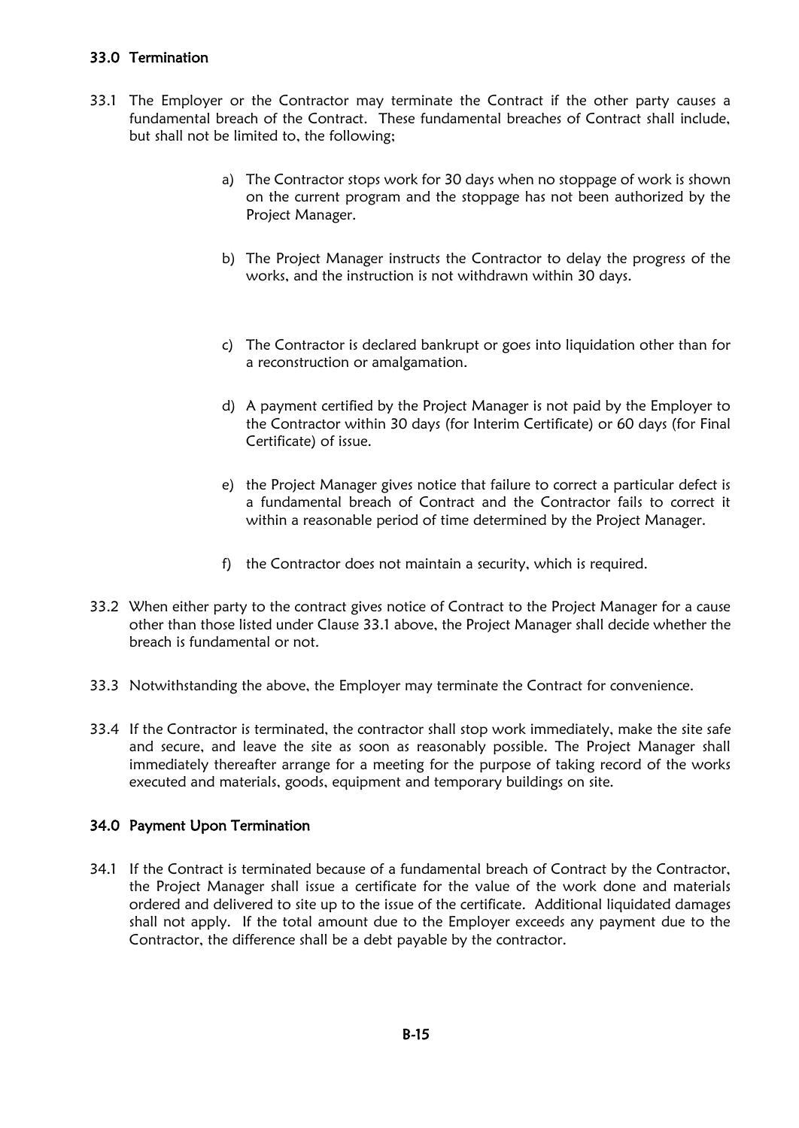## 33.0 Termination

- 33.1 The Employer or the Contractor may terminate the Contract if the other party causes a fundamental breach of the Contract. These fundamental breaches of Contract shall include, but shall not be limited to, the following;
	- a) The Contractor stops work for 30 days when no stoppage of work is shown on the current program and the stoppage has not been authorized by the Project Manager.
	- b) The Project Manager instructs the Contractor to delay the progress of the works, and the instruction is not withdrawn within 30 days.
	- c) The Contractor is declared bankrupt or goes into liquidation other than for a reconstruction or amalgamation.
	- d) A payment certified by the Project Manager is not paid by the Employer to the Contractor within 30 days (for Interim Certificate) or 60 days (for Final Certificate) of issue.
	- e) the Project Manager gives notice that failure to correct a particular defect is a fundamental breach of Contract and the Contractor fails to correct it within a reasonable period of time determined by the Project Manager.
	- f) the Contractor does not maintain a security, which is required.
- 33.2 When either party to the contract gives notice of Contract to the Project Manager for a cause other than those listed under Clause 33.1 above, the Project Manager shall decide whether the breach is fundamental or not.
- 33.3 Notwithstanding the above, the Employer may terminate the Contract for convenience.
- 33.4 If the Contractor is terminated, the contractor shall stop work immediately, make the site safe and secure, and leave the site as soon as reasonably possible. The Project Manager shall immediately thereafter arrange for a meeting for the purpose of taking record of the works executed and materials, goods, equipment and temporary buildings on site.

## 34.0 Payment Upon Termination

34.1 If the Contract is terminated because of a fundamental breach of Contract by the Contractor, the Project Manager shall issue a certificate for the value of the work done and materials ordered and delivered to site up to the issue of the certificate. Additional liquidated damages shall not apply. If the total amount due to the Employer exceeds any payment due to the Contractor, the difference shall be a debt payable by the contractor.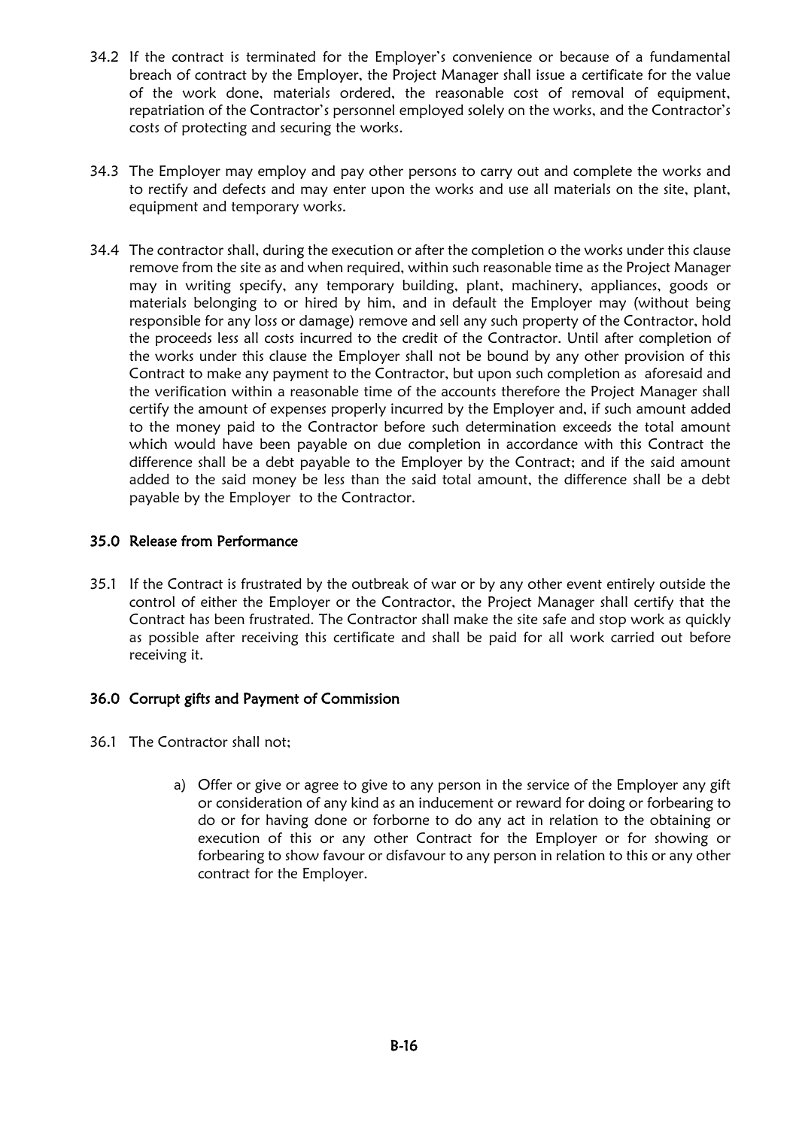- 34.2 If the contract is terminated for the Employer's convenience or because of a fundamental breach of contract by the Employer, the Project Manager shall issue a certificate for the value of the work done, materials ordered, the reasonable cost of removal of equipment, repatriation of the Contractor's personnel employed solely on the works, and the Contractor's costs of protecting and securing the works.
- 34.3 The Employer may employ and pay other persons to carry out and complete the works and to rectify and defects and may enter upon the works and use all materials on the site, plant, equipment and temporary works.
- 34.4 The contractor shall, during the execution or after the completion o the works under this clause remove from the site as and when required, within such reasonable time as the Project Manager may in writing specify, any temporary building, plant, machinery, appliances, goods or materials belonging to or hired by him, and in default the Employer may (without being responsible for any loss or damage) remove and sell any such property of the Contractor, hold the proceeds less all costs incurred to the credit of the Contractor. Until after completion of the works under this clause the Employer shall not be bound by any other provision of this Contract to make any payment to the Contractor, but upon such completion as aforesaid and the verification within a reasonable time of the accounts therefore the Project Manager shall certify the amount of expenses properly incurred by the Employer and, if such amount added to the money paid to the Contractor before such determination exceeds the total amount which would have been payable on due completion in accordance with this Contract the difference shall be a debt payable to the Employer by the Contract; and if the said amount added to the said money be less than the said total amount, the difference shall be a debt payable by the Employer to the Contractor.

## 35.0 Release from Performance

35.1 If the Contract is frustrated by the outbreak of war or by any other event entirely outside the control of either the Employer or the Contractor, the Project Manager shall certify that the Contract has been frustrated. The Contractor shall make the site safe and stop work as quickly as possible after receiving this certificate and shall be paid for all work carried out before receiving it.

## 36.0 Corrupt gifts and Payment of Commission

- 36.1 The Contractor shall not;
	- a) Offer or give or agree to give to any person in the service of the Employer any gift or consideration of any kind as an inducement or reward for doing or forbearing to do or for having done or forborne to do any act in relation to the obtaining or execution of this or any other Contract for the Employer or for showing or forbearing to show favour or disfavour to any person in relation to this or any other contract for the Employer.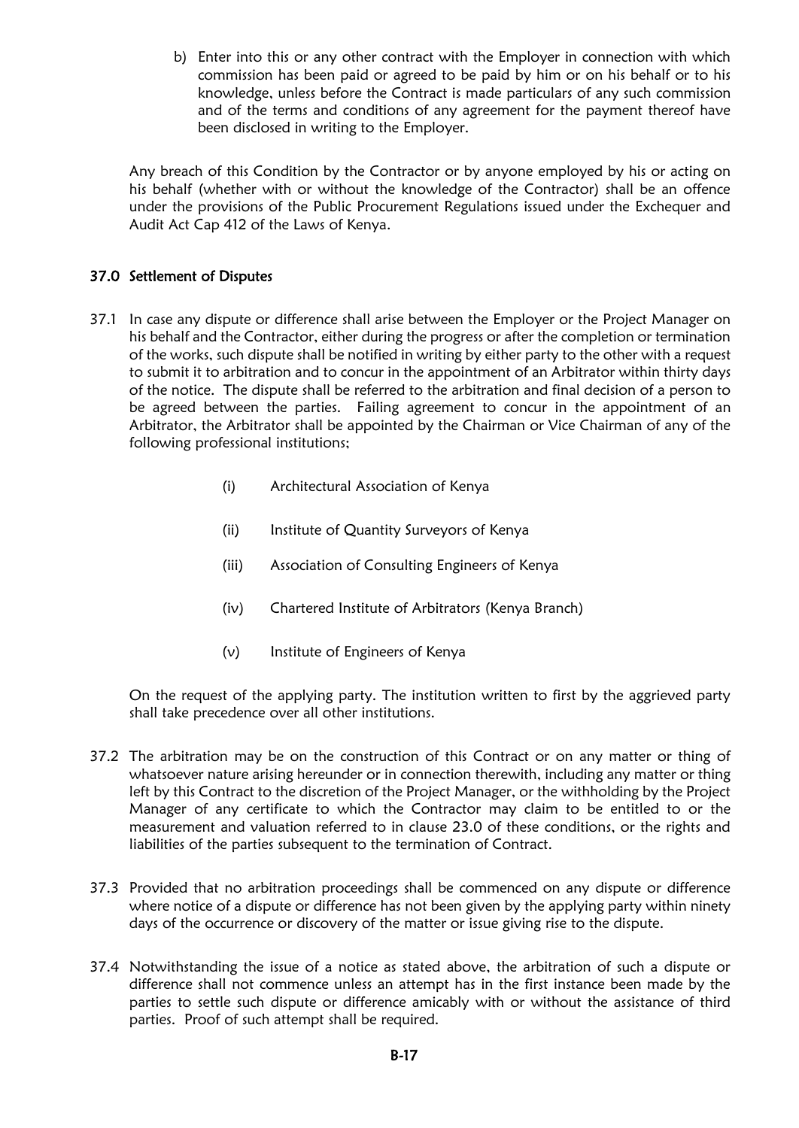b) Enter into this or any other contract with the Employer in connection with which commission has been paid or agreed to be paid by him or on his behalf or to his knowledge, unless before the Contract is made particulars of any such commission and of the terms and conditions of any agreement for the payment thereof have been disclosed in writing to the Employer.

Any breach of this Condition by the Contractor or by anyone employed by his or acting on his behalf (whether with or without the knowledge of the Contractor) shall be an offence under the provisions of the Public Procurement Regulations issued under the Exchequer and Audit Act Cap 412 of the Laws of Kenya.

## 37.0 Settlement of Disputes

- 37.1 In case any dispute or difference shall arise between the Employer or the Project Manager on his behalf and the Contractor, either during the progress or after the completion or termination of the works, such dispute shall be notified in writing by either party to the other with a request to submit it to arbitration and to concur in the appointment of an Arbitrator within thirty days of the notice. The dispute shall be referred to the arbitration and final decision of a person to be agreed between the parties. Failing agreement to concur in the appointment of an Arbitrator, the Arbitrator shall be appointed by the Chairman or Vice Chairman of any of the following professional institutions;
	- (i) Architectural Association of Kenya
	- (ii) Institute of Quantity Surveyors of Kenya
	- (iii) Association of Consulting Engineers of Kenya
	- (iv) Chartered Institute of Arbitrators (Kenya Branch)
	- (v) Institute of Engineers of Kenya

On the request of the applying party. The institution written to first by the aggrieved party shall take precedence over all other institutions.

- 37.2 The arbitration may be on the construction of this Contract or on any matter or thing of whatsoever nature arising hereunder or in connection therewith, including any matter or thing left by this Contract to the discretion of the Project Manager, or the withholding by the Project Manager of any certificate to which the Contractor may claim to be entitled to or the measurement and valuation referred to in clause 23.0 of these conditions, or the rights and liabilities of the parties subsequent to the termination of Contract.
- 37.3 Provided that no arbitration proceedings shall be commenced on any dispute or difference where notice of a dispute or difference has not been given by the applying party within ninety days of the occurrence or discovery of the matter or issue giving rise to the dispute.
- 37.4 Notwithstanding the issue of a notice as stated above, the arbitration of such a dispute or difference shall not commence unless an attempt has in the first instance been made by the parties to settle such dispute or difference amicably with or without the assistance of third parties. Proof of such attempt shall be required.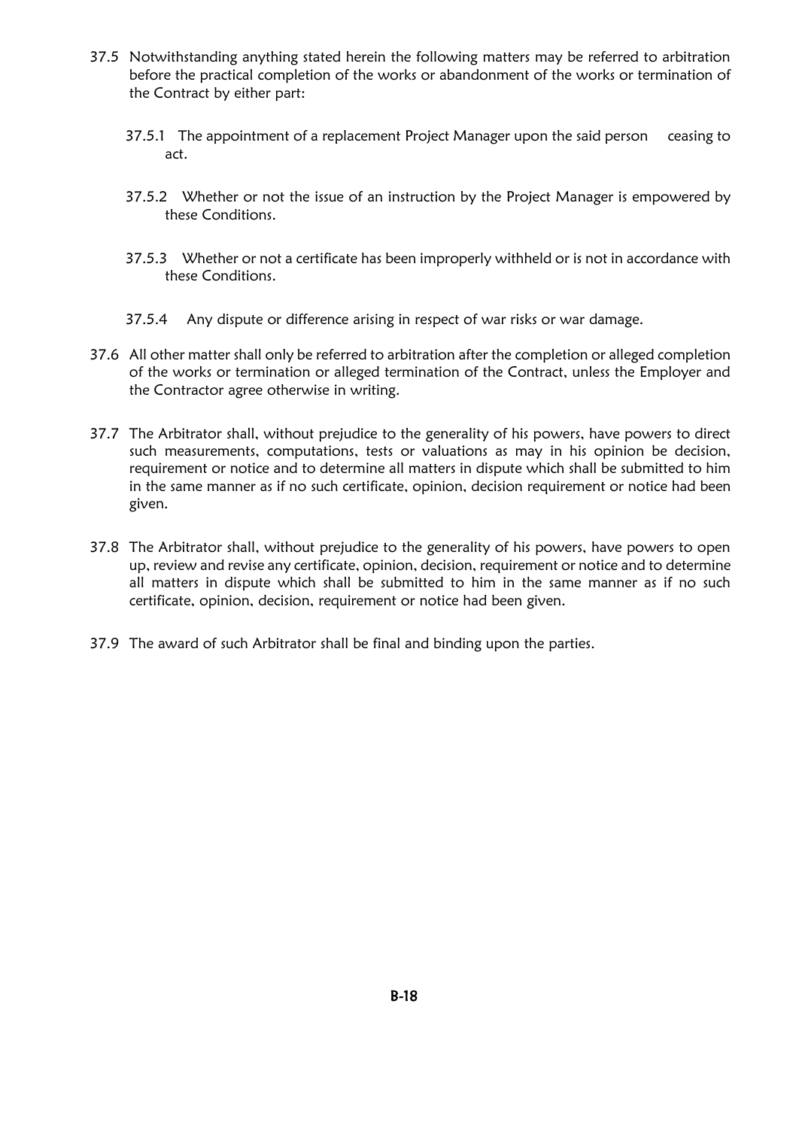- 37.5 Notwithstanding anything stated herein the following matters may be referred to arbitration before the practical completion of the works or abandonment of the works or termination of the Contract by either part:
	- 37.5.1 The appointment of a replacement Project Manager upon the said person ceasing to act.
	- 37.5.2 Whether or not the issue of an instruction by the Project Manager is empowered by these Conditions.
	- 37.5.3 Whether or not a certificate has been improperly withheld or is not in accordance with these Conditions.
	- 37.5.4 Any dispute or difference arising in respect of war risks or war damage.
- 37.6 All other matter shall only be referred to arbitration after the completion or alleged completion of the works or termination or alleged termination of the Contract, unless the Employer and the Contractor agree otherwise in writing.
- 37.7 The Arbitrator shall, without prejudice to the generality of his powers, have powers to direct such measurements, computations, tests or valuations as may in his opinion be decision, requirement or notice and to determine all matters in dispute which shall be submitted to him in the same manner as if no such certificate, opinion, decision requirement or notice had been given.
- 37.8 The Arbitrator shall, without prejudice to the generality of his powers, have powers to open up, review and revise any certificate, opinion, decision, requirement or notice and to determine all matters in dispute which shall be submitted to him in the same manner as if no such certificate, opinion, decision, requirement or notice had been given.
- 37.9 The award of such Arbitrator shall be final and binding upon the parties.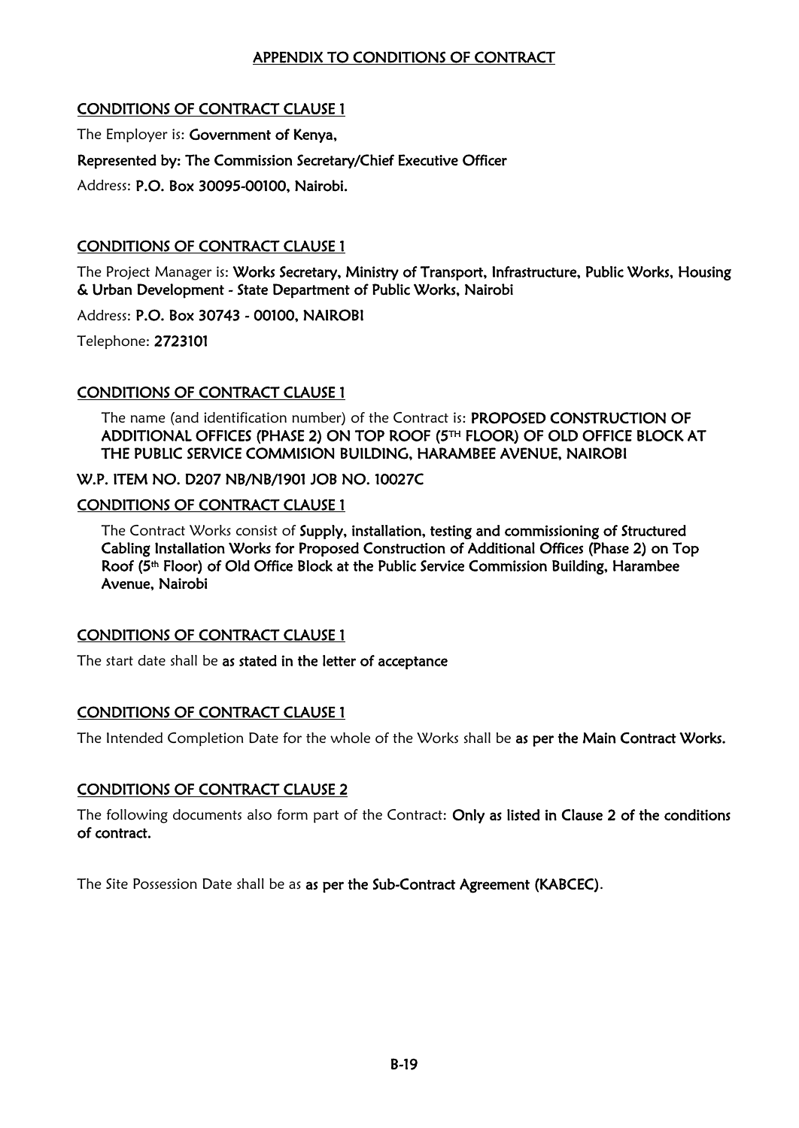## APPENDIX TO CONDITIONS OF CONTRACT

## CONDITIONS OF CONTRACT CLAUSE 1

The Employer is: Government of Kenya,

Represented by: The Commission Secretary/Chief Executive Officer

Address: P.O. Box 30095-00100, Nairobi.

## CONDITIONS OF CONTRACT CLAUSE 1

The Project Manager is: Works Secretary, Ministry of Transport, Infrastructure, Public Works, Housing & Urban Development - State Department of Public Works, Nairobi

Address: P.O. Box 30743 - 00100, NAIROBI

Telephone: 2723101

## CONDITIONS OF CONTRACT CLAUSE 1

The name (and identification number) of the Contract is: PROPOSED CONSTRUCTION OF ADDITIONAL OFFICES (PHASE 2) ON TOP ROOF (5TH FLOOR) OF OLD OFFICE BLOCK AT THE PUBLIC SERVICE COMMISION BUILDING, HARAMBEE AVENUE, NAIROBI

W.P. ITEM NO. D207 NB/NB/1901 JOB NO. 10027C

## CONDITIONS OF CONTRACT CLAUSE 1

The Contract Works consist of Supply, installation, testing and commissioning of Structured Cabling Installation Works for Proposed Construction of Additional Offices (Phase 2) on Top Roof (5<sup>th</sup> Floor) of Old Office Block at the Public Service Commission Building, Harambee Avenue, Nairobi

## CONDITIONS OF CONTRACT CLAUSE 1

The start date shall be as stated in the letter of acceptance

## CONDITIONS OF CONTRACT CLAUSE 1

The Intended Completion Date for the whole of the Works shall be as per the Main Contract Works.

## CONDITIONS OF CONTRACT CLAUSE 2

The following documents also form part of the Contract: Only as listed in Clause 2 of the conditions of contract.

The Site Possession Date shall be as as per the Sub-Contract Agreement (KABCEC).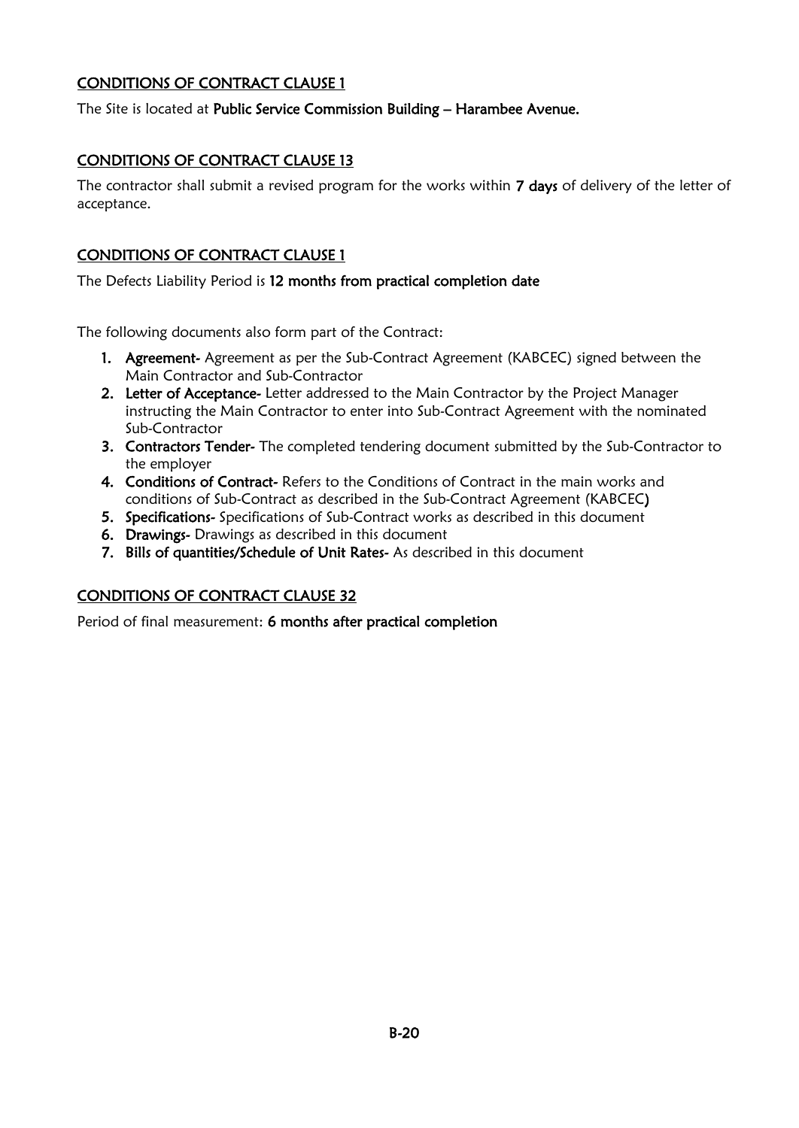## CONDITIONS OF CONTRACT CLAUSE 1

The Site is located at Public Service Commission Building - Harambee Avenue.

## CONDITIONS OF CONTRACT CLAUSE 13

The contractor shall submit a revised program for the works within 7 days of delivery of the letter of acceptance.

## CONDITIONS OF CONTRACT CLAUSE 1

The Defects Liability Period is 12 months from practical completion date

The following documents also form part of the Contract:

- 1. Agreement- Agreement as per the Sub-Contract Agreement (KABCEC) signed between the Main Contractor and Sub-Contractor
- 2. Letter of Acceptance- Letter addressed to the Main Contractor by the Project Manager instructing the Main Contractor to enter into Sub-Contract Agreement with the nominated Sub-Contractor
- 3. Contractors Tender- The completed tendering document submitted by the Sub-Contractor to the employer
- 4. Conditions of Contract- Refers to the Conditions of Contract in the main works and conditions of Sub-Contract as described in the Sub-Contract Agreement (KABCEC)
- 5. Specifications- Specifications of Sub-Contract works as described in this document
- 6. Drawings- Drawings as described in this document
- 7. Bills of quantities/Schedule of Unit Rates- As described in this document

## CONDITIONS OF CONTRACT CLAUSE 32

Period of final measurement: 6 months after practical completion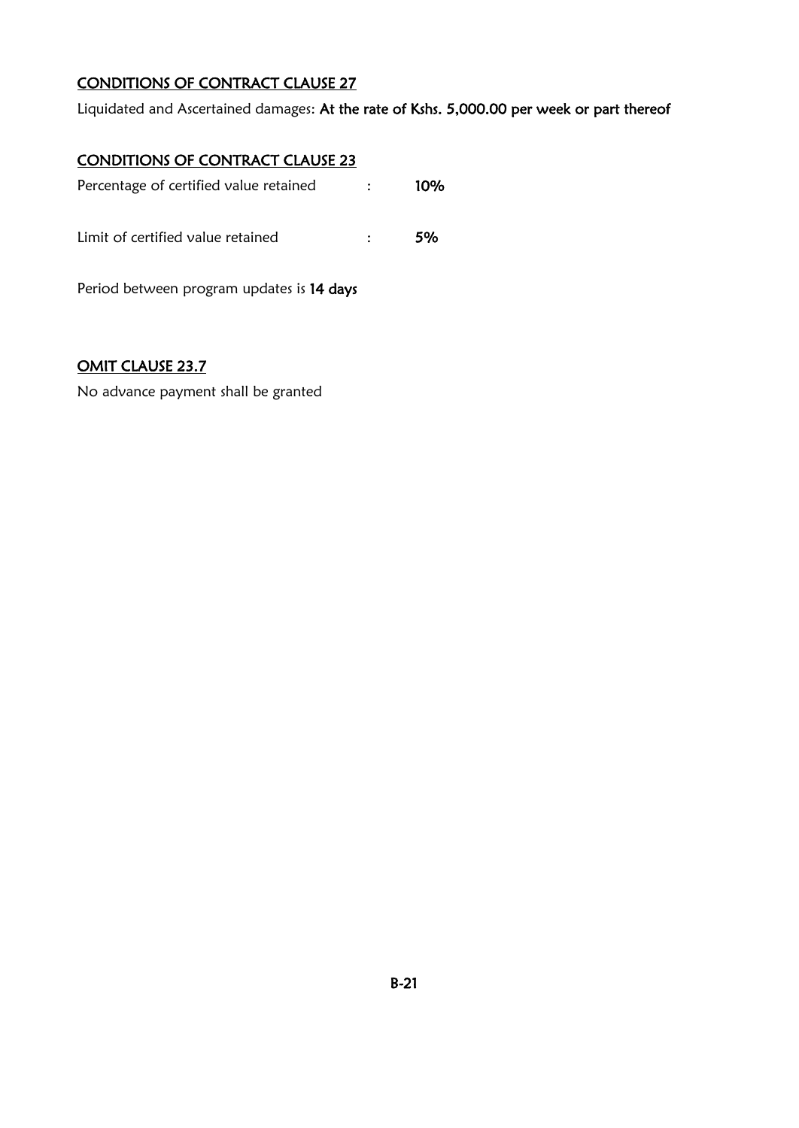## CONDITIONS OF CONTRACT CLAUSE 27

Liquidated and Ascertained damages: At the rate of Kshs. 5,000.00 per week or part thereof

## CONDITIONS OF CONTRACT CLAUSE 23

| Percentage of certified value retained    | $\sim 100$ | 10% |
|-------------------------------------------|------------|-----|
| Limit of certified value retained         |            | 5%  |
| Period between program updates is 14 days |            |     |

## OMIT CLAUSE 23.7

No advance payment shall be granted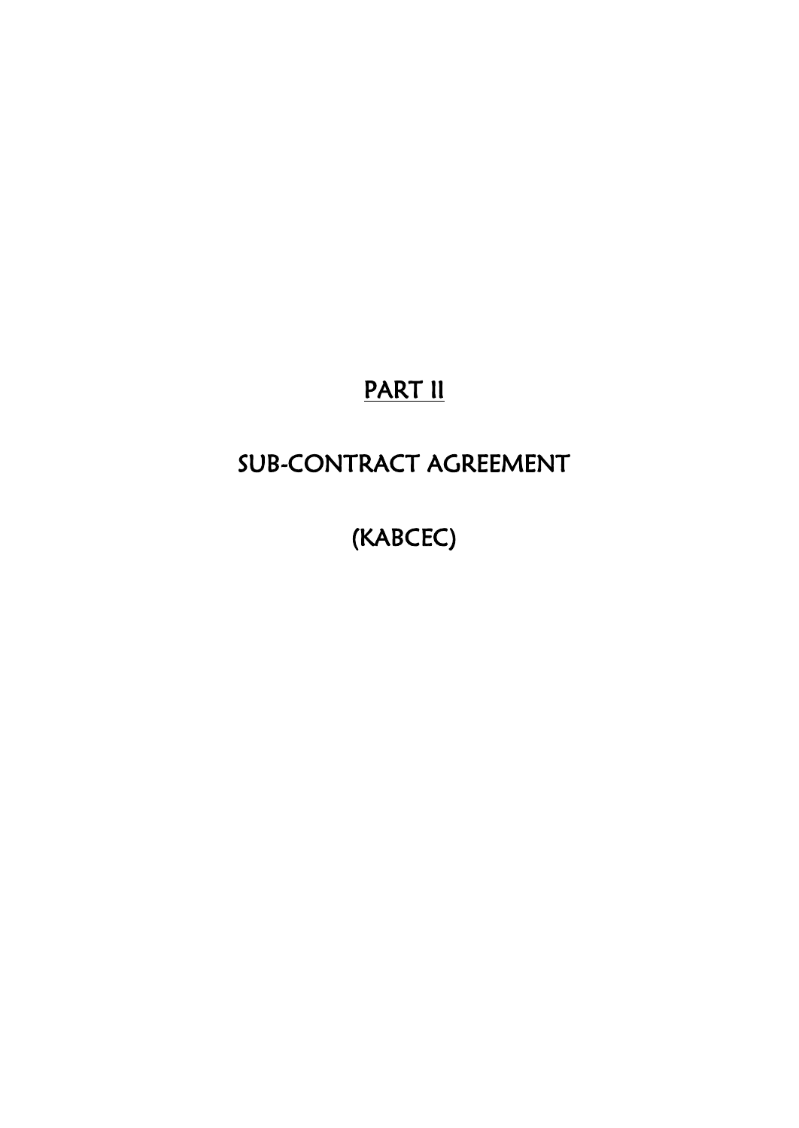# PART II

# SUB-CONTRACT AGREEMENT

(KABCEC)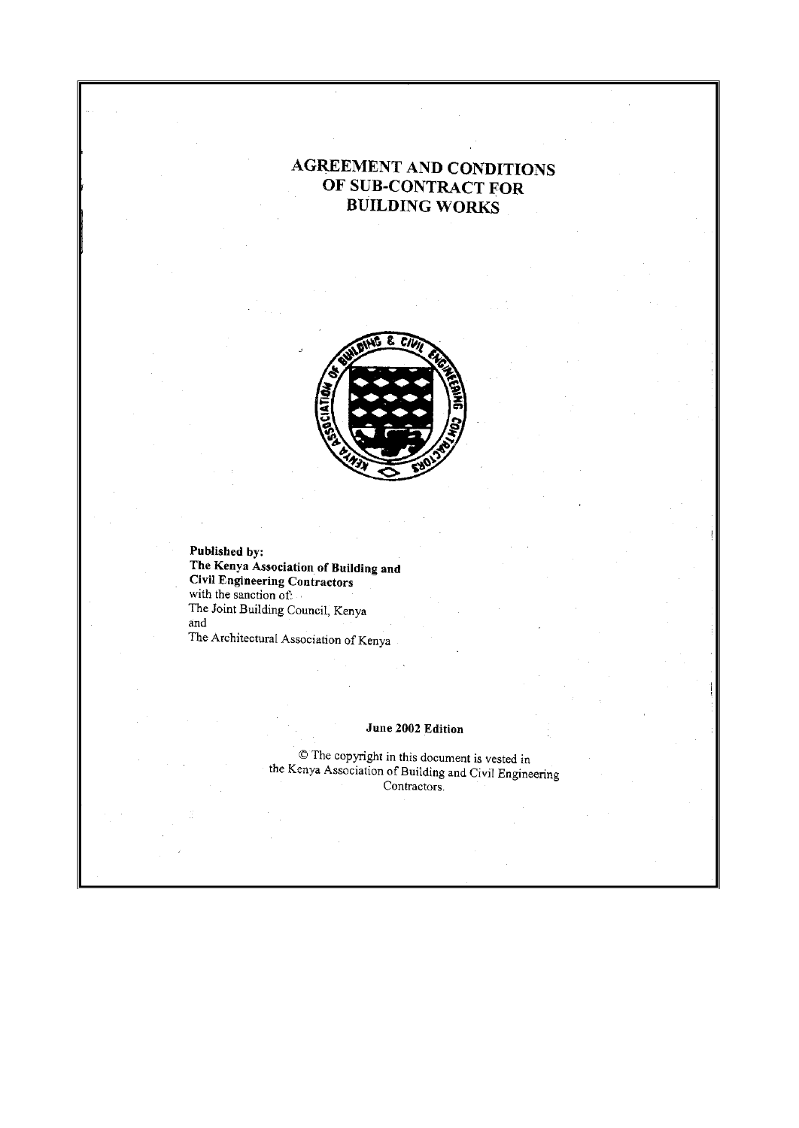## **AGREEMENT AND CONDITIONS** OF SUB-CONTRACT FOR **BUILDING WORKS**



Published by: The Kenya Association of Building and Civil Engineering Contractors with the sanction of: The Joint Building Council, Kenya and The Architectural Association of Kenya

#### June 2002 Edition

© The copyright in this document is vested in the Kenya Association of Building and Civil Engineering Contractors.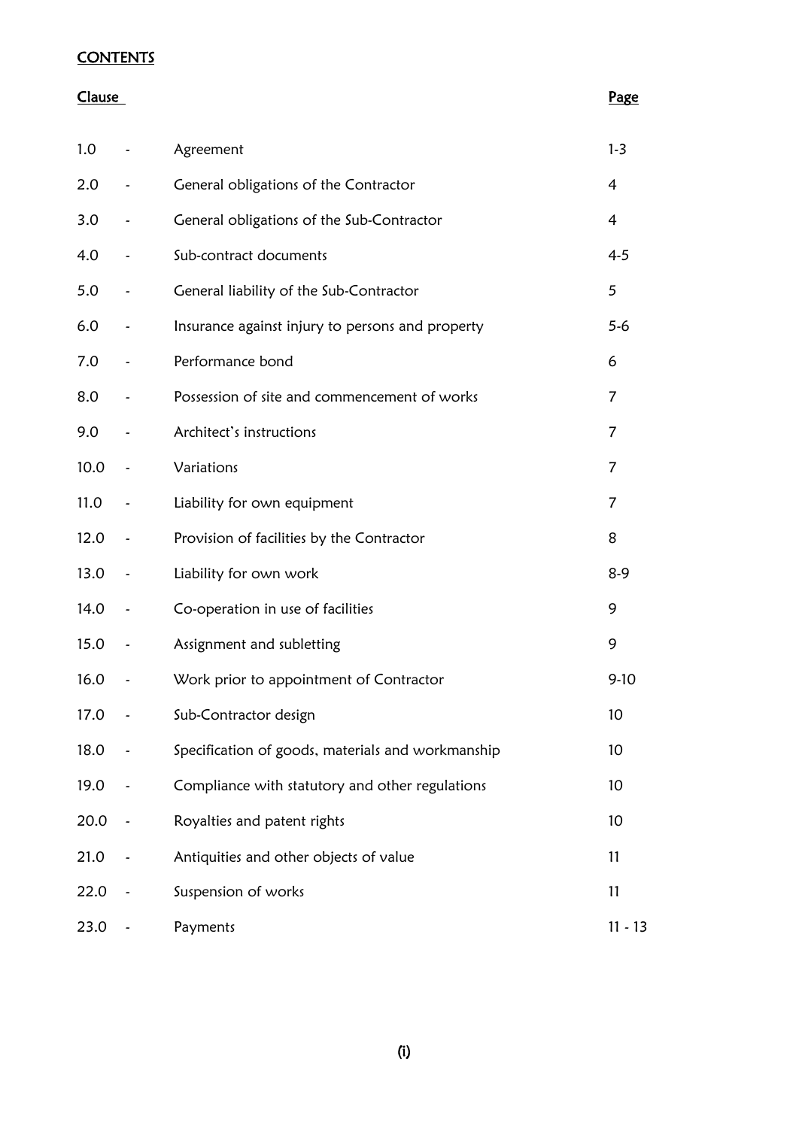## **CONTENTS**

#### Clause Page **Clause** Page **Page 2014**

| 1.0  |                          | Agreement                                         | $1 - 3$        |
|------|--------------------------|---------------------------------------------------|----------------|
| 2.0  |                          | General obligations of the Contractor             | 4              |
| 3.0  | $\overline{\phantom{a}}$ | General obligations of the Sub-Contractor         | 4              |
| 4.0  |                          | Sub-contract documents                            | $4 - 5$        |
| 5.0  | $\overline{\phantom{a}}$ | General liability of the Sub-Contractor           | 5              |
| 6.0  | $\overline{\phantom{0}}$ | Insurance against injury to persons and property  | $5-6$          |
| 7.0  |                          | Performance bond                                  | 6              |
| 8.0  | $\overline{\phantom{0}}$ | Possession of site and commencement of works      | 7              |
| 9.0  |                          | Architect's instructions                          | $\overline{7}$ |
| 10.0 | $\overline{\phantom{a}}$ | Variations                                        | 7              |
| 11.0 | $\tilde{\phantom{a}}$    | Liability for own equipment                       | $\overline{7}$ |
| 12.0 |                          | Provision of facilities by the Contractor         | 8              |
| 13.0 | $\tilde{\phantom{a}}$    | Liability for own work                            | $8-9$          |
| 14.0 | $\tilde{\phantom{a}}$    | Co-operation in use of facilities                 | 9              |
| 15.0 | $\tilde{\phantom{a}}$    | Assignment and subletting                         | 9              |
| 16.0 | $\tilde{\phantom{a}}$    | Work prior to appointment of Contractor           | $9-10$         |
| 17.0 |                          | Sub-Contractor design                             | 10             |
| 18.0 |                          | Specification of goods, materials and workmanship | 10             |
| 19.0 |                          | Compliance with statutory and other regulations   | 10             |
| 20.0 |                          | Royalties and patent rights                       | 10             |
| 21.0 |                          | Antiquities and other objects of value            | 11             |
| 22.0 |                          | Suspension of works                               | 11             |
| 23.0 |                          | Payments                                          | $11 - 13$      |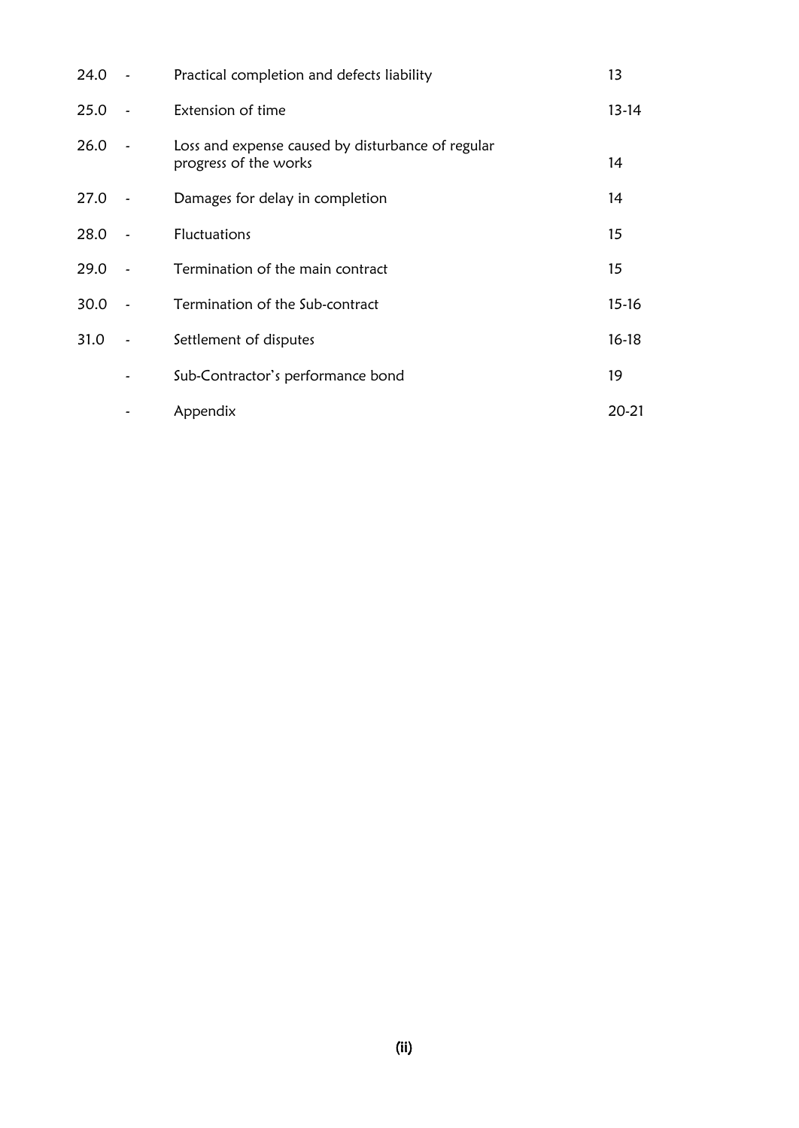| $24.0 -$ |                          | Practical completion and defects liability                                 | 13      |
|----------|--------------------------|----------------------------------------------------------------------------|---------|
| 25.0     | $\overline{\phantom{a}}$ | Extension of time                                                          | $13-14$ |
| 26.0     |                          | Loss and expense caused by disturbance of regular<br>progress of the works | 14      |
| 27.0     |                          | Damages for delay in completion                                            | 14      |
| 28.0     |                          | Fluctuations                                                               | 15      |
| 29.0     |                          | Termination of the main contract                                           | 15      |
| 30.0     |                          | Termination of the Sub-contract                                            | $15-16$ |
| 31.0     |                          | Settlement of disputes                                                     | $16-18$ |
|          |                          | Sub-Contractor's performance bond                                          | 19      |
|          |                          | Appendix                                                                   | 20-21   |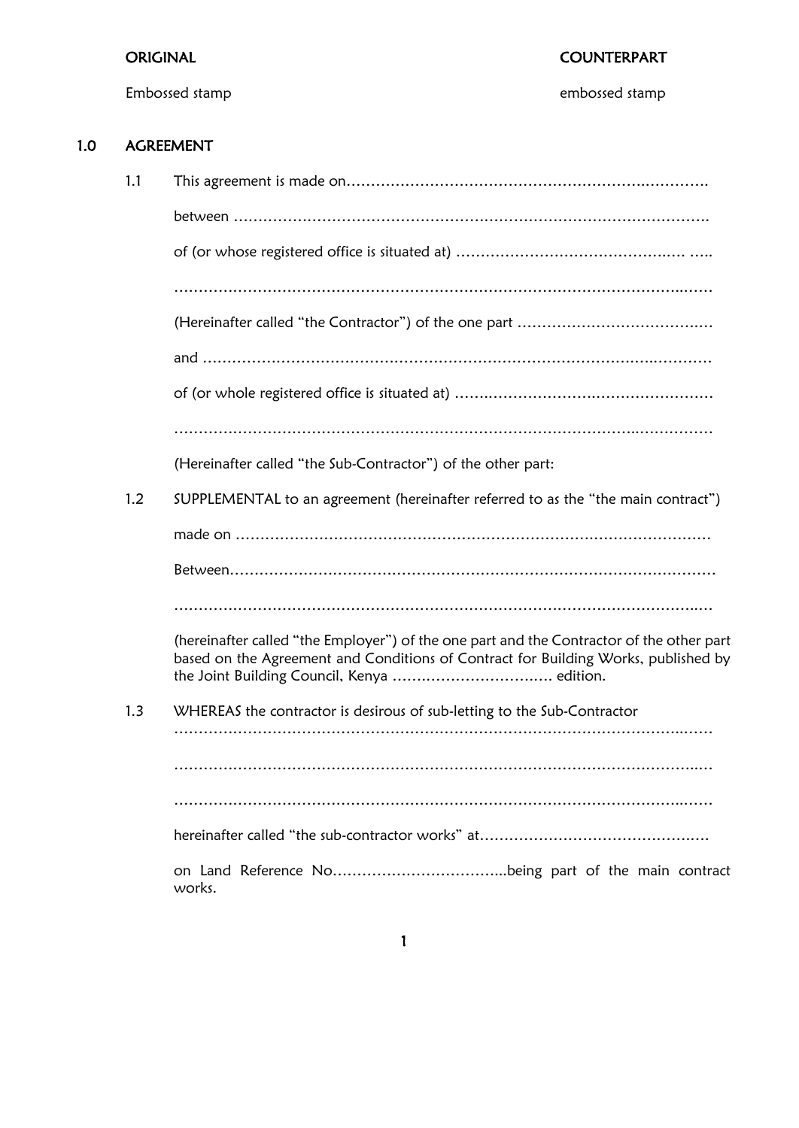## ORIGINAL COUNTERPART

Embossed stamp embossed stamp

## 1.0 AGREEMENT

| 1.1 |                                                                                                                                                                                |
|-----|--------------------------------------------------------------------------------------------------------------------------------------------------------------------------------|
|     |                                                                                                                                                                                |
|     |                                                                                                                                                                                |
|     |                                                                                                                                                                                |
|     |                                                                                                                                                                                |
|     |                                                                                                                                                                                |
|     |                                                                                                                                                                                |
|     |                                                                                                                                                                                |
|     | (Hereinafter called "the Sub-Contractor") of the other part:                                                                                                                   |
| 1.2 | SUPPLEMENTAL to an agreement (hereinafter referred to as the "the main contract")                                                                                              |
|     |                                                                                                                                                                                |
|     |                                                                                                                                                                                |
|     |                                                                                                                                                                                |
|     | (hereinafter called "the Employer") of the one part and the Contractor of the other part<br>based on the Agreement and Conditions of Contract for Building Works, published by |
| 1.3 | WHEREAS the contractor is desirous of sub-letting to the Sub-Contractor                                                                                                        |
|     |                                                                                                                                                                                |
|     |                                                                                                                                                                                |
|     |                                                                                                                                                                                |
|     | works.                                                                                                                                                                         |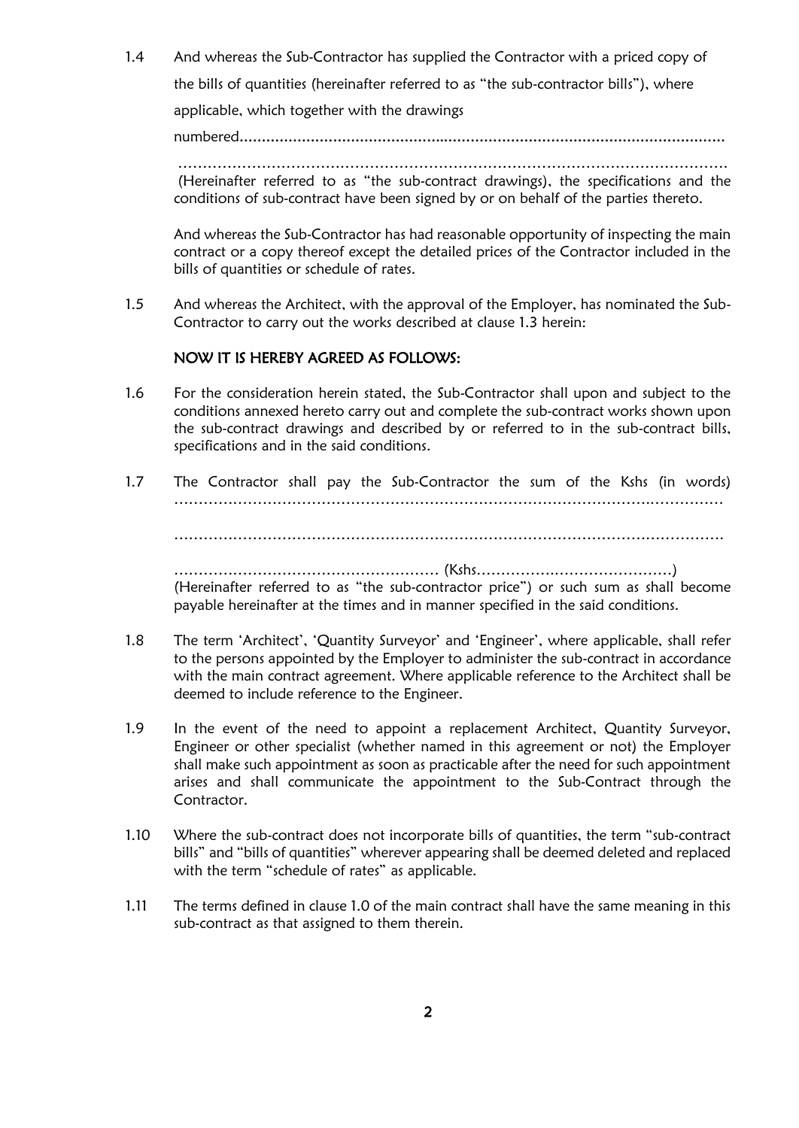1.4 And whereas the Sub-Contractor has supplied the Contractor with a priced copy of the bills of quantities (hereinafter referred to as "the sub-contractor bills"), where

applicable, which together with the drawings

numbered**……………………………………….………………………………………………………**

…………………………………………………………………………………………………. (Hereinafter referred to as "the sub-contract drawings), the specifications and the conditions of sub-contract have been signed by or on behalf of the parties thereto.

And whereas the Sub-Contractor has had reasonable opportunity of inspecting the main contract or a copy thereof except the detailed prices of the Contractor included in the bills of quantities or schedule of rates.

1.5 And whereas the Architect, with the approval of the Employer, has nominated the Sub-Contractor to carry out the works described at clause 1.3 herein:

## NOW IT IS HEREBY AGREED AS FOLLOWS:

- 1.6 For the consideration herein stated, the Sub-Contractor shall upon and subject to the conditions annexed hereto carry out and complete the sub-contract works shown upon the sub-contract drawings and described by or referred to in the sub-contract bills, specifications and in the said conditions.
- 1.7 The Contractor shall pay the Sub-Contractor the sum of the Kshs (in words) …………………………………………………………………………………….…………… …………………………………………………………………………………………………. ……………………………………………… (Kshs…………….……………………) (Hereinafter referred to as "the sub-contractor price") or such sum as shall become payable hereinafter at the times and in manner specified in the said conditions.
- 1.8 The term 'Architect', 'Quantity Surveyor' and 'Engineer', where applicable, shall refer to the persons appointed by the Employer to administer the sub-contract in accordance with the main contract agreement. Where applicable reference to the Architect shall be deemed to include reference to the Engineer.
- 1.9 In the event of the need to appoint a replacement Architect, Quantity Surveyor, Engineer or other specialist (whether named in this agreement or not) the Employer shall make such appointment as soon as practicable after the need for such appointment arises and shall communicate the appointment to the Sub-Contract through the Contractor.
- 1.10 Where the sub-contract does not incorporate bills of quantities, the term "sub-contract bills" and "bills of quantities" wherever appearing shall be deemed deleted and replaced with the term "schedule of rates" as applicable.
- 1.11 The terms defined in clause 1.0 of the main contract shall have the same meaning in this sub-contract as that assigned to them therein.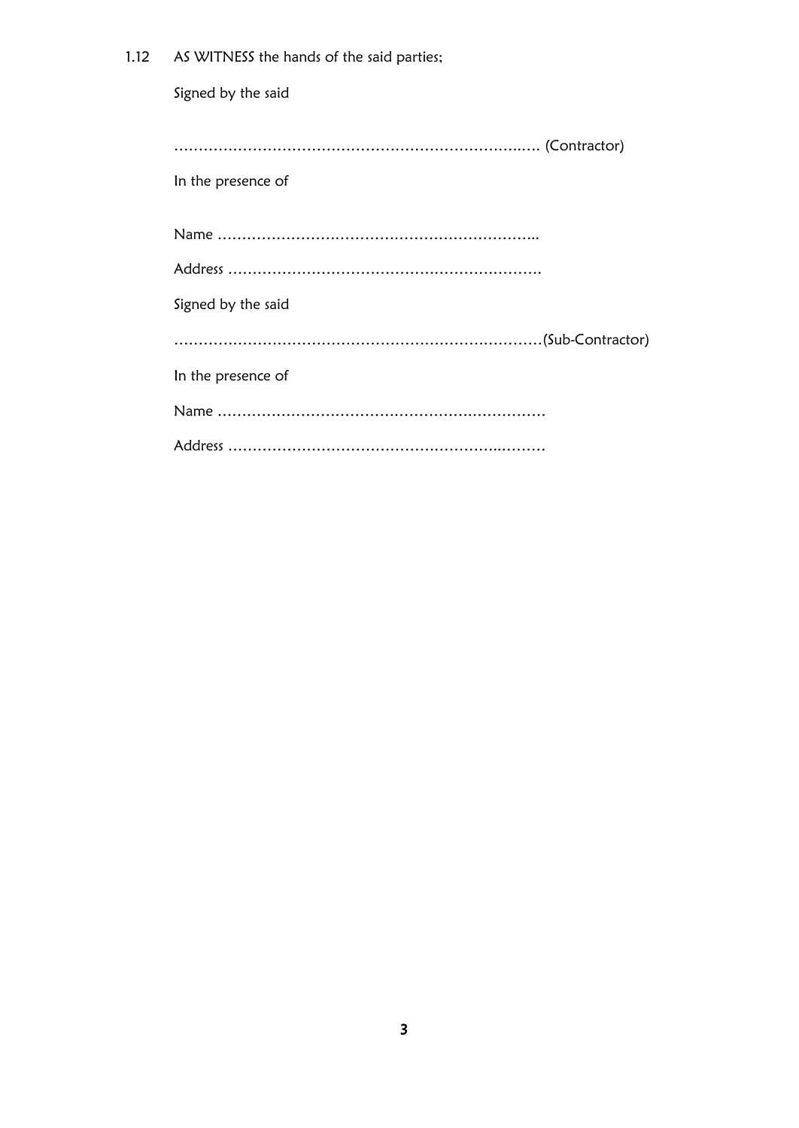| 1.12 | AS WITNESS the hands of the said parties; |
|------|-------------------------------------------|
|      | Signed by the said                        |
|      | In the presence of                        |
|      |                                           |
|      |                                           |
|      | Signed by the said                        |
|      |                                           |
|      | In the presence of                        |
|      |                                           |
|      |                                           |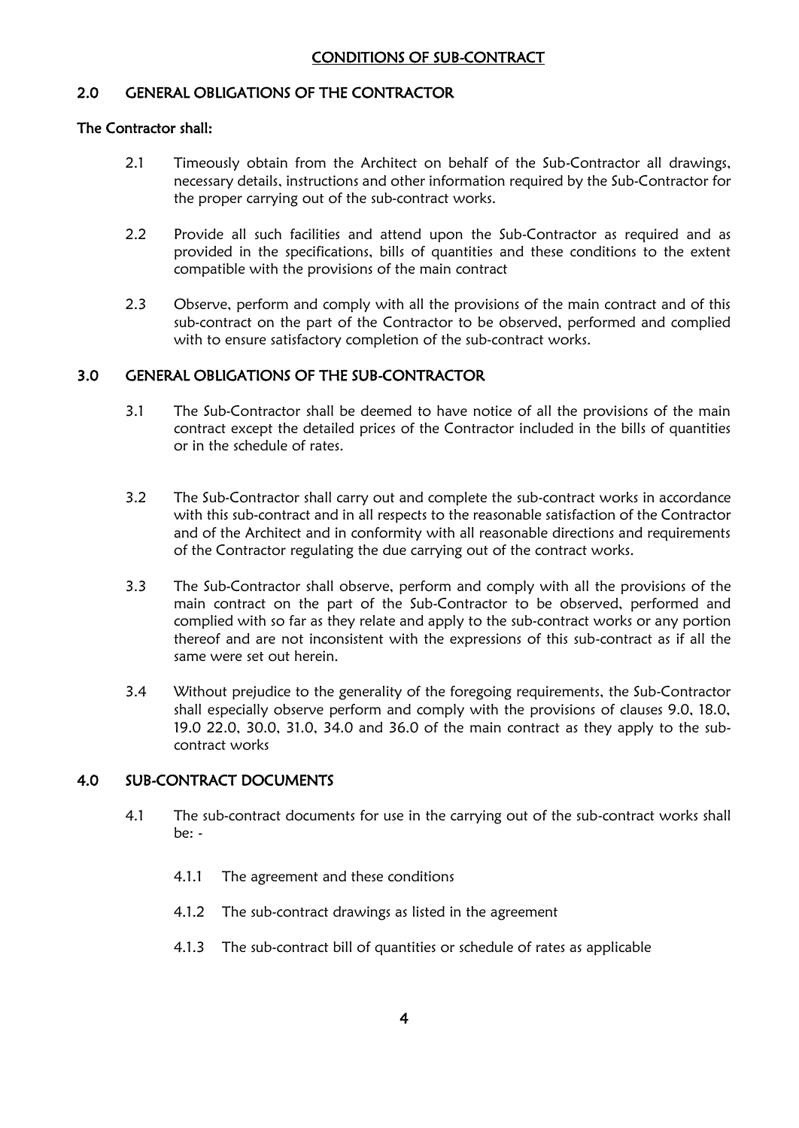## 2.0 GENERAL OBLIGATIONS OF THE CONTRACTOR

## The Contractor shall:

- 2.1 Timeously obtain from the Architect on behalf of the Sub-Contractor all drawings, necessary details, instructions and other information required by the Sub-Contractor for the proper carrying out of the sub-contract works.
- 2.2 Provide all such facilities and attend upon the Sub-Contractor as required and as provided in the specifications, bills of quantities and these conditions to the extent compatible with the provisions of the main contract
- 2.3 Observe, perform and comply with all the provisions of the main contract and of this sub-contract on the part of the Contractor to be observed, performed and complied with to ensure satisfactory completion of the sub-contract works.

## 3.0 GENERAL OBLIGATIONS OF THE SUB-CONTRACTOR

- 3.1 The Sub-Contractor shall be deemed to have notice of all the provisions of the main contract except the detailed prices of the Contractor included in the bills of quantities or in the schedule of rates.
- 3.2 The Sub-Contractor shall carry out and complete the sub-contract works in accordance with this sub-contract and in all respects to the reasonable satisfaction of the Contractor and of the Architect and in conformity with all reasonable directions and requirements of the Contractor regulating the due carrying out of the contract works.
- 3.3 The Sub-Contractor shall observe, perform and comply with all the provisions of the main contract on the part of the Sub-Contractor to be observed, performed and complied with so far as they relate and apply to the sub-contract works or any portion thereof and are not inconsistent with the expressions of this sub-contract as if all the same were set out herein.
- 3.4 Without prejudice to the generality of the foregoing requirements, the Sub-Contractor shall especially observe perform and comply with the provisions of clauses 9.0, 18.0, 19.0 22.0, 30.0, 31.0, 34.0 and 36.0 of the main contract as they apply to the subcontract works

## 4.0 SUB-CONTRACT DOCUMENTS

- 4.1 The sub-contract documents for use in the carrying out of the sub-contract works shall be: -
	- 4.1.1 The agreement and these conditions
	- 4.1.2 The sub-contract drawings as listed in the agreement
	- 4.1.3 The sub-contract bill of quantities or schedule of rates as applicable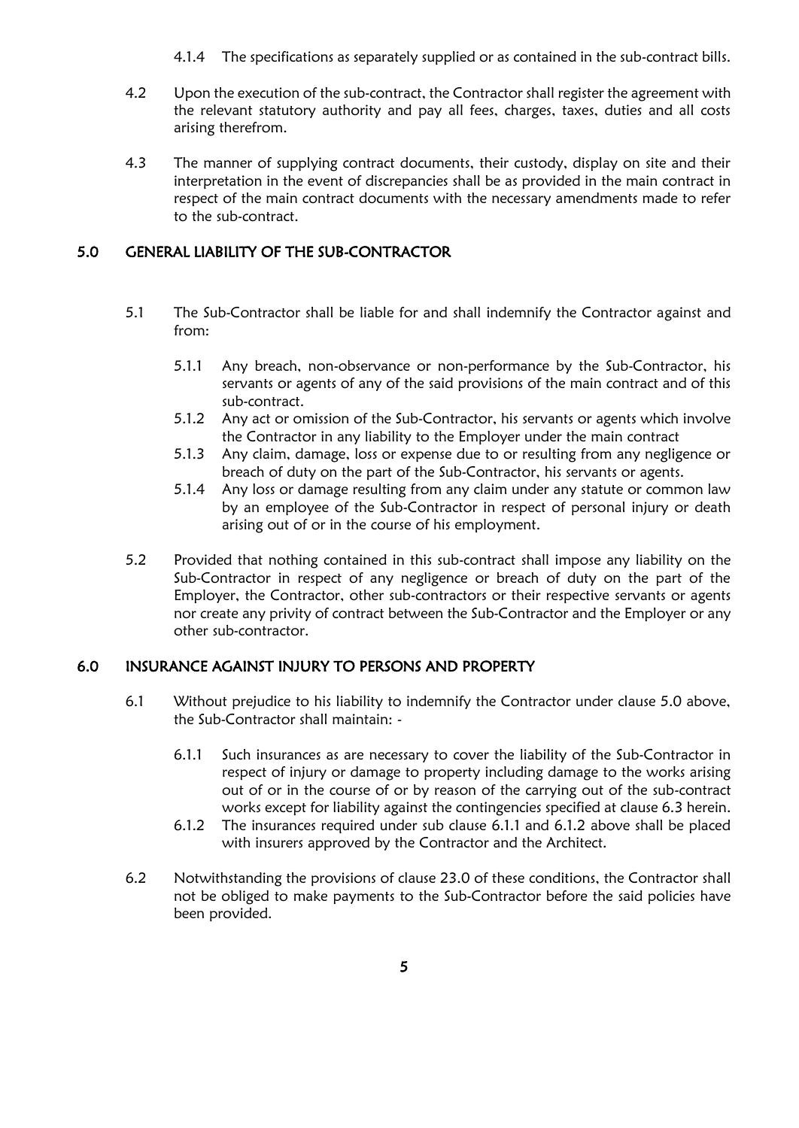4.1.4 The specifications as separately supplied or as contained in the sub-contract bills.

- 4.2 Upon the execution of the sub-contract, the Contractor shall register the agreement with the relevant statutory authority and pay all fees, charges, taxes, duties and all costs arising therefrom.
- 4.3 The manner of supplying contract documents, their custody, display on site and their interpretation in the event of discrepancies shall be as provided in the main contract in respect of the main contract documents with the necessary amendments made to refer to the sub-contract.

## 5.0 GENERAL LIABILITY OF THE SUB-CONTRACTOR

- 5.1 The Sub-Contractor shall be liable for and shall indemnify the Contractor against and from:
	- 5.1.1 Any breach, non-observance or non-performance by the Sub-Contractor, his servants or agents of any of the said provisions of the main contract and of this sub-contract.
	- 5.1.2 Any act or omission of the Sub-Contractor, his servants or agents which involve the Contractor in any liability to the Employer under the main contract
	- 5.1.3 Any claim, damage, loss or expense due to or resulting from any negligence or breach of duty on the part of the Sub-Contractor, his servants or agents.
	- 5.1.4 Any loss or damage resulting from any claim under any statute or common law by an employee of the Sub-Contractor in respect of personal injury or death arising out of or in the course of his employment.
- 5.2 Provided that nothing contained in this sub-contract shall impose any liability on the Sub-Contractor in respect of any negligence or breach of duty on the part of the Employer, the Contractor, other sub-contractors or their respective servants or agents nor create any privity of contract between the Sub-Contractor and the Employer or any other sub-contractor.

## 6.0 INSURANCE AGAINST INJURY TO PERSONS AND PROPERTY

- 6.1 Without prejudice to his liability to indemnify the Contractor under clause 5.0 above, the Sub-Contractor shall maintain: -
	- 6.1.1 Such insurances as are necessary to cover the liability of the Sub-Contractor in respect of injury or damage to property including damage to the works arising out of or in the course of or by reason of the carrying out of the sub-contract works except for liability against the contingencies specified at clause 6.3 herein.
	- 6.1.2 The insurances required under sub clause 6.1.1 and 6.1.2 above shall be placed with insurers approved by the Contractor and the Architect.
- 6.2 Notwithstanding the provisions of clause 23.0 of these conditions, the Contractor shall not be obliged to make payments to the Sub-Contractor before the said policies have been provided.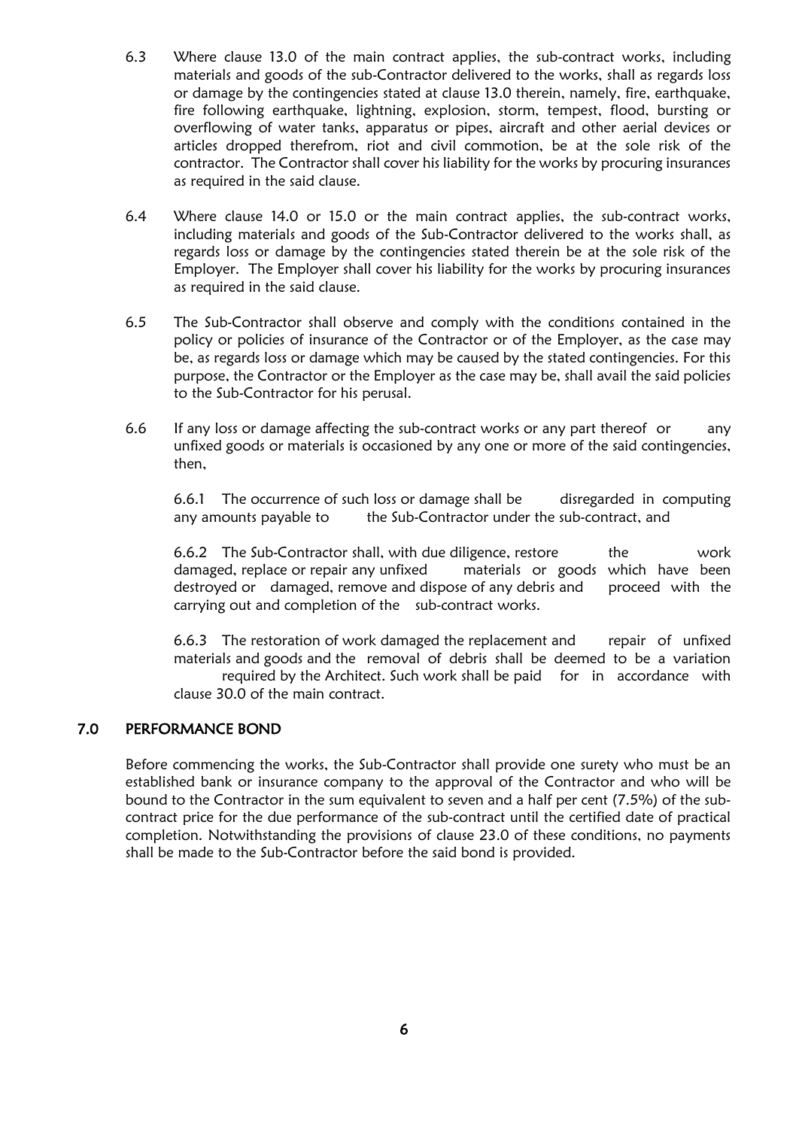- 6.3 Where clause 13.0 of the main contract applies, the sub-contract works, including materials and goods of the sub-Contractor delivered to the works, shall as regards loss or damage by the contingencies stated at clause 13.0 therein, namely, fire, earthquake, fire following earthquake, lightning, explosion, storm, tempest, flood, bursting or overflowing of water tanks, apparatus or pipes, aircraft and other aerial devices or articles dropped therefrom, riot and civil commotion, be at the sole risk of the contractor. The Contractor shall cover his liability for the works by procuring insurances as required in the said clause.
- 6.4 Where clause 14.0 or 15.0 or the main contract applies, the sub-contract works, including materials and goods of the Sub-Contractor delivered to the works shall, as regards loss or damage by the contingencies stated therein be at the sole risk of the Employer. The Employer shall cover his liability for the works by procuring insurances as required in the said clause.
- 6.5 The Sub-Contractor shall observe and comply with the conditions contained in the policy or policies of insurance of the Contractor or of the Employer, as the case may be, as regards loss or damage which may be caused by the stated contingencies. For this purpose, the Contractor or the Employer as the case may be, shall avail the said policies to the Sub-Contractor for his perusal.
- 6.6 If any loss or damage affecting the sub-contract works or any part thereof or any unfixed goods or materials is occasioned by any one or more of the said contingencies, then,

6.6.1 The occurrence of such loss or damage shall be disregarded in computing any amounts payable to the Sub-Contractor under the sub-contract, and

6.6.2 The Sub-Contractor shall, with due diligence, restore the work damaged, replace or repair any unfixed materials or goods which have been destroyed or damaged, remove and dispose of any debris and proceed with the carrying out and completion of the sub-contract works.

6.6.3 The restoration of work damaged the replacement and repair of unfixed materials and goods and the removal of debris shall be deemed to be a variation required by the Architect. Such work shall be paid for in accordance with clause 30.0 of the main contract.

## 7.0 PERFORMANCE BOND

Before commencing the works, the Sub-Contractor shall provide one surety who must be an established bank or insurance company to the approval of the Contractor and who will be bound to the Contractor in the sum equivalent to seven and a half per cent (7.5%) of the subcontract price for the due performance of the sub-contract until the certified date of practical completion. Notwithstanding the provisions of clause 23.0 of these conditions, no payments shall be made to the Sub-Contractor before the said bond is provided.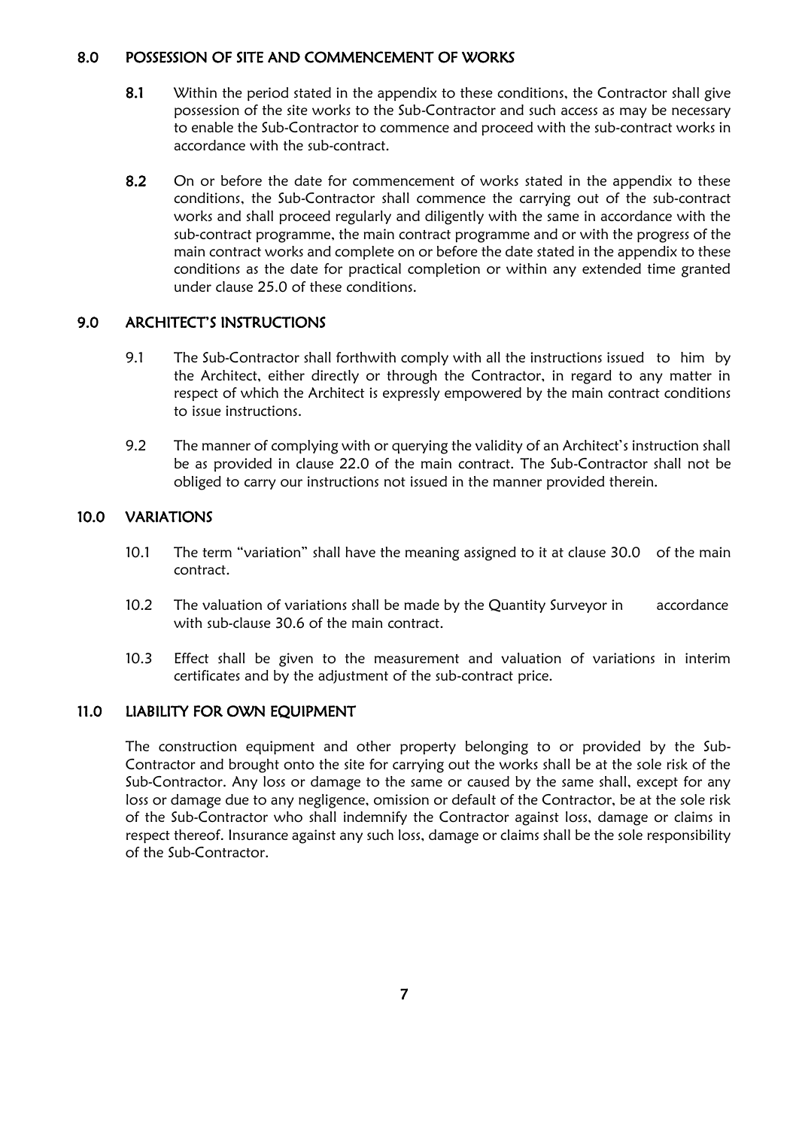## 8.0 POSSESSION OF SITE AND COMMENCEMENT OF WORKS

- 8.1 Within the period stated in the appendix to these conditions, the Contractor shall give possession of the site works to the Sub-Contractor and such access as may be necessary to enable the Sub-Contractor to commence and proceed with the sub-contract works in accordance with the sub-contract.
- 8.2 On or before the date for commencement of works stated in the appendix to these conditions, the Sub-Contractor shall commence the carrying out of the sub-contract works and shall proceed regularly and diligently with the same in accordance with the sub-contract programme, the main contract programme and or with the progress of the main contract works and complete on or before the date stated in the appendix to these conditions as the date for practical completion or within any extended time granted under clause 25.0 of these conditions.

## 9.0 ARCHITECT'S INSTRUCTIONS

- 9.1 The Sub-Contractor shall forthwith comply with all the instructions issued to him by the Architect, either directly or through the Contractor, in regard to any matter in respect of which the Architect is expressly empowered by the main contract conditions to issue instructions.
- 9.2 The manner of complying with or querying the validity of an Architect's instruction shall be as provided in clause 22.0 of the main contract. The Sub-Contractor shall not be obliged to carry our instructions not issued in the manner provided therein.

## 10.0 VARIATIONS

- 10.1 The term "variation" shall have the meaning assigned to it at clause 30.0 of the main contract.
- 10.2 The valuation of variations shall be made by the Quantity Surveyor in accordance with sub-clause 30.6 of the main contract.
- 10.3 Effect shall be given to the measurement and valuation of variations in interim certificates and by the adjustment of the sub-contract price.

## 11.0 LIABILITY FOR OWN EQUIPMENT

The construction equipment and other property belonging to or provided by the Sub-Contractor and brought onto the site for carrying out the works shall be at the sole risk of the Sub-Contractor. Any loss or damage to the same or caused by the same shall, except for any loss or damage due to any negligence, omission or default of the Contractor, be at the sole risk of the Sub-Contractor who shall indemnify the Contractor against loss, damage or claims in respect thereof. Insurance against any such loss, damage or claims shall be the sole responsibility of the Sub-Contractor.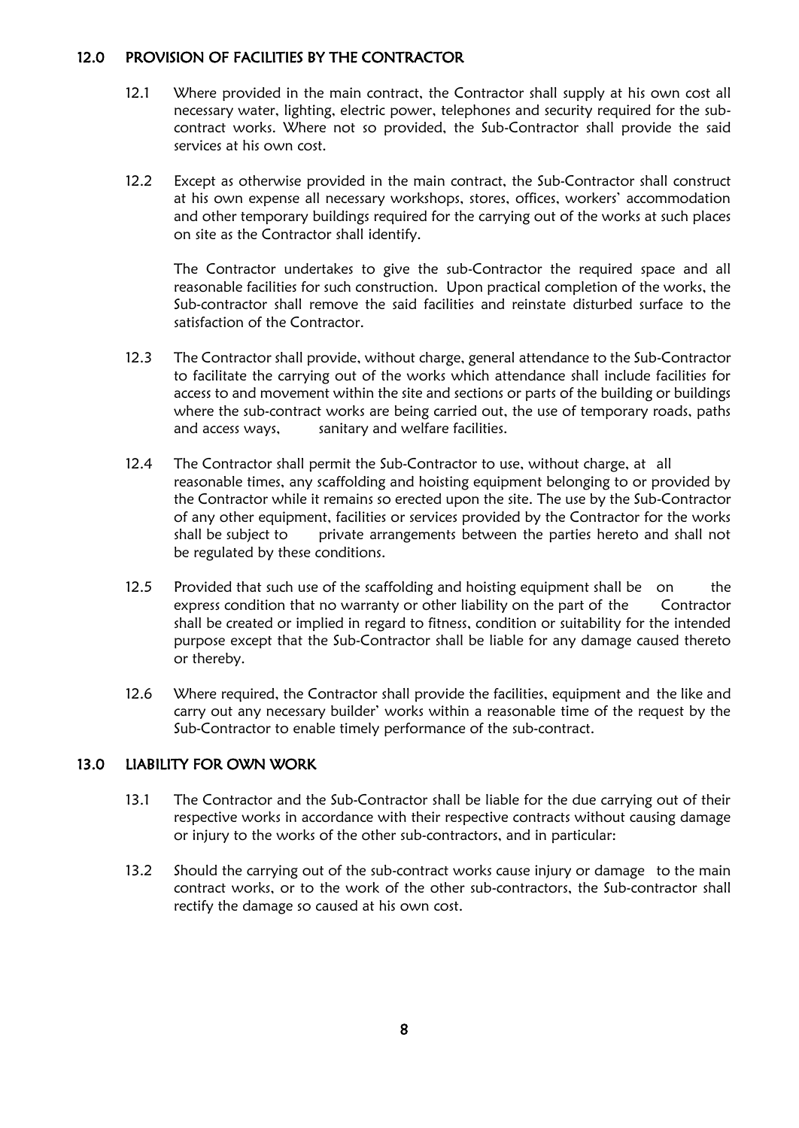## 12.0 PROVISION OF FACILITIES BY THE CONTRACTOR

- 12.1 Where provided in the main contract, the Contractor shall supply at his own cost all necessary water, lighting, electric power, telephones and security required for the subcontract works. Where not so provided, the Sub-Contractor shall provide the said services at his own cost.
- 12.2 Except as otherwise provided in the main contract, the Sub-Contractor shall construct at his own expense all necessary workshops, stores, offices, workers' accommodation and other temporary buildings required for the carrying out of the works at such places on site as the Contractor shall identify.

The Contractor undertakes to give the sub-Contractor the required space and all reasonable facilities for such construction. Upon practical completion of the works, the Sub-contractor shall remove the said facilities and reinstate disturbed surface to the satisfaction of the Contractor.

- 12.3 The Contractor shall provide, without charge, general attendance to the Sub-Contractor to facilitate the carrying out of the works which attendance shall include facilities for access to and movement within the site and sections or parts of the building or buildings where the sub-contract works are being carried out, the use of temporary roads, paths and access ways, sanitary and welfare facilities.
- 12.4 The Contractor shall permit the Sub-Contractor to use, without charge, at all reasonable times, any scaffolding and hoisting equipment belonging to or provided by the Contractor while it remains so erected upon the site. The use by the Sub-Contractor of any other equipment, facilities or services provided by the Contractor for the works shall be subject to private arrangements between the parties hereto and shall not be regulated by these conditions.
- 12.5 Provided that such use of the scaffolding and hoisting equipment shall be on the express condition that no warranty or other liability on the part of the Contractor shall be created or implied in regard to fitness, condition or suitability for the intended purpose except that the Sub-Contractor shall be liable for any damage caused thereto or thereby.
- 12.6 Where required, the Contractor shall provide the facilities, equipment and the like and carry out any necessary builder' works within a reasonable time of the request by the Sub-Contractor to enable timely performance of the sub-contract.

## 13.0 LIABILITY FOR OWN WORK

- 13.1 The Contractor and the Sub-Contractor shall be liable for the due carrying out of their respective works in accordance with their respective contracts without causing damage or injury to the works of the other sub-contractors, and in particular:
- 13.2 Should the carrying out of the sub-contract works cause injury or damage to the main contract works, or to the work of the other sub-contractors, the Sub-contractor shall rectify the damage so caused at his own cost.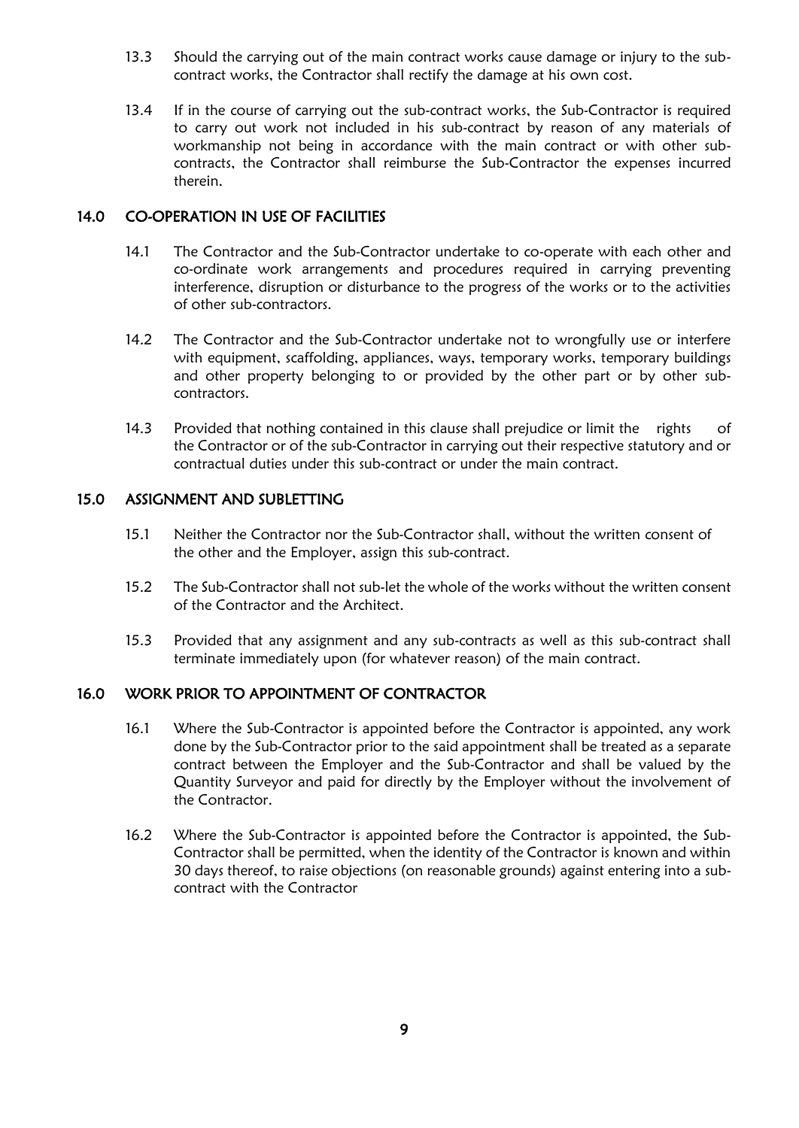- 13.3 Should the carrying out of the main contract works cause damage or injury to the subcontract works, the Contractor shall rectify the damage at his own cost.
- 13.4 If in the course of carrying out the sub-contract works, the Sub-Contractor is required to carry out work not included in his sub-contract by reason of any materials of workmanship not being in accordance with the main contract or with other subcontracts, the Contractor shall reimburse the Sub-Contractor the expenses incurred therein.

## 14.0 CO-OPERATION IN USE OF FACILITIES

- 14.1 The Contractor and the Sub-Contractor undertake to co-operate with each other and co-ordinate work arrangements and procedures required in carrying preventing interference, disruption or disturbance to the progress of the works or to the activities of other sub-contractors.
- 14.2 The Contractor and the Sub-Contractor undertake not to wrongfully use or interfere with equipment, scaffolding, appliances, ways, temporary works, temporary buildings and other property belonging to or provided by the other part or by other subcontractors.
- 14.3 Provided that nothing contained in this clause shall prejudice or limit the rights of the Contractor or of the sub-Contractor in carrying out their respective statutory and or contractual duties under this sub-contract or under the main contract.

## 15.0 ASSIGNMENT AND SUBLETTING

- 15.1 Neither the Contractor nor the Sub-Contractor shall, without the written consent of the other and the Employer, assign this sub-contract.
- 15.2 The Sub-Contractor shall not sub-let the whole of the works without the written consent of the Contractor and the Architect.
- 15.3 Provided that any assignment and any sub-contracts as well as this sub-contract shall terminate immediately upon (for whatever reason) of the main contract.

## 16.0 WORK PRIOR TO APPOINTMENT OF CONTRACTOR

- 16.1 Where the Sub-Contractor is appointed before the Contractor is appointed, any work done by the Sub-Contractor prior to the said appointment shall be treated as a separate contract between the Employer and the Sub-Contractor and shall be valued by the Quantity Surveyor and paid for directly by the Employer without the involvement of the Contractor.
- 16.2 Where the Sub-Contractor is appointed before the Contractor is appointed, the Sub-Contractor shall be permitted, when the identity of the Contractor is known and within 30 days thereof, to raise objections (on reasonable grounds) against entering into a subcontract with the Contractor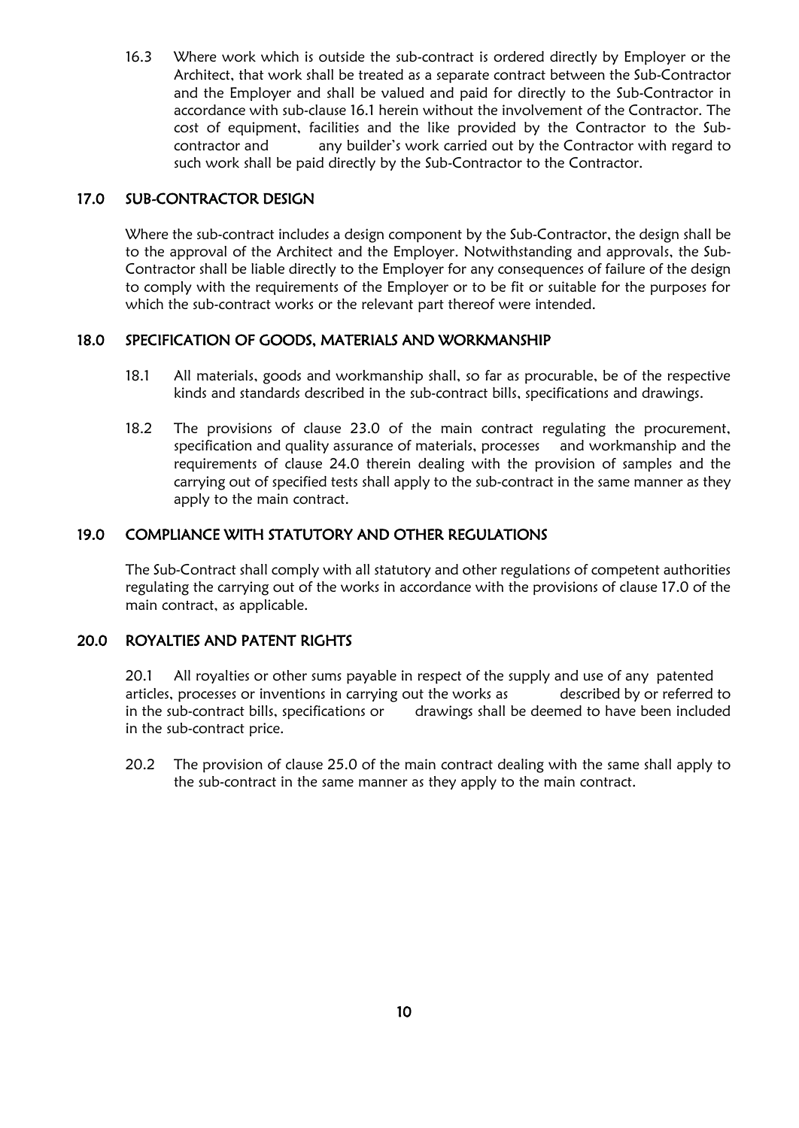16.3 Where work which is outside the sub-contract is ordered directly by Employer or the Architect, that work shall be treated as a separate contract between the Sub-Contractor and the Employer and shall be valued and paid for directly to the Sub-Contractor in accordance with sub-clause 16.1 herein without the involvement of the Contractor. The cost of equipment, facilities and the like provided by the Contractor to the Subcontractor and any builder's work carried out by the Contractor with regard to such work shall be paid directly by the Sub-Contractor to the Contractor.

## 17.0 SUB-CONTRACTOR DESIGN

Where the sub-contract includes a design component by the Sub-Contractor, the design shall be to the approval of the Architect and the Employer. Notwithstanding and approvals, the Sub-Contractor shall be liable directly to the Employer for any consequences of failure of the design to comply with the requirements of the Employer or to be fit or suitable for the purposes for which the sub-contract works or the relevant part thereof were intended.

## 18.0 SPECIFICATION OF GOODS, MATERIALS AND WORKMANSHIP

- 18.1 All materials, goods and workmanship shall, so far as procurable, be of the respective kinds and standards described in the sub-contract bills, specifications and drawings.
- 18.2 The provisions of clause 23.0 of the main contract regulating the procurement, specification and quality assurance of materials, processes and workmanship and the requirements of clause 24.0 therein dealing with the provision of samples and the carrying out of specified tests shall apply to the sub-contract in the same manner as they apply to the main contract.

## 19.0 COMPLIANCE WITH STATUTORY AND OTHER REGULATIONS

The Sub-Contract shall comply with all statutory and other regulations of competent authorities regulating the carrying out of the works in accordance with the provisions of clause 17.0 of the main contract, as applicable.

## 20.0 ROYALTIES AND PATENT RIGHTS

20.1 All royalties or other sums payable in respect of the supply and use of any patented articles, processes or inventions in carrying out the works as described by or referred to in the sub-contract bills, specifications or drawings shall be deemed to have been included in the sub-contract price.

20.2 The provision of clause 25.0 of the main contract dealing with the same shall apply to the sub-contract in the same manner as they apply to the main contract.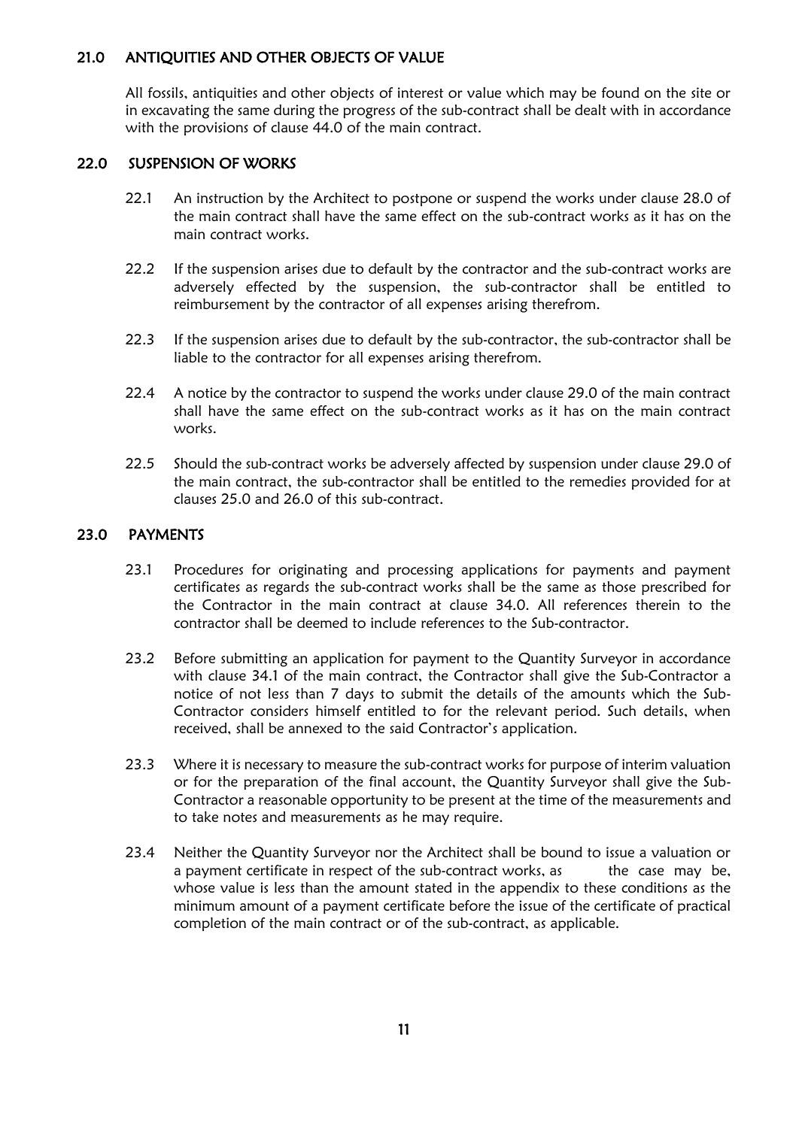## 21.0 ANTIQUITIES AND OTHER OBJECTS OF VALUE

All fossils, antiquities and other objects of interest or value which may be found on the site or in excavating the same during the progress of the sub-contract shall be dealt with in accordance with the provisions of clause 44.0 of the main contract.

## 22.0 SUSPENSION OF WORKS

- 22.1 An instruction by the Architect to postpone or suspend the works under clause 28.0 of the main contract shall have the same effect on the sub-contract works as it has on the main contract works.
- 22.2 If the suspension arises due to default by the contractor and the sub-contract works are adversely effected by the suspension, the sub-contractor shall be entitled to reimbursement by the contractor of all expenses arising therefrom.
- 22.3 If the suspension arises due to default by the sub-contractor, the sub-contractor shall be liable to the contractor for all expenses arising therefrom.
- 22.4 A notice by the contractor to suspend the works under clause 29.0 of the main contract shall have the same effect on the sub-contract works as it has on the main contract works.
- 22.5 Should the sub-contract works be adversely affected by suspension under clause 29.0 of the main contract, the sub-contractor shall be entitled to the remedies provided for at clauses 25.0 and 26.0 of this sub-contract.

## 23.0 PAYMENTS

- 23.1 Procedures for originating and processing applications for payments and payment certificates as regards the sub-contract works shall be the same as those prescribed for the Contractor in the main contract at clause 34.0. All references therein to the contractor shall be deemed to include references to the Sub-contractor.
- 23.2 Before submitting an application for payment to the Quantity Surveyor in accordance with clause 34.1 of the main contract, the Contractor shall give the Sub-Contractor a notice of not less than 7 days to submit the details of the amounts which the Sub-Contractor considers himself entitled to for the relevant period. Such details, when received, shall be annexed to the said Contractor's application.
- 23.3 Where it is necessary to measure the sub-contract works for purpose of interim valuation or for the preparation of the final account, the Quantity Surveyor shall give the Sub-Contractor a reasonable opportunity to be present at the time of the measurements and to take notes and measurements as he may require.
- 23.4 Neither the Quantity Surveyor nor the Architect shall be bound to issue a valuation or a payment certificate in respect of the sub-contract works, as the case may be, whose value is less than the amount stated in the appendix to these conditions as the minimum amount of a payment certificate before the issue of the certificate of practical completion of the main contract or of the sub-contract, as applicable.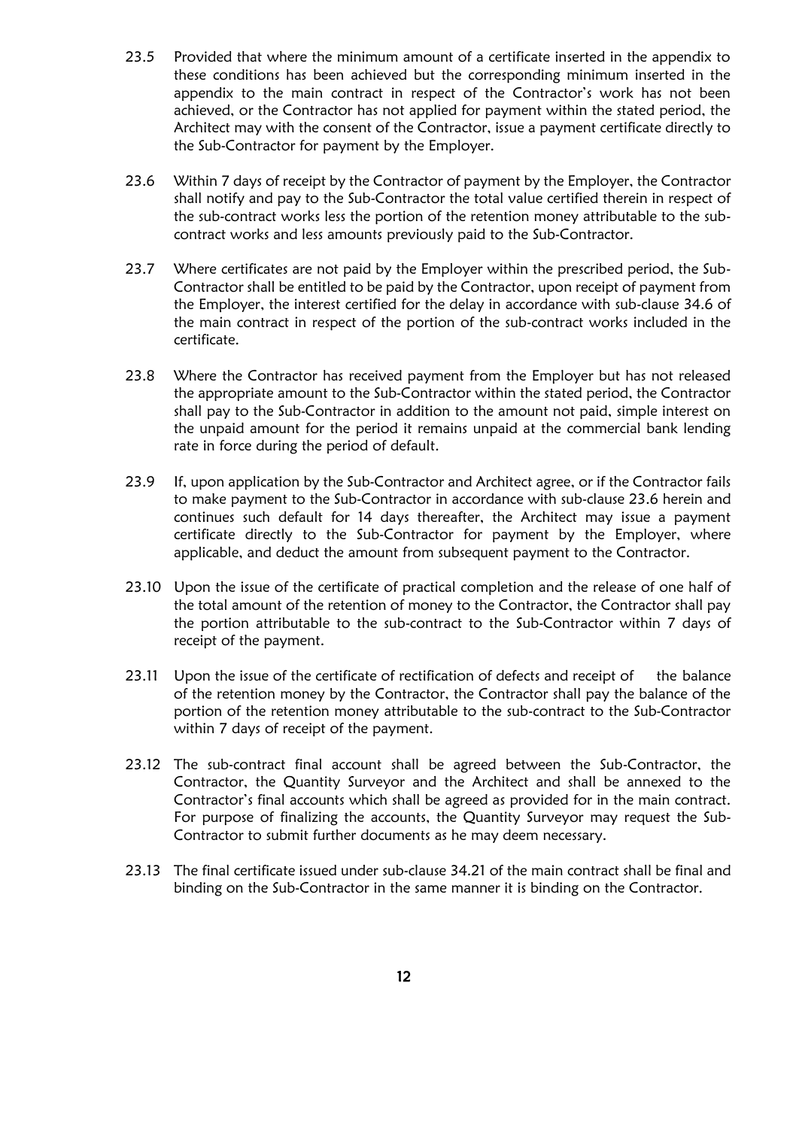- 23.5 Provided that where the minimum amount of a certificate inserted in the appendix to these conditions has been achieved but the corresponding minimum inserted in the appendix to the main contract in respect of the Contractor's work has not been achieved, or the Contractor has not applied for payment within the stated period, the Architect may with the consent of the Contractor, issue a payment certificate directly to the Sub-Contractor for payment by the Employer.
- 23.6 Within 7 days of receipt by the Contractor of payment by the Employer, the Contractor shall notify and pay to the Sub-Contractor the total value certified therein in respect of the sub-contract works less the portion of the retention money attributable to the subcontract works and less amounts previously paid to the Sub-Contractor.
- 23.7 Where certificates are not paid by the Employer within the prescribed period, the Sub-Contractor shall be entitled to be paid by the Contractor, upon receipt of payment from the Employer, the interest certified for the delay in accordance with sub-clause 34.6 of the main contract in respect of the portion of the sub-contract works included in the certificate.
- 23.8 Where the Contractor has received payment from the Employer but has not released the appropriate amount to the Sub-Contractor within the stated period, the Contractor shall pay to the Sub-Contractor in addition to the amount not paid, simple interest on the unpaid amount for the period it remains unpaid at the commercial bank lending rate in force during the period of default.
- 23.9 If, upon application by the Sub-Contractor and Architect agree, or if the Contractor fails to make payment to the Sub-Contractor in accordance with sub-clause 23.6 herein and continues such default for 14 days thereafter, the Architect may issue a payment certificate directly to the Sub-Contractor for payment by the Employer, where applicable, and deduct the amount from subsequent payment to the Contractor.
- 23.10 Upon the issue of the certificate of practical completion and the release of one half of the total amount of the retention of money to the Contractor, the Contractor shall pay the portion attributable to the sub-contract to the Sub-Contractor within 7 days of receipt of the payment.
- 23.11 Upon the issue of the certificate of rectification of defects and receipt of the balance of the retention money by the Contractor, the Contractor shall pay the balance of the portion of the retention money attributable to the sub-contract to the Sub-Contractor within 7 days of receipt of the payment.
- 23.12 The sub-contract final account shall be agreed between the Sub-Contractor, the Contractor, the Quantity Surveyor and the Architect and shall be annexed to the Contractor's final accounts which shall be agreed as provided for in the main contract. For purpose of finalizing the accounts, the Quantity Surveyor may request the Sub-Contractor to submit further documents as he may deem necessary.
- 23.13 The final certificate issued under sub-clause 34.21 of the main contract shall be final and binding on the Sub-Contractor in the same manner it is binding on the Contractor.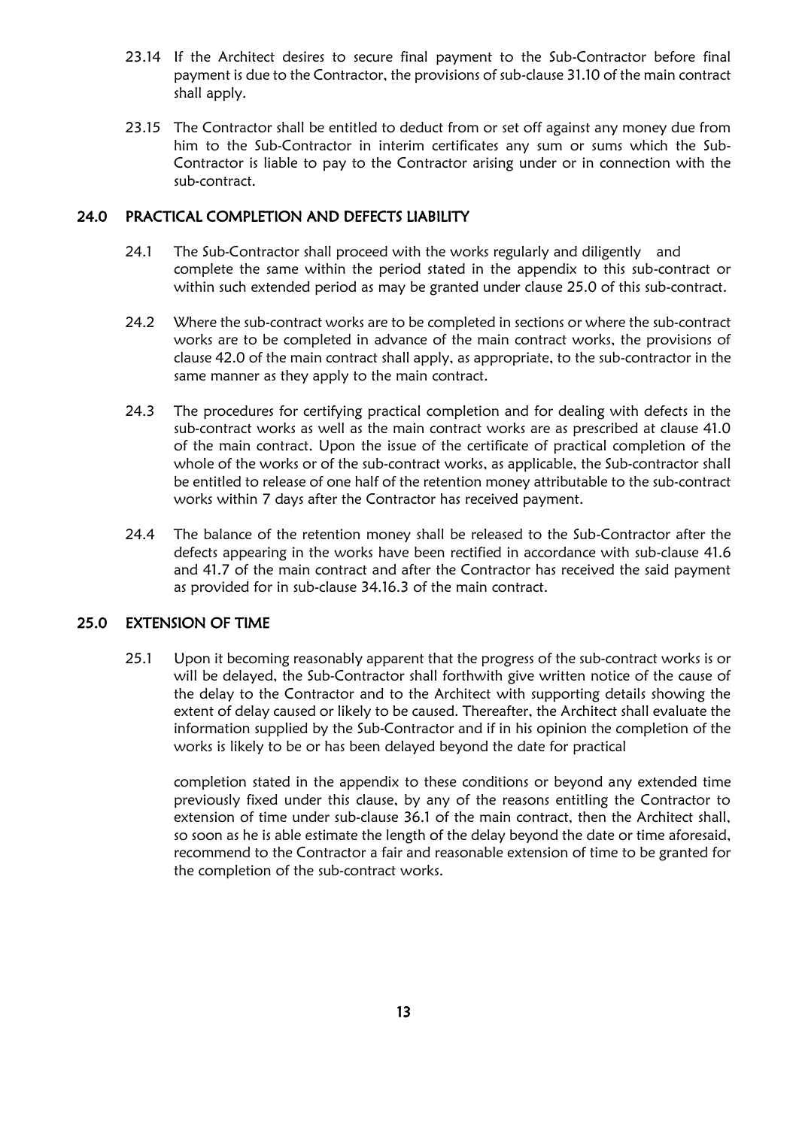- 23.14 If the Architect desires to secure final payment to the Sub-Contractor before final payment is due to the Contractor, the provisions of sub-clause 31.10 of the main contract shall apply.
- 23.15 The Contractor shall be entitled to deduct from or set off against any money due from him to the Sub-Contractor in interim certificates any sum or sums which the Sub-Contractor is liable to pay to the Contractor arising under or in connection with the sub-contract.

#### 24.0 PRACTICAL COMPLETION AND DEFECTS LIABILITY

- 24.1 The Sub-Contractor shall proceed with the works regularly and diligently and complete the same within the period stated in the appendix to this sub-contract or within such extended period as may be granted under clause 25.0 of this sub-contract.
- 24.2 Where the sub-contract works are to be completed in sections or where the sub-contract works are to be completed in advance of the main contract works, the provisions of clause 42.0 of the main contract shall apply, as appropriate, to the sub-contractor in the same manner as they apply to the main contract.
- 24.3 The procedures for certifying practical completion and for dealing with defects in the sub-contract works as well as the main contract works are as prescribed at clause 41.0 of the main contract. Upon the issue of the certificate of practical completion of the whole of the works or of the sub-contract works, as applicable, the Sub-contractor shall be entitled to release of one half of the retention money attributable to the sub-contract works within 7 days after the Contractor has received payment.
- 24.4 The balance of the retention money shall be released to the Sub-Contractor after the defects appearing in the works have been rectified in accordance with sub-clause 41.6 and 41.7 of the main contract and after the Contractor has received the said payment as provided for in sub-clause 34.16.3 of the main contract.

## 25.0 EXTENSION OF TIME

25.1 Upon it becoming reasonably apparent that the progress of the sub-contract works is or will be delayed, the Sub-Contractor shall forthwith give written notice of the cause of the delay to the Contractor and to the Architect with supporting details showing the extent of delay caused or likely to be caused. Thereafter, the Architect shall evaluate the information supplied by the Sub-Contractor and if in his opinion the completion of the works is likely to be or has been delayed beyond the date for practical

completion stated in the appendix to these conditions or beyond any extended time previously fixed under this clause, by any of the reasons entitling the Contractor to extension of time under sub-clause 36.1 of the main contract, then the Architect shall, so soon as he is able estimate the length of the delay beyond the date or time aforesaid, recommend to the Contractor a fair and reasonable extension of time to be granted for the completion of the sub-contract works.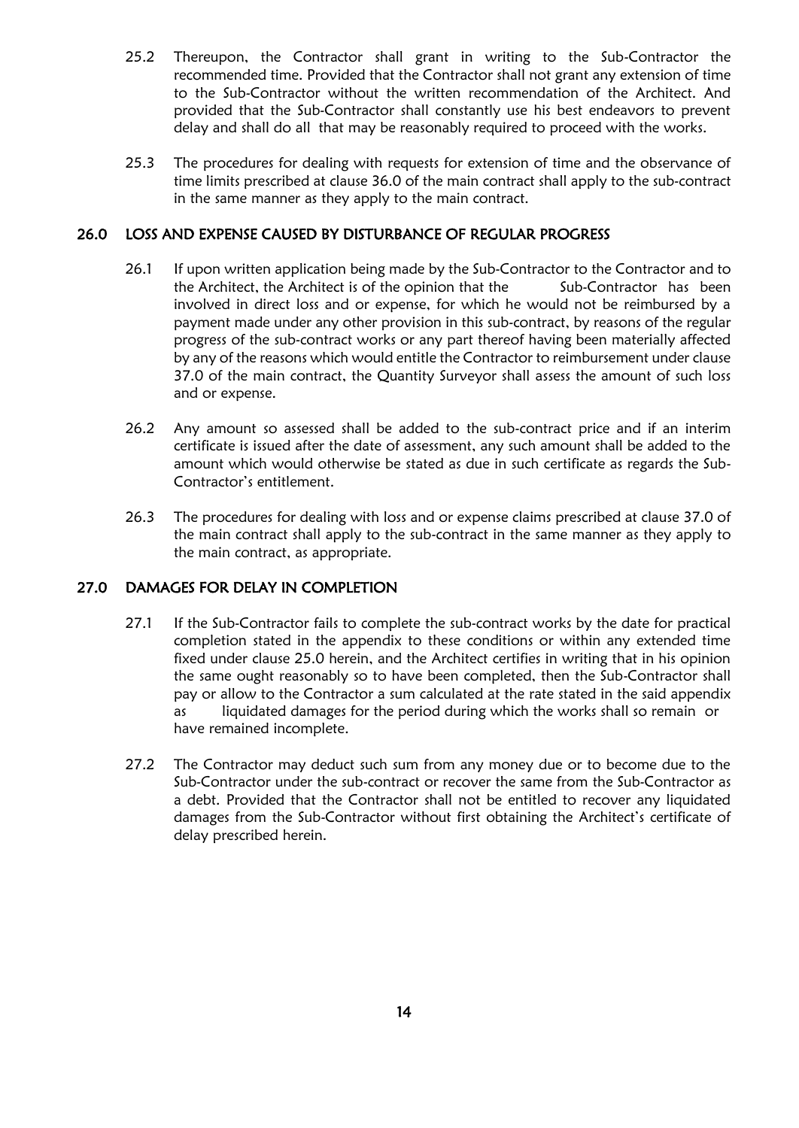- 25.2 Thereupon, the Contractor shall grant in writing to the Sub-Contractor the recommended time. Provided that the Contractor shall not grant any extension of time to the Sub-Contractor without the written recommendation of the Architect. And provided that the Sub-Contractor shall constantly use his best endeavors to prevent delay and shall do all that may be reasonably required to proceed with the works.
- 25.3 The procedures for dealing with requests for extension of time and the observance of time limits prescribed at clause 36.0 of the main contract shall apply to the sub-contract in the same manner as they apply to the main contract.

## 26.0 LOSS AND EXPENSE CAUSED BY DISTURBANCE OF REGULAR PROGRESS

- 26.1 If upon written application being made by the Sub-Contractor to the Contractor and to the Architect, the Architect is of the opinion that the Sub-Contractor has been involved in direct loss and or expense, for which he would not be reimbursed by a payment made under any other provision in this sub-contract, by reasons of the regular progress of the sub-contract works or any part thereof having been materially affected by any of the reasons which would entitle the Contractor to reimbursement under clause 37.0 of the main contract, the Quantity Surveyor shall assess the amount of such loss and or expense.
- 26.2 Any amount so assessed shall be added to the sub-contract price and if an interim certificate is issued after the date of assessment, any such amount shall be added to the amount which would otherwise be stated as due in such certificate as regards the Sub-Contractor's entitlement.
- 26.3 The procedures for dealing with loss and or expense claims prescribed at clause 37.0 of the main contract shall apply to the sub-contract in the same manner as they apply to the main contract, as appropriate.

## 27.0 DAMAGES FOR DELAY IN COMPLETION

- 27.1 If the Sub-Contractor fails to complete the sub-contract works by the date for practical completion stated in the appendix to these conditions or within any extended time fixed under clause 25.0 herein, and the Architect certifies in writing that in his opinion the same ought reasonably so to have been completed, then the Sub-Contractor shall pay or allow to the Contractor a sum calculated at the rate stated in the said appendix as liquidated damages for the period during which the works shall so remain or have remained incomplete.
- 27.2 The Contractor may deduct such sum from any money due or to become due to the Sub-Contractor under the sub-contract or recover the same from the Sub-Contractor as a debt. Provided that the Contractor shall not be entitled to recover any liquidated damages from the Sub-Contractor without first obtaining the Architect's certificate of delay prescribed herein.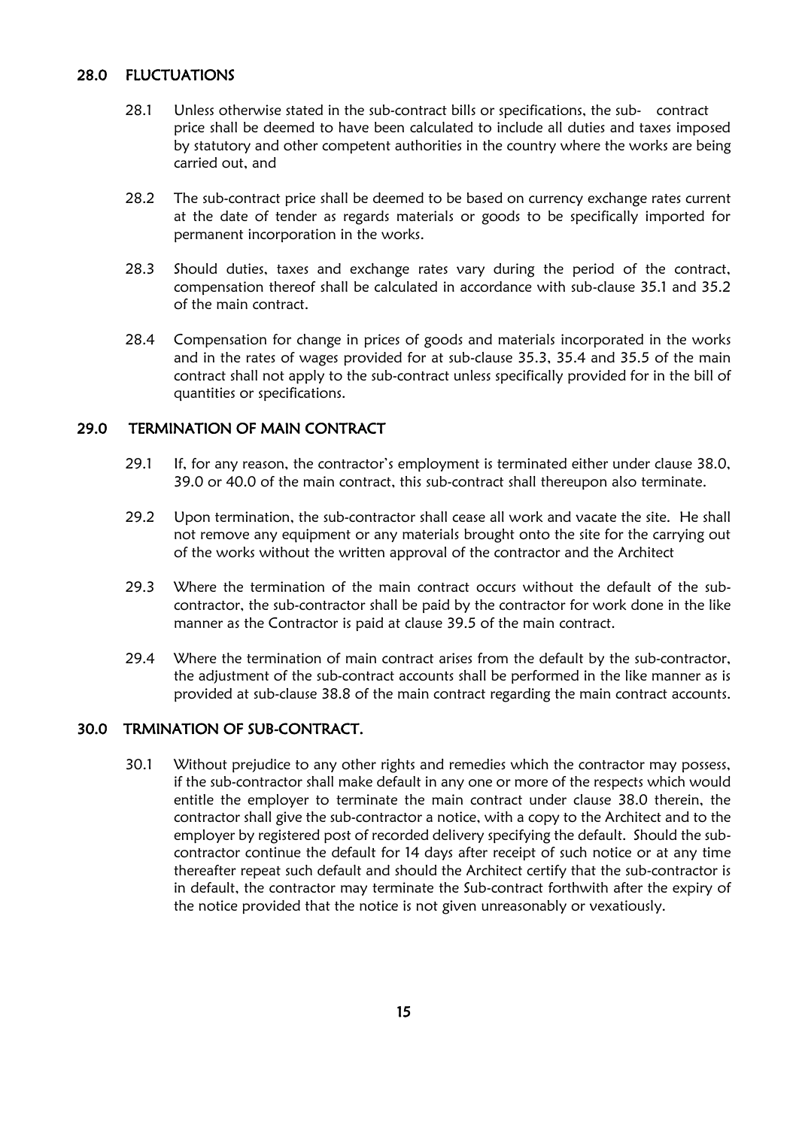## 28.0 FLUCTUATIONS

- 28.1 Unless otherwise stated in the sub-contract bills or specifications, the sub- contract price shall be deemed to have been calculated to include all duties and taxes imposed by statutory and other competent authorities in the country where the works are being carried out, and
- 28.2 The sub-contract price shall be deemed to be based on currency exchange rates current at the date of tender as regards materials or goods to be specifically imported for permanent incorporation in the works.
- 28.3 Should duties, taxes and exchange rates vary during the period of the contract, compensation thereof shall be calculated in accordance with sub-clause 35.1 and 35.2 of the main contract.
- 28.4 Compensation for change in prices of goods and materials incorporated in the works and in the rates of wages provided for at sub-clause 35.3, 35.4 and 35.5 of the main contract shall not apply to the sub-contract unless specifically provided for in the bill of quantities or specifications.

## 29.0 TERMINATION OF MAIN CONTRACT

- 29.1 If, for any reason, the contractor's employment is terminated either under clause 38.0, 39.0 or 40.0 of the main contract, this sub-contract shall thereupon also terminate.
- 29.2 Upon termination, the sub-contractor shall cease all work and vacate the site. He shall not remove any equipment or any materials brought onto the site for the carrying out of the works without the written approval of the contractor and the Architect
- 29.3 Where the termination of the main contract occurs without the default of the subcontractor, the sub-contractor shall be paid by the contractor for work done in the like manner as the Contractor is paid at clause 39.5 of the main contract.
- 29.4 Where the termination of main contract arises from the default by the sub-contractor, the adjustment of the sub-contract accounts shall be performed in the like manner as is provided at sub-clause 38.8 of the main contract regarding the main contract accounts.

## 30.0 TRMINATION OF SUB-CONTRACT.

30.1 Without prejudice to any other rights and remedies which the contractor may possess, if the sub-contractor shall make default in any one or more of the respects which would entitle the employer to terminate the main contract under clause 38.0 therein, the contractor shall give the sub-contractor a notice, with a copy to the Architect and to the employer by registered post of recorded delivery specifying the default. Should the subcontractor continue the default for 14 days after receipt of such notice or at any time thereafter repeat such default and should the Architect certify that the sub-contractor is in default, the contractor may terminate the Sub-contract forthwith after the expiry of the notice provided that the notice is not given unreasonably or vexatiously.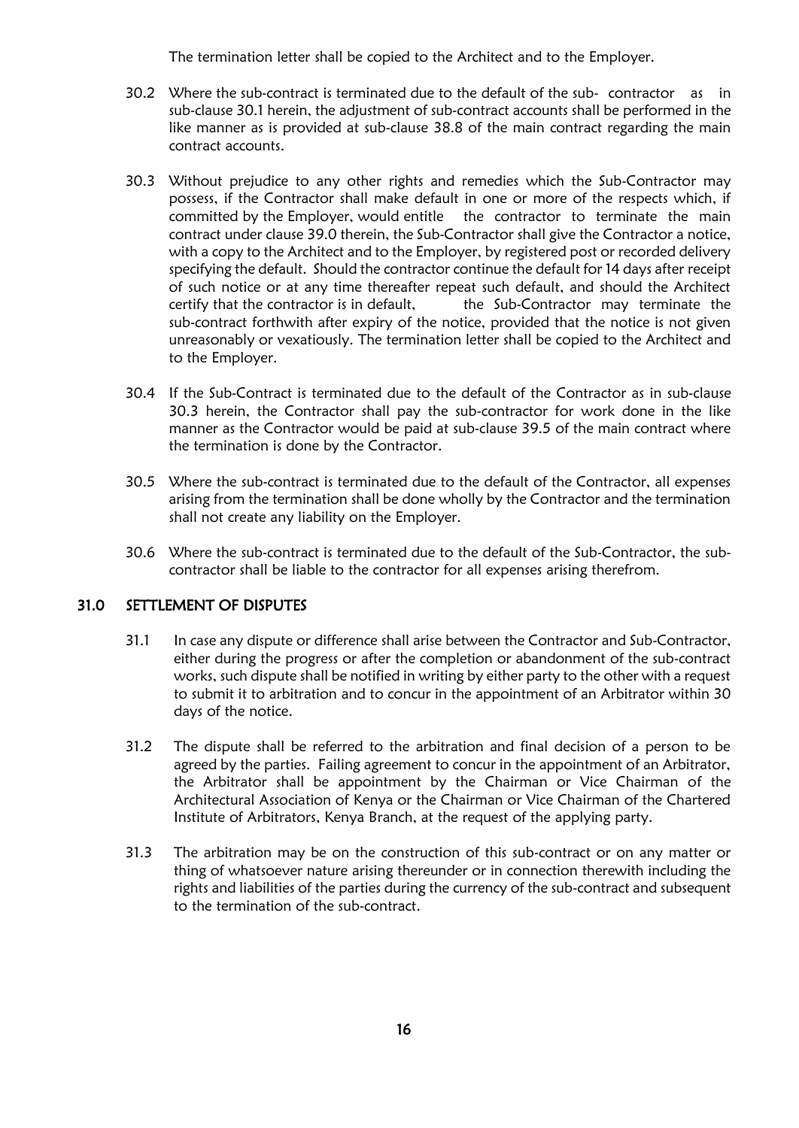The termination letter shall be copied to the Architect and to the Employer.

- 30.2 Where the sub-contract is terminated due to the default of the sub- contractor as in sub-clause 30.1 herein, the adjustment of sub-contract accounts shall be performed in the like manner as is provided at sub-clause 38.8 of the main contract regarding the main contract accounts.
- 30.3 Without prejudice to any other rights and remedies which the Sub-Contractor may possess, if the Contractor shall make default in one or more of the respects which, if committed by the Employer, would entitle the contractor to terminate the main contract under clause 39.0 therein, the Sub-Contractor shall give the Contractor a notice, with a copy to the Architect and to the Employer, by registered post or recorded delivery specifying the default. Should the contractor continue the default for 14 days after receipt of such notice or at any time thereafter repeat such default, and should the Architect certify that the contractor is in default, the Sub-Contractor may terminate the sub-contract forthwith after expiry of the notice, provided that the notice is not given unreasonably or vexatiously. The termination letter shall be copied to the Architect and to the Employer.
- 30.4 If the Sub-Contract is terminated due to the default of the Contractor as in sub-clause 30.3 herein, the Contractor shall pay the sub-contractor for work done in the like manner as the Contractor would be paid at sub-clause 39.5 of the main contract where the termination is done by the Contractor.
- 30.5 Where the sub-contract is terminated due to the default of the Contractor, all expenses arising from the termination shall be done wholly by the Contractor and the termination shall not create any liability on the Employer.
- 30.6 Where the sub-contract is terminated due to the default of the Sub-Contractor, the subcontractor shall be liable to the contractor for all expenses arising therefrom.

#### 31.0 SETTLEMENT OF DISPUTES

- 31.1 In case any dispute or difference shall arise between the Contractor and Sub-Contractor, either during the progress or after the completion or abandonment of the sub-contract works, such dispute shall be notified in writing by either party to the other with a request to submit it to arbitration and to concur in the appointment of an Arbitrator within 30 days of the notice.
- 31.2 The dispute shall be referred to the arbitration and final decision of a person to be agreed by the parties. Failing agreement to concur in the appointment of an Arbitrator, the Arbitrator shall be appointment by the Chairman or Vice Chairman of the Architectural Association of Kenya or the Chairman or Vice Chairman of the Chartered Institute of Arbitrators, Kenya Branch, at the request of the applying party.
- 31.3 The arbitration may be on the construction of this sub-contract or on any matter or thing of whatsoever nature arising thereunder or in connection therewith including the rights and liabilities of the parties during the currency of the sub-contract and subsequent to the termination of the sub-contract.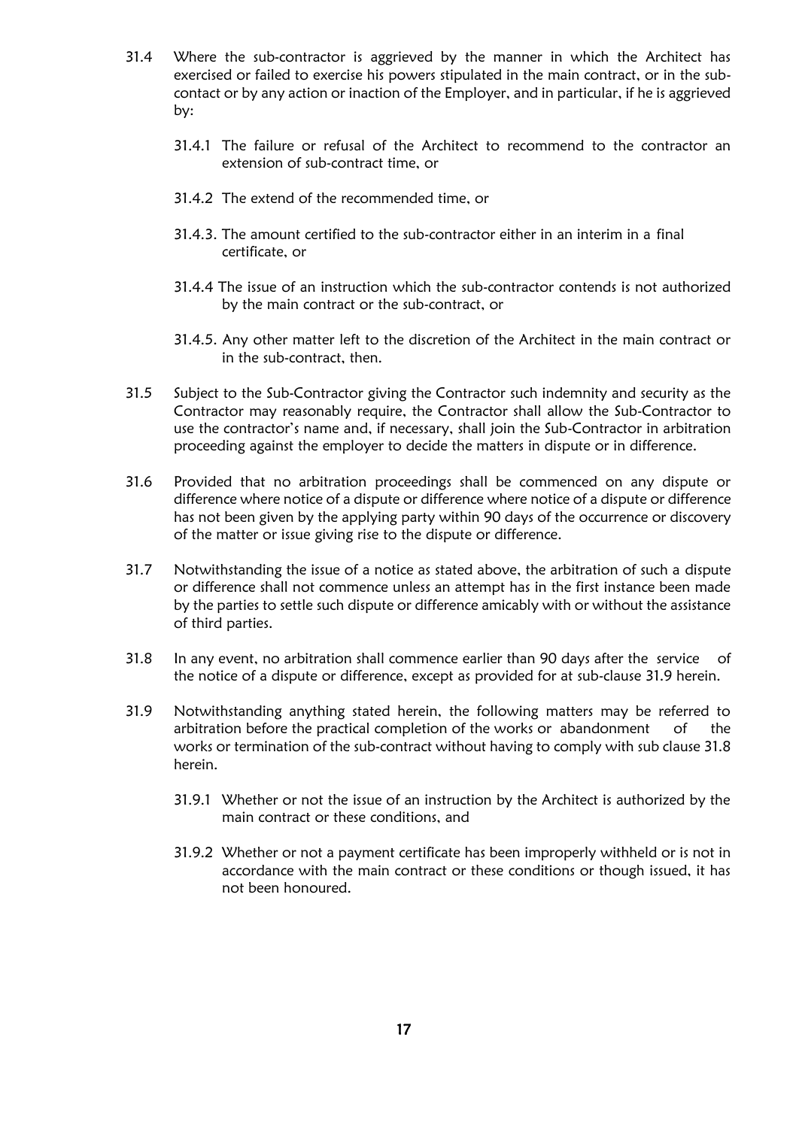- 31.4 Where the sub-contractor is aggrieved by the manner in which the Architect has exercised or failed to exercise his powers stipulated in the main contract, or in the subcontact or by any action or inaction of the Employer, and in particular, if he is aggrieved by:
	- 31.4.1 The failure or refusal of the Architect to recommend to the contractor an extension of sub-contract time, or
	- 31.4.2 The extend of the recommended time, or
	- 31.4.3. The amount certified to the sub-contractor either in an interim in a final certificate, or
	- 31.4.4 The issue of an instruction which the sub-contractor contends is not authorized by the main contract or the sub-contract, or
	- 31.4.5. Any other matter left to the discretion of the Architect in the main contract or in the sub-contract, then.
- 31.5 Subject to the Sub-Contractor giving the Contractor such indemnity and security as the Contractor may reasonably require, the Contractor shall allow the Sub-Contractor to use the contractor's name and, if necessary, shall join the Sub-Contractor in arbitration proceeding against the employer to decide the matters in dispute or in difference.
- 31.6 Provided that no arbitration proceedings shall be commenced on any dispute or difference where notice of a dispute or difference where notice of a dispute or difference has not been given by the applying party within 90 days of the occurrence or discovery of the matter or issue giving rise to the dispute or difference.
- 31.7 Notwithstanding the issue of a notice as stated above, the arbitration of such a dispute or difference shall not commence unless an attempt has in the first instance been made by the parties to settle such dispute or difference amicably with or without the assistance of third parties.
- 31.8 In any event, no arbitration shall commence earlier than 90 days after the service of the notice of a dispute or difference, except as provided for at sub-clause 31.9 herein.
- 31.9 Notwithstanding anything stated herein, the following matters may be referred to arbitration before the practical completion of the works or abandonment of the works or termination of the sub-contract without having to comply with sub clause 31.8 herein.
	- 31.9.1 Whether or not the issue of an instruction by the Architect is authorized by the main contract or these conditions, and
	- 31.9.2 Whether or not a payment certificate has been improperly withheld or is not in accordance with the main contract or these conditions or though issued, it has not been honoured.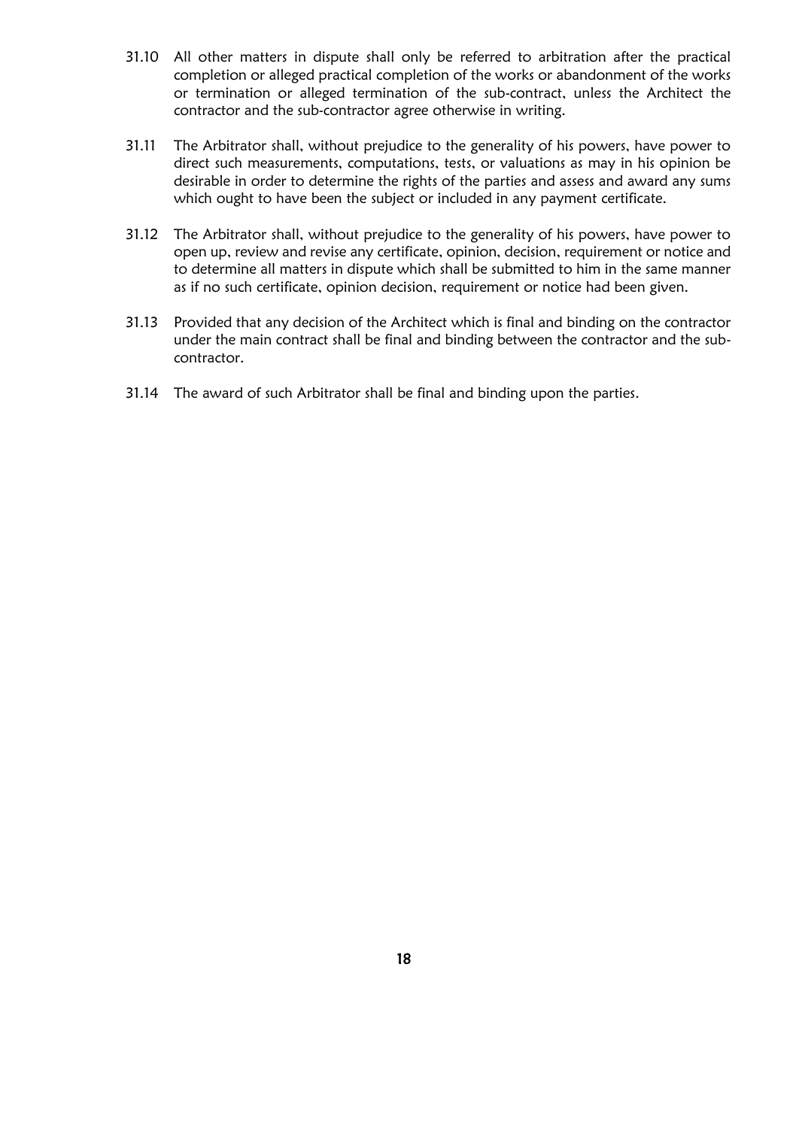- 31.10 All other matters in dispute shall only be referred to arbitration after the practical completion or alleged practical completion of the works or abandonment of the works or termination or alleged termination of the sub-contract, unless the Architect the contractor and the sub-contractor agree otherwise in writing.
- 31.11 The Arbitrator shall, without prejudice to the generality of his powers, have power to direct such measurements, computations, tests, or valuations as may in his opinion be desirable in order to determine the rights of the parties and assess and award any sums which ought to have been the subject or included in any payment certificate.
- 31.12 The Arbitrator shall, without prejudice to the generality of his powers, have power to open up, review and revise any certificate, opinion, decision, requirement or notice and to determine all matters in dispute which shall be submitted to him in the same manner as if no such certificate, opinion decision, requirement or notice had been given.
- 31.13 Provided that any decision of the Architect which is final and binding on the contractor under the main contract shall be final and binding between the contractor and the subcontractor.
- 31.14 The award of such Arbitrator shall be final and binding upon the parties.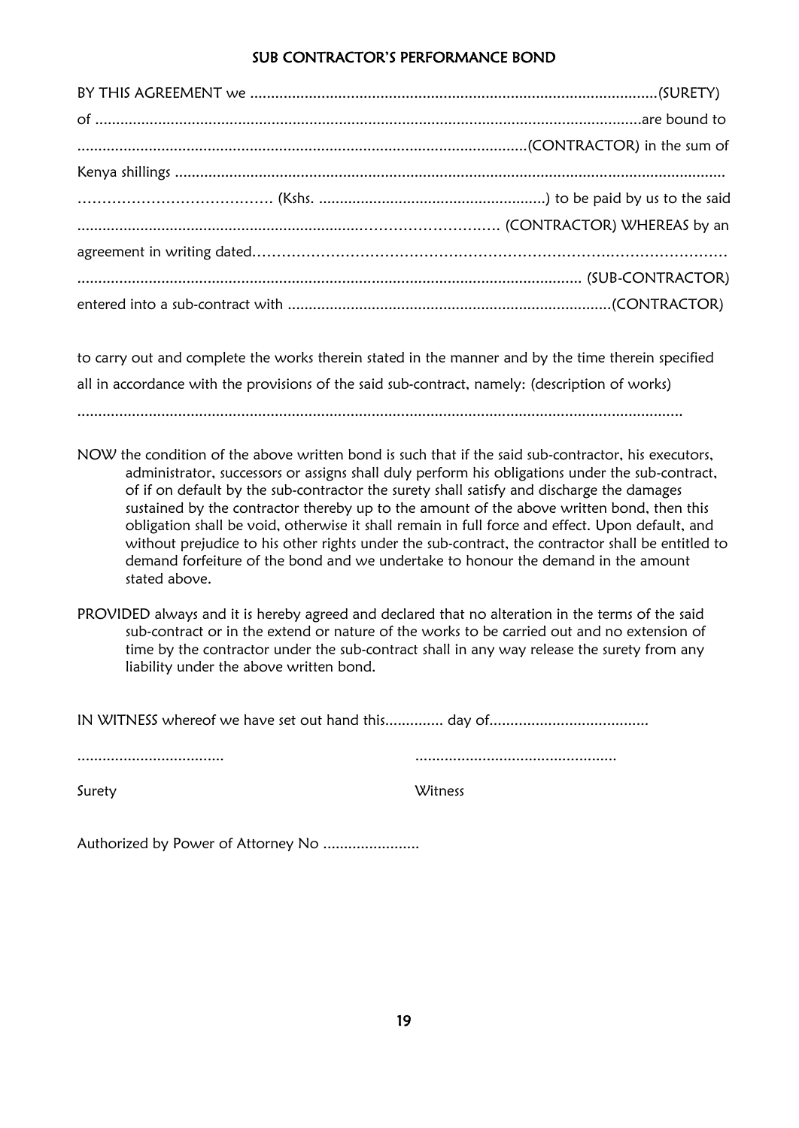### SUB CONTRACTOR'S PERFORMANCE BOND

to carry out and complete the works therein stated in the manner and by the time therein specified all in accordance with the provisions of the said sub-contract, namely: (description of works)

................................................................................................................................................

- NOW the condition of the above written bond is such that if the said sub-contractor, his executors, administrator, successors or assigns shall duly perform his obligations under the sub-contract, of if on default by the sub-contractor the surety shall satisfy and discharge the damages sustained by the contractor thereby up to the amount of the above written bond, then this obligation shall be void, otherwise it shall remain in full force and effect. Upon default, and without prejudice to his other rights under the sub-contract, the contractor shall be entitled to demand forfeiture of the bond and we undertake to honour the demand in the amount stated above.
- PROVIDED always and it is hereby agreed and declared that no alteration in the terms of the said sub-contract or in the extend or nature of the works to be carried out and no extension of time by the contractor under the sub-contract shall in any way release the surety from any liability under the above written bond.

IN WITNESS whereof we have set out hand this.............. day of......................................

................................... ................................................

Surety Witness

Authorized by Power of Attorney No ......................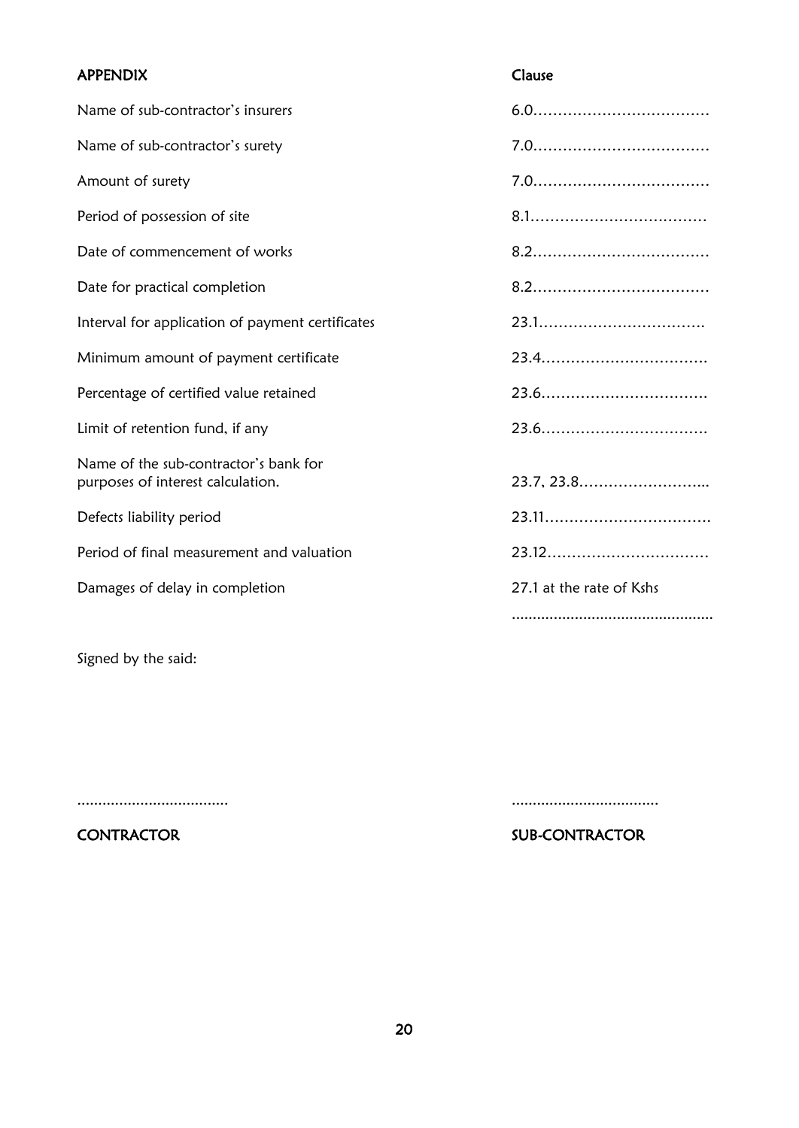# APPENDIX Clause Name of sub-contractor's insurers 6.0……………………………… Name of sub-contractor's surety 7.0……………………………… Amount of surety 7.0……………………………… Period of possession of site 8.1……………………………… Date of commencement of works and the state of series and series of series and series and series and series and series and series and series and series and series and series and series and series and series and series and Date for practical completion 8.2……………………………… Interval for application of payment certificates 23.1……………………………. Minimum amount of payment certificate 23.4……………………………. Percentage of certified value retained 23.6……………………………. Limit of retention fund, if any 23.6……………………………. Name of the sub-contractor's bank for purposes of interest calculation. 23.7, 23.8……………………... Defects liability period 23.11……………………………. Period of final measurement and valuation and valuation 23.12………………………………………………… Damages of delay in completion 27.1 at the rate of Kshs ................................................

Signed by the said:

CONTRACTOR SUB-CONTRACTOR

.................................... ...................................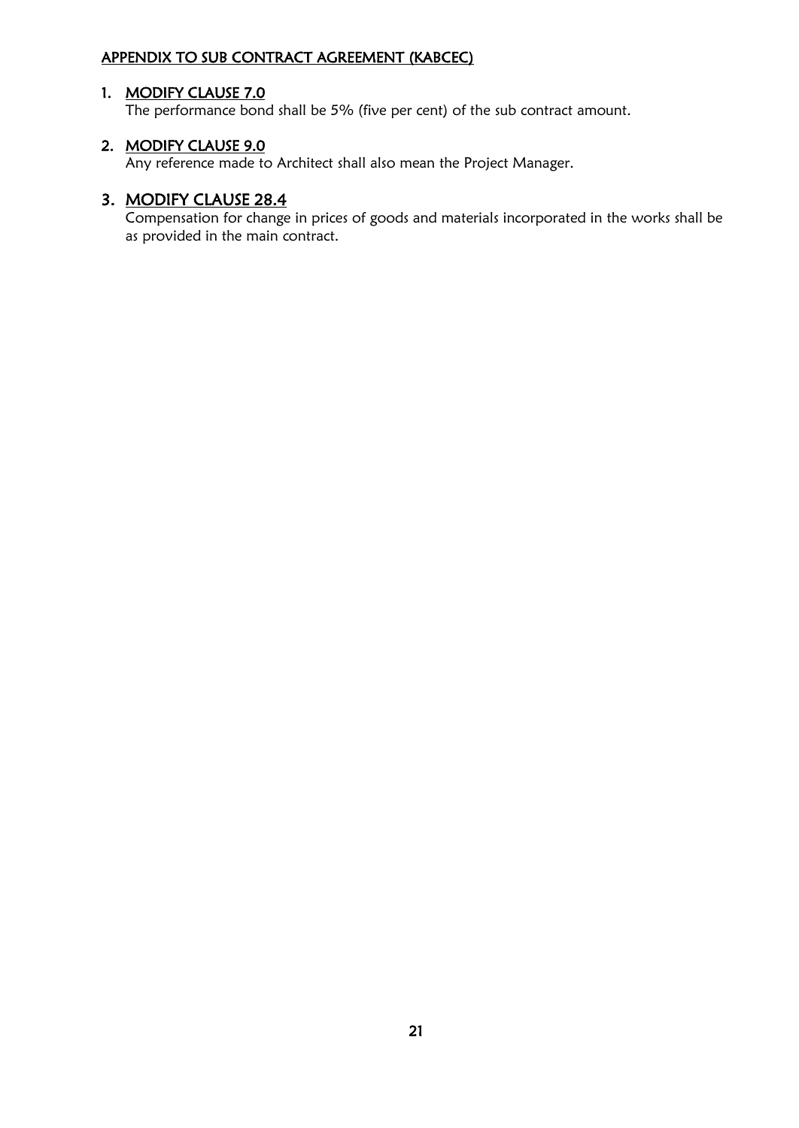## APPENDIX TO SUB CONTRACT AGREEMENT (KABCEC)

## 1. MODIFY CLAUSE 7.0

The performance bond shall be 5% (five per cent) of the sub contract amount.

## 2. MODIFY CLAUSE 9.0

Any reference made to Architect shall also mean the Project Manager.

## 3. MODIFY CLAUSE 28.4

Compensation for change in prices of goods and materials incorporated in the works shall be as provided in the main contract.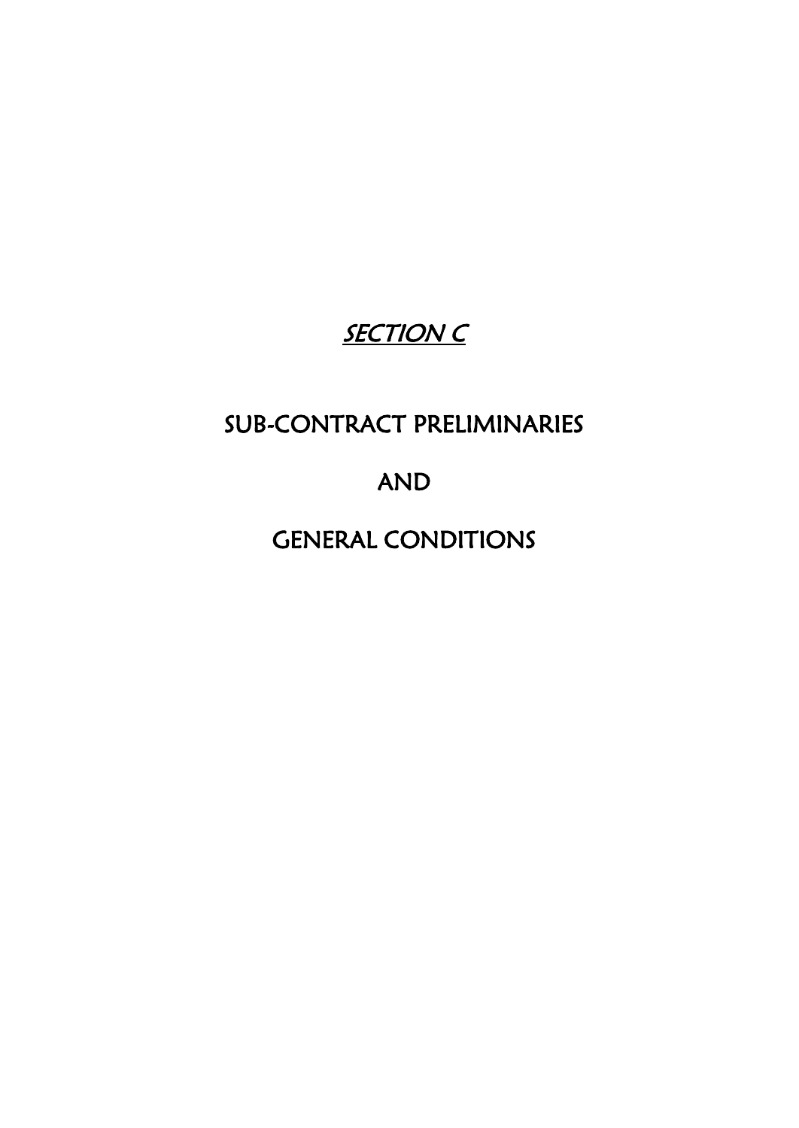# SECTION<sub>C</sub>

# SUB-CONTRACT PRELIMINARIES

# AND

# GENERAL CONDITIONS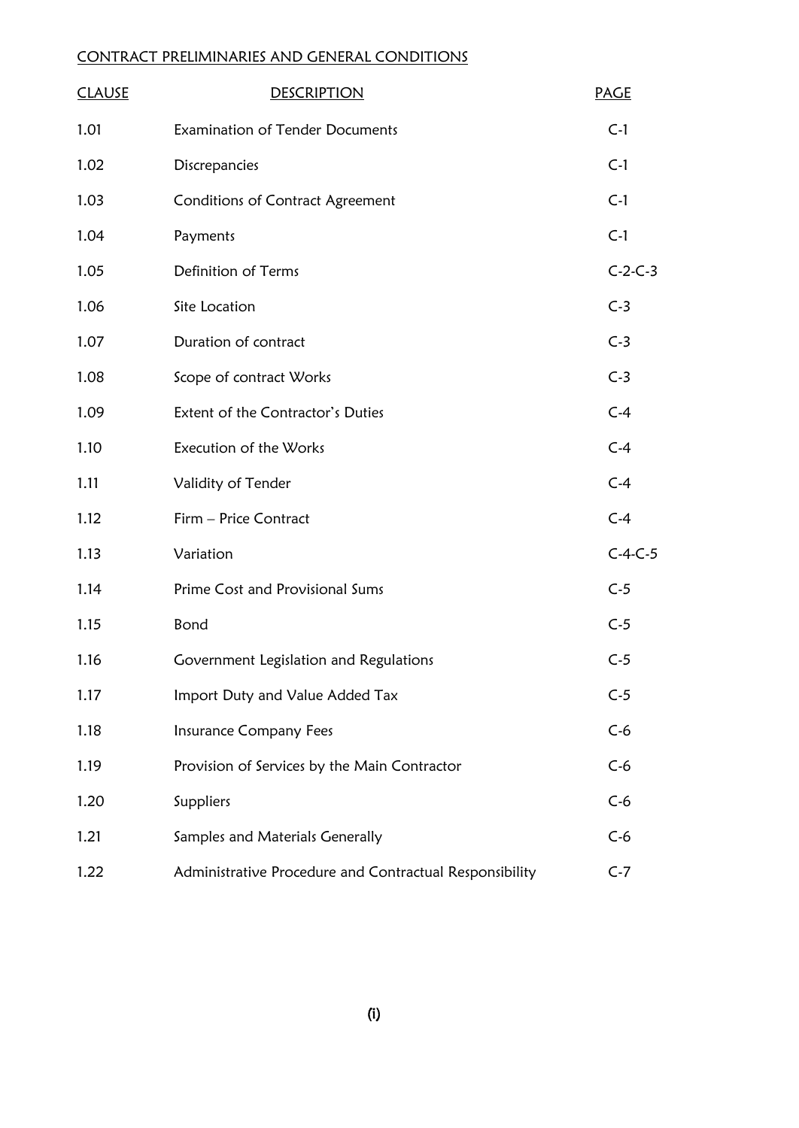## CONTRACT PRELIMINARIES AND GENERAL CONDITIONS

| <b>CLAUSE</b> | <b>DESCRIPTION</b>                                      | <b>PAGE</b> |
|---------------|---------------------------------------------------------|-------------|
| 1.01          | <b>Examination of Tender Documents</b>                  | $C-1$       |
| 1.02          | Discrepancies                                           | $C-1$       |
| 1.03          | <b>Conditions of Contract Agreement</b>                 | $C-1$       |
| 1.04          | Payments                                                | $C-1$       |
| 1.05          | Definition of Terms                                     | $C-2-C-3$   |
| 1.06          | Site Location                                           | $C-3$       |
| 1.07          | Duration of contract                                    | $C-3$       |
| 1.08          | Scope of contract Works                                 | $C-3$       |
| 1.09          | Extent of the Contractor's Duties                       | $C-4$       |
| 1.10          | Execution of the Works                                  | $C-4$       |
| 1.11          | Validity of Tender                                      | $C-4$       |
| 1.12          | Firm - Price Contract                                   | $C-4$       |
| 1.13          | Variation                                               | $C-4-C-5$   |
| 1.14          | Prime Cost and Provisional Sums                         | $C-5$       |
| 1.15          | Bond                                                    | $C-5$       |
| 1.16          | Government Legislation and Regulations                  | $C-5$       |
| 1.17          | Import Duty and Value Added Tax                         | $C-5$       |
| 1.18          | <b>Insurance Company Fees</b>                           | $C-6$       |
| 1.19          | Provision of Services by the Main Contractor            | $C-6$       |
| 1.20          | Suppliers                                               | $C-6$       |
| 1.21          | Samples and Materials Generally                         | $C-6$       |
| 1.22          | Administrative Procedure and Contractual Responsibility | $C-7$       |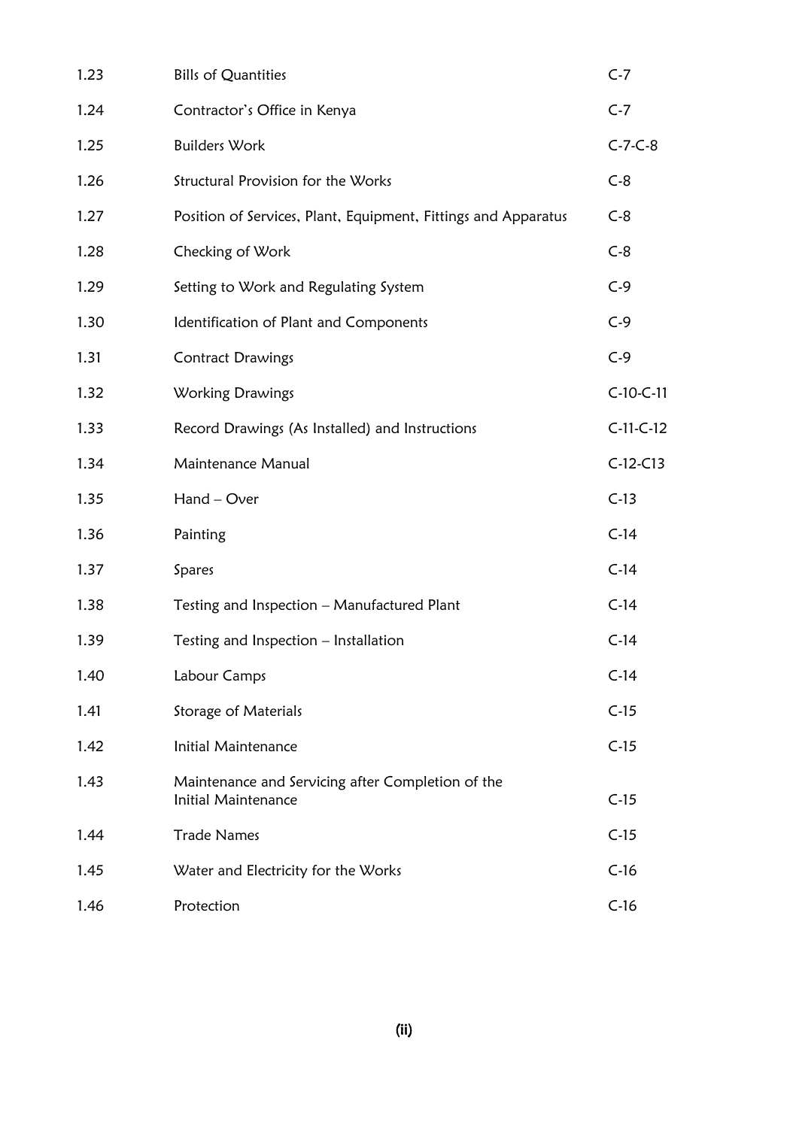| 1.23 | <b>Bills of Quantities</b>                                               | $C-7$       |
|------|--------------------------------------------------------------------------|-------------|
| 1.24 | Contractor's Office in Kenya                                             | $C-7$       |
| 1.25 | <b>Builders Work</b>                                                     | $C-7-C-8$   |
| 1.26 | Structural Provision for the Works                                       | $C-8$       |
| 1.27 | Position of Services, Plant, Equipment, Fittings and Apparatus           | $C-8$       |
| 1.28 | Checking of Work                                                         | $C-8$       |
| 1.29 | Setting to Work and Regulating System                                    | $C-9$       |
| 1.30 | Identification of Plant and Components                                   | $C-9$       |
| 1.31 | <b>Contract Drawings</b>                                                 | $C-9$       |
| 1.32 | Working Drawings                                                         | $C-10-C-11$ |
| 1.33 | Record Drawings (As Installed) and Instructions                          | $C-11-C-12$ |
| 1.34 | Maintenance Manual                                                       | $C-12-C13$  |
| 1.35 | Hand - Over                                                              | $C-13$      |
| 1.36 | Painting                                                                 | $C-14$      |
| 1.37 | Spares                                                                   | $C-14$      |
| 1.38 | Testing and Inspection - Manufactured Plant                              | $C-14$      |
| 1.39 | Testing and Inspection - Installation                                    | $C-14$      |
| 1.40 | Labour Camps                                                             | $C-14$      |
| 1.41 | <b>Storage of Materials</b>                                              | $C-15$      |
| 1.42 | Initial Maintenance                                                      | $C-15$      |
| 1.43 | Maintenance and Servicing after Completion of the<br>Initial Maintenance | $C-15$      |
| 1.44 | <b>Trade Names</b>                                                       | $C-15$      |
| 1.45 | Water and Electricity for the Works                                      | $C-16$      |
| 1.46 | Protection                                                               | $C-16$      |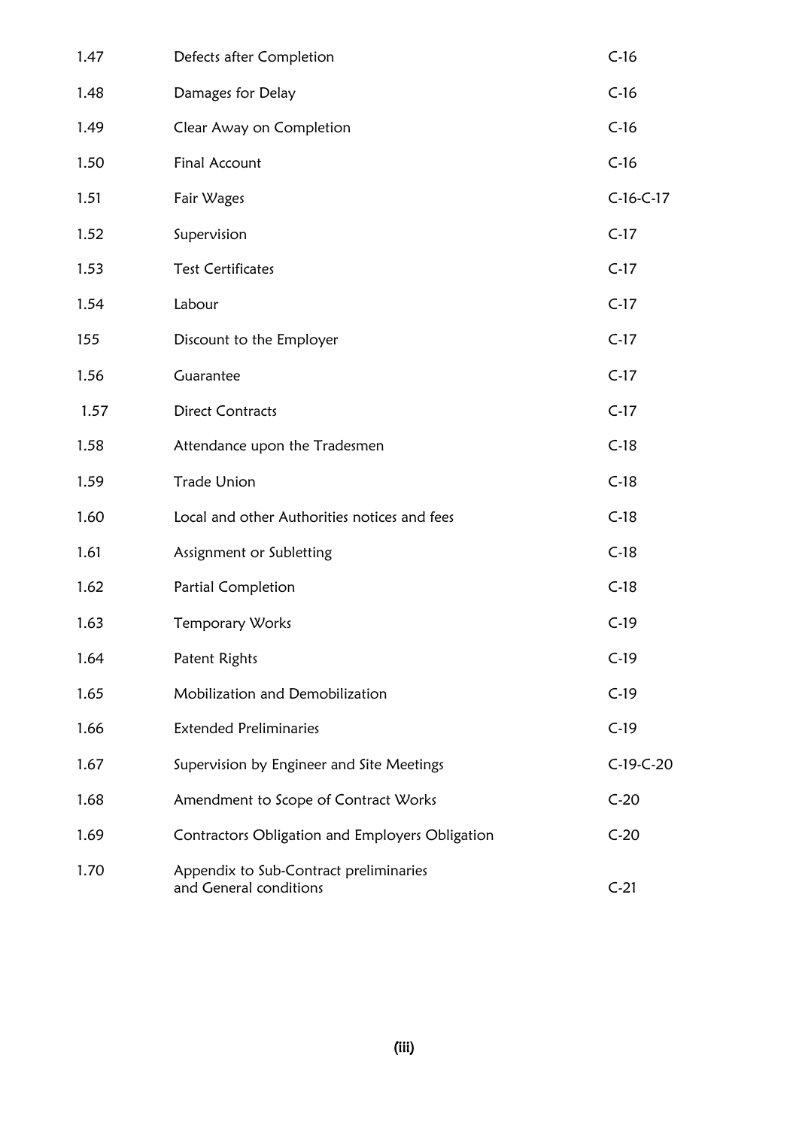| 1.47 | Defects after Completion                                         | $C-16$      |
|------|------------------------------------------------------------------|-------------|
| 1.48 | Damages for Delay                                                | $C-16$      |
| 1.49 | Clear Away on Completion                                         | $C-16$      |
| 1.50 | Final Account                                                    | $C-16$      |
| 1.51 | Fair Wages                                                       | $C-16-C-17$ |
| 1.52 | Supervision                                                      | $C-17$      |
| 1.53 | <b>Test Certificates</b>                                         | $C-17$      |
| 1.54 | Labour                                                           | $C-17$      |
| 155  | Discount to the Employer                                         | $C-17$      |
| 1.56 | Guarantee                                                        | $C-17$      |
| 1.57 | <b>Direct Contracts</b>                                          | $C-17$      |
| 1.58 | Attendance upon the Tradesmen                                    | $C-18$      |
| 1.59 | <b>Trade Union</b>                                               | $C-18$      |
| 1.60 | Local and other Authorities notices and fees                     | $C-18$      |
| 1.61 | Assignment or Subletting                                         | $C-18$      |
| 1.62 | Partial Completion                                               | $C-18$      |
| 1.63 | Temporary Works                                                  | $C-19$      |
| 1.64 | Patent Rights                                                    | $C-19$      |
| 1.65 | Mobilization and Demobilization                                  | $C-19$      |
| 1.66 | <b>Extended Preliminaries</b>                                    | $C-19$      |
| 1.67 | Supervision by Engineer and Site Meetings                        | C-19-C-20   |
| 1.68 | Amendment to Scope of Contract Works                             | $C-20$      |
| 1.69 | Contractors Obligation and Employers Obligation                  | $C-20$      |
| 1.70 | Appendix to Sub-Contract preliminaries<br>and General conditions | $C-21$      |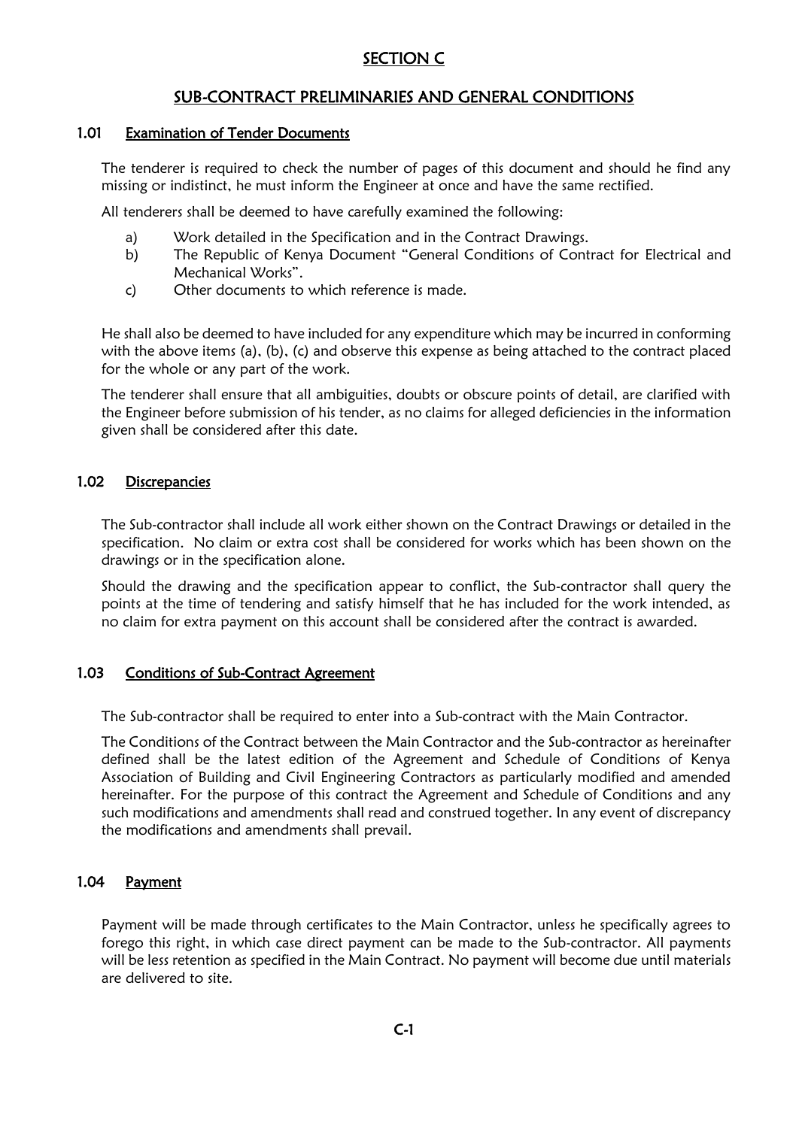## SECTION C

## SUB-CONTRACT PRELIMINARIES AND GENERAL CONDITIONS

#### 1.01 Examination of Tender Documents

The tenderer is required to check the number of pages of this document and should he find any missing or indistinct, he must inform the Engineer at once and have the same rectified.

All tenderers shall be deemed to have carefully examined the following:

- a) Work detailed in the Specification and in the Contract Drawings.
- b) The Republic of Kenya Document "General Conditions of Contract for Electrical and Mechanical Works".
- c) Other documents to which reference is made.

He shall also be deemed to have included for any expenditure which may be incurred in conforming with the above items (a), (b), (c) and observe this expense as being attached to the contract placed for the whole or any part of the work.

The tenderer shall ensure that all ambiguities, doubts or obscure points of detail, are clarified with the Engineer before submission of his tender, as no claims for alleged deficiencies in the information given shall be considered after this date.

#### 1.02 Discrepancies

The Sub-contractor shall include all work either shown on the Contract Drawings or detailed in the specification. No claim or extra cost shall be considered for works which has been shown on the drawings or in the specification alone.

Should the drawing and the specification appear to conflict, the Sub-contractor shall query the points at the time of tendering and satisfy himself that he has included for the work intended, as no claim for extra payment on this account shall be considered after the contract is awarded.

#### 1.03 Conditions of Sub-Contract Agreement

The Sub-contractor shall be required to enter into a Sub-contract with the Main Contractor.

The Conditions of the Contract between the Main Contractor and the Sub-contractor as hereinafter defined shall be the latest edition of the Agreement and Schedule of Conditions of Kenya Association of Building and Civil Engineering Contractors as particularly modified and amended hereinafter. For the purpose of this contract the Agreement and Schedule of Conditions and any such modifications and amendments shall read and construed together. In any event of discrepancy the modifications and amendments shall prevail.

#### 1.04 Payment

Payment will be made through certificates to the Main Contractor, unless he specifically agrees to forego this right, in which case direct payment can be made to the Sub-contractor. All payments will be less retention as specified in the Main Contract. No payment will become due until materials are delivered to site.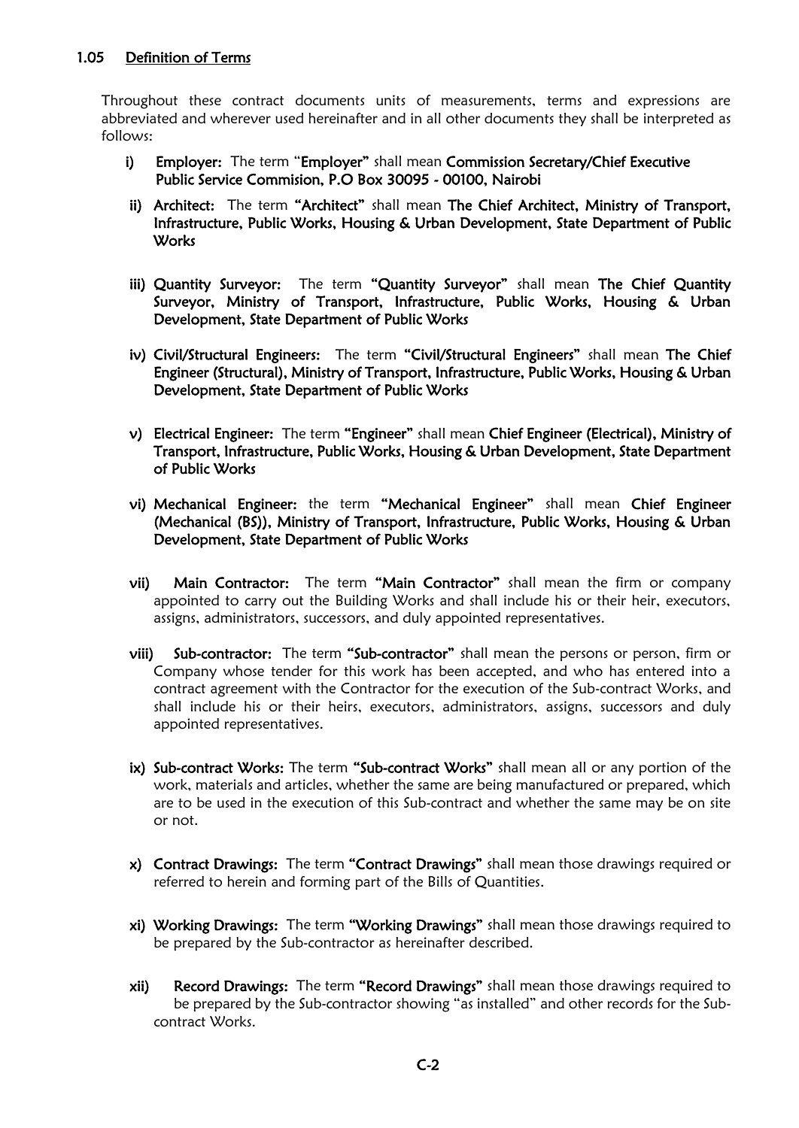Throughout these contract documents units of measurements, terms and expressions are abbreviated and wherever used hereinafter and in all other documents they shall be interpreted as follows:

- i) Employer: The term "Employer" shall mean Commission Secretary/Chief Executive Public Service Commision, P.O Box 30095 - 00100, Nairobi
- ii) Architect: The term "Architect" shall mean The Chief Architect, Ministry of Transport, Infrastructure, Public Works, Housing & Urban Development, State Department of Public **Works**
- iii) Quantity Surveyor: The term "Quantity Surveyor" shall mean The Chief Quantity Surveyor, Ministry of Transport, Infrastructure, Public Works, Housing & Urban Development, State Department of Public Works
- iv) Civil/Structural Engineers: The term "Civil/Structural Engineers" shall mean The Chief Engineer (Structural), Ministry of Transport, Infrastructure, Public Works, Housing & Urban Development, State Department of Public Works
- v) Electrical Engineer: The term "Engineer" shall mean Chief Engineer (Electrical), Ministry of Transport, Infrastructure, Public Works, Housing & Urban Development, State Department of Public Works
- vi) Mechanical Engineer: the term "Mechanical Engineer" shall mean Chief Engineer (Mechanical (BS)), Ministry of Transport, Infrastructure, Public Works, Housing & Urban Development, State Department of Public Works
- vii) Main Contractor: The term "Main Contractor" shall mean the firm or company appointed to carry out the Building Works and shall include his or their heir, executors, assigns, administrators, successors, and duly appointed representatives.
- viii) Sub-contractor: The term "Sub-contractor" shall mean the persons or person, firm or Company whose tender for this work has been accepted, and who has entered into a contract agreement with the Contractor for the execution of the Sub-contract Works, and shall include his or their heirs, executors, administrators, assigns, successors and duly appointed representatives.
- ix) Sub-contract Works: The term "Sub-contract Works" shall mean all or any portion of the work, materials and articles, whether the same are being manufactured or prepared, which are to be used in the execution of this Sub-contract and whether the same may be on site or not.
- x) Contract Drawings: The term "Contract Drawings" shall mean those drawings required or referred to herein and forming part of the Bills of Quantities.
- xi) Working Drawings: The term "Working Drawings" shall mean those drawings required to be prepared by the Sub-contractor as hereinafter described.
- xii) Record Drawings: The term "Record Drawings" shall mean those drawings required to be prepared by the Sub-contractor showing "as installed" and other records for the Subcontract Works.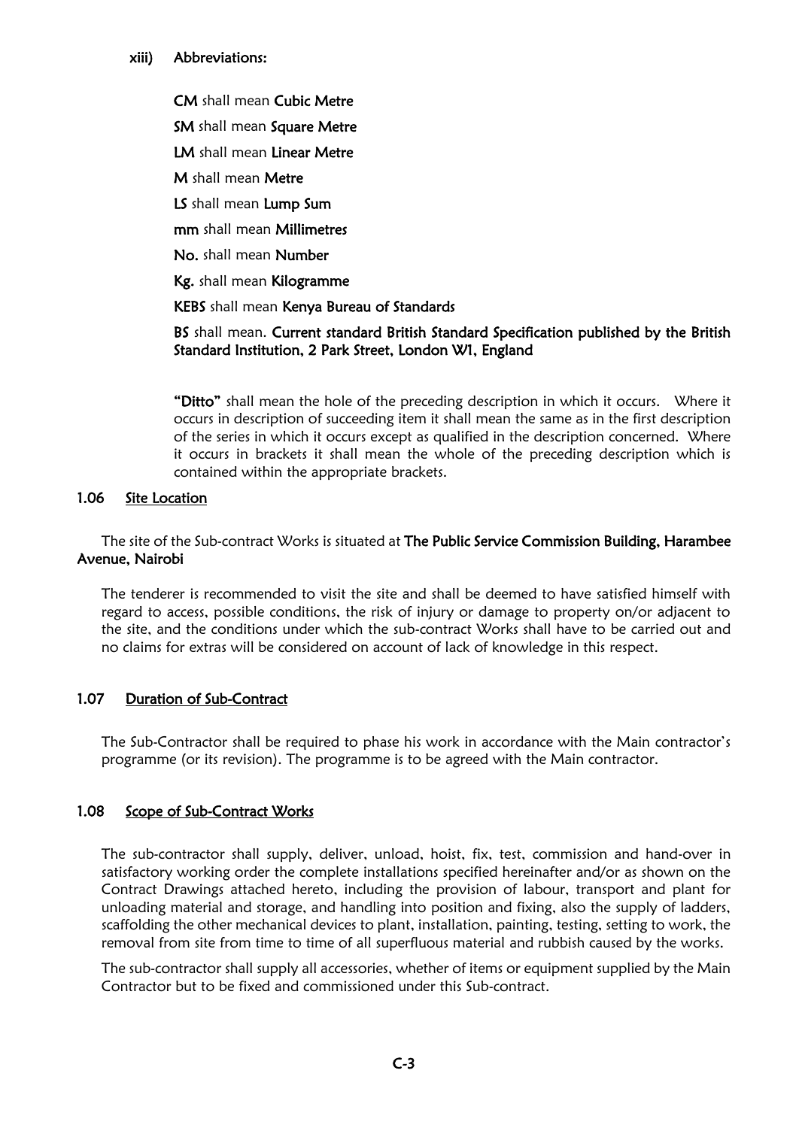#### xiii) Abbreviations:

CM shall mean Cubic Metre

SM shall mean Square Metre

LM shall mean Linear Metre

M shall mean Metre

LS shall mean Lump Sum

mm shall mean Millimetres

No. shall mean Number

Kg. shall mean Kilogramme

KEBS shall mean Kenya Bureau of Standards

### BS shall mean. Current standard British Standard Specification published by the British Standard Institution, 2 Park Street, London W1, England

"Ditto" shall mean the hole of the preceding description in which it occurs. Where it occurs in description of succeeding item it shall mean the same as in the first description of the series in which it occurs except as qualified in the description concerned. Where it occurs in brackets it shall mean the whole of the preceding description which is contained within the appropriate brackets.

## 1.06 Site Location

The site of the Sub-contract Works is situated at The Public Service Commission Building, Harambee Avenue, Nairobi

The tenderer is recommended to visit the site and shall be deemed to have satisfied himself with regard to access, possible conditions, the risk of injury or damage to property on/or adjacent to the site, and the conditions under which the sub-contract Works shall have to be carried out and no claims for extras will be considered on account of lack of knowledge in this respect.

## 1.07 Duration of Sub-Contract

The Sub-Contractor shall be required to phase his work in accordance with the Main contractor's programme (or its revision). The programme is to be agreed with the Main contractor.

## 1.08 Scope of Sub-Contract Works

The sub-contractor shall supply, deliver, unload, hoist, fix, test, commission and hand-over in satisfactory working order the complete installations specified hereinafter and/or as shown on the Contract Drawings attached hereto, including the provision of labour, transport and plant for unloading material and storage, and handling into position and fixing, also the supply of ladders, scaffolding the other mechanical devices to plant, installation, painting, testing, setting to work, the removal from site from time to time of all superfluous material and rubbish caused by the works.

The sub-contractor shall supply all accessories, whether of items or equipment supplied by the Main Contractor but to be fixed and commissioned under this Sub-contract.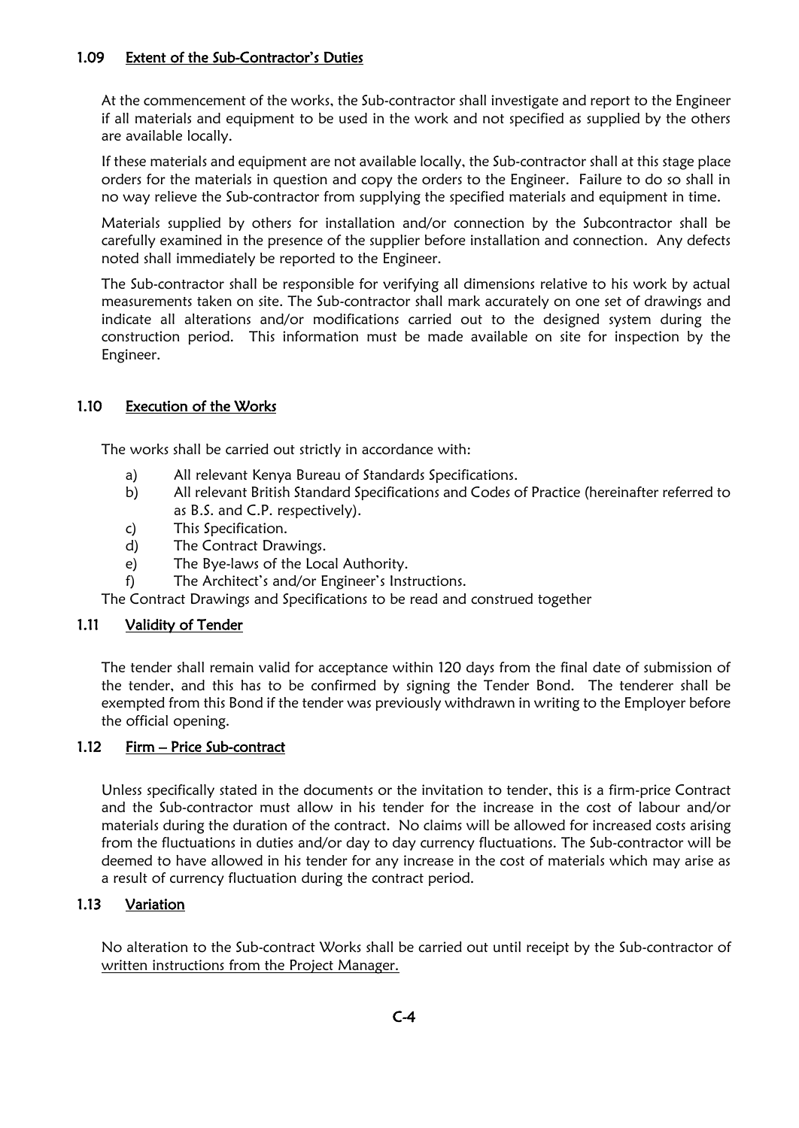## 1.09 Extent of the Sub-Contractor's Duties

At the commencement of the works, the Sub-contractor shall investigate and report to the Engineer if all materials and equipment to be used in the work and not specified as supplied by the others are available locally.

If these materials and equipment are not available locally, the Sub-contractor shall at this stage place orders for the materials in question and copy the orders to the Engineer. Failure to do so shall in no way relieve the Sub-contractor from supplying the specified materials and equipment in time.

Materials supplied by others for installation and/or connection by the Subcontractor shall be carefully examined in the presence of the supplier before installation and connection. Any defects noted shall immediately be reported to the Engineer.

The Sub-contractor shall be responsible for verifying all dimensions relative to his work by actual measurements taken on site. The Sub-contractor shall mark accurately on one set of drawings and indicate all alterations and/or modifications carried out to the designed system during the construction period. This information must be made available on site for inspection by the Engineer.

### 1.10 Execution of the Works

The works shall be carried out strictly in accordance with:

- a) All relevant Kenya Bureau of Standards Specifications.
- b) All relevant British Standard Specifications and Codes of Practice (hereinafter referred to as B.S. and C.P. respectively).
- c) This Specification.
- d) The Contract Drawings.
- e) The Bye-laws of the Local Authority.
- f) The Architect's and/or Engineer's Instructions.

The Contract Drawings and Specifications to be read and construed together

#### 1.11 Validity of Tender

The tender shall remain valid for acceptance within 120 days from the final date of submission of the tender, and this has to be confirmed by signing the Tender Bond. The tenderer shall be exempted from this Bond if the tender was previously withdrawn in writing to the Employer before the official opening.

#### 1.12 Firm – Price Sub-contract

Unless specifically stated in the documents or the invitation to tender, this is a firm-price Contract and the Sub-contractor must allow in his tender for the increase in the cost of labour and/or materials during the duration of the contract. No claims will be allowed for increased costs arising from the fluctuations in duties and/or day to day currency fluctuations. The Sub-contractor will be deemed to have allowed in his tender for any increase in the cost of materials which may arise as a result of currency fluctuation during the contract period.

#### 1.13 Variation

No alteration to the Sub-contract Works shall be carried out until receipt by the Sub-contractor of written instructions from the Project Manager.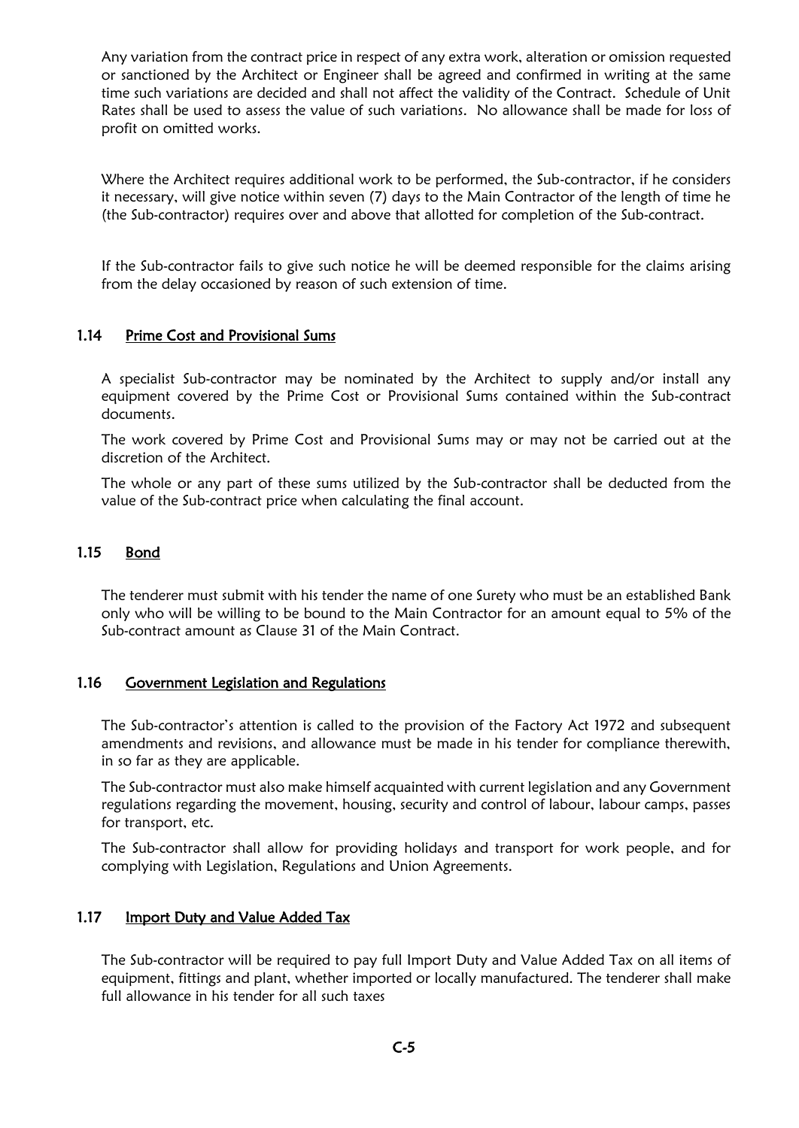Any variation from the contract price in respect of any extra work, alteration or omission requested or sanctioned by the Architect or Engineer shall be agreed and confirmed in writing at the same time such variations are decided and shall not affect the validity of the Contract. Schedule of Unit Rates shall be used to assess the value of such variations. No allowance shall be made for loss of profit on omitted works.

Where the Architect requires additional work to be performed, the Sub-contractor, if he considers it necessary, will give notice within seven (7) days to the Main Contractor of the length of time he (the Sub-contractor) requires over and above that allotted for completion of the Sub-contract.

If the Sub-contractor fails to give such notice he will be deemed responsible for the claims arising from the delay occasioned by reason of such extension of time.

### 1.14 Prime Cost and Provisional Sums

A specialist Sub-contractor may be nominated by the Architect to supply and/or install any equipment covered by the Prime Cost or Provisional Sums contained within the Sub-contract documents.

The work covered by Prime Cost and Provisional Sums may or may not be carried out at the discretion of the Architect.

The whole or any part of these sums utilized by the Sub-contractor shall be deducted from the value of the Sub-contract price when calculating the final account.

### 1.15 Bond

The tenderer must submit with his tender the name of one Surety who must be an established Bank only who will be willing to be bound to the Main Contractor for an amount equal to 5% of the Sub-contract amount as Clause 31 of the Main Contract.

#### 1.16 Government Legislation and Regulations

The Sub-contractor's attention is called to the provision of the Factory Act 1972 and subsequent amendments and revisions, and allowance must be made in his tender for compliance therewith, in so far as they are applicable.

The Sub-contractor must also make himself acquainted with current legislation and any Government regulations regarding the movement, housing, security and control of labour, labour camps, passes for transport, etc.

The Sub-contractor shall allow for providing holidays and transport for work people, and for complying with Legislation, Regulations and Union Agreements.

#### 1.17 Import Duty and Value Added Tax

The Sub-contractor will be required to pay full Import Duty and Value Added Tax on all items of equipment, fittings and plant, whether imported or locally manufactured. The tenderer shall make full allowance in his tender for all such taxes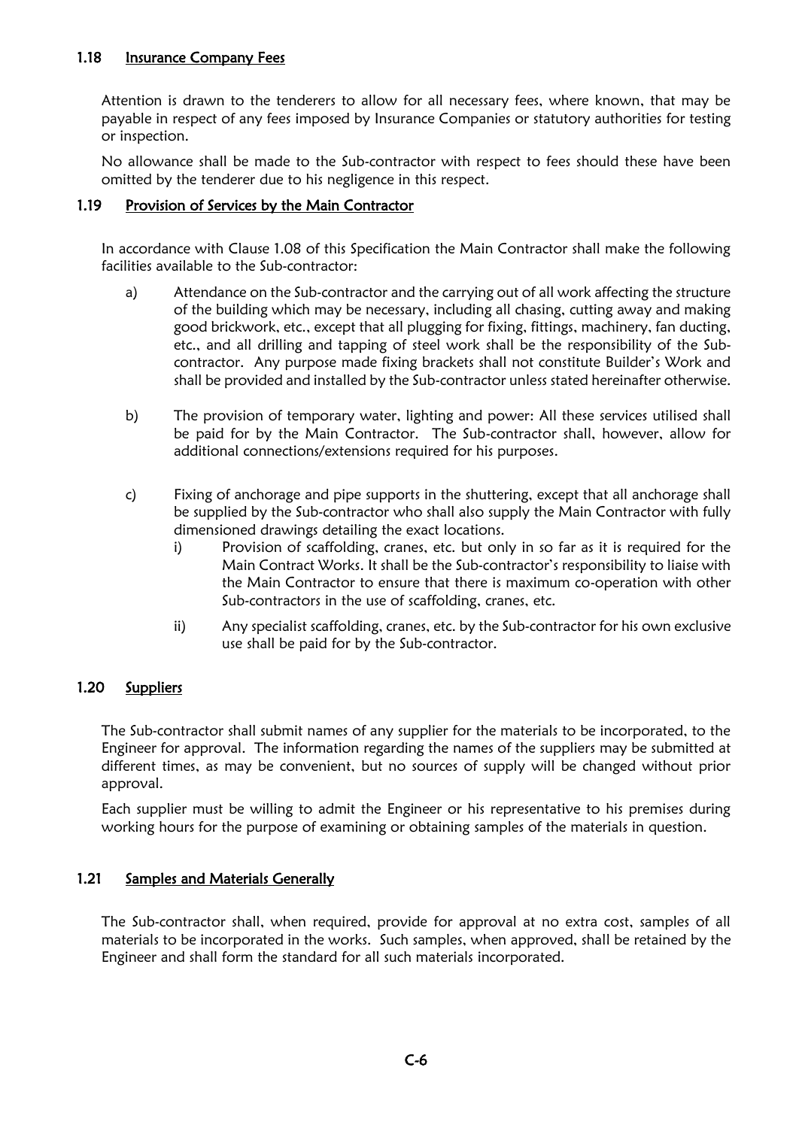### 1.18 Insurance Company Fees

Attention is drawn to the tenderers to allow for all necessary fees, where known, that may be payable in respect of any fees imposed by Insurance Companies or statutory authorities for testing or inspection.

No allowance shall be made to the Sub-contractor with respect to fees should these have been omitted by the tenderer due to his negligence in this respect.

#### 1.19 Provision of Services by the Main Contractor

In accordance with Clause 1.08 of this Specification the Main Contractor shall make the following facilities available to the Sub-contractor:

- a) Attendance on the Sub-contractor and the carrying out of all work affecting the structure of the building which may be necessary, including all chasing, cutting away and making good brickwork, etc., except that all plugging for fixing, fittings, machinery, fan ducting, etc., and all drilling and tapping of steel work shall be the responsibility of the Subcontractor. Any purpose made fixing brackets shall not constitute Builder's Work and shall be provided and installed by the Sub-contractor unless stated hereinafter otherwise.
- b) The provision of temporary water, lighting and power: All these services utilised shall be paid for by the Main Contractor. The Sub-contractor shall, however, allow for additional connections/extensions required for his purposes.
- c) Fixing of anchorage and pipe supports in the shuttering, except that all anchorage shall be supplied by the Sub-contractor who shall also supply the Main Contractor with fully dimensioned drawings detailing the exact locations.
	- i) Provision of scaffolding, cranes, etc. but only in so far as it is required for the Main Contract Works. It shall be the Sub-contractor's responsibility to liaise with the Main Contractor to ensure that there is maximum co-operation with other Sub-contractors in the use of scaffolding, cranes, etc.
	- ii) Any specialist scaffolding, cranes, etc. by the Sub-contractor for his own exclusive use shall be paid for by the Sub-contractor.

## 1.20 Suppliers

The Sub-contractor shall submit names of any supplier for the materials to be incorporated, to the Engineer for approval. The information regarding the names of the suppliers may be submitted at different times, as may be convenient, but no sources of supply will be changed without prior approval.

Each supplier must be willing to admit the Engineer or his representative to his premises during working hours for the purpose of examining or obtaining samples of the materials in question.

## 1.21 Samples and Materials Generally

The Sub-contractor shall, when required, provide for approval at no extra cost, samples of all materials to be incorporated in the works. Such samples, when approved, shall be retained by the Engineer and shall form the standard for all such materials incorporated.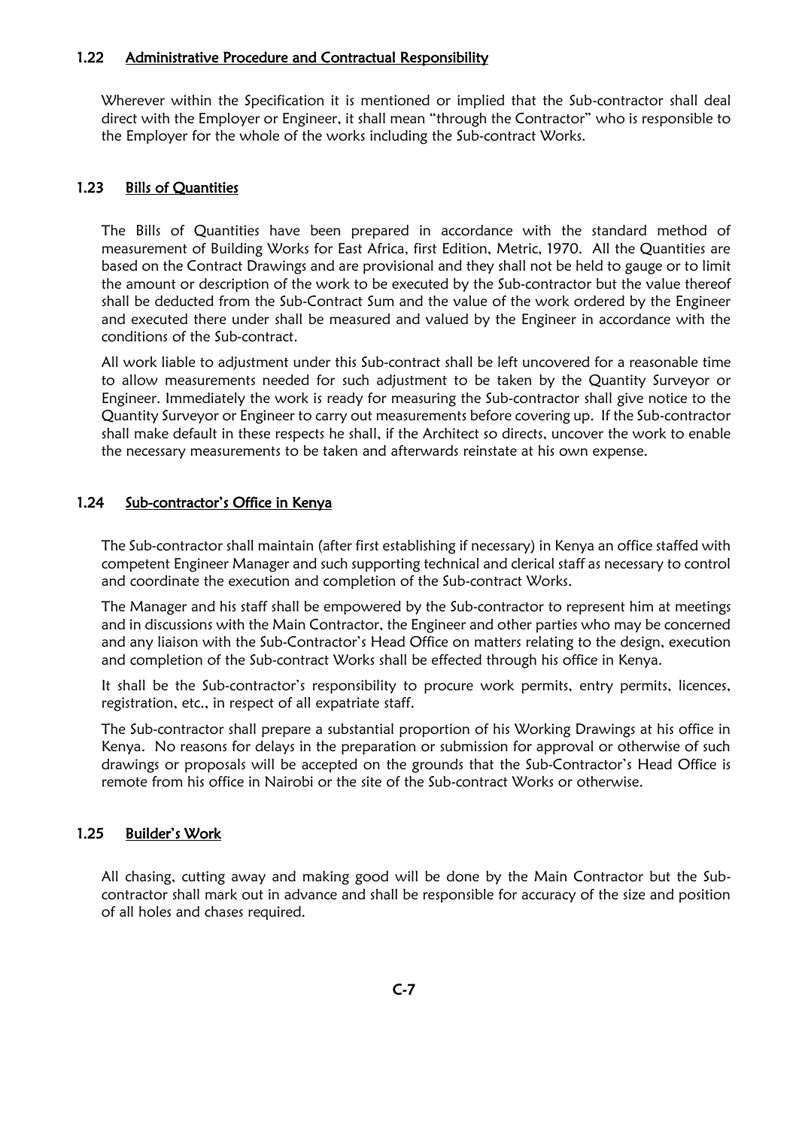#### 1.22 Administrative Procedure and Contractual Responsibility

Wherever within the Specification it is mentioned or implied that the Sub-contractor shall deal direct with the Employer or Engineer, it shall mean "through the Contractor" who is responsible to the Employer for the whole of the works including the Sub-contract Works.

#### 1.23 Bills of Quantities

The Bills of Quantities have been prepared in accordance with the standard method of measurement of Building Works for East Africa, first Edition, Metric, 1970. All the Quantities are based on the Contract Drawings and are provisional and they shall not be held to gauge or to limit the amount or description of the work to be executed by the Sub-contractor but the value thereof shall be deducted from the Sub-Contract Sum and the value of the work ordered by the Engineer and executed there under shall be measured and valued by the Engineer in accordance with the conditions of the Sub-contract.

All work liable to adjustment under this Sub-contract shall be left uncovered for a reasonable time to allow measurements needed for such adjustment to be taken by the Quantity Surveyor or Engineer. Immediately the work is ready for measuring the Sub-contractor shall give notice to the Quantity Surveyor or Engineer to carry out measurements before covering up. If the Sub-contractor shall make default in these respects he shall, if the Architect so directs, uncover the work to enable the necessary measurements to be taken and afterwards reinstate at his own expense.

#### 1.24 Sub-contractor's Office in Kenya

The Sub-contractor shall maintain (after first establishing if necessary) in Kenya an office staffed with competent Engineer Manager and such supporting technical and clerical staff as necessary to control and coordinate the execution and completion of the Sub-contract Works.

The Manager and his staff shall be empowered by the Sub-contractor to represent him at meetings and in discussions with the Main Contractor, the Engineer and other parties who may be concerned and any liaison with the Sub-Contractor's Head Office on matters relating to the design, execution and completion of the Sub-contract Works shall be effected through his office in Kenya.

It shall be the Sub-contractor's responsibility to procure work permits, entry permits, licences, registration, etc., in respect of all expatriate staff.

The Sub-contractor shall prepare a substantial proportion of his Working Drawings at his office in Kenya. No reasons for delays in the preparation or submission for approval or otherwise of such drawings or proposals will be accepted on the grounds that the Sub-Contractor's Head Office is remote from his office in Nairobi or the site of the Sub-contract Works or otherwise.

#### 1.25 Builder's Work

All chasing, cutting away and making good will be done by the Main Contractor but the Subcontractor shall mark out in advance and shall be responsible for accuracy of the size and position of all holes and chases required.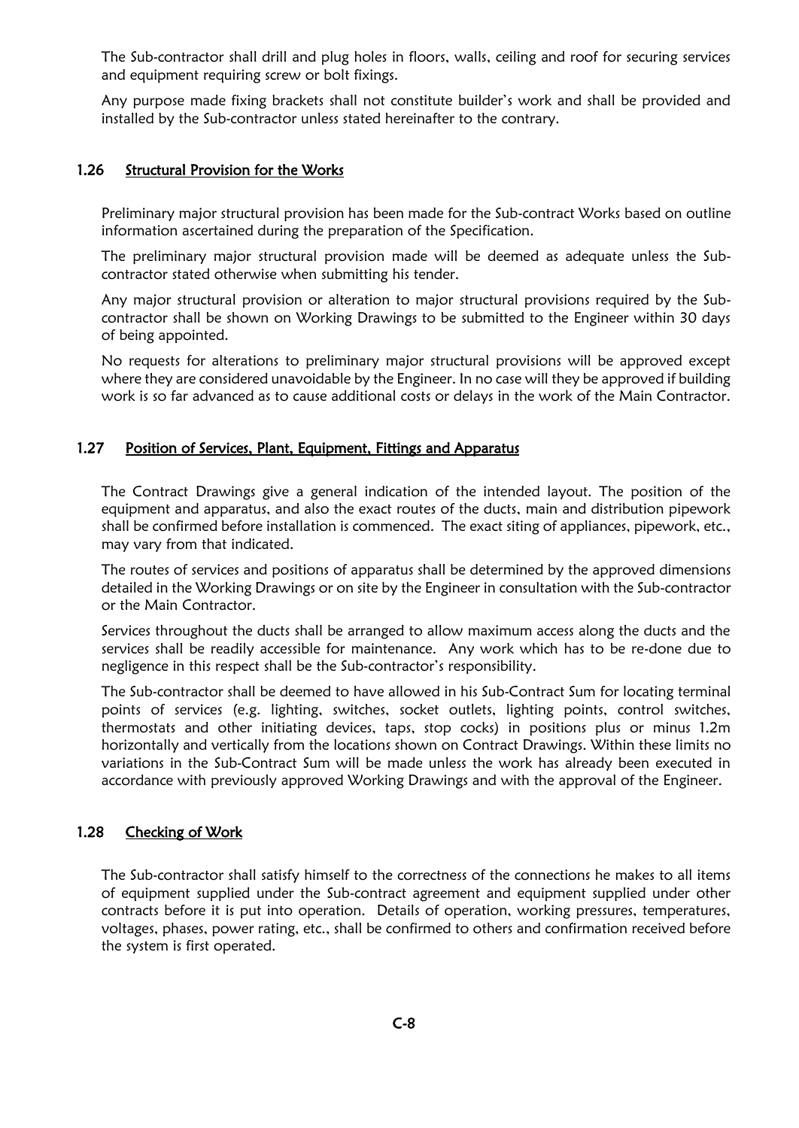The Sub-contractor shall drill and plug holes in floors, walls, ceiling and roof for securing services and equipment requiring screw or bolt fixings.

Any purpose made fixing brackets shall not constitute builder's work and shall be provided and installed by the Sub-contractor unless stated hereinafter to the contrary.

#### 1.26 Structural Provision for the Works

Preliminary major structural provision has been made for the Sub-contract Works based on outline information ascertained during the preparation of the Specification.

The preliminary major structural provision made will be deemed as adequate unless the Subcontractor stated otherwise when submitting his tender.

Any major structural provision or alteration to major structural provisions required by the Subcontractor shall be shown on Working Drawings to be submitted to the Engineer within 30 days of being appointed.

No requests for alterations to preliminary major structural provisions will be approved except where they are considered unavoidable by the Engineer. In no case will they be approved if building work is so far advanced as to cause additional costs or delays in the work of the Main Contractor.

#### 1.27 Position of Services, Plant, Equipment, Fittings and Apparatus

The Contract Drawings give a general indication of the intended layout. The position of the equipment and apparatus, and also the exact routes of the ducts, main and distribution pipework shall be confirmed before installation is commenced. The exact siting of appliances, pipework, etc., may vary from that indicated.

The routes of services and positions of apparatus shall be determined by the approved dimensions detailed in the Working Drawings or on site by the Engineer in consultation with the Sub-contractor or the Main Contractor.

Services throughout the ducts shall be arranged to allow maximum access along the ducts and the services shall be readily accessible for maintenance. Any work which has to be re-done due to negligence in this respect shall be the Sub-contractor's responsibility.

The Sub-contractor shall be deemed to have allowed in his Sub-Contract Sum for locating terminal points of services (e.g. lighting, switches, socket outlets, lighting points, control switches, thermostats and other initiating devices, taps, stop cocks) in positions plus or minus 1.2m horizontally and vertically from the locations shown on Contract Drawings. Within these limits no variations in the Sub-Contract Sum will be made unless the work has already been executed in accordance with previously approved Working Drawings and with the approval of the Engineer.

## 1.28 Checking of Work

The Sub-contractor shall satisfy himself to the correctness of the connections he makes to all items of equipment supplied under the Sub-contract agreement and equipment supplied under other contracts before it is put into operation. Details of operation, working pressures, temperatures, voltages, phases, power rating, etc., shall be confirmed to others and confirmation received before the system is first operated.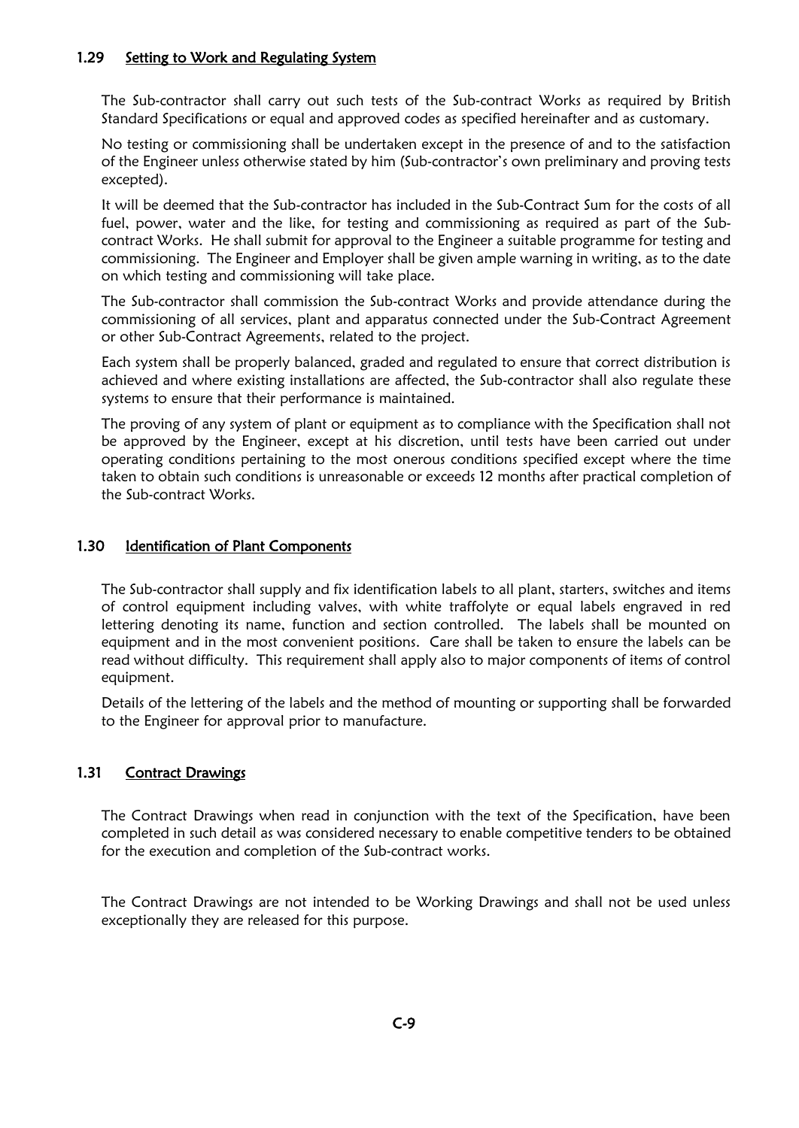### 1.29 Setting to Work and Regulating System

The Sub-contractor shall carry out such tests of the Sub-contract Works as required by British Standard Specifications or equal and approved codes as specified hereinafter and as customary.

No testing or commissioning shall be undertaken except in the presence of and to the satisfaction of the Engineer unless otherwise stated by him (Sub-contractor's own preliminary and proving tests excepted).

It will be deemed that the Sub-contractor has included in the Sub-Contract Sum for the costs of all fuel, power, water and the like, for testing and commissioning as required as part of the Subcontract Works. He shall submit for approval to the Engineer a suitable programme for testing and commissioning. The Engineer and Employer shall be given ample warning in writing, as to the date on which testing and commissioning will take place.

The Sub-contractor shall commission the Sub-contract Works and provide attendance during the commissioning of all services, plant and apparatus connected under the Sub-Contract Agreement or other Sub-Contract Agreements, related to the project.

Each system shall be properly balanced, graded and regulated to ensure that correct distribution is achieved and where existing installations are affected, the Sub-contractor shall also regulate these systems to ensure that their performance is maintained.

The proving of any system of plant or equipment as to compliance with the Specification shall not be approved by the Engineer, except at his discretion, until tests have been carried out under operating conditions pertaining to the most onerous conditions specified except where the time taken to obtain such conditions is unreasonable or exceeds 12 months after practical completion of the Sub-contract Works.

### 1.30 Identification of Plant Components

The Sub-contractor shall supply and fix identification labels to all plant, starters, switches and items of control equipment including valves, with white traffolyte or equal labels engraved in red lettering denoting its name, function and section controlled. The labels shall be mounted on equipment and in the most convenient positions. Care shall be taken to ensure the labels can be read without difficulty. This requirement shall apply also to major components of items of control equipment.

Details of the lettering of the labels and the method of mounting or supporting shall be forwarded to the Engineer for approval prior to manufacture.

## 1.31 Contract Drawings

The Contract Drawings when read in conjunction with the text of the Specification, have been completed in such detail as was considered necessary to enable competitive tenders to be obtained for the execution and completion of the Sub-contract works.

The Contract Drawings are not intended to be Working Drawings and shall not be used unless exceptionally they are released for this purpose.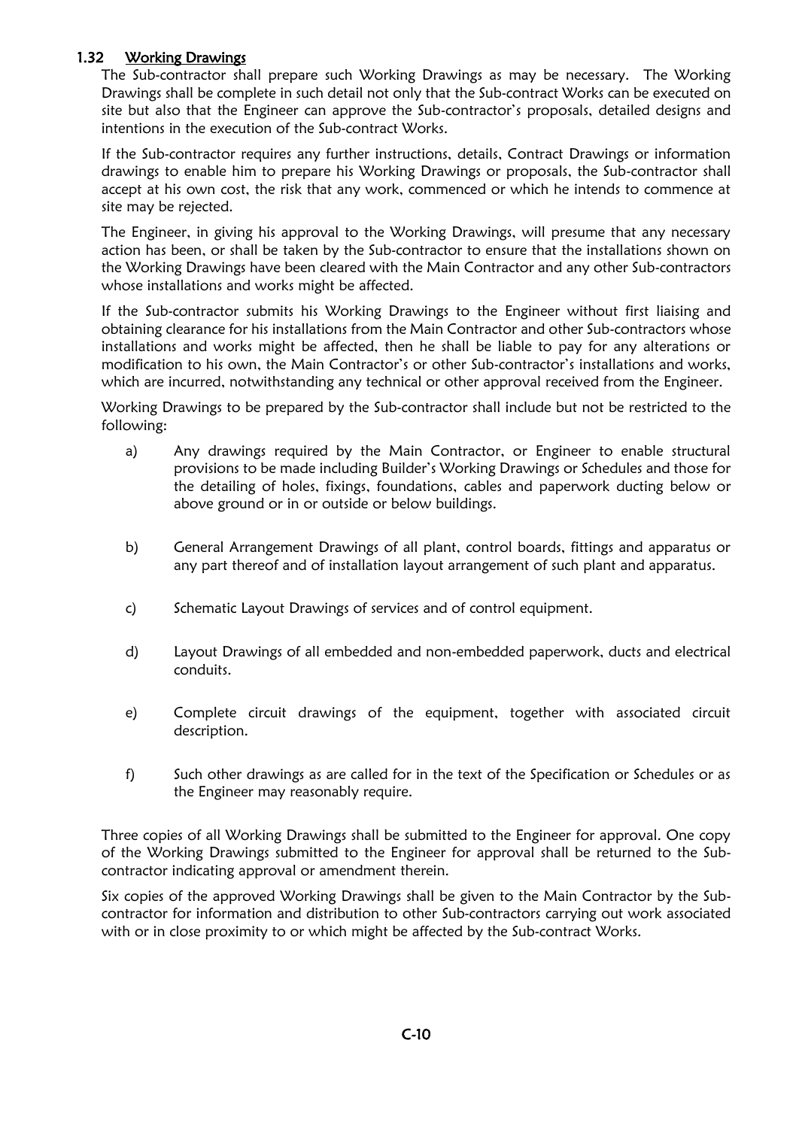### 1.32 Working Drawings

The Sub-contractor shall prepare such Working Drawings as may be necessary. The Working Drawings shall be complete in such detail not only that the Sub-contract Works can be executed on site but also that the Engineer can approve the Sub-contractor's proposals, detailed designs and intentions in the execution of the Sub-contract Works.

If the Sub-contractor requires any further instructions, details, Contract Drawings or information drawings to enable him to prepare his Working Drawings or proposals, the Sub-contractor shall accept at his own cost, the risk that any work, commenced or which he intends to commence at site may be rejected.

The Engineer, in giving his approval to the Working Drawings, will presume that any necessary action has been, or shall be taken by the Sub-contractor to ensure that the installations shown on the Working Drawings have been cleared with the Main Contractor and any other Sub-contractors whose installations and works might be affected.

If the Sub-contractor submits his Working Drawings to the Engineer without first liaising and obtaining clearance for his installations from the Main Contractor and other Sub-contractors whose installations and works might be affected, then he shall be liable to pay for any alterations or modification to his own, the Main Contractor's or other Sub-contractor's installations and works, which are incurred, notwithstanding any technical or other approval received from the Engineer.

Working Drawings to be prepared by the Sub-contractor shall include but not be restricted to the following:

- a) Any drawings required by the Main Contractor, or Engineer to enable structural provisions to be made including Builder's Working Drawings or Schedules and those for the detailing of holes, fixings, foundations, cables and paperwork ducting below or above ground or in or outside or below buildings.
- b) General Arrangement Drawings of all plant, control boards, fittings and apparatus or any part thereof and of installation layout arrangement of such plant and apparatus.
- c) Schematic Layout Drawings of services and of control equipment.
- d) Layout Drawings of all embedded and non-embedded paperwork, ducts and electrical conduits.
- e) Complete circuit drawings of the equipment, together with associated circuit description.
- f) Such other drawings as are called for in the text of the Specification or Schedules or as the Engineer may reasonably require.

Three copies of all Working Drawings shall be submitted to the Engineer for approval. One copy of the Working Drawings submitted to the Engineer for approval shall be returned to the Subcontractor indicating approval or amendment therein.

Six copies of the approved Working Drawings shall be given to the Main Contractor by the Subcontractor for information and distribution to other Sub-contractors carrying out work associated with or in close proximity to or which might be affected by the Sub-contract Works.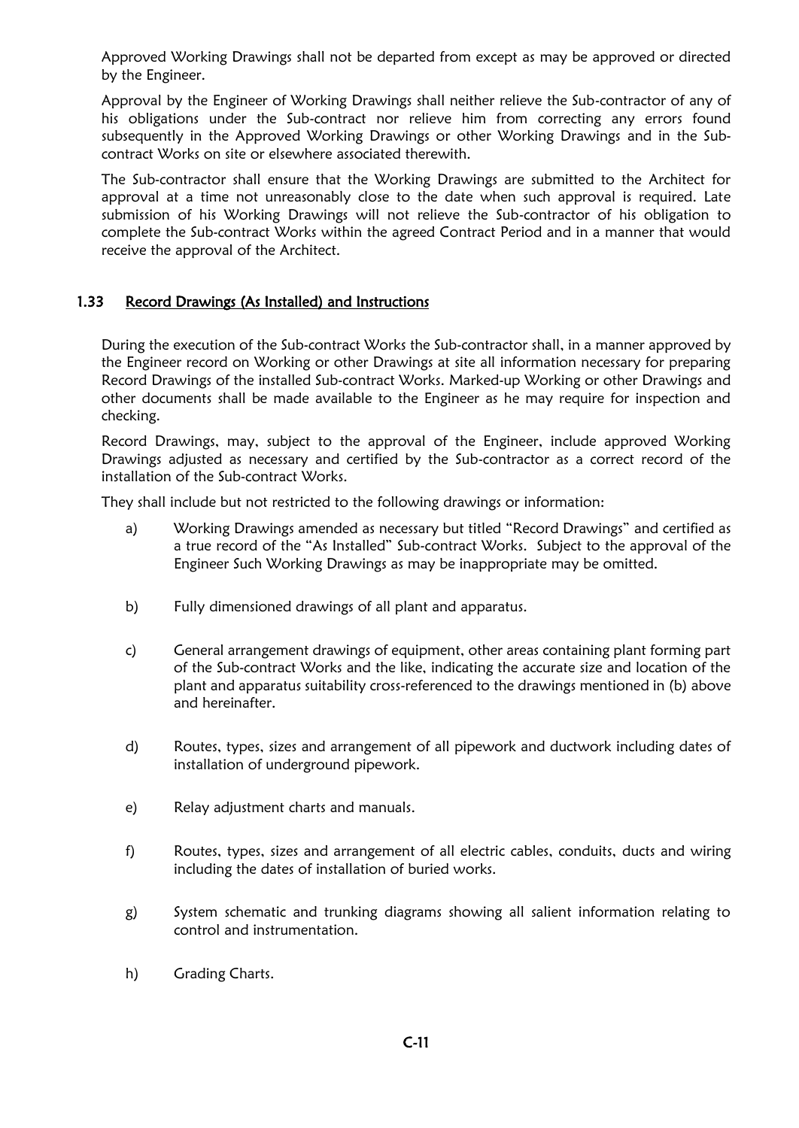Approved Working Drawings shall not be departed from except as may be approved or directed by the Engineer.

Approval by the Engineer of Working Drawings shall neither relieve the Sub-contractor of any of his obligations under the Sub-contract nor relieve him from correcting any errors found subsequently in the Approved Working Drawings or other Working Drawings and in the Subcontract Works on site or elsewhere associated therewith.

The Sub-contractor shall ensure that the Working Drawings are submitted to the Architect for approval at a time not unreasonably close to the date when such approval is required. Late submission of his Working Drawings will not relieve the Sub-contractor of his obligation to complete the Sub-contract Works within the agreed Contract Period and in a manner that would receive the approval of the Architect.

### 1.33 Record Drawings (As Installed) and Instructions

During the execution of the Sub-contract Works the Sub-contractor shall, in a manner approved by the Engineer record on Working or other Drawings at site all information necessary for preparing Record Drawings of the installed Sub-contract Works. Marked-up Working or other Drawings and other documents shall be made available to the Engineer as he may require for inspection and checking.

Record Drawings, may, subject to the approval of the Engineer, include approved Working Drawings adjusted as necessary and certified by the Sub-contractor as a correct record of the installation of the Sub-contract Works.

They shall include but not restricted to the following drawings or information:

- a) Working Drawings amended as necessary but titled "Record Drawings" and certified as a true record of the "As Installed" Sub-contract Works. Subject to the approval of the Engineer Such Working Drawings as may be inappropriate may be omitted.
- b) Fully dimensioned drawings of all plant and apparatus.
- c) General arrangement drawings of equipment, other areas containing plant forming part of the Sub-contract Works and the like, indicating the accurate size and location of the plant and apparatus suitability cross-referenced to the drawings mentioned in (b) above and hereinafter.
- d) Routes, types, sizes and arrangement of all pipework and ductwork including dates of installation of underground pipework.
- e) Relay adjustment charts and manuals.
- f) Routes, types, sizes and arrangement of all electric cables, conduits, ducts and wiring including the dates of installation of buried works.
- g) System schematic and trunking diagrams showing all salient information relating to control and instrumentation.
- h) Grading Charts.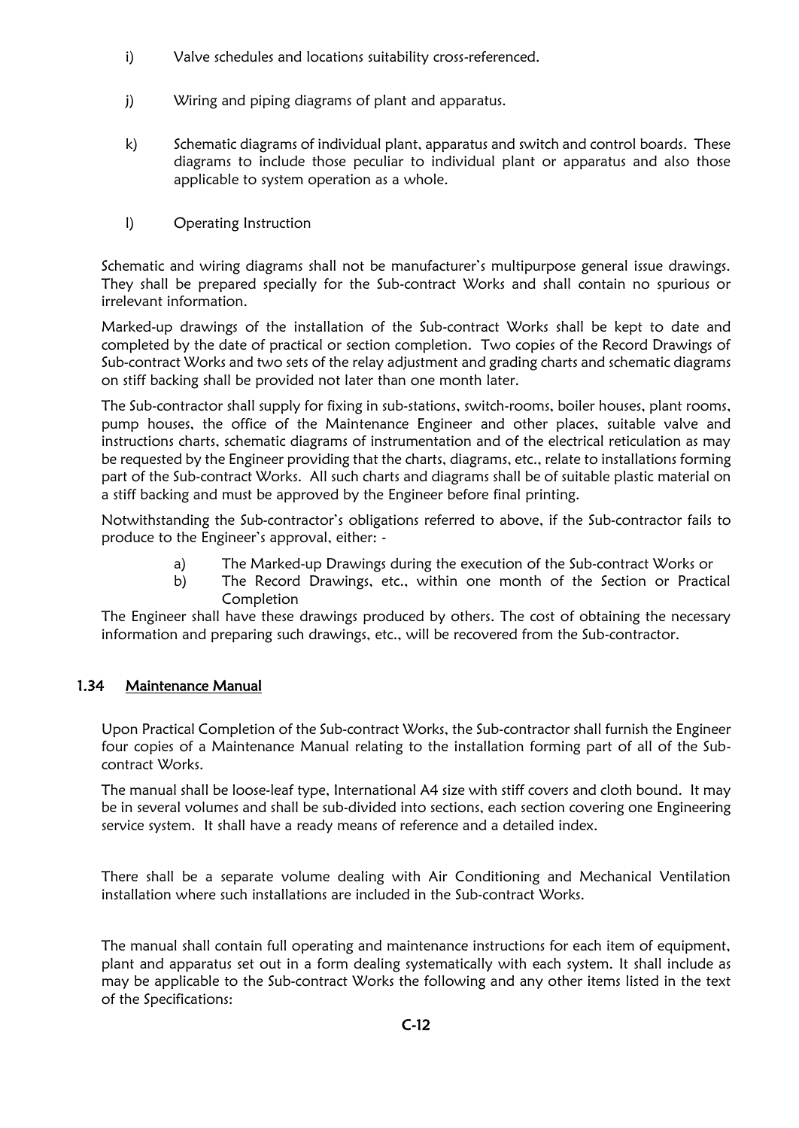- i) Valve schedules and locations suitability cross-referenced.
- j) Wiring and piping diagrams of plant and apparatus.
- k) Schematic diagrams of individual plant, apparatus and switch and control boards. These diagrams to include those peculiar to individual plant or apparatus and also those applicable to system operation as a whole.
- l) Operating Instruction

Schematic and wiring diagrams shall not be manufacturer's multipurpose general issue drawings. They shall be prepared specially for the Sub-contract Works and shall contain no spurious or irrelevant information.

Marked-up drawings of the installation of the Sub-contract Works shall be kept to date and completed by the date of practical or section completion. Two copies of the Record Drawings of Sub-contract Works and two sets of the relay adjustment and grading charts and schematic diagrams on stiff backing shall be provided not later than one month later.

The Sub-contractor shall supply for fixing in sub-stations, switch-rooms, boiler houses, plant rooms, pump houses, the office of the Maintenance Engineer and other places, suitable valve and instructions charts, schematic diagrams of instrumentation and of the electrical reticulation as may be requested by the Engineer providing that the charts, diagrams, etc., relate to installations forming part of the Sub-contract Works. All such charts and diagrams shall be of suitable plastic material on a stiff backing and must be approved by the Engineer before final printing.

Notwithstanding the Sub-contractor's obligations referred to above, if the Sub-contractor fails to produce to the Engineer's approval, either: -

- a) The Marked-up Drawings during the execution of the Sub-contract Works or
- b) The Record Drawings, etc., within one month of the Section or Practical **Completion**

The Engineer shall have these drawings produced by others. The cost of obtaining the necessary information and preparing such drawings, etc., will be recovered from the Sub-contractor.

## 1.34 Maintenance Manual

Upon Practical Completion of the Sub-contract Works, the Sub-contractor shall furnish the Engineer four copies of a Maintenance Manual relating to the installation forming part of all of the Subcontract Works.

The manual shall be loose-leaf type, International A4 size with stiff covers and cloth bound. It may be in several volumes and shall be sub-divided into sections, each section covering one Engineering service system. It shall have a ready means of reference and a detailed index.

There shall be a separate volume dealing with Air Conditioning and Mechanical Ventilation installation where such installations are included in the Sub-contract Works.

The manual shall contain full operating and maintenance instructions for each item of equipment, plant and apparatus set out in a form dealing systematically with each system. It shall include as may be applicable to the Sub-contract Works the following and any other items listed in the text of the Specifications: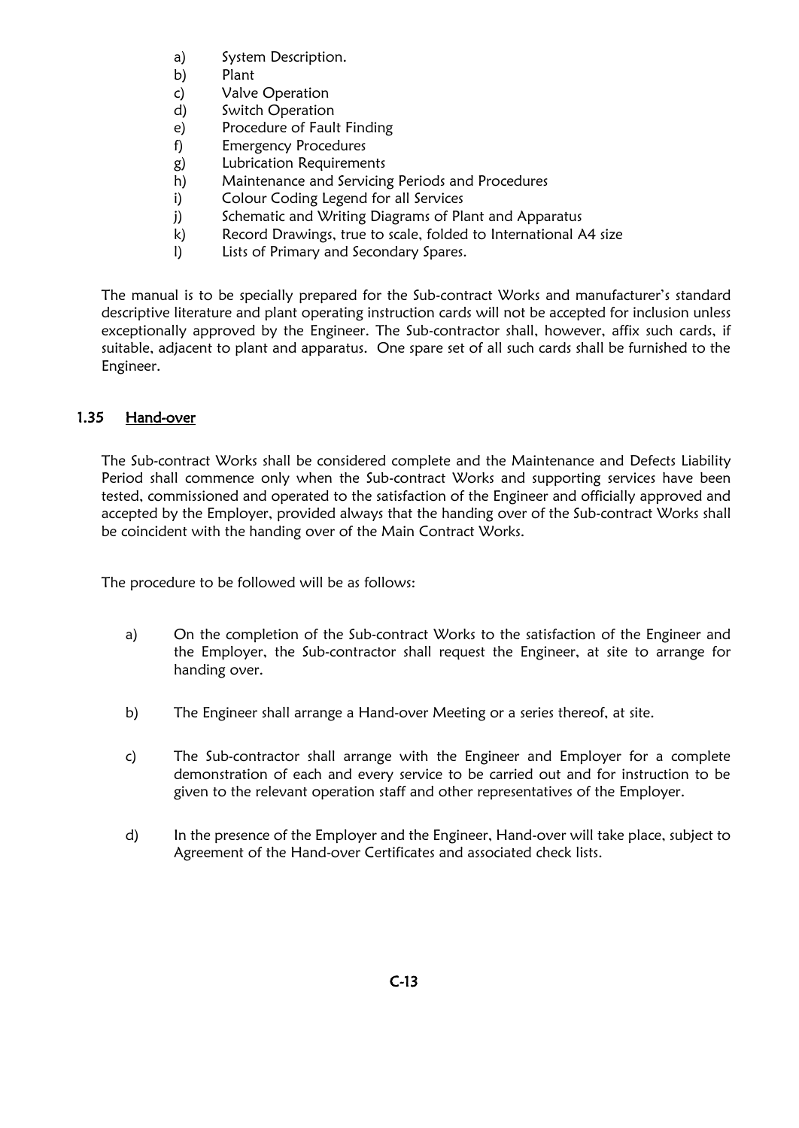- a) System Description.
- b) Plant
- c) Valve Operation
- d) Switch Operation
- e) Procedure of Fault Finding
- f) Emergency Procedures
- g) Lubrication Requirements
- h) Maintenance and Servicing Periods and Procedures
- i) Colour Coding Legend for all Services
- j) Schematic and Writing Diagrams of Plant and Apparatus
- k) Record Drawings, true to scale, folded to International A4 size
- l) Lists of Primary and Secondary Spares.

The manual is to be specially prepared for the Sub-contract Works and manufacturer's standard descriptive literature and plant operating instruction cards will not be accepted for inclusion unless exceptionally approved by the Engineer. The Sub-contractor shall, however, affix such cards, if suitable, adjacent to plant and apparatus. One spare set of all such cards shall be furnished to the Engineer.

### 1.35 Hand-over

The Sub-contract Works shall be considered complete and the Maintenance and Defects Liability Period shall commence only when the Sub-contract Works and supporting services have been tested, commissioned and operated to the satisfaction of the Engineer and officially approved and accepted by the Employer, provided always that the handing over of the Sub-contract Works shall be coincident with the handing over of the Main Contract Works.

The procedure to be followed will be as follows:

- a) On the completion of the Sub-contract Works to the satisfaction of the Engineer and the Employer, the Sub-contractor shall request the Engineer, at site to arrange for handing over.
- b) The Engineer shall arrange a Hand-over Meeting or a series thereof, at site.
- c) The Sub-contractor shall arrange with the Engineer and Employer for a complete demonstration of each and every service to be carried out and for instruction to be given to the relevant operation staff and other representatives of the Employer.
- d) In the presence of the Employer and the Engineer, Hand-over will take place, subject to Agreement of the Hand-over Certificates and associated check lists.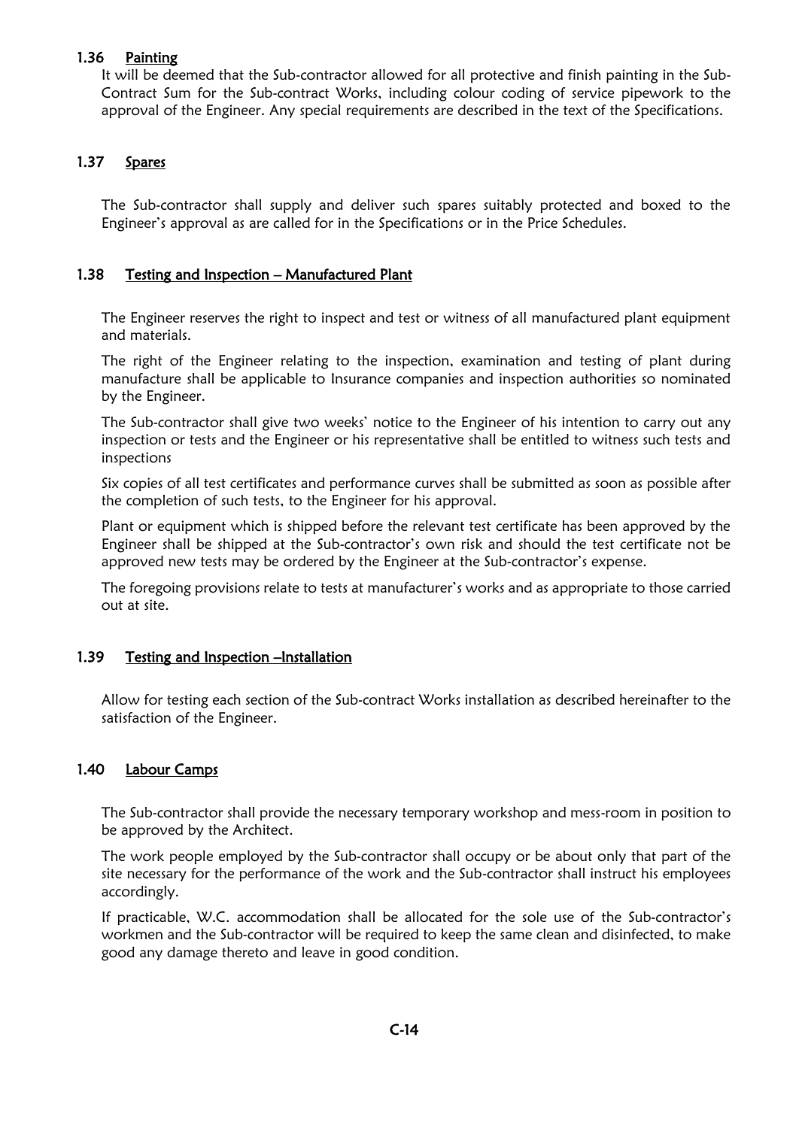### 1.36 Painting

It will be deemed that the Sub-contractor allowed for all protective and finish painting in the Sub-Contract Sum for the Sub-contract Works, including colour coding of service pipework to the approval of the Engineer. Any special requirements are described in the text of the Specifications.

## 1.37 Spares

The Sub-contractor shall supply and deliver such spares suitably protected and boxed to the Engineer's approval as are called for in the Specifications or in the Price Schedules.

## 1.38 Testing and Inspection – Manufactured Plant

The Engineer reserves the right to inspect and test or witness of all manufactured plant equipment and materials.

The right of the Engineer relating to the inspection, examination and testing of plant during manufacture shall be applicable to Insurance companies and inspection authorities so nominated by the Engineer.

The Sub-contractor shall give two weeks' notice to the Engineer of his intention to carry out any inspection or tests and the Engineer or his representative shall be entitled to witness such tests and inspections

Six copies of all test certificates and performance curves shall be submitted as soon as possible after the completion of such tests, to the Engineer for his approval.

Plant or equipment which is shipped before the relevant test certificate has been approved by the Engineer shall be shipped at the Sub-contractor's own risk and should the test certificate not be approved new tests may be ordered by the Engineer at the Sub-contractor's expense.

The foregoing provisions relate to tests at manufacturer's works and as appropriate to those carried out at site.

## 1.39 Testing and Inspection –Installation

Allow for testing each section of the Sub-contract Works installation as described hereinafter to the satisfaction of the Engineer.

## 1.40 Labour Camps

The Sub-contractor shall provide the necessary temporary workshop and mess-room in position to be approved by the Architect.

The work people employed by the Sub-contractor shall occupy or be about only that part of the site necessary for the performance of the work and the Sub-contractor shall instruct his employees accordingly.

If practicable, W.C. accommodation shall be allocated for the sole use of the Sub-contractor's workmen and the Sub-contractor will be required to keep the same clean and disinfected, to make good any damage thereto and leave in good condition.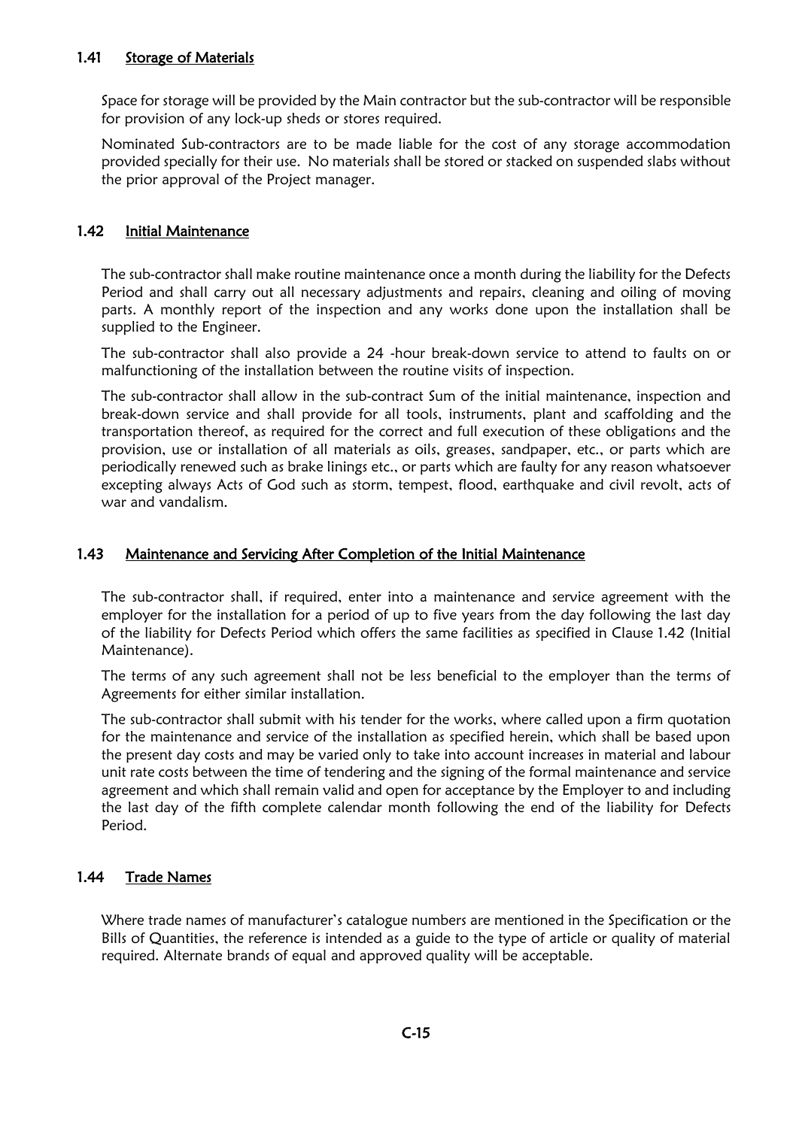### 1.41 Storage of Materials

Space for storage will be provided by the Main contractor but the sub-contractor will be responsible for provision of any lock-up sheds or stores required.

Nominated Sub-contractors are to be made liable for the cost of any storage accommodation provided specially for their use. No materials shall be stored or stacked on suspended slabs without the prior approval of the Project manager.

### 1.42 Initial Maintenance

The sub-contractor shall make routine maintenance once a month during the liability for the Defects Period and shall carry out all necessary adjustments and repairs, cleaning and oiling of moving parts. A monthly report of the inspection and any works done upon the installation shall be supplied to the Engineer.

The sub-contractor shall also provide a 24 -hour break-down service to attend to faults on or malfunctioning of the installation between the routine visits of inspection.

The sub-contractor shall allow in the sub-contract Sum of the initial maintenance, inspection and break-down service and shall provide for all tools, instruments, plant and scaffolding and the transportation thereof, as required for the correct and full execution of these obligations and the provision, use or installation of all materials as oils, greases, sandpaper, etc., or parts which are periodically renewed such as brake linings etc., or parts which are faulty for any reason whatsoever excepting always Acts of God such as storm, tempest, flood, earthquake and civil revolt, acts of war and vandalism.

#### 1.43 Maintenance and Servicing After Completion of the Initial Maintenance

The sub-contractor shall, if required, enter into a maintenance and service agreement with the employer for the installation for a period of up to five years from the day following the last day of the liability for Defects Period which offers the same facilities as specified in Clause 1.42 (Initial Maintenance).

The terms of any such agreement shall not be less beneficial to the employer than the terms of Agreements for either similar installation.

The sub-contractor shall submit with his tender for the works, where called upon a firm quotation for the maintenance and service of the installation as specified herein, which shall be based upon the present day costs and may be varied only to take into account increases in material and labour unit rate costs between the time of tendering and the signing of the formal maintenance and service agreement and which shall remain valid and open for acceptance by the Employer to and including the last day of the fifth complete calendar month following the end of the liability for Defects Period.

## 1.44 Trade Names

Where trade names of manufacturer's catalogue numbers are mentioned in the Specification or the Bills of Quantities, the reference is intended as a guide to the type of article or quality of material required. Alternate brands of equal and approved quality will be acceptable.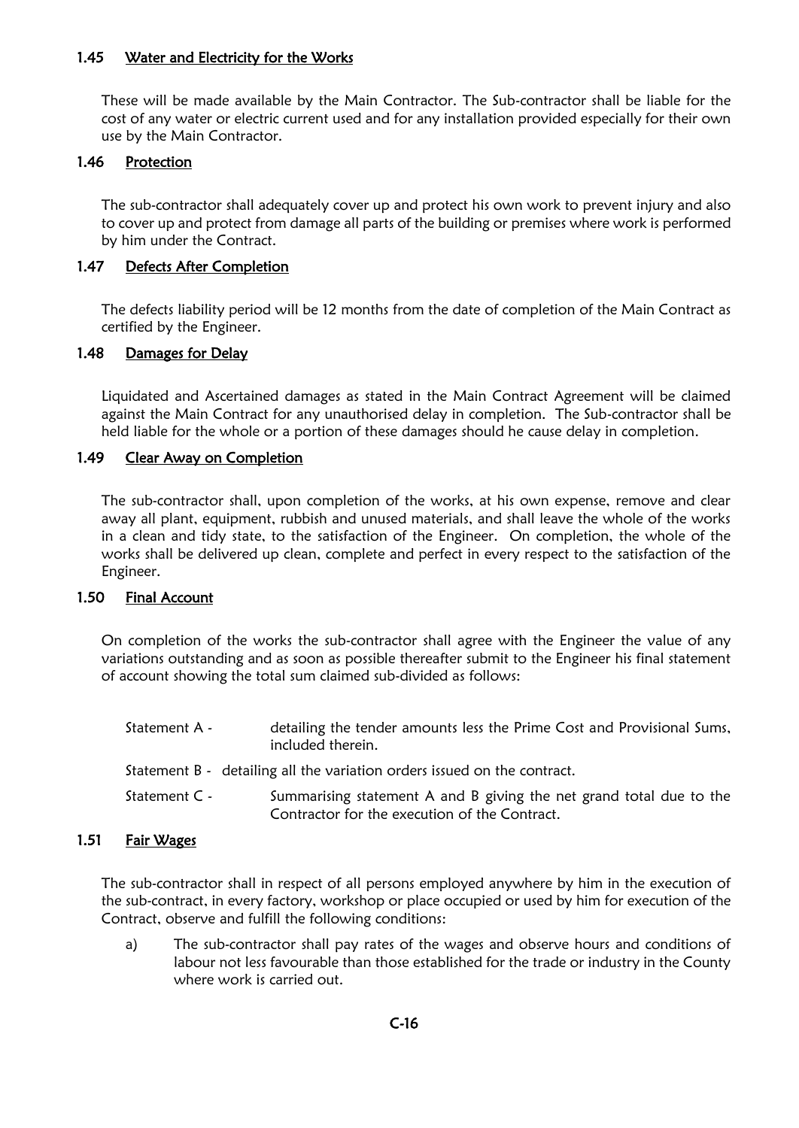#### 1.45 Water and Electricity for the Works

These will be made available by the Main Contractor. The Sub-contractor shall be liable for the cost of any water or electric current used and for any installation provided especially for their own use by the Main Contractor.

## 1.46 Protection

The sub-contractor shall adequately cover up and protect his own work to prevent injury and also to cover up and protect from damage all parts of the building or premises where work is performed by him under the Contract.

### 1.47 Defects After Completion

The defects liability period will be 12 months from the date of completion of the Main Contract as certified by the Engineer.

#### 1.48 Damages for Delay

Liquidated and Ascertained damages as stated in the Main Contract Agreement will be claimed against the Main Contract for any unauthorised delay in completion. The Sub-contractor shall be held liable for the whole or a portion of these damages should he cause delay in completion.

### 1.49 Clear Away on Completion

The sub-contractor shall, upon completion of the works, at his own expense, remove and clear away all plant, equipment, rubbish and unused materials, and shall leave the whole of the works in a clean and tidy state, to the satisfaction of the Engineer. On completion, the whole of the works shall be delivered up clean, complete and perfect in every respect to the satisfaction of the Engineer.

#### 1.50 Final Account

On completion of the works the sub-contractor shall agree with the Engineer the value of any variations outstanding and as soon as possible thereafter submit to the Engineer his final statement of account showing the total sum claimed sub-divided as follows:

| Statement A - | detailing the tender amounts less the Prime Cost and Provisional Sums,<br>included therein.                          |
|---------------|----------------------------------------------------------------------------------------------------------------------|
|               | Statement B - detailing all the variation orders issued on the contract.                                             |
| Statement C - | Summarising statement A and B giving the net grand total due to the<br>Contractor for the execution of the Contract. |

#### 1.51 Fair Wages

The sub-contractor shall in respect of all persons employed anywhere by him in the execution of the sub-contract, in every factory, workshop or place occupied or used by him for execution of the Contract, observe and fulfill the following conditions:

a) The sub-contractor shall pay rates of the wages and observe hours and conditions of labour not less favourable than those established for the trade or industry in the County where work is carried out.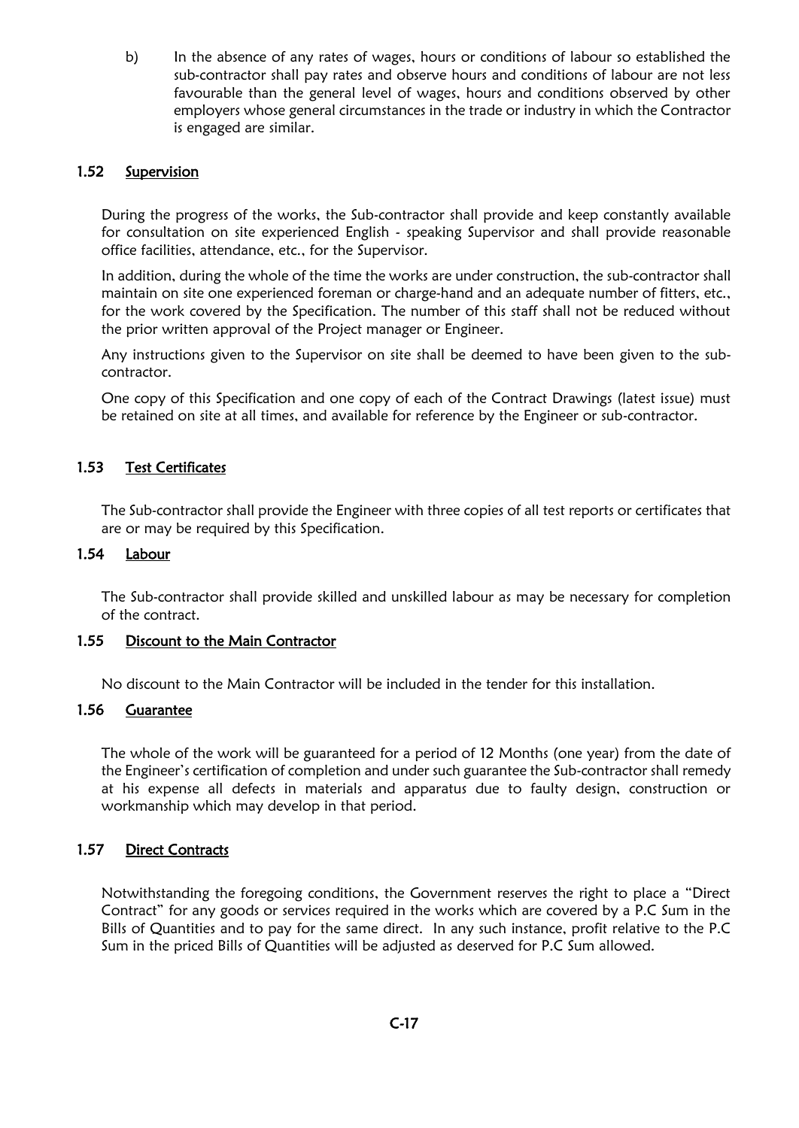b) In the absence of any rates of wages, hours or conditions of labour so established the sub-contractor shall pay rates and observe hours and conditions of labour are not less favourable than the general level of wages, hours and conditions observed by other employers whose general circumstances in the trade or industry in which the Contractor is engaged are similar.

### 1.52 Supervision

During the progress of the works, the Sub-contractor shall provide and keep constantly available for consultation on site experienced English - speaking Supervisor and shall provide reasonable office facilities, attendance, etc., for the Supervisor.

In addition, during the whole of the time the works are under construction, the sub-contractor shall maintain on site one experienced foreman or charge-hand and an adequate number of fitters, etc., for the work covered by the Specification. The number of this staff shall not be reduced without the prior written approval of the Project manager or Engineer.

Any instructions given to the Supervisor on site shall be deemed to have been given to the subcontractor.

One copy of this Specification and one copy of each of the Contract Drawings (latest issue) must be retained on site at all times, and available for reference by the Engineer or sub-contractor.

### 1.53 Test Certificates

The Sub-contractor shall provide the Engineer with three copies of all test reports or certificates that are or may be required by this Specification.

#### 1.54 Labour

The Sub-contractor shall provide skilled and unskilled labour as may be necessary for completion of the contract.

#### 1.55 Discount to the Main Contractor

No discount to the Main Contractor will be included in the tender for this installation.

#### 1.56 Guarantee

The whole of the work will be guaranteed for a period of 12 Months (one year) from the date of the Engineer's certification of completion and under such guarantee the Sub-contractor shall remedy at his expense all defects in materials and apparatus due to faulty design, construction or workmanship which may develop in that period.

#### 1.57 Direct Contracts

Notwithstanding the foregoing conditions, the Government reserves the right to place a "Direct Contract" for any goods or services required in the works which are covered by a P.C Sum in the Bills of Quantities and to pay for the same direct. In any such instance, profit relative to the P.C Sum in the priced Bills of Quantities will be adjusted as deserved for P.C Sum allowed.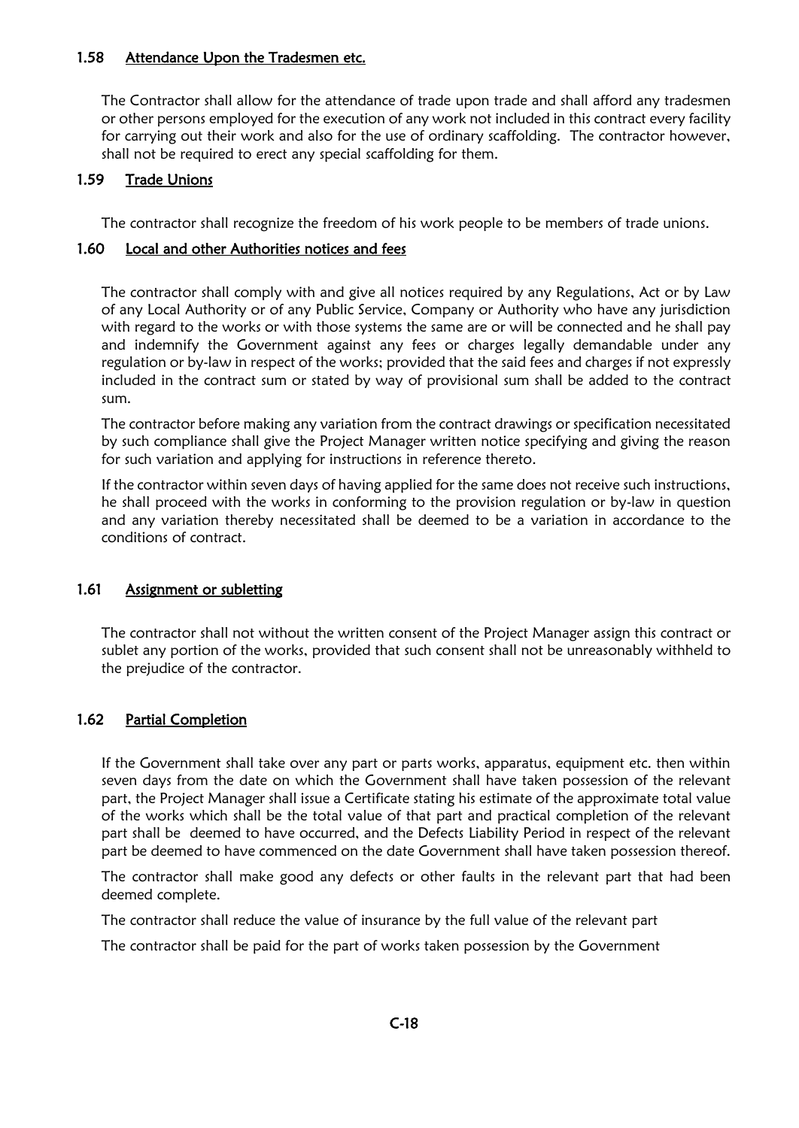#### 1.58 Attendance Upon the Tradesmen etc.

The Contractor shall allow for the attendance of trade upon trade and shall afford any tradesmen or other persons employed for the execution of any work not included in this contract every facility for carrying out their work and also for the use of ordinary scaffolding. The contractor however, shall not be required to erect any special scaffolding for them.

## 1.59 Trade Unions

The contractor shall recognize the freedom of his work people to be members of trade unions.

### 1.60 Local and other Authorities notices and fees

The contractor shall comply with and give all notices required by any Regulations, Act or by Law of any Local Authority or of any Public Service, Company or Authority who have any jurisdiction with regard to the works or with those systems the same are or will be connected and he shall pay and indemnify the Government against any fees or charges legally demandable under any regulation or by-law in respect of the works; provided that the said fees and charges if not expressly included in the contract sum or stated by way of provisional sum shall be added to the contract sum.

The contractor before making any variation from the contract drawings or specification necessitated by such compliance shall give the Project Manager written notice specifying and giving the reason for such variation and applying for instructions in reference thereto.

If the contractor within seven days of having applied for the same does not receive such instructions, he shall proceed with the works in conforming to the provision regulation or by-law in question and any variation thereby necessitated shall be deemed to be a variation in accordance to the conditions of contract.

#### 1.61 Assignment or subletting

The contractor shall not without the written consent of the Project Manager assign this contract or sublet any portion of the works, provided that such consent shall not be unreasonably withheld to the prejudice of the contractor.

## 1.62 Partial Completion

If the Government shall take over any part or parts works, apparatus, equipment etc. then within seven days from the date on which the Government shall have taken possession of the relevant part, the Project Manager shall issue a Certificate stating his estimate of the approximate total value of the works which shall be the total value of that part and practical completion of the relevant part shall be deemed to have occurred, and the Defects Liability Period in respect of the relevant part be deemed to have commenced on the date Government shall have taken possession thereof.

The contractor shall make good any defects or other faults in the relevant part that had been deemed complete.

The contractor shall reduce the value of insurance by the full value of the relevant part

The contractor shall be paid for the part of works taken possession by the Government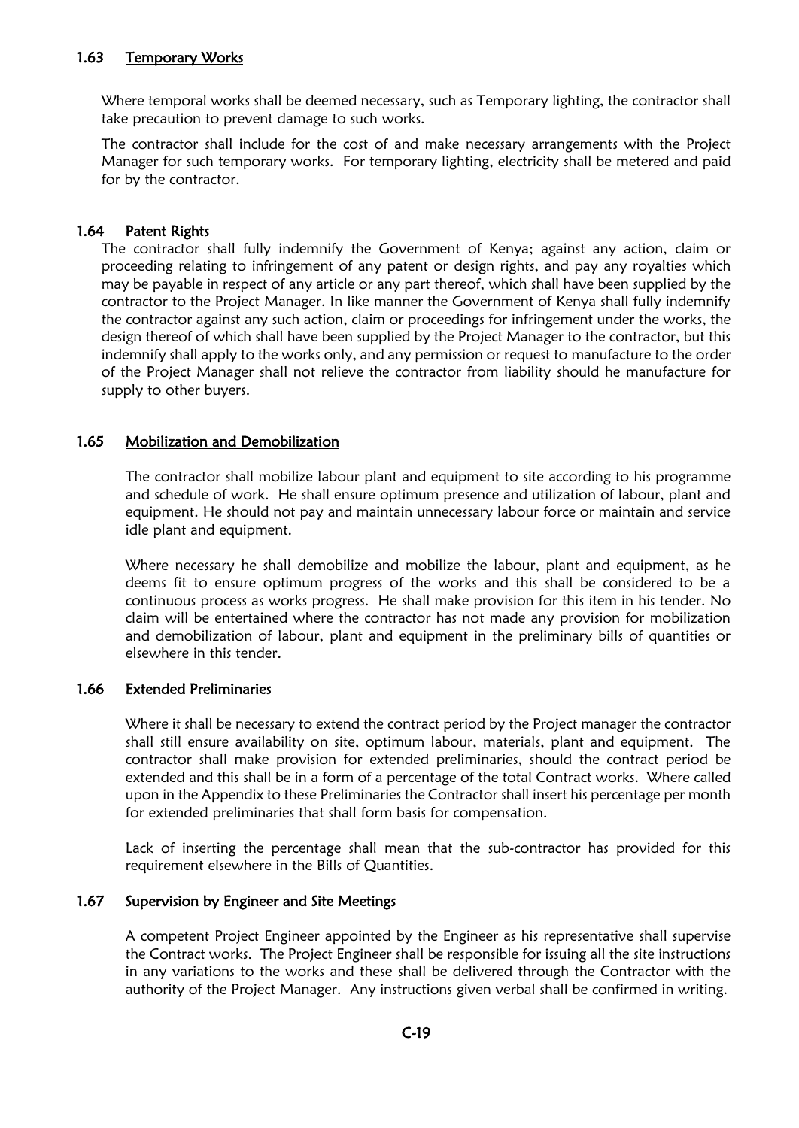### 1.63 Temporary Works

Where temporal works shall be deemed necessary, such as Temporary lighting, the contractor shall take precaution to prevent damage to such works.

The contractor shall include for the cost of and make necessary arrangements with the Project Manager for such temporary works. For temporary lighting, electricity shall be metered and paid for by the contractor.

#### 1.64 Patent Rights

The contractor shall fully indemnify the Government of Kenya; against any action, claim or proceeding relating to infringement of any patent or design rights, and pay any royalties which may be payable in respect of any article or any part thereof, which shall have been supplied by the contractor to the Project Manager. In like manner the Government of Kenya shall fully indemnify the contractor against any such action, claim or proceedings for infringement under the works, the design thereof of which shall have been supplied by the Project Manager to the contractor, but this indemnify shall apply to the works only, and any permission or request to manufacture to the order of the Project Manager shall not relieve the contractor from liability should he manufacture for supply to other buyers.

### 1.65 Mobilization and Demobilization

The contractor shall mobilize labour plant and equipment to site according to his programme and schedule of work. He shall ensure optimum presence and utilization of labour, plant and equipment. He should not pay and maintain unnecessary labour force or maintain and service idle plant and equipment.

Where necessary he shall demobilize and mobilize the labour, plant and equipment, as he deems fit to ensure optimum progress of the works and this shall be considered to be a continuous process as works progress. He shall make provision for this item in his tender. No claim will be entertained where the contractor has not made any provision for mobilization and demobilization of labour, plant and equipment in the preliminary bills of quantities or elsewhere in this tender.

#### 1.66 Extended Preliminaries

Where it shall be necessary to extend the contract period by the Project manager the contractor shall still ensure availability on site, optimum labour, materials, plant and equipment. The contractor shall make provision for extended preliminaries, should the contract period be extended and this shall be in a form of a percentage of the total Contract works. Where called upon in the Appendix to these Preliminaries the Contractor shall insert his percentage per month for extended preliminaries that shall form basis for compensation.

Lack of inserting the percentage shall mean that the sub-contractor has provided for this requirement elsewhere in the Bills of Quantities.

#### 1.67 Supervision by Engineer and Site Meetings

A competent Project Engineer appointed by the Engineer as his representative shall supervise the Contract works. The Project Engineer shall be responsible for issuing all the site instructions in any variations to the works and these shall be delivered through the Contractor with the authority of the Project Manager. Any instructions given verbal shall be confirmed in writing.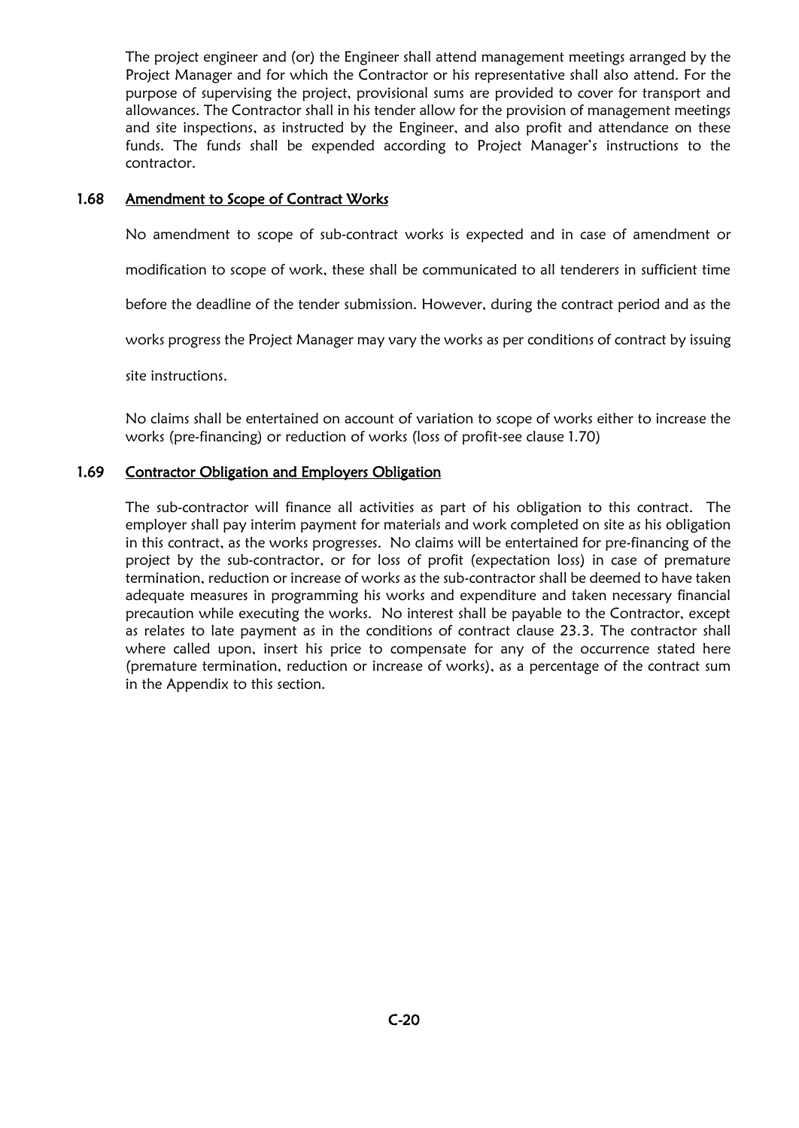The project engineer and (or) the Engineer shall attend management meetings arranged by the Project Manager and for which the Contractor or his representative shall also attend. For the purpose of supervising the project, provisional sums are provided to cover for transport and allowances. The Contractor shall in his tender allow for the provision of management meetings and site inspections, as instructed by the Engineer, and also profit and attendance on these funds. The funds shall be expended according to Project Manager's instructions to the contractor.

### 1.68 Amendment to Scope of Contract Works

No amendment to scope of sub-contract works is expected and in case of amendment or

modification to scope of work, these shall be communicated to all tenderers in sufficient time

before the deadline of the tender submission. However, during the contract period and as the

works progress the Project Manager may vary the works as per conditions of contract by issuing

site instructions.

No claims shall be entertained on account of variation to scope of works either to increase the works (pre-financing) or reduction of works (loss of profit-see clause 1.70)

#### 1.69 Contractor Obligation and Employers Obligation

The sub-contractor will finance all activities as part of his obligation to this contract. The employer shall pay interim payment for materials and work completed on site as his obligation in this contract, as the works progresses. No claims will be entertained for pre-financing of the project by the sub-contractor, or for loss of profit (expectation loss) in case of premature termination, reduction or increase of works as the sub-contractor shall be deemed to have taken adequate measures in programming his works and expenditure and taken necessary financial precaution while executing the works. No interest shall be payable to the Contractor, except as relates to late payment as in the conditions of contract clause 23.3. The contractor shall where called upon, insert his price to compensate for any of the occurrence stated here (premature termination, reduction or increase of works), as a percentage of the contract sum in the Appendix to this section.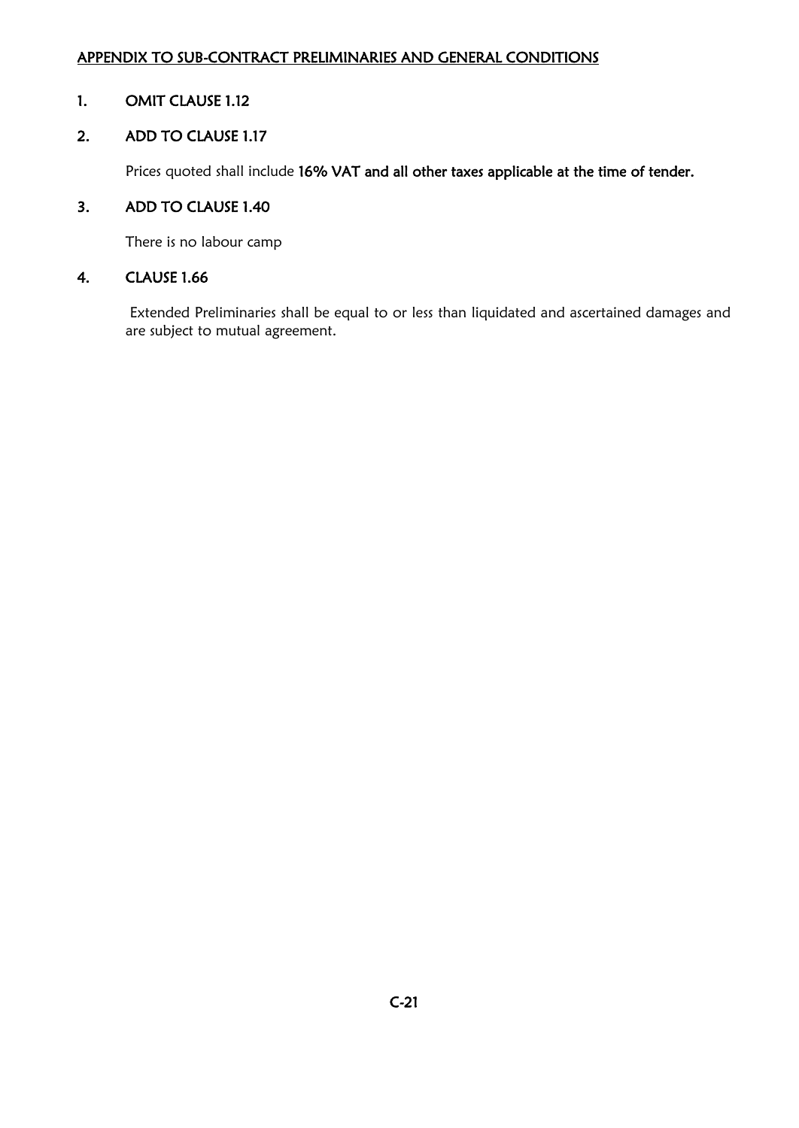## APPENDIX TO SUB-CONTRACT PRELIMINARIES AND GENERAL CONDITIONS

## 1. OMIT CLAUSE 1.12

## 2. ADD TO CLAUSE 1.17

Prices quoted shall include 16% VAT and all other taxes applicable at the time of tender.

## 3. ADD TO CLAUSE 1.40

There is no labour camp

## 4. CLAUSE 1.66

Extended Preliminaries shall be equal to or less than liquidated and ascertained damages and are subject to mutual agreement.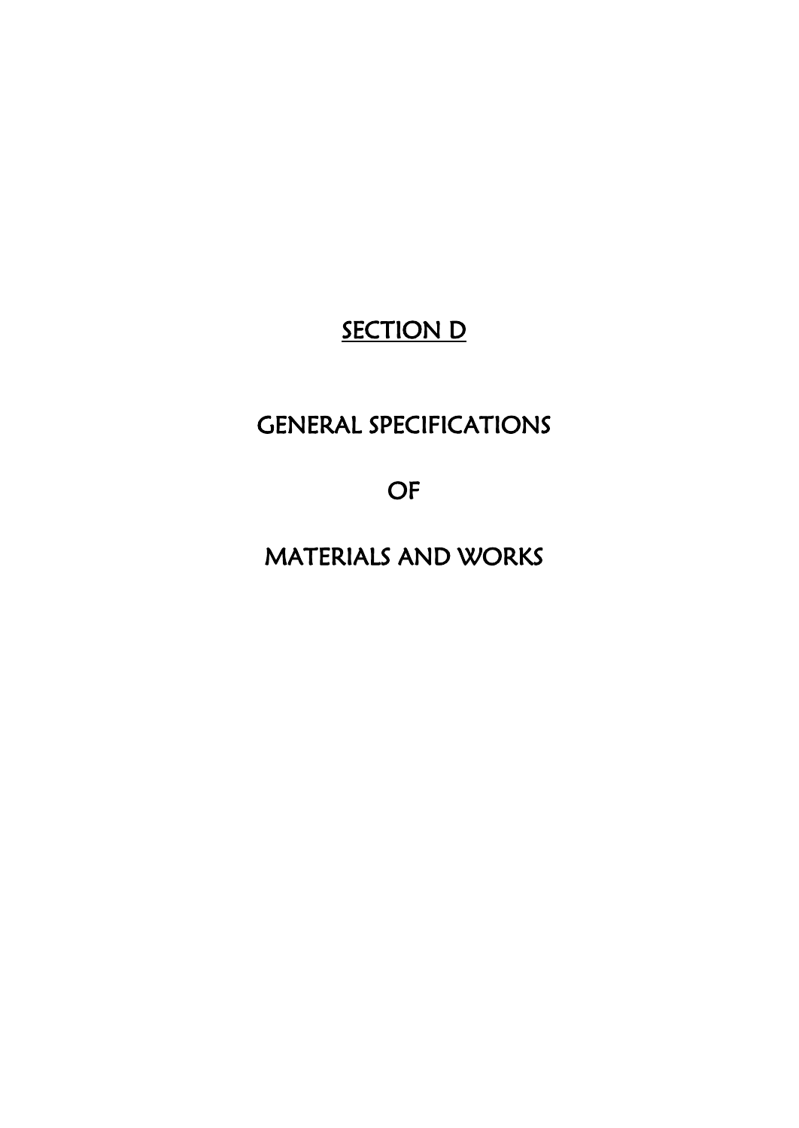# **SECTION D**

# GENERAL SPECIFICATIONS

OF

MATERIALS AND WORKS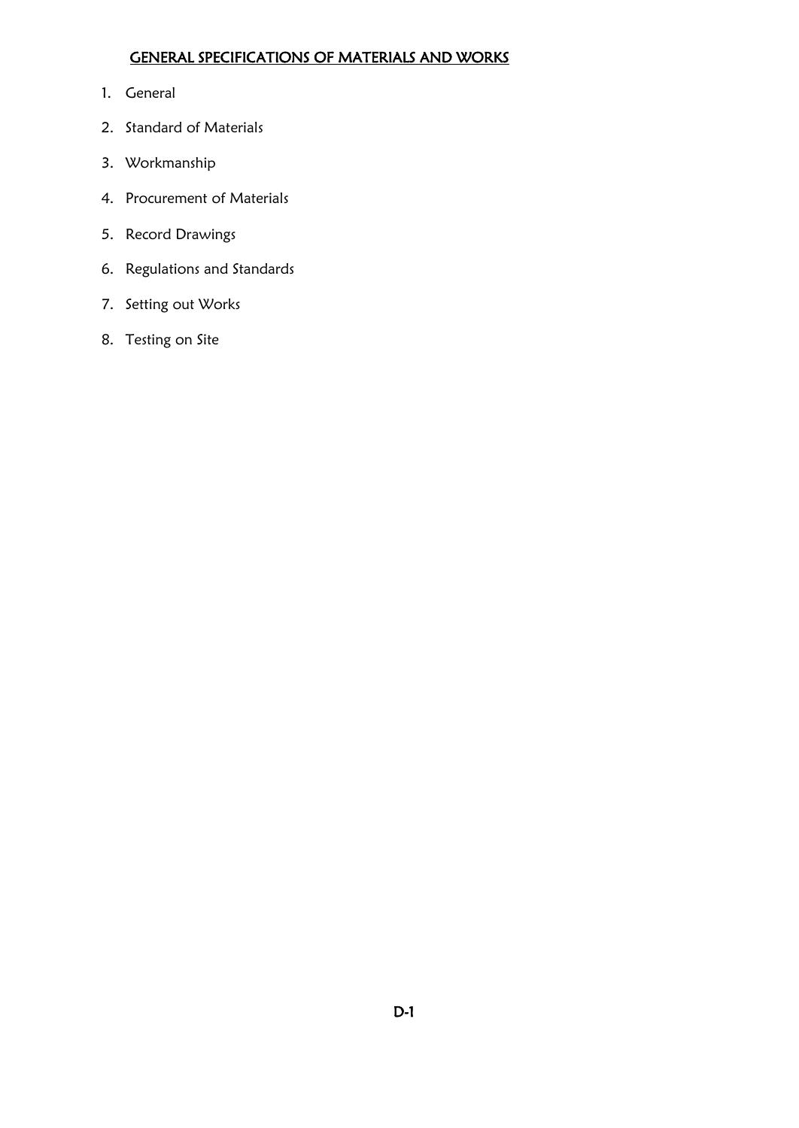## GENERAL SPECIFICATIONS OF MATERIALS AND WORKS

- 1. General
- 2. Standard of Materials
- 3. Workmanship
- 4. Procurement of Materials
- 5. Record Drawings
- 6. Regulations and Standards
- 7. Setting out Works
- 8. Testing on Site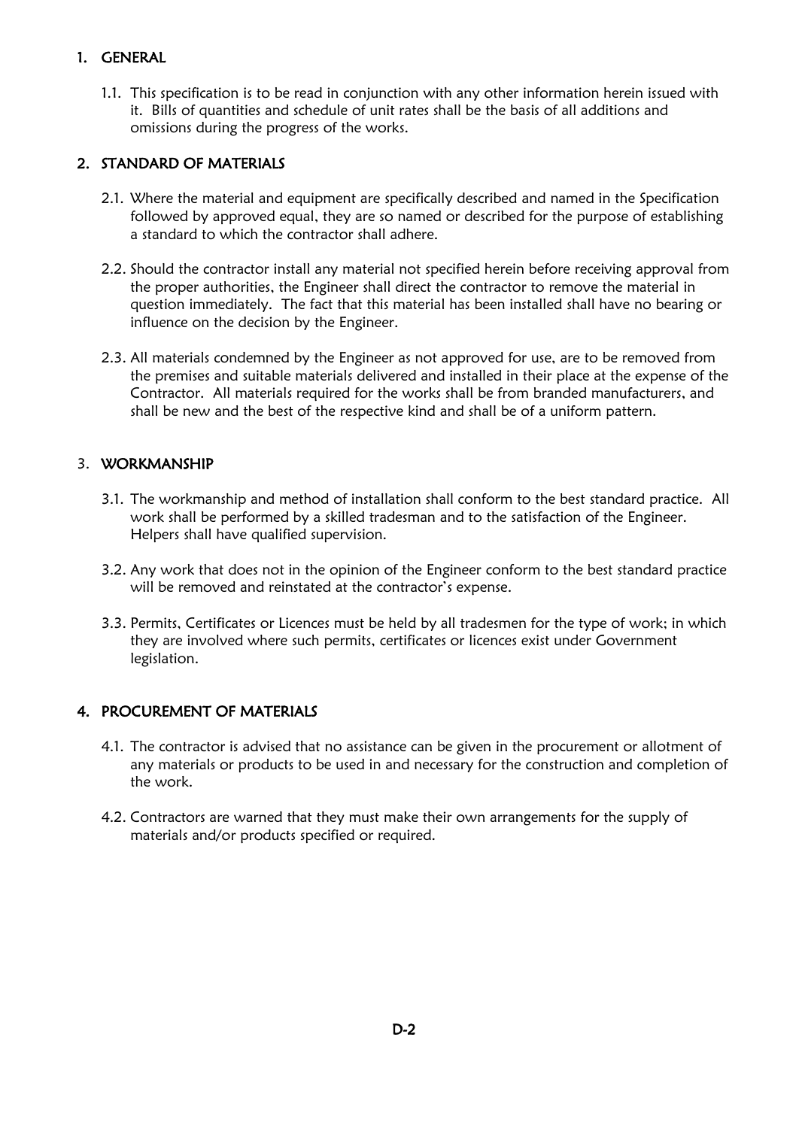## 1. GENERAL

1.1. This specification is to be read in conjunction with any other information herein issued with it. Bills of quantities and schedule of unit rates shall be the basis of all additions and omissions during the progress of the works.

## 2. STANDARD OF MATERIALS

- 2.1. Where the material and equipment are specifically described and named in the Specification followed by approved equal, they are so named or described for the purpose of establishing a standard to which the contractor shall adhere.
- 2.2. Should the contractor install any material not specified herein before receiving approval from the proper authorities, the Engineer shall direct the contractor to remove the material in question immediately. The fact that this material has been installed shall have no bearing or influence on the decision by the Engineer.
- 2.3. All materials condemned by the Engineer as not approved for use, are to be removed from the premises and suitable materials delivered and installed in their place at the expense of the Contractor. All materials required for the works shall be from branded manufacturers, and shall be new and the best of the respective kind and shall be of a uniform pattern.

## 3. WORKMANSHIP

- 3.1. The workmanship and method of installation shall conform to the best standard practice. All work shall be performed by a skilled tradesman and to the satisfaction of the Engineer. Helpers shall have qualified supervision.
- 3.2. Any work that does not in the opinion of the Engineer conform to the best standard practice will be removed and reinstated at the contractor's expense.
- 3.3. Permits, Certificates or Licences must be held by all tradesmen for the type of work; in which they are involved where such permits, certificates or licences exist under Government legislation.

## 4. PROCUREMENT OF MATERIALS

- 4.1. The contractor is advised that no assistance can be given in the procurement or allotment of any materials or products to be used in and necessary for the construction and completion of the work.
- 4.2. Contractors are warned that they must make their own arrangements for the supply of materials and/or products specified or required.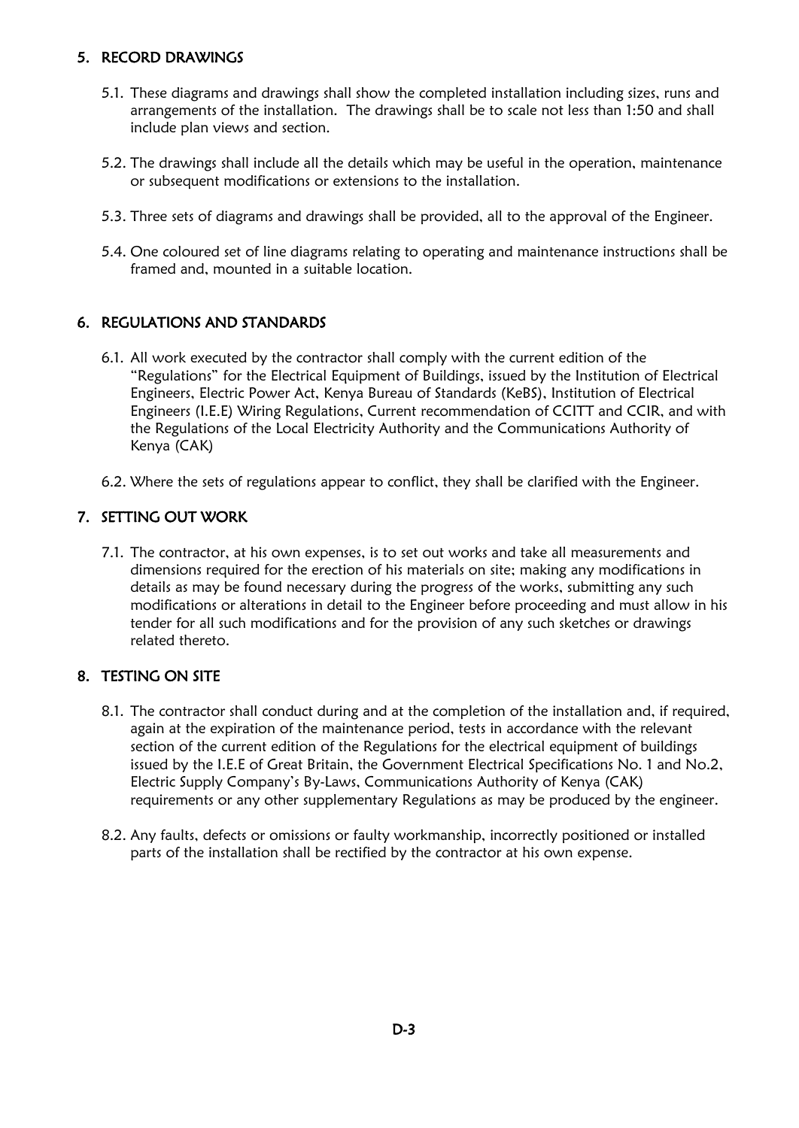### 5. RECORD DRAWINGS

- 5.1. These diagrams and drawings shall show the completed installation including sizes, runs and arrangements of the installation. The drawings shall be to scale not less than 1:50 and shall include plan views and section.
- 5.2. The drawings shall include all the details which may be useful in the operation, maintenance or subsequent modifications or extensions to the installation.
- 5.3. Three sets of diagrams and drawings shall be provided, all to the approval of the Engineer.
- 5.4. One coloured set of line diagrams relating to operating and maintenance instructions shall be framed and, mounted in a suitable location.

## 6. REGULATIONS AND STANDARDS

- 6.1. All work executed by the contractor shall comply with the current edition of the "Regulations" for the Electrical Equipment of Buildings, issued by the Institution of Electrical Engineers, Electric Power Act, Kenya Bureau of Standards (KeBS), Institution of Electrical Engineers (I.E.E) Wiring Regulations, Current recommendation of CCITT and CCIR, and with the Regulations of the Local Electricity Authority and the Communications Authority of Kenya (CAK)
- 6.2. Where the sets of regulations appear to conflict, they shall be clarified with the Engineer.

## 7. SETTING OUT WORK

7.1. The contractor, at his own expenses, is to set out works and take all measurements and dimensions required for the erection of his materials on site; making any modifications in details as may be found necessary during the progress of the works, submitting any such modifications or alterations in detail to the Engineer before proceeding and must allow in his tender for all such modifications and for the provision of any such sketches or drawings related thereto.

## 8. TESTING ON SITE

- 8.1. The contractor shall conduct during and at the completion of the installation and, if required, again at the expiration of the maintenance period, tests in accordance with the relevant section of the current edition of the Regulations for the electrical equipment of buildings issued by the I.E.E of Great Britain, the Government Electrical Specifications No. 1 and No.2, Electric Supply Company's By-Laws, Communications Authority of Kenya (CAK) requirements or any other supplementary Regulations as may be produced by the engineer.
- 8.2. Any faults, defects or omissions or faulty workmanship, incorrectly positioned or installed parts of the installation shall be rectified by the contractor at his own expense.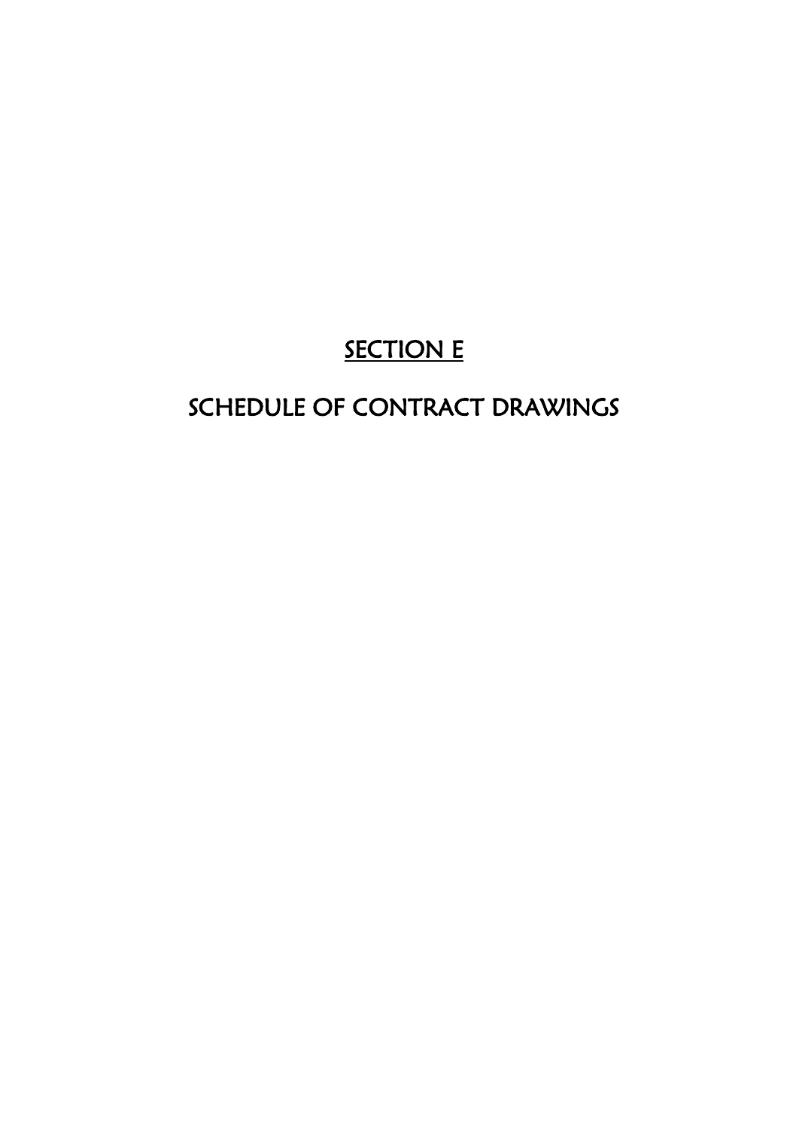# SECTION E

# SCHEDULE OF CONTRACT DRAWINGS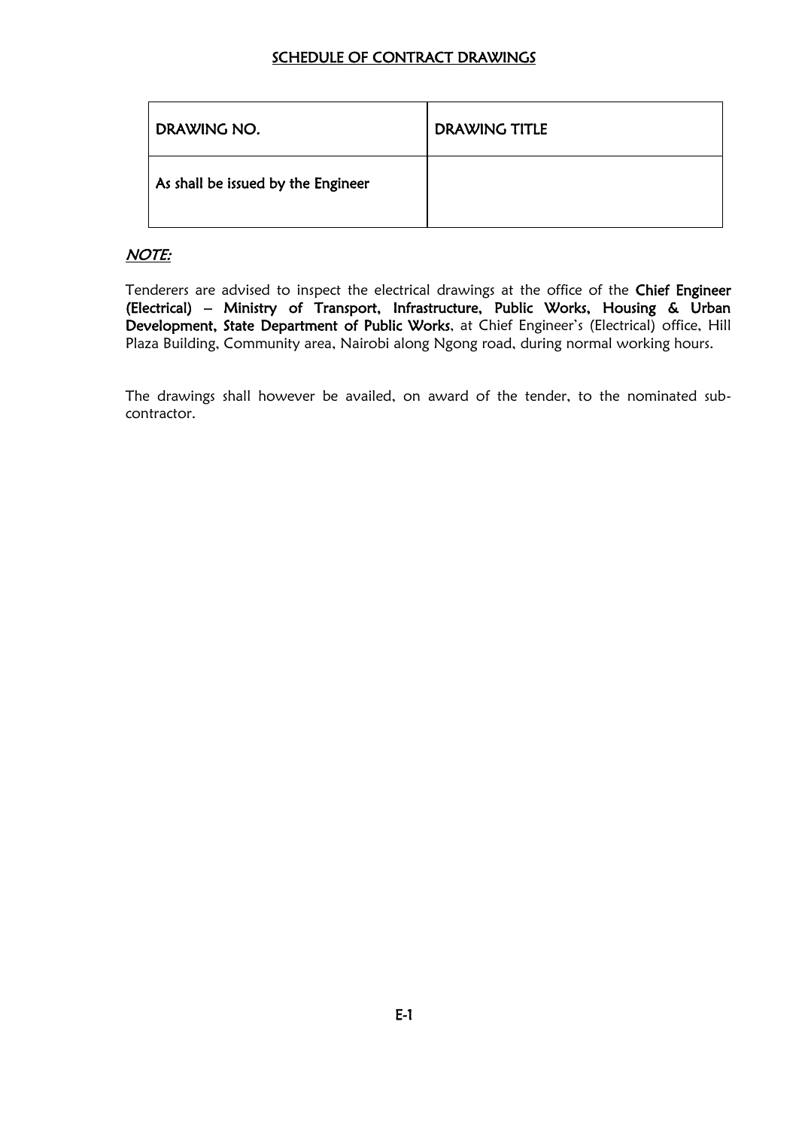#### SCHEDULE OF CONTRACT DRAWINGS

| DRAWING NO.                        | DRAWING TITLE |
|------------------------------------|---------------|
| As shall be issued by the Engineer |               |

### NOTE:

Tenderers are advised to inspect the electrical drawings at the office of the Chief Engineer (Electrical) – Ministry of Transport, Infrastructure, Public Works, Housing & Urban Development, State Department of Public Works, at Chief Engineer's (Electrical) office, Hill Plaza Building, Community area, Nairobi along Ngong road, during normal working hours.

The drawings shall however be availed, on award of the tender, to the nominated subcontractor.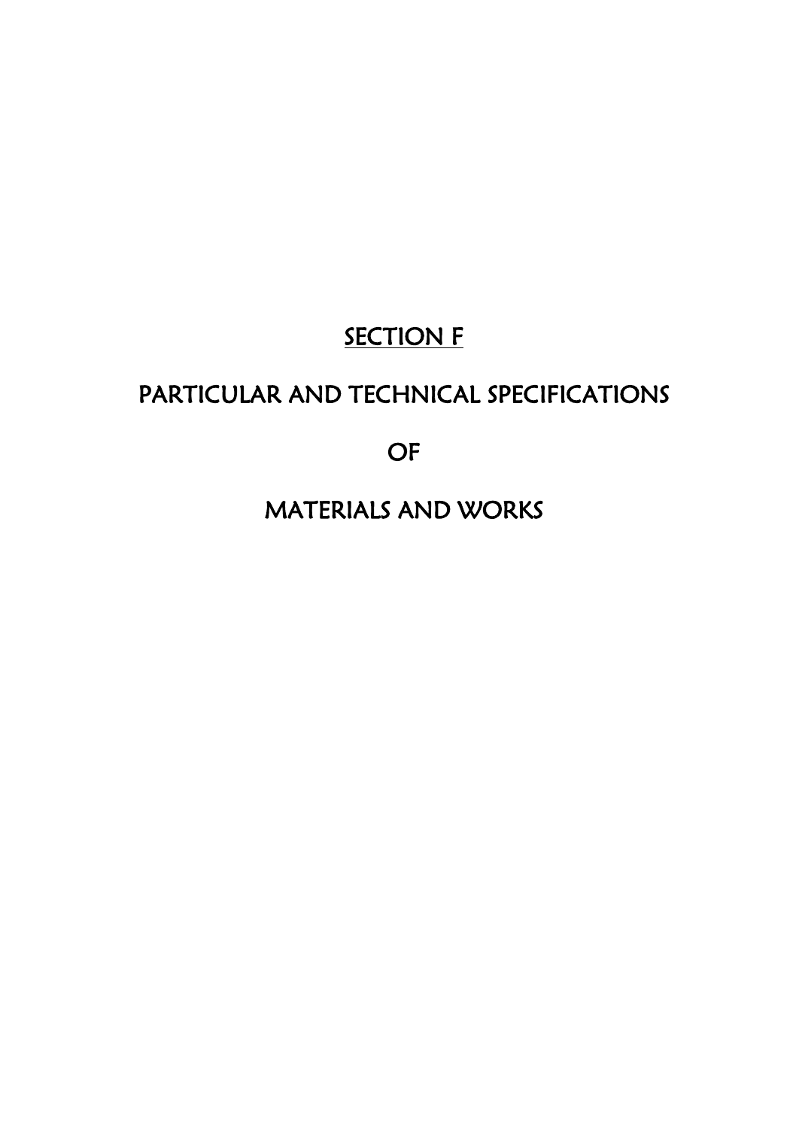# **SECTION F**

# PARTICULAR AND TECHNICAL SPECIFICATIONS

OF

MATERIALS AND WORKS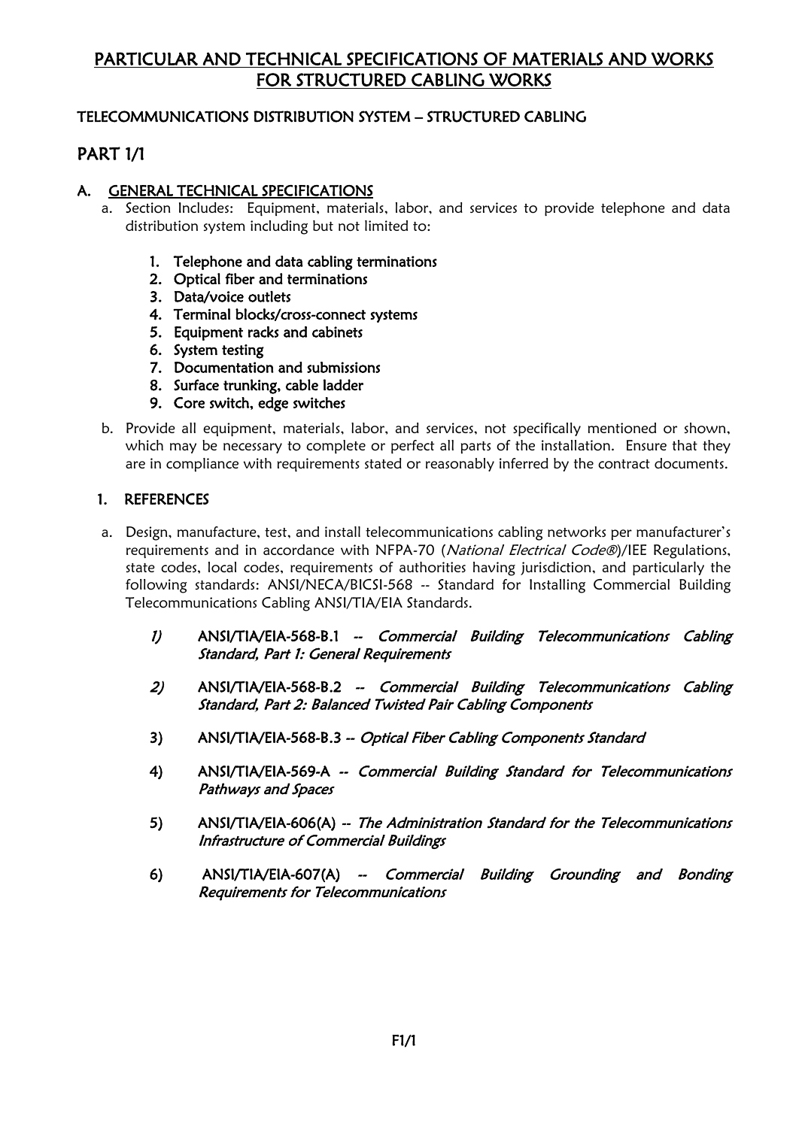# PARTICULAR AND TECHNICAL SPECIFICATIONS OF MATERIALS AND WORKS FOR STRUCTURED CABLING WORKS

#### TELECOMMUNICATIONS DISTRIBUTION SYSTEM – STRUCTURED CABLING

# PART 1/1

#### A. GENERAL TECHNICAL SPECIFICATIONS

- a. Section Includes: Equipment, materials, labor, and services to provide telephone and data distribution system including but not limited to:
	- 1. Telephone and data cabling terminations
	- 2. Optical fiber and terminations
	- 3. Data/voice outlets
	- 4. Terminal blocks/cross-connect systems
	- 5. Equipment racks and cabinets
	- 6. System testing
	- 7. Documentation and submissions
	- 8. Surface trunking, cable ladder
	- 9. Core switch, edge switches
- b. Provide all equipment, materials, labor, and services, not specifically mentioned or shown, which may be necessary to complete or perfect all parts of the installation. Ensure that they are in compliance with requirements stated or reasonably inferred by the contract documents.

#### 1. REFERENCES

- a. Design, manufacture, test, and install telecommunications cabling networks per manufacturer's requirements and in accordance with NFPA-70 (National Electrical Code®)/IEE Regulations, state codes, local codes, requirements of authorities having jurisdiction, and particularly the following standards: ANSI/NECA/BICSI-568 -- Standard for Installing Commercial Building Telecommunications Cabling ANSI/TIA/EIA Standards.
	- 1) ANSI/TIA/EIA-568-B.1 -- Commercial Building Telecommunications Cabling Standard, Part 1: General Requirements
	- 2) ANSI/TIA/EIA-568-B.2 -- Commercial Building Telecommunications Cabling Standard, Part 2: Balanced Twisted Pair Cabling Components
	- 3) ANSI/TIA/EIA-568-B.3 -- Optical Fiber Cabling Components Standard
	- 4) ANSI/TIA/EIA-569-A -- Commercial Building Standard for Telecommunications Pathways and Spaces
	- 5) ANSI/TIA/EIA-606(A) -- The Administration Standard for the Telecommunications Infrastructure of Commercial Buildings
	- 6) ANSI/TIA/EIA-607(A) -- Commercial Building Grounding and Bonding Requirements for Telecommunications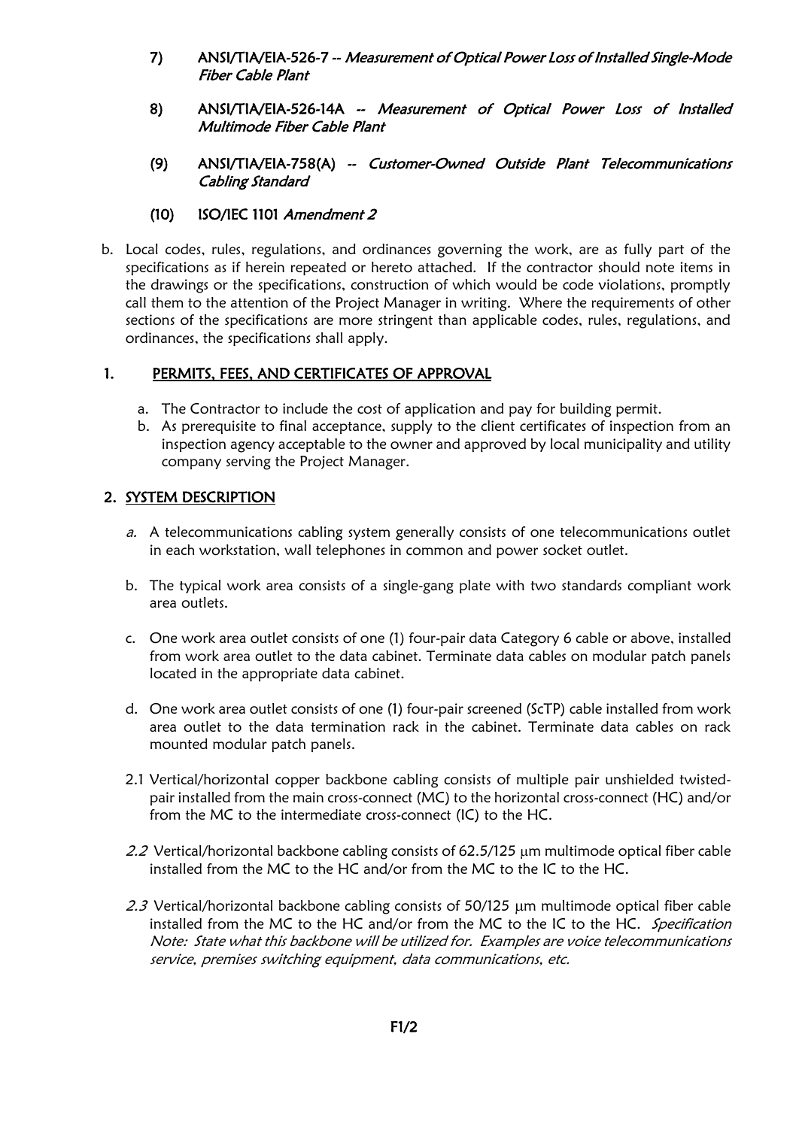- 7) ANSI/TIA/EIA-526-7 -- Measurement of Optical Power Loss of Installed Single-Mode Fiber Cable Plant
- 8) ANSI/TIA/EIA-526-14A -- Measurement of Optical Power Loss of Installed Multimode Fiber Cable Plant
- (9) ANSI/TIA/EIA-758(A) -- Customer-Owned Outside Plant Telecommunications Cabling Standard

#### (10) ISO/IEC 1101 Amendment 2

b. Local codes, rules, regulations, and ordinances governing the work, are as fully part of the specifications as if herein repeated or hereto attached. If the contractor should note items in the drawings or the specifications, construction of which would be code violations, promptly call them to the attention of the Project Manager in writing. Where the requirements of other sections of the specifications are more stringent than applicable codes, rules, regulations, and ordinances, the specifications shall apply.

## 1. PERMITS, FEES, AND CERTIFICATES OF APPROVAL

- a. The Contractor to include the cost of application and pay for building permit.
- b. As prerequisite to final acceptance, supply to the client certificates of inspection from an inspection agency acceptable to the owner and approved by local municipality and utility company serving the Project Manager.

### 2. SYSTEM DESCRIPTION

- a. A telecommunications cabling system generally consists of one telecommunications outlet in each workstation, wall telephones in common and power socket outlet.
- b. The typical work area consists of a single-gang plate with two standards compliant work area outlets.
- c. One work area outlet consists of one (1) four-pair data Category 6 cable or above, installed from work area outlet to the data cabinet. Terminate data cables on modular patch panels located in the appropriate data cabinet.
- d. One work area outlet consists of one (1) four-pair screened (ScTP) cable installed from work area outlet to the data termination rack in the cabinet. Terminate data cables on rack mounted modular patch panels.
- 2.1 Vertical/horizontal copper backbone cabling consists of multiple pair unshielded twistedpair installed from the main cross-connect (MC) to the horizontal cross-connect (HC) and/or from the MC to the intermediate cross-connect (IC) to the HC.
- 2.2 Vertical/horizontal backbone cabling consists of 62.5/125  $\mu$ m multimode optical fiber cable installed from the MC to the HC and/or from the MC to the IC to the HC.
- 2.3 Vertical/horizontal backbone cabling consists of  $50/125 \mu m$  multimode optical fiber cable installed from the MC to the HC and/or from the MC to the IC to the HC. Specification Note: State what this backbone will be utilized for. Examples are voice telecommunications service, premises switching equipment, data communications, etc.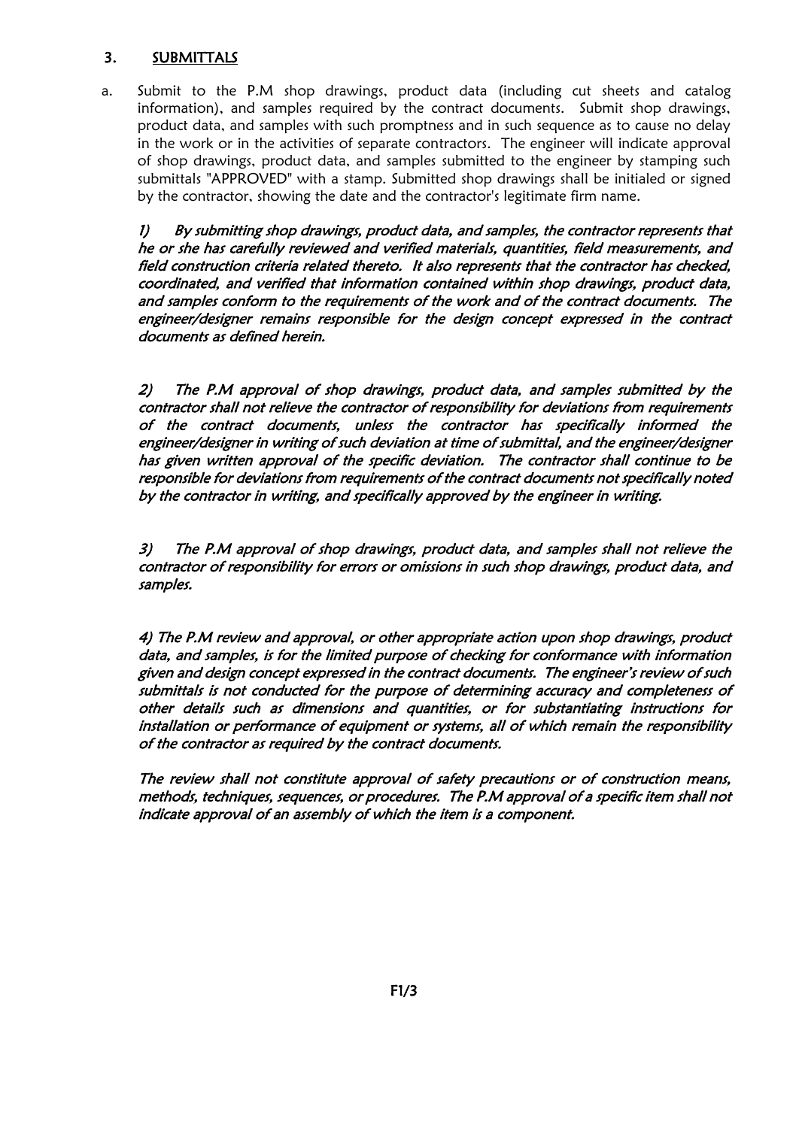#### 3. SUBMITTALS

a. Submit to the P.M shop drawings, product data (including cut sheets and catalog information), and samples required by the contract documents. Submit shop drawings, product data, and samples with such promptness and in such sequence as to cause no delay in the work or in the activities of separate contractors. The engineer will indicate approval of shop drawings, product data, and samples submitted to the engineer by stamping such submittals "APPROVED" with a stamp. Submitted shop drawings shall be initialed or signed by the contractor, showing the date and the contractor's legitimate firm name.

1) By submitting shop drawings, product data, and samples, the contractor represents that he or she has carefully reviewed and verified materials, quantities, field measurements, and field construction criteria related thereto. It also represents that the contractor has checked, coordinated, and verified that information contained within shop drawings, product data, and samples conform to the requirements of the work and of the contract documents. The engineer/designer remains responsible for the design concept expressed in the contract documents as defined herein.

2) The P.M approval of shop drawings, product data, and samples submitted by the contractor shall not relieve the contractor of responsibility for deviations from requirements of the contract documents, unless the contractor has specifically informed the engineer/designer in writing of such deviation at time of submittal, and the engineer/designer has given written approval of the specific deviation. The contractor shall continue to be responsible for deviations from requirements of the contract documents not specifically noted by the contractor in writing, and specifically approved by the engineer in writing.

3) The P.M approval of shop drawings, product data, and samples shall not relieve the contractor of responsibility for errors or omissions in such shop drawings, product data, and samples.

4) The P.M review and approval, or other appropriate action upon shop drawings, product data, and samples, is for the limited purpose of checking for conformance with information given and design concept expressed in the contract documents. The engineer's review of such submittals is not conducted for the purpose of determining accuracy and completeness of other details such as dimensions and quantities, or for substantiating instructions for installation or performance of equipment or systems, all of which remain the responsibility of the contractor as required by the contract documents.

The review shall not constitute approval of safety precautions or of construction means, methods, techniques, sequences, or procedures. The P.M approval of a specific item shall not indicate approval of an assembly of which the item is a component.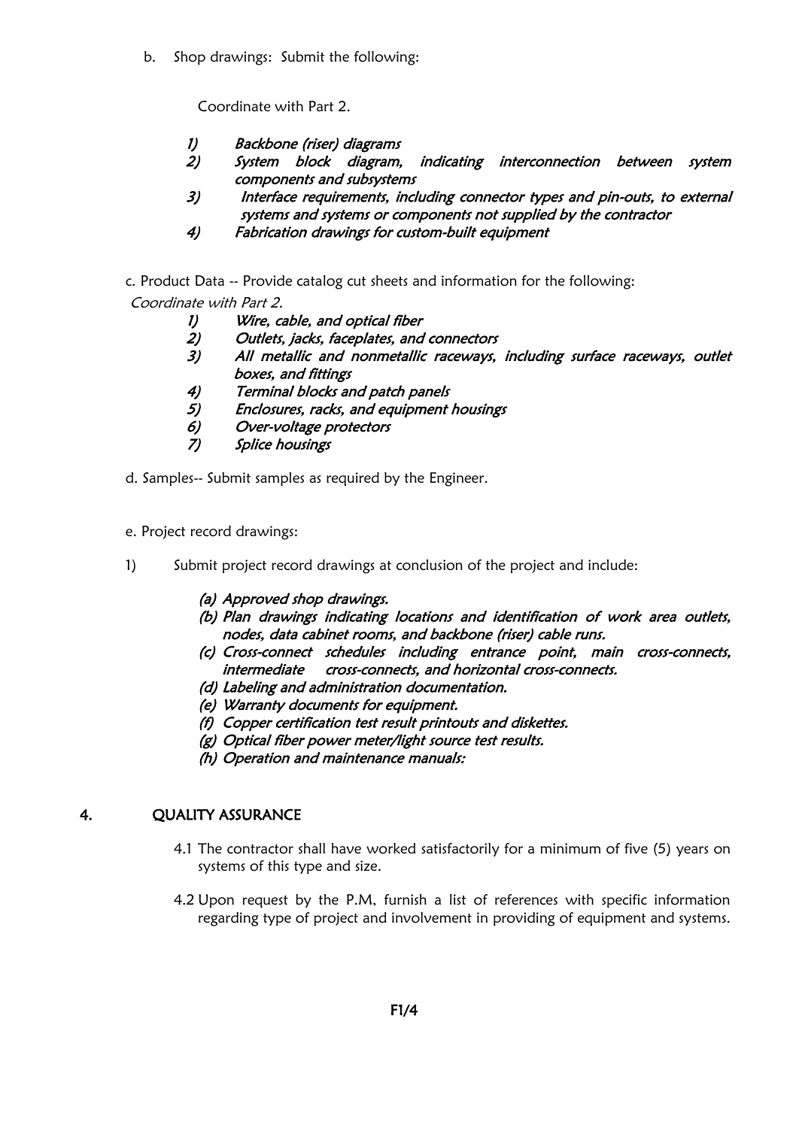b. Shop drawings: Submit the following:

Coordinate with Part 2.

- 1) Backbone (riser) diagrams
- 2) System block diagram, indicating interconnection between system components and subsystems
- 3) Interface requirements, including connector types and pin-outs, to external systems and systems or components not supplied by the contractor
- 4) Fabrication drawings for custom-built equipment
- c. Product Data -- Provide catalog cut sheets and information for the following: Coordinate with Part 2.
	- 1) Wire, cable, and optical fiber<br>2) Outlets, jacks, faceplates, and
	- Outlets, jacks, faceplates, and connectors
	- 3) All metallic and nonmetallic raceways, including surface raceways, outlet boxes, and fittings
	- 4) Terminal blocks and patch panels
	- 5) Enclosures, racks, and equipment housings
	- 6) Over-voltage protectors
	- 7) Splice housings
- d. Samples-- Submit samples as required by the Engineer.
- e. Project record drawings:
- 1) Submit project record drawings at conclusion of the project and include:
	- (a) Approved shop drawings.
	- (b) Plan drawings indicating locations and identification of work area outlets, nodes, data cabinet rooms, and backbone (riser) cable runs.
	- (c) Cross-connect schedules including entrance point, main cross-connects, intermediate cross-connects, and horizontal cross-connects.
	- (d) Labeling and administration documentation.
	- (e) Warranty documents for equipment.
	- (f) Copper certification test result printouts and diskettes.
	- (g) Optical fiber power meter/light source test results.
	- (h) Operation and maintenance manuals:

#### 4. QUALITY ASSURANCE

- 4.1 The contractor shall have worked satisfactorily for a minimum of five (5) years on systems of this type and size.
- 4.2 Upon request by the P.M, furnish a list of references with specific information regarding type of project and involvement in providing of equipment and systems.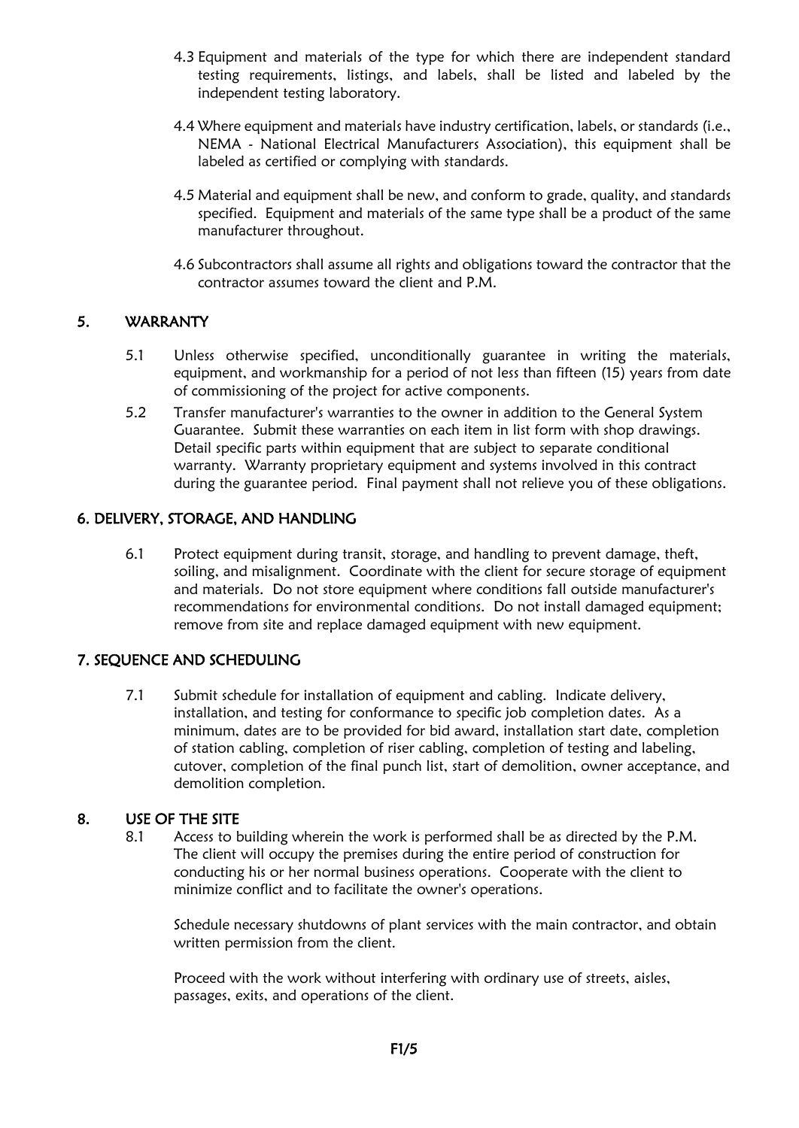- 4.3 Equipment and materials of the type for which there are independent standard testing requirements, listings, and labels, shall be listed and labeled by the independent testing laboratory.
- 4.4 Where equipment and materials have industry certification, labels, or standards (i.e., NEMA - National Electrical Manufacturers Association), this equipment shall be labeled as certified or complying with standards.
- 4.5 Material and equipment shall be new, and conform to grade, quality, and standards specified. Equipment and materials of the same type shall be a product of the same manufacturer throughout.
- 4.6 Subcontractors shall assume all rights and obligations toward the contractor that the contractor assumes toward the client and P.M.

### 5. WARRANTY

- 5.1 Unless otherwise specified, unconditionally guarantee in writing the materials, equipment, and workmanship for a period of not less than fifteen (15) years from date of commissioning of the project for active components.
- 5.2 Transfer manufacturer's warranties to the owner in addition to the General System Guarantee. Submit these warranties on each item in list form with shop drawings. Detail specific parts within equipment that are subject to separate conditional warranty. Warranty proprietary equipment and systems involved in this contract during the guarantee period. Final payment shall not relieve you of these obligations.

### 6. DELIVERY, STORAGE, AND HANDLING

6.1 Protect equipment during transit, storage, and handling to prevent damage, theft, soiling, and misalignment. Coordinate with the client for secure storage of equipment and materials. Do not store equipment where conditions fall outside manufacturer's recommendations for environmental conditions. Do not install damaged equipment; remove from site and replace damaged equipment with new equipment.

#### 7. SEQUENCE AND SCHEDULING

7.1 Submit schedule for installation of equipment and cabling. Indicate delivery, installation, and testing for conformance to specific job completion dates. As a minimum, dates are to be provided for bid award, installation start date, completion of station cabling, completion of riser cabling, completion of testing and labeling, cutover, completion of the final punch list, start of demolition, owner acceptance, and demolition completion.

#### 8. USE OF THE SITE

8.1 Access to building wherein the work is performed shall be as directed by the P.M. The client will occupy the premises during the entire period of construction for conducting his or her normal business operations. Cooperate with the client to minimize conflict and to facilitate the owner's operations.

Schedule necessary shutdowns of plant services with the main contractor, and obtain written permission from the client.

Proceed with the work without interfering with ordinary use of streets, aisles, passages, exits, and operations of the client.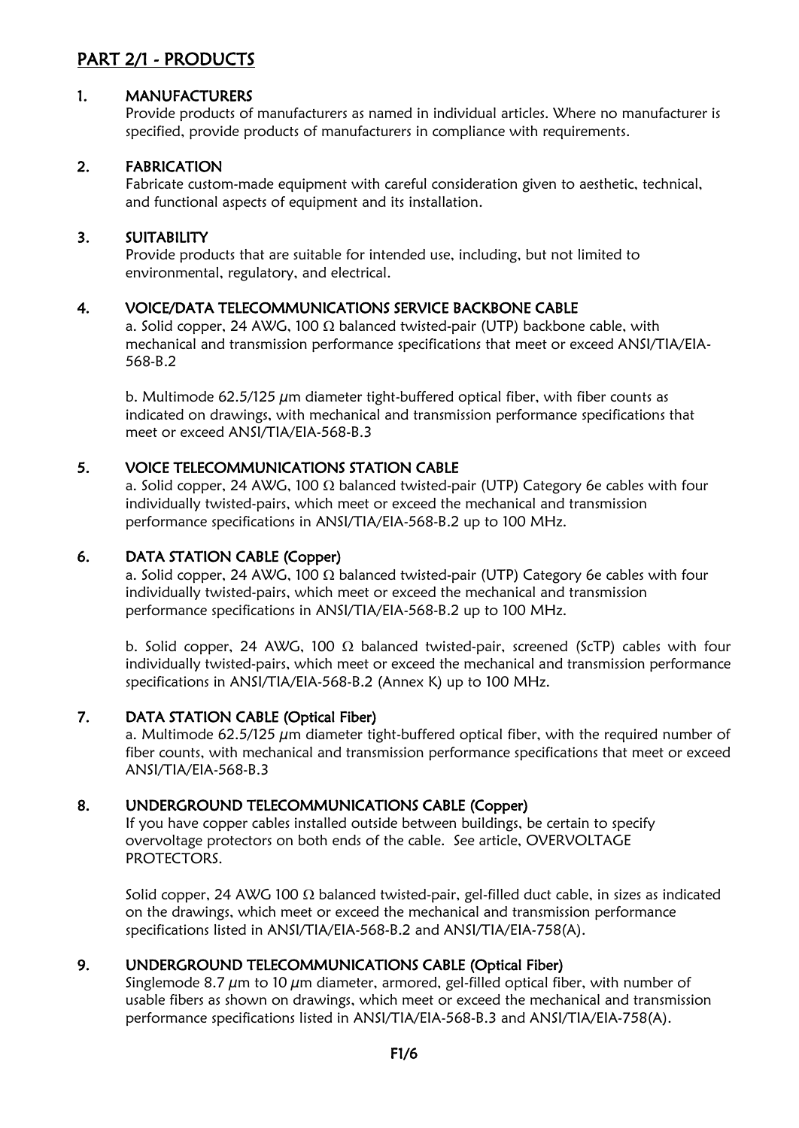# PART 2/1 - PRODUCTS

#### 1. MANUFACTURERS

Provide products of manufacturers as named in individual articles. Where no manufacturer is specified, provide products of manufacturers in compliance with requirements.

#### 2. FABRICATION

Fabricate custom-made equipment with careful consideration given to aesthetic, technical, and functional aspects of equipment and its installation.

#### 3. SUITABILITY

Provide products that are suitable for intended use, including, but not limited to environmental, regulatory, and electrical.

#### 4. VOICE/DATA TELECOMMUNICATIONS SERVICE BACKBONE CABLE

a. Solid copper, 24 AWG, 100  $\Omega$  balanced twisted-pair (UTP) backbone cable, with mechanical and transmission performance specifications that meet or exceed ANSI/TIA/EIA-568-B.2

b. Multimode  $62.5/125 \mu m$  diameter tight-buffered optical fiber, with fiber counts as indicated on drawings, with mechanical and transmission performance specifications that meet or exceed ANSI/TIA/EIA-568-B.3

#### 5. VOICE TELECOMMUNICATIONS STATION CABLE

a. Solid copper, 24 AWG, 100  $\Omega$  balanced twisted-pair (UTP) Category 6e cables with four individually twisted-pairs, which meet or exceed the mechanical and transmission performance specifications in ANSI/TIA/EIA-568-B.2 up to 100 MHz.

#### 6. DATA STATION CABLE (Copper)

a. Solid copper, 24 AWG, 100  $\Omega$  balanced twisted-pair (UTP) Category 6e cables with four individually twisted-pairs, which meet or exceed the mechanical and transmission performance specifications in ANSI/TIA/EIA-568-B.2 up to 100 MHz.

b. Solid copper, 24 AWG, 100  $\Omega$  balanced twisted-pair, screened (ScTP) cables with four individually twisted-pairs, which meet or exceed the mechanical and transmission performance specifications in ANSI/TIA/EIA-568-B.2 (Annex K) up to 100 MHz.

#### 7. DATA STATION CABLE (Optical Fiber)

a. Multimode  $62.5/125 \mu m$  diameter tight-buffered optical fiber, with the required number of fiber counts, with mechanical and transmission performance specifications that meet or exceed ANSI/TIA/EIA-568-B.3

#### 8. UNDERGROUND TELECOMMUNICATIONS CABLE (Copper)

If you have copper cables installed outside between buildings, be certain to specify overvoltage protectors on both ends of the cable. See article, OVERVOLTAGE PROTECTORS.

Solid copper, 24 AWG 100  $\Omega$  balanced twisted-pair, gel-filled duct cable, in sizes as indicated on the drawings, which meet or exceed the mechanical and transmission performance specifications listed in ANSI/TIA/EIA-568-B.2 and ANSI/TIA/EIA-758(A).

#### 9. UNDERGROUND TELECOMMUNICATIONS CABLE (Optical Fiber)

Singlemode 8.7  $\mu$ m to 10  $\mu$ m diameter, armored, gel-filled optical fiber, with number of usable fibers as shown on drawings, which meet or exceed the mechanical and transmission performance specifications listed in ANSI/TIA/EIA-568-B.3 and ANSI/TIA/EIA-758(A).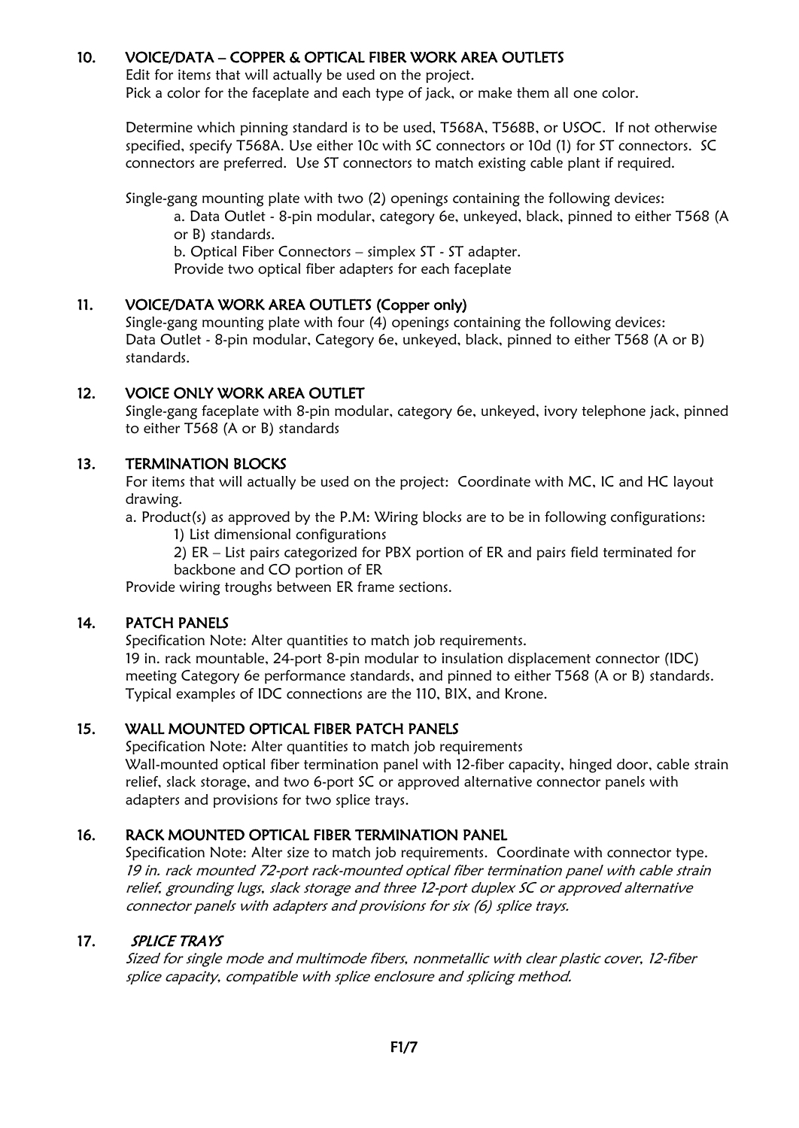#### 10. VOICE/DATA – COPPER & OPTICAL FIBER WORK AREA OUTLETS

Edit for items that will actually be used on the project. Pick a color for the faceplate and each type of jack, or make them all one color.

Determine which pinning standard is to be used, T568A, T568B, or USOC. If not otherwise specified, specify T568A. Use either 10c with SC connectors or 10d (1) for ST connectors. SC connectors are preferred. Use ST connectors to match existing cable plant if required.

Single-gang mounting plate with two (2) openings containing the following devices:

a. Data Outlet - 8-pin modular, category 6e, unkeyed, black, pinned to either T568 (A or B) standards.

b. Optical Fiber Connectors – simplex ST - ST adapter.

Provide two optical fiber adapters for each faceplate

#### 11. VOICE/DATA WORK AREA OUTLETS (Copper only)

Single-gang mounting plate with four (4) openings containing the following devices: Data Outlet - 8-pin modular, Category 6e, unkeyed, black, pinned to either T568 (A or B) standards.

## 12. VOICE ONLY WORK AREA OUTLET

Single-gang faceplate with 8-pin modular, category 6e, unkeyed, ivory telephone jack, pinned to either T568 (A or B) standards

### 13. TERMINATION BLOCKS

For items that will actually be used on the project: Coordinate with MC, IC and HC layout drawing.

a. Product(s) as approved by the P.M: Wiring blocks are to be in following configurations: 1) List dimensional configurations

2) ER – List pairs categorized for PBX portion of ER and pairs field terminated for backbone and CO portion of ER

Provide wiring troughs between ER frame sections.

#### 14. PATCH PANELS

Specification Note: Alter quantities to match job requirements. 19 in. rack mountable, 24-port 8-pin modular to insulation displacement connector (IDC) meeting Category 6e performance standards, and pinned to either T568 (A or B) standards. Typical examples of IDC connections are the 110, BIX, and Krone.

## 15. WALL MOUNTED OPTICAL FIBER PATCH PANELS

Specification Note: Alter quantities to match job requirements Wall-mounted optical fiber termination panel with 12-fiber capacity, hinged door, cable strain relief, slack storage, and two 6-port SC or approved alternative connector panels with adapters and provisions for two splice trays.

## 16. RACK MOUNTED OPTICAL FIBER TERMINATION PANEL

Specification Note: Alter size to match job requirements. Coordinate with connector type. 19 in. rack mounted 72-port rack-mounted optical fiber termination panel with cable strain relief, grounding lugs, slack storage and three 12-port duplex SC or approved alternative connector panels with adapters and provisions for six (6) splice trays.

#### 17. SPLICE TRAYS

Sized for single mode and multimode fibers, nonmetallic with clear plastic cover, 12-fiber splice capacity, compatible with splice enclosure and splicing method.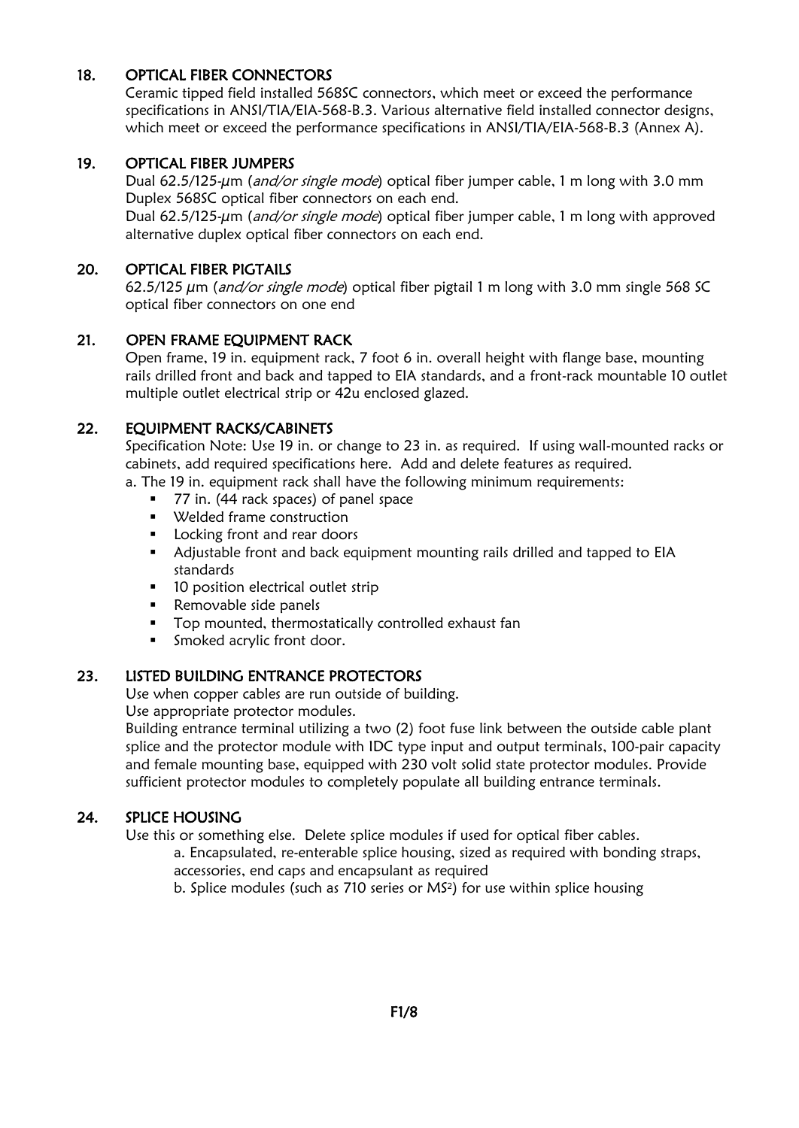#### 18. OPTICAL FIBER CONNECTORS

Ceramic tipped field installed 568SC connectors, which meet or exceed the performance specifications in ANSI/TIA/EIA-568-B.3. Various alternative field installed connector designs, which meet or exceed the performance specifications in ANSI/TIA/EIA-568-B.3 (Annex A).

#### 19. OPTICAL FIBER JUMPERS

Dual 62.5/125-um (and/or single mode) optical fiber jumper cable, 1 m long with 3.0 mm Duplex 568SC optical fiber connectors on each end.

Dual 62.5/125-um (*and/or single mode*) optical fiber jumper cable, 1 m long with approved alternative duplex optical fiber connectors on each end.

#### 20. OPTICAL FIBER PIGTAILS

62.5/125  $\mu$ m (*and/or single mode*) optical fiber pigtail 1 m long with 3.0 mm single 568 SC optical fiber connectors on one end

#### 21. OPEN FRAME EQUIPMENT RACK

Open frame, 19 in. equipment rack, 7 foot 6 in. overall height with flange base, mounting rails drilled front and back and tapped to EIA standards, and a front-rack mountable 10 outlet multiple outlet electrical strip or 42u enclosed glazed.

#### 22. EQUIPMENT RACKS/CABINETS

Specification Note: Use 19 in. or change to 23 in. as required. If using wall-mounted racks or cabinets, add required specifications here. Add and delete features as required.

a. The 19 in. equipment rack shall have the following minimum requirements:

- 77 in. (44 rack spaces) of panel space
- Welded frame construction
- Locking front and rear doors
- Adjustable front and back equipment mounting rails drilled and tapped to EIA standards
- 10 position electrical outlet strip
- Removable side panels
- Top mounted, thermostatically controlled exhaust fan
- Smoked acrylic front door.

#### 23. LISTED BUILDING ENTRANCE PROTECTORS

Use when copper cables are run outside of building.

Use appropriate protector modules.

Building entrance terminal utilizing a two (2) foot fuse link between the outside cable plant splice and the protector module with IDC type input and output terminals, 100-pair capacity and female mounting base, equipped with 230 volt solid state protector modules. Provide sufficient protector modules to completely populate all building entrance terminals.

#### 24. SPLICE HOUSING

Use this or something else. Delete splice modules if used for optical fiber cables.

a. Encapsulated, re-enterable splice housing, sized as required with bonding straps, accessories, end caps and encapsulant as required

b. Splice modules (such as 710 series or MS<sup>2</sup> ) for use within splice housing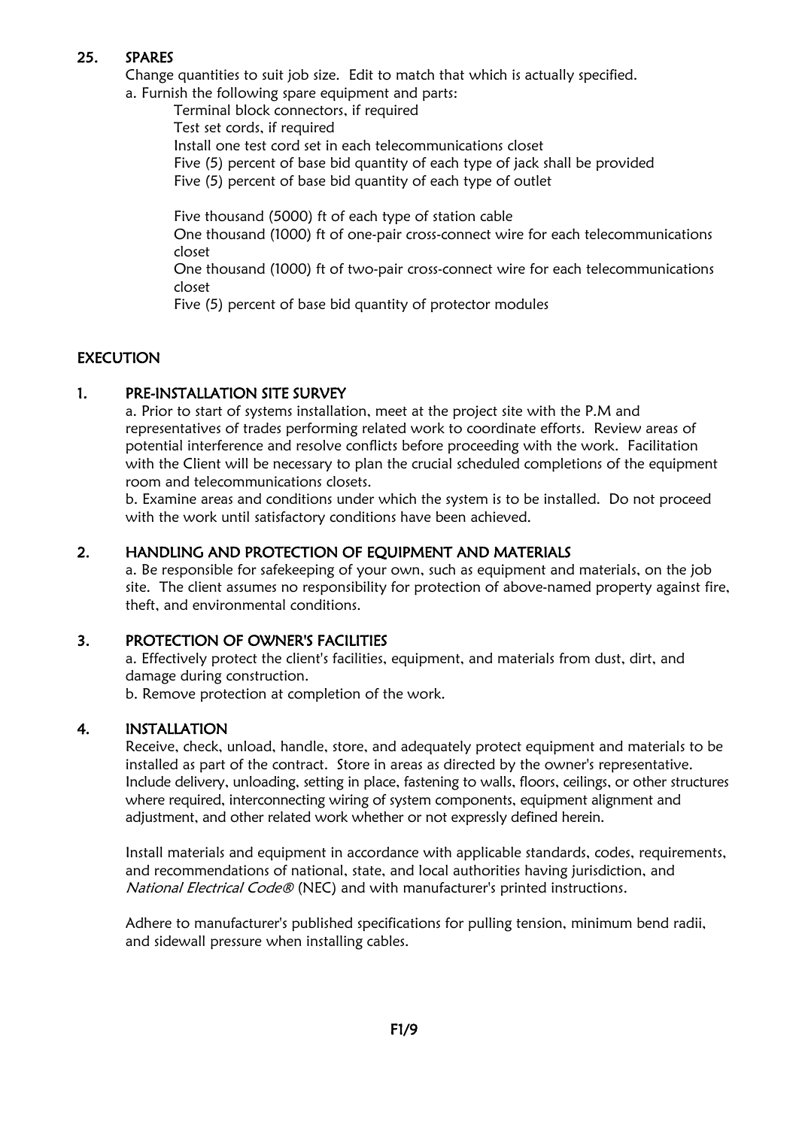#### 25. SPARES

Change quantities to suit job size. Edit to match that which is actually specified. a. Furnish the following spare equipment and parts:

Terminal block connectors, if required

Test set cords, if required

Install one test cord set in each telecommunications closet

Five (5) percent of base bid quantity of each type of jack shall be provided

Five (5) percent of base bid quantity of each type of outlet

Five thousand (5000) ft of each type of station cable

One thousand (1000) ft of one-pair cross-connect wire for each telecommunications closet

One thousand (1000) ft of two-pair cross-connect wire for each telecommunications closet

Five (5) percent of base bid quantity of protector modules

### **EXECUTION**

#### 1. PRE-INSTALLATION SITE SURVEY

a. Prior to start of systems installation, meet at the project site with the P.M and representatives of trades performing related work to coordinate efforts. Review areas of potential interference and resolve conflicts before proceeding with the work. Facilitation with the Client will be necessary to plan the crucial scheduled completions of the equipment room and telecommunications closets.

b. Examine areas and conditions under which the system is to be installed. Do not proceed with the work until satisfactory conditions have been achieved.

### 2. HANDLING AND PROTECTION OF EOUIPMENT AND MATERIALS

a. Be responsible for safekeeping of your own, such as equipment and materials, on the job site. The client assumes no responsibility for protection of above-named property against fire, theft, and environmental conditions.

#### 3. PROTECTION OF OWNER'S FACILITIES

a. Effectively protect the client's facilities, equipment, and materials from dust, dirt, and damage during construction.

b. Remove protection at completion of the work.

#### 4. INSTALLATION

Receive, check, unload, handle, store, and adequately protect equipment and materials to be installed as part of the contract. Store in areas as directed by the owner's representative. Include delivery, unloading, setting in place, fastening to walls, floors, ceilings, or other structures where required, interconnecting wiring of system components, equipment alignment and adjustment, and other related work whether or not expressly defined herein.

Install materials and equipment in accordance with applicable standards, codes, requirements, and recommendations of national, state, and local authorities having jurisdiction, and National Electrical Code® (NEC) and with manufacturer's printed instructions.

Adhere to manufacturer's published specifications for pulling tension, minimum bend radii, and sidewall pressure when installing cables.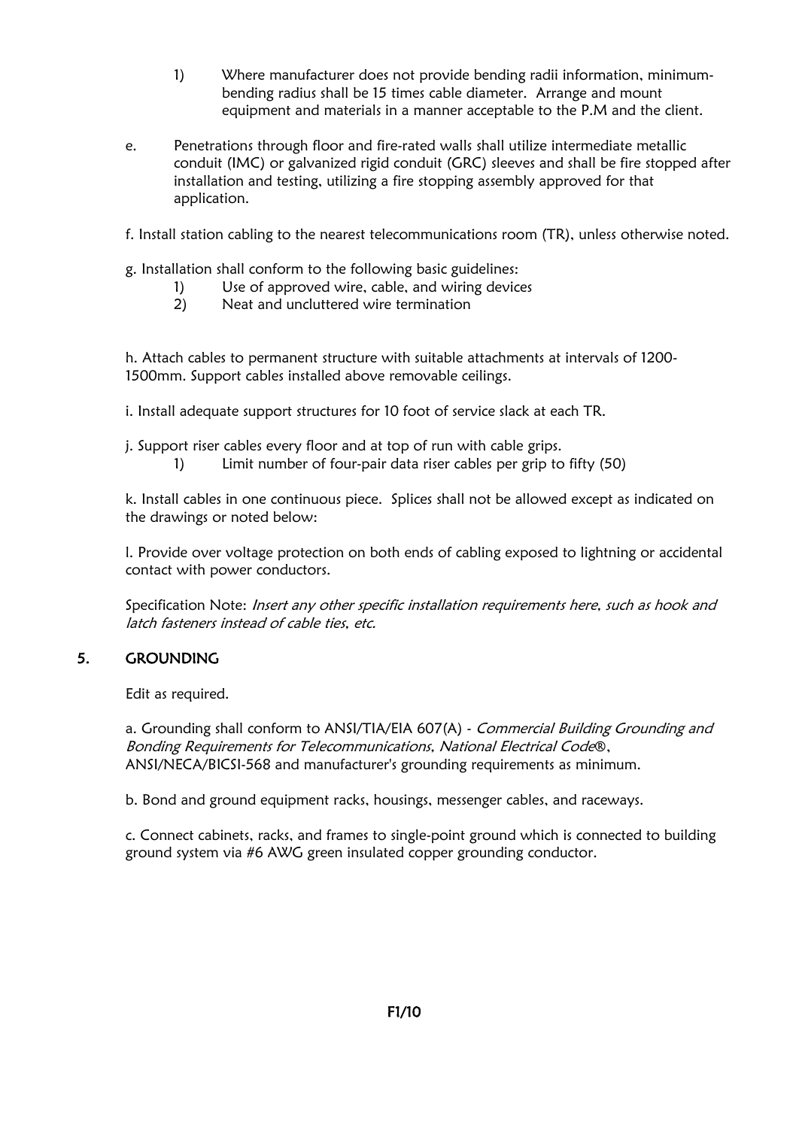- 1) Where manufacturer does not provide bending radii information, minimumbending radius shall be 15 times cable diameter. Arrange and mount equipment and materials in a manner acceptable to the P.M and the client.
- e. Penetrations through floor and fire-rated walls shall utilize intermediate metallic conduit (IMC) or galvanized rigid conduit (GRC) sleeves and shall be fire stopped after installation and testing, utilizing a fire stopping assembly approved for that application.

f. Install station cabling to the nearest telecommunications room (TR), unless otherwise noted.

- g. Installation shall conform to the following basic guidelines:
	- 1) Use of approved wire, cable, and wiring devices
	- 2) Neat and uncluttered wire termination

h. Attach cables to permanent structure with suitable attachments at intervals of 1200- 1500mm. Support cables installed above removable ceilings.

i. Install adequate support structures for 10 foot of service slack at each TR.

j. Support riser cables every floor and at top of run with cable grips.

1) Limit number of four-pair data riser cables per grip to fifty (50)

k. Install cables in one continuous piece. Splices shall not be allowed except as indicated on the drawings or noted below:

l. Provide over voltage protection on both ends of cabling exposed to lightning or accidental contact with power conductors.

Specification Note: Insert any other specific installation requirements here, such as hook and latch fasteners instead of cable ties, etc.

#### 5. GROUNDING

Edit as required.

a. Grounding shall conform to ANSI/TIA/EIA 607(A) - Commercial Building Grounding and Bonding Requirements for Telecommunications, National Electrical Code®, ANSI/NECA/BICSI-568 and manufacturer's grounding requirements as minimum.

b. Bond and ground equipment racks, housings, messenger cables, and raceways.

c. Connect cabinets, racks, and frames to single-point ground which is connected to building ground system via #6 AWG green insulated copper grounding conductor.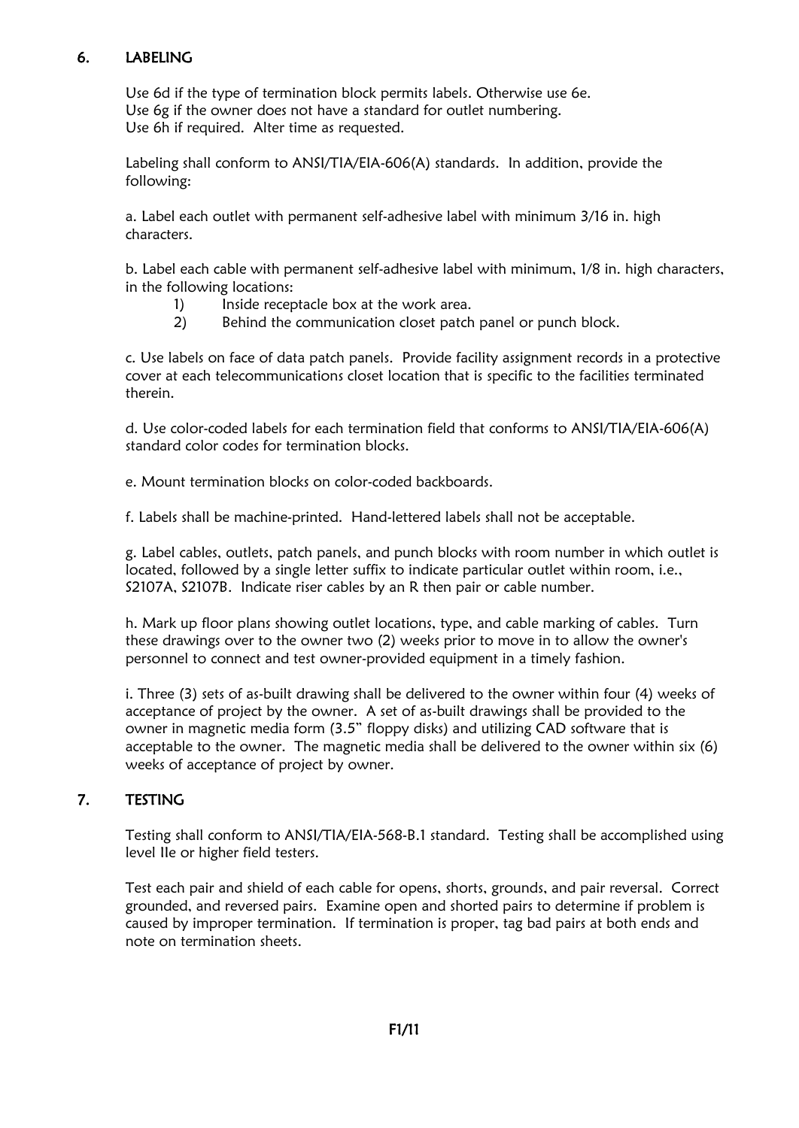### 6. LABELING

Use 6d if the type of termination block permits labels. Otherwise use 6e. Use 6g if the owner does not have a standard for outlet numbering. Use 6h if required. Alter time as requested.

Labeling shall conform to ANSI/TIA/EIA-606(A) standards. In addition, provide the following:

a. Label each outlet with permanent self-adhesive label with minimum 3/16 in. high characters.

b. Label each cable with permanent self-adhesive label with minimum, 1/8 in. high characters, in the following locations:

- 1) Inside receptacle box at the work area.
- 2) Behind the communication closet patch panel or punch block.

c. Use labels on face of data patch panels. Provide facility assignment records in a protective cover at each telecommunications closet location that is specific to the facilities terminated therein.

d. Use color-coded labels for each termination field that conforms to ANSI/TIA/EIA-606(A) standard color codes for termination blocks.

e. Mount termination blocks on color-coded backboards.

f. Labels shall be machine-printed. Hand-lettered labels shall not be acceptable.

g. Label cables, outlets, patch panels, and punch blocks with room number in which outlet is located, followed by a single letter suffix to indicate particular outlet within room, i.e., S2107A, S2107B. Indicate riser cables by an R then pair or cable number.

h. Mark up floor plans showing outlet locations, type, and cable marking of cables. Turn these drawings over to the owner two (2) weeks prior to move in to allow the owner's personnel to connect and test owner-provided equipment in a timely fashion.

i. Three (3) sets of as-built drawing shall be delivered to the owner within four (4) weeks of acceptance of project by the owner. A set of as-built drawings shall be provided to the owner in magnetic media form (3.5" floppy disks) and utilizing CAD software that is acceptable to the owner. The magnetic media shall be delivered to the owner within six (6) weeks of acceptance of project by owner.

#### 7. TESTING

Testing shall conform to ANSI/TIA/EIA-568-B.1 standard. Testing shall be accomplished using level IIe or higher field testers.

Test each pair and shield of each cable for opens, shorts, grounds, and pair reversal. Correct grounded, and reversed pairs. Examine open and shorted pairs to determine if problem is caused by improper termination. If termination is proper, tag bad pairs at both ends and note on termination sheets.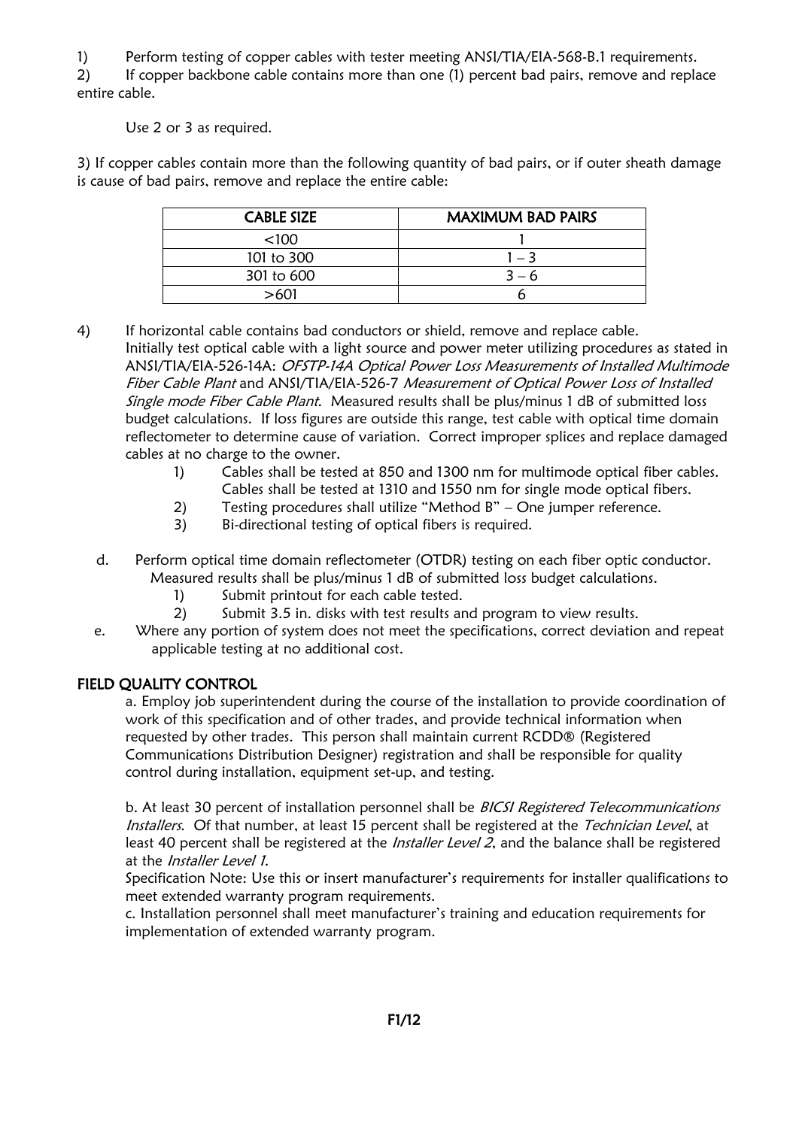1) Perform testing of copper cables with tester meeting ANSI/TIA/EIA-568-B.1 requirements.

2) If copper backbone cable contains more than one (1) percent bad pairs, remove and replace entire cable.

Use 2 or 3 as required.

3) If copper cables contain more than the following quantity of bad pairs, or if outer sheath damage is cause of bad pairs, remove and replace the entire cable:

| <b>CABLE SIZE</b> | <b>MAXIMUM BAD PAIRS</b> |
|-------------------|--------------------------|
| < 100             |                          |
| 101 to 300        | $1 - 3$                  |
| 301 to 600        | $3 - 6$                  |
| >601              |                          |

4) If horizontal cable contains bad conductors or shield, remove and replace cable. Initially test optical cable with a light source and power meter utilizing procedures as stated in ANSI/TIA/EIA-526-14A: OFSTP-14A Optical Power Loss Measurements of Installed Multimode Fiber Cable Plant and ANSI/TIA/EIA-526-7 Measurement of Optical Power Loss of Installed Single mode Fiber Cable Plant. Measured results shall be plus/minus 1 dB of submitted loss budget calculations. If loss figures are outside this range, test cable with optical time domain reflectometer to determine cause of variation. Correct improper splices and replace damaged cables at no charge to the owner.

- 1) Cables shall be tested at 850 and 1300 nm for multimode optical fiber cables. Cables shall be tested at 1310 and 1550 nm for single mode optical fibers.
- 2) Testing procedures shall utilize "Method B" One jumper reference.
- 3) Bi-directional testing of optical fibers is required.
- d. Perform optical time domain reflectometer (OTDR) testing on each fiber optic conductor. Measured results shall be plus/minus 1 dB of submitted loss budget calculations.
	- 1) Submit printout for each cable tested.
	- 2) Submit 3.5 in. disks with test results and program to view results.
- e. Where any portion of system does not meet the specifications, correct deviation and repeat applicable testing at no additional cost.

## FIELD QUALITY CONTROL

a. Employ job superintendent during the course of the installation to provide coordination of work of this specification and of other trades, and provide technical information when requested by other trades. This person shall maintain current RCDD® (Registered Communications Distribution Designer) registration and shall be responsible for quality control during installation, equipment set-up, and testing.

b. At least 30 percent of installation personnel shall be BICSI Registered Telecommunications Installers. Of that number, at least 15 percent shall be registered at the Technician Level, at least 40 percent shall be registered at the *Installer Level 2*, and the balance shall be registered at the *Installer Level 1*.

Specification Note: Use this or insert manufacturer's requirements for installer qualifications to meet extended warranty program requirements.

c. Installation personnel shall meet manufacturer's training and education requirements for implementation of extended warranty program.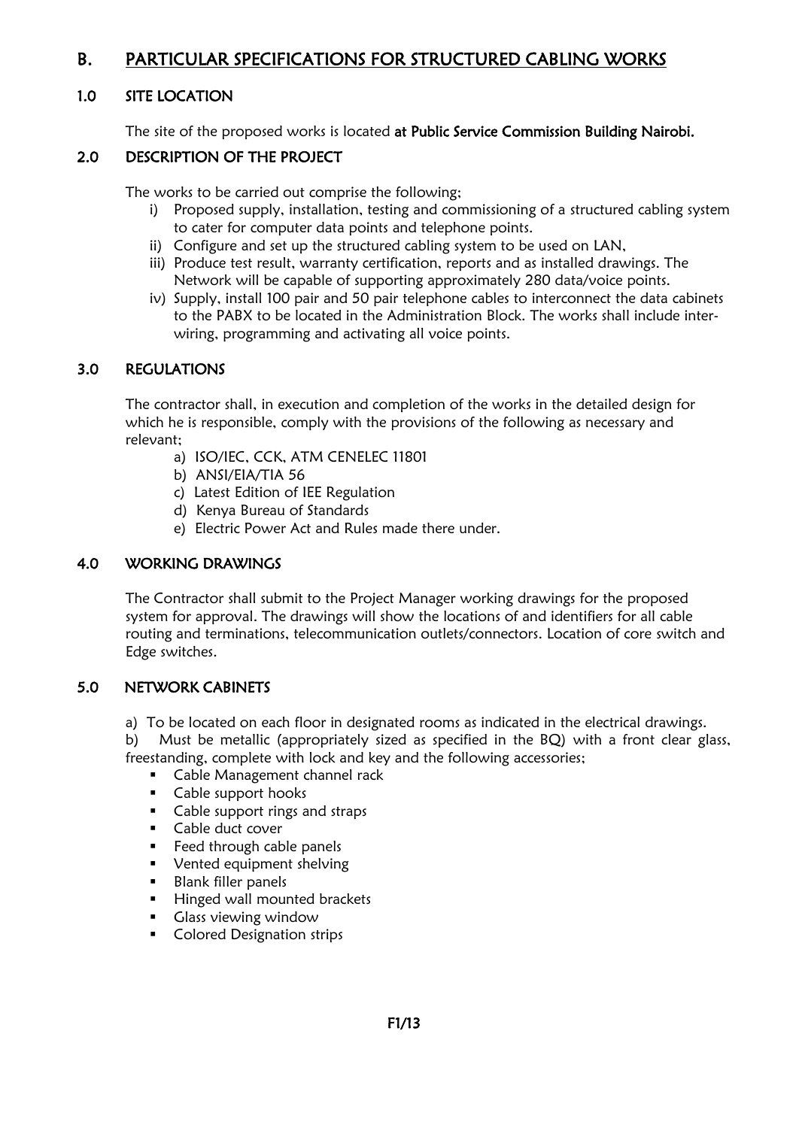# B. PARTICULAR SPECIFICATIONS FOR STRUCTURED CABLING WORKS

#### 1.0 SITE LOCATION

The site of the proposed works is located at Public Service Commission Building Nairobi.

#### 2.0 DESCRIPTION OF THE PROJECT

The works to be carried out comprise the following;

- i) Proposed supply, installation, testing and commissioning of a structured cabling system to cater for computer data points and telephone points.
- ii) Configure and set up the structured cabling system to be used on LAN,
- iii) Produce test result, warranty certification, reports and as installed drawings. The Network will be capable of supporting approximately 280 data/voice points.
- iv) Supply, install 100 pair and 50 pair telephone cables to interconnect the data cabinets to the PABX to be located in the Administration Block. The works shall include interwiring, programming and activating all voice points.

#### 3.0 REGULATIONS

The contractor shall, in execution and completion of the works in the detailed design for which he is responsible, comply with the provisions of the following as necessary and relevant;

- a) ISO/IEC, CCK, ATM CENELEC 11801
- b) ANSI/EIA/TIA 56
- c) Latest Edition of IEE Regulation
- d) Kenya Bureau of Standards
- e) Electric Power Act and Rules made there under.

#### 4.0 WORKING DRAWINGS

The Contractor shall submit to the Project Manager working drawings for the proposed system for approval. The drawings will show the locations of and identifiers for all cable routing and terminations, telecommunication outlets/connectors. Location of core switch and Edge switches.

#### 5.0 NETWORK CABINETS

a) To be located on each floor in designated rooms as indicated in the electrical drawings.

b) Must be metallic (appropriately sized as specified in the BQ) with a front clear glass, freestanding, complete with lock and key and the following accessories;

- Cable Management channel rack
- Cable support hooks
- Cable support rings and straps
- Cable duct cover
- Feed through cable panels
- Vented equipment shelving
- Blank filler panels
- Hinged wall mounted brackets
- Glass viewing window
- Colored Designation strips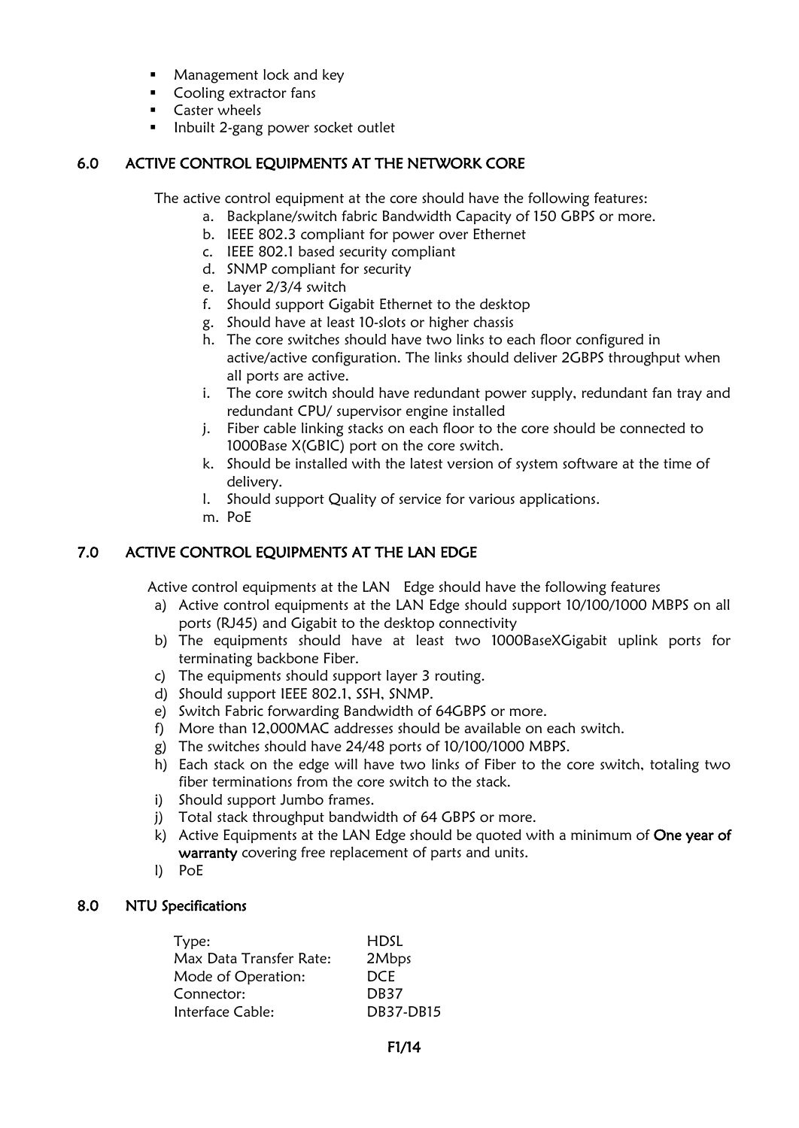- Management lock and key
- Cooling extractor fans
- Caster wheels
- Inbuilt 2-gang power socket outlet

### 6.0 ACTIVE CONTROL EQUIPMENTS AT THE NETWORK CORE

The active control equipment at the core should have the following features:

- a. Backplane/switch fabric Bandwidth Capacity of 150 GBPS or more.
- b. IEEE 802.3 compliant for power over Ethernet
- c. IEEE 802.1 based security compliant
- d. SNMP compliant for security
- e. Layer 2/3/4 switch
- f. Should support Gigabit Ethernet to the desktop
- g. Should have at least 10-slots or higher chassis
- h. The core switches should have two links to each floor configured in active/active configuration. The links should deliver 2GBPS throughput when all ports are active.
- i. The core switch should have redundant power supply, redundant fan tray and redundant CPU/ supervisor engine installed
- j. Fiber cable linking stacks on each floor to the core should be connected to 1000Base X(GBIC) port on the core switch.
- k. Should be installed with the latest version of system software at the time of delivery.
- l. Should support Quality of service for various applications.
- m. PoE

### 7.0 ACTIVE CONTROL EQUIPMENTS AT THE LAN EDGE

Active control equipments at the LAN Edge should have the following features

- a) Active control equipments at the LAN Edge should support 10/100/1000 MBPS on all ports (RJ45) and Gigabit to the desktop connectivity
- b) The equipments should have at least two 1000BaseXGigabit uplink ports for terminating backbone Fiber.
- c) The equipments should support layer 3 routing.
- d) Should support IEEE 802.1, SSH, SNMP.
- e) Switch Fabric forwarding Bandwidth of 64GBPS or more.
- f) More than 12,000MAC addresses should be available on each switch.
- g) The switches should have 24/48 ports of 10/100/1000 MBPS.
- h) Each stack on the edge will have two links of Fiber to the core switch, totaling two fiber terminations from the core switch to the stack.
- i) Should support Jumbo frames.
- j) Total stack throughput bandwidth of 64 GBPS or more.
- k) Active Equipments at the LAN Edge should be quoted with a minimum of One year of warranty covering free replacement of parts and units.
- l) PoE

#### 8.0 NTU Specifications

| Type:                   | HDSL             |
|-------------------------|------------------|
| Max Data Transfer Rate: | 2Mbps            |
| Mode of Operation:      | DCE.             |
| Connector:              | DB <sub>37</sub> |
| Interface Cable:        | <b>DB37-DB15</b> |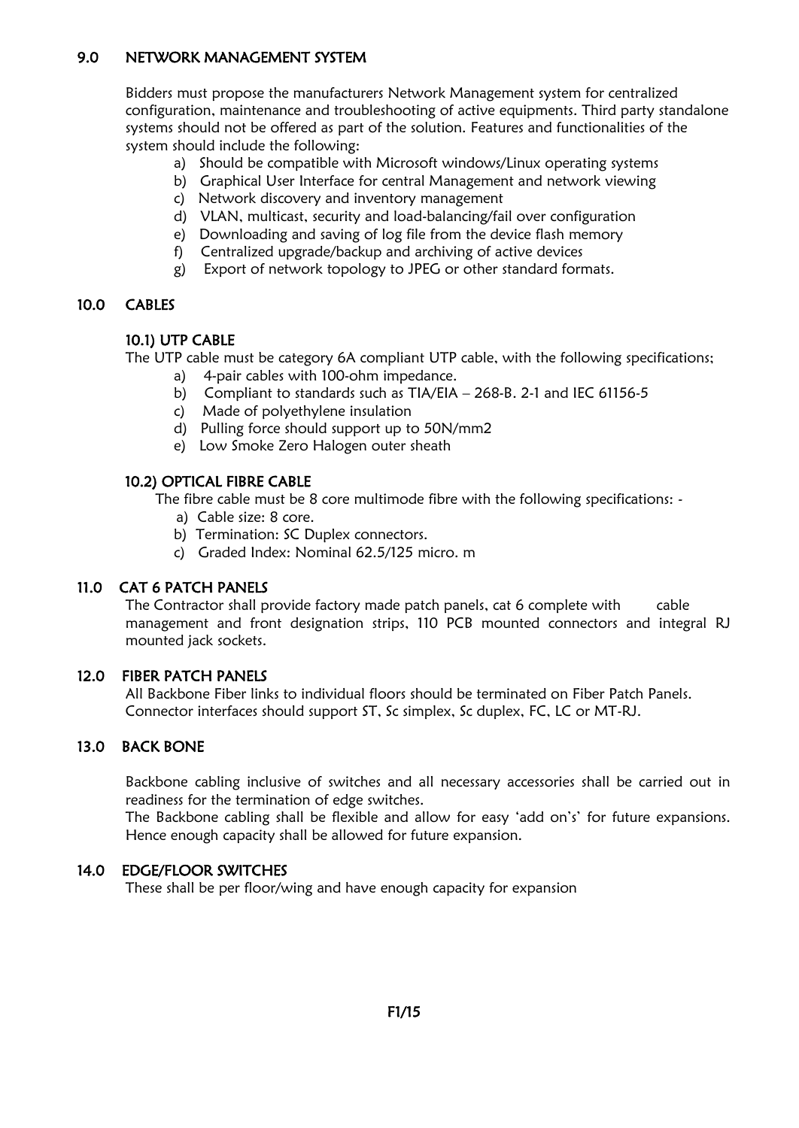#### 9.0 NETWORK MANAGEMENT SYSTEM

Bidders must propose the manufacturers Network Management system for centralized configuration, maintenance and troubleshooting of active equipments. Third party standalone systems should not be offered as part of the solution. Features and functionalities of the system should include the following:

- a) Should be compatible with Microsoft windows/Linux operating systems
- b) Graphical User Interface for central Management and network viewing
- c) Network discovery and inventory management
- d) VLAN, multicast, security and load-balancing/fail over configuration
- e) Downloading and saving of log file from the device flash memory
- f) Centralized upgrade/backup and archiving of active devices
- g) Export of network topology to JPEG or other standard formats.

#### 10.0 CABLES

### 10.1) UTP CABLE

The UTP cable must be category 6A compliant UTP cable, with the following specifications;

- a) 4-pair cables with 100-ohm impedance.
- b) Compliant to standards such as TIA/EIA 268-B. 2-1 and IEC 61156-5
- c) Made of polyethylene insulation
- d) Pulling force should support up to 50N/mm2
- e) Low Smoke Zero Halogen outer sheath

#### 10.2) OPTICAL FIBRE CABLE

The fibre cable must be 8 core multimode fibre with the following specifications: -

- a) Cable size: 8 core.
- b) Termination: SC Duplex connectors.
- c) Graded Index: Nominal 62.5/125 micro. m

#### 11.0 CAT 6 PATCH PANELS

The Contractor shall provide factory made patch panels, cat 6 complete with cable management and front designation strips, 110 PCB mounted connectors and integral RJ mounted jack sockets.

#### 12.0 FIBER PATCH PANELS

All Backbone Fiber links to individual floors should be terminated on Fiber Patch Panels. Connector interfaces should support ST, Sc simplex, Sc duplex, FC, LC or MT-RJ.

#### 13.0 BACK BONE

Backbone cabling inclusive of switches and all necessary accessories shall be carried out in readiness for the termination of edge switches.

The Backbone cabling shall be flexible and allow for easy 'add on's' for future expansions. Hence enough capacity shall be allowed for future expansion.

#### 14.0 EDGE/FLOOR SWITCHES

These shall be per floor/wing and have enough capacity for expansion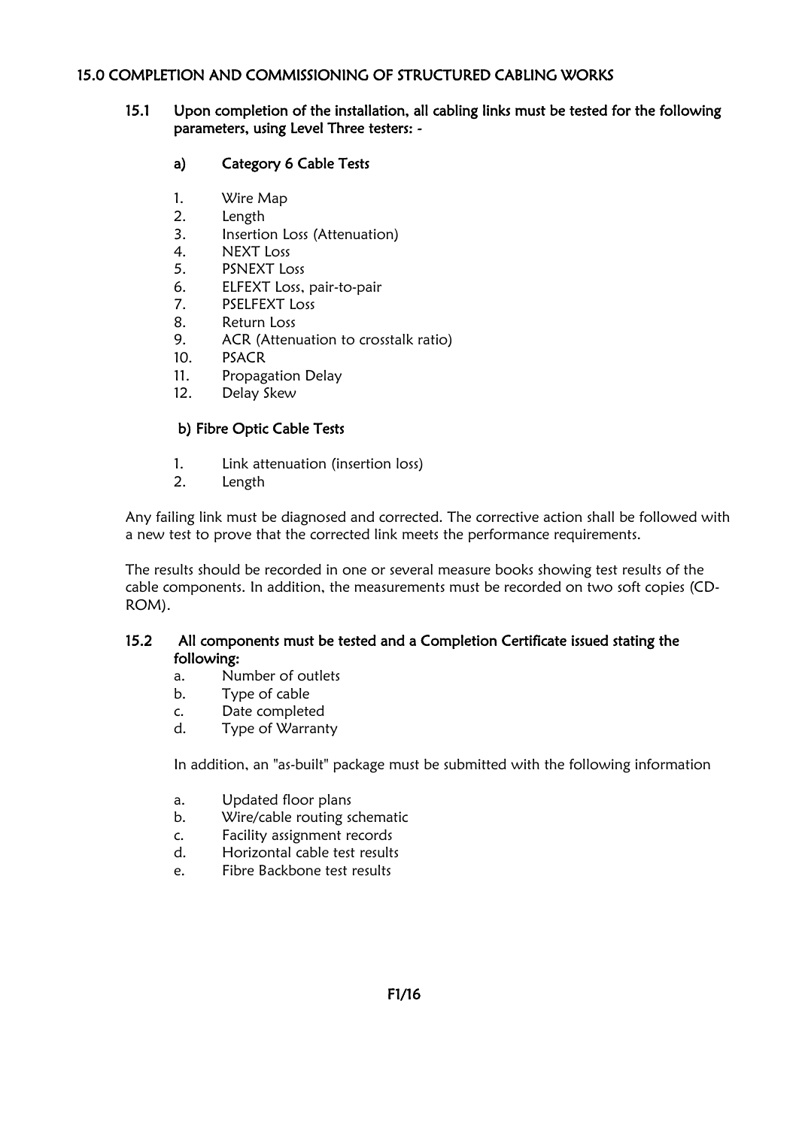#### 15.0 COMPLETION AND COMMISSIONING OF STRUCTURED CABLING WORKS

#### 15.1 Upon completion of the installation, all cabling links must be tested for the following parameters, using Level Three testers: -

#### a) Category 6 Cable Tests

- 1. Wire Map
- 2. Length
- 3. Insertion Loss (Attenuation)
- 4. NEXT Loss
- 5. PSNEXT Loss
- 6. ELFEXT Loss, pair-to-pair
- 7. PSELFEXT Loss
- 8. Return Loss
- 9. ACR (Attenuation to crosstalk ratio)
- 10. PSACR
- 11. Propagation Delay
- 12. Delay Skew

#### b) Fibre Optic Cable Tests

- 1. Link attenuation (insertion loss)
- 2. Length

Any failing link must be diagnosed and corrected. The corrective action shall be followed with a new test to prove that the corrected link meets the performance requirements.

The results should be recorded in one or several measure books showing test results of the cable components. In addition, the measurements must be recorded on two soft copies (CD-ROM).

#### 15.2 All components must be tested and a Completion Certificate issued stating the following:

- a. Number of outlets
- b. Type of cable
- c. Date completed
- d. Type of Warranty

In addition, an "as-built" package must be submitted with the following information

- a. Updated floor plans
- b. Wire/cable routing schematic
- c. Facility assignment records
- d. Horizontal cable test results
- e. Fibre Backbone test results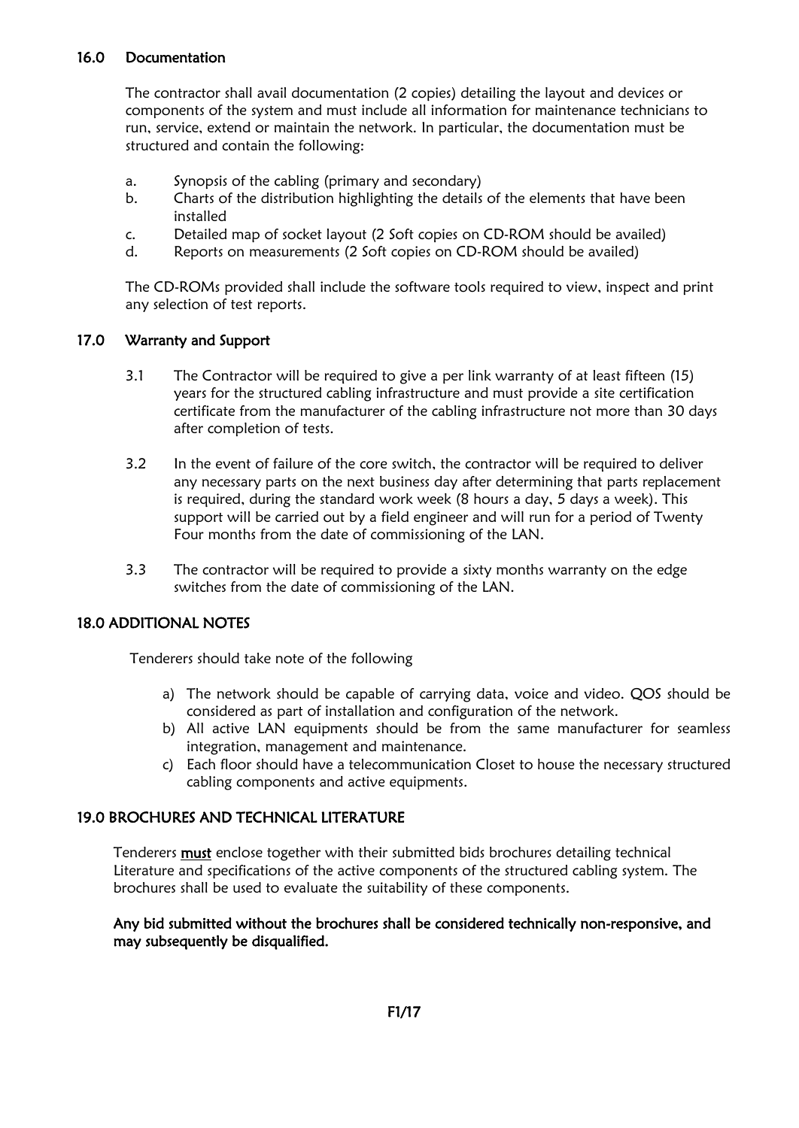#### 16.0 Documentation

The contractor shall avail documentation (2 copies) detailing the layout and devices or components of the system and must include all information for maintenance technicians to run, service, extend or maintain the network. In particular, the documentation must be structured and contain the following:

- a. Synopsis of the cabling (primary and secondary)
- b. Charts of the distribution highlighting the details of the elements that have been installed
- c. Detailed map of socket layout (2 Soft copies on CD-ROM should be availed)
- d. Reports on measurements (2 Soft copies on CD-ROM should be availed)

The CD-ROMs provided shall include the software tools required to view, inspect and print any selection of test reports.

#### 17.0 Warranty and Support

- 3.1 The Contractor will be required to give a per link warranty of at least fifteen (15) years for the structured cabling infrastructure and must provide a site certification certificate from the manufacturer of the cabling infrastructure not more than 30 days after completion of tests.
- 3.2 In the event of failure of the core switch, the contractor will be required to deliver any necessary parts on the next business day after determining that parts replacement is required, during the standard work week (8 hours a day, 5 days a week). This support will be carried out by a field engineer and will run for a period of Twenty Four months from the date of commissioning of the LAN.
- 3.3 The contractor will be required to provide a sixty months warranty on the edge switches from the date of commissioning of the LAN.

#### 18.0 ADDITIONAL NOTES

Tenderers should take note of the following

- a) The network should be capable of carrying data, voice and video. QOS should be considered as part of installation and configuration of the network.
- b) All active LAN equipments should be from the same manufacturer for seamless integration, management and maintenance.
- c) Each floor should have a telecommunication Closet to house the necessary structured cabling components and active equipments.

#### 19.0 BROCHURES AND TECHNICAL LITERATURE

Tenderers **must** enclose together with their submitted bids brochures detailing technical Literature and specifications of the active components of the structured cabling system. The brochures shall be used to evaluate the suitability of these components.

#### Any bid submitted without the brochures shall be considered technically non-responsive, and may subsequently be disqualified.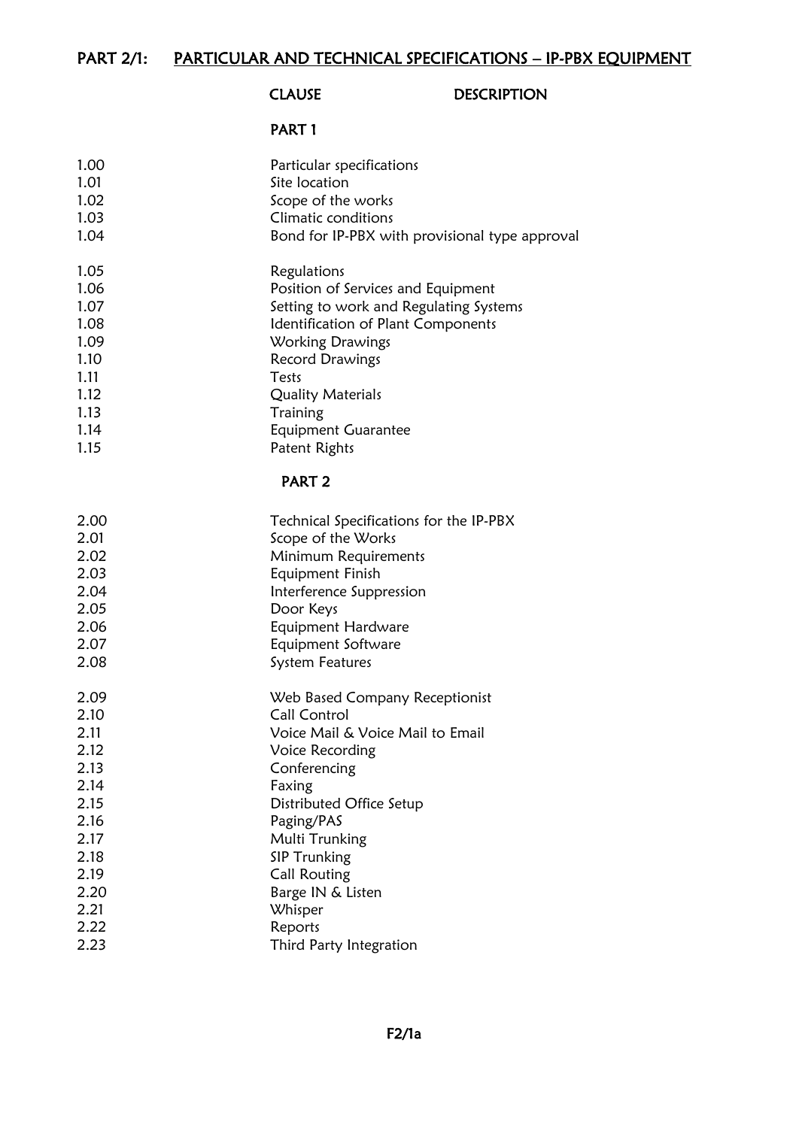# CLAUSE DESCRIPTION

#### PART 1

| 1.00 | Particular specifications                      |
|------|------------------------------------------------|
| 1.01 | Site location                                  |
| 1.02 | Scope of the works                             |
| 1.03 | Climatic conditions                            |
| 1.04 | Bond for IP-PBX with provisional type approval |
| 1.05 | Regulations                                    |
| 1.06 | Position of Services and Equipment             |
| 1.07 | Setting to work and Regulating Systems         |
| 1.08 | Identification of Plant Components             |
| 1.09 | Working Drawings                               |
| 1.10 | Record Drawings                                |
| 1.11 | Tests                                          |
| 1.12 | <b>Quality Materials</b>                       |
| 1.13 | Training                                       |
| 1.14 | <b>Equipment Guarantee</b>                     |
| 1.15 | Patent Rights                                  |
|      | PART <sub>2</sub>                              |
| 2.00 | Technical Specifications for the IP-PBX        |
| 2.01 | Scope of the Works                             |
| 2.02 | Minimum Requirements                           |
| 2.03 | Equipment Finish                               |
| 2.04 | Interference Suppression                       |
| 2.05 | Door Keys                                      |
| 2.06 | Equipment Hardware                             |
| 2.07 | Equipment Software                             |
| 2.08 | <b>System Features</b>                         |
| 2.09 | Web Based Company Receptionist                 |
| 2.10 | <b>Call Control</b>                            |
| 2.11 | Voice Mail & Voice Mail to Email               |
| 2.12 | Voice Recording                                |
| 2.13 | Conferencing                                   |
| 2.14 | Faxing                                         |
| 2.15 | Distributed Office Setup                       |
| 2.16 | Paging/PAS                                     |
| 2.17 | Multi Trunking                                 |
| 2.18 | <b>SIP Trunking</b>                            |
| 2.19 | <b>Call Routing</b>                            |
| 2.20 | Barge IN & Listen                              |
| 2.21 | Whisper                                        |
| 2.22 | Reports                                        |
| 2.23 | Third Party Integration                        |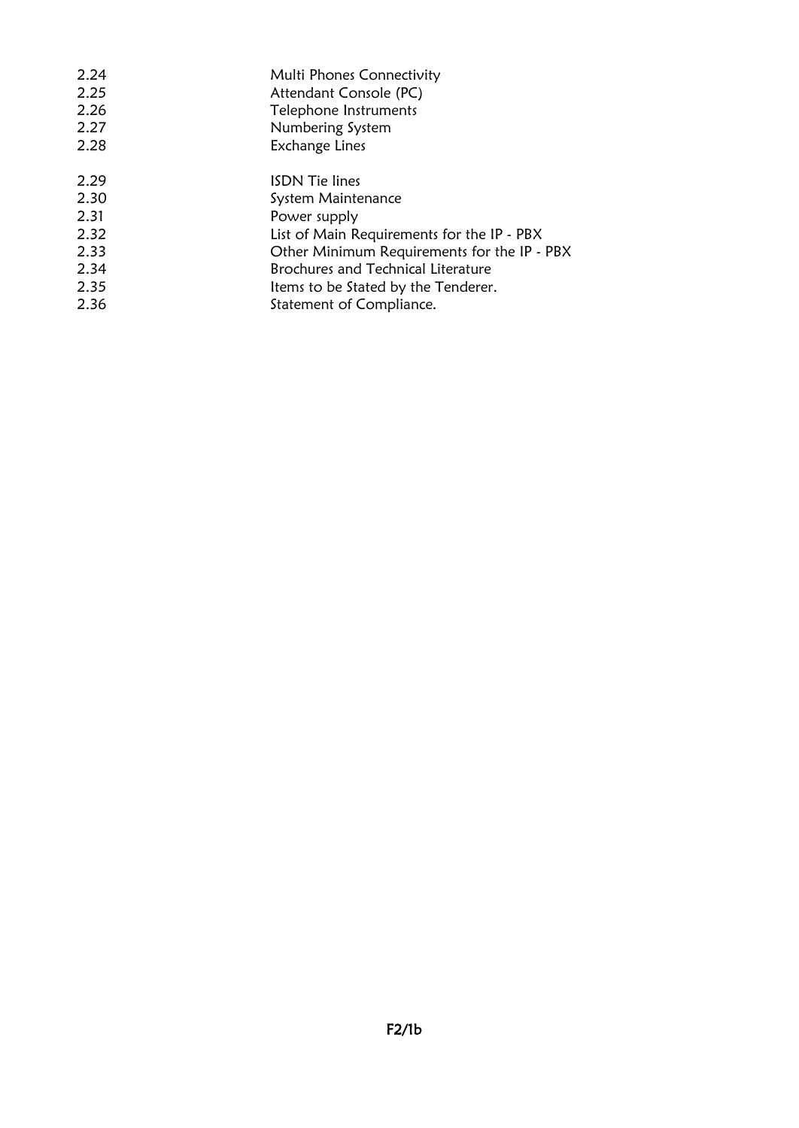| 2.24 | Multi Phones Connectivity                   |
|------|---------------------------------------------|
| 2.25 | Attendant Console (PC)                      |
| 2.26 | Telephone Instruments                       |
| 2.27 | Numbering System                            |
| 2.28 | Exchange Lines                              |
| 2.29 | <b>ISDN</b> Tie lines                       |
| 2.30 | System Maintenance                          |
| 2.31 | Power supply                                |
| 2.32 | List of Main Requirements for the IP - PBX  |
| 2.33 | Other Minimum Requirements for the IP - PBX |
| 2.34 | Brochures and Technical Literature          |
| 2.35 | Items to be Stated by the Tenderer.         |
| 2.36 | Statement of Compliance.                    |
|      |                                             |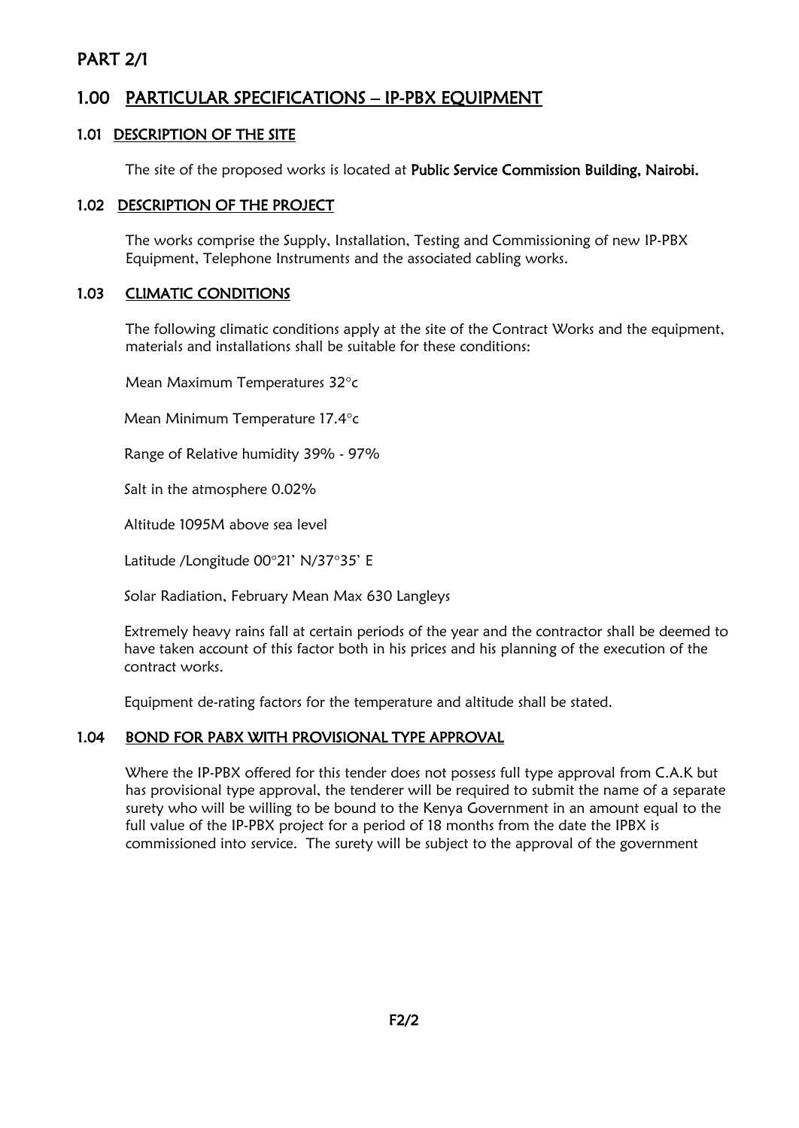# PART 2/1

# 1.00 PARTICULAR SPECIFICATIONS – IP-PBX EQUIPMENT

#### 1.01 DESCRIPTION OF THE SITE

The site of the proposed works is located at Public Service Commission Building, Nairobi.

#### 1.02 DESCRIPTION OF THE PROJECT

The works comprise the Supply, Installation, Testing and Commissioning of new IP-PBX Equipment, Telephone Instruments and the associated cabling works.

#### 1.03 CLIMATIC CONDITIONS

The following climatic conditions apply at the site of the Contract Works and the equipment, materials and installations shall be suitable for these conditions:

Mean Maximum Temperatures 32°c

Mean Minimum Temperature 17.4°c

Range of Relative humidity 39% - 97%

Salt in the atmosphere 0.02%

Altitude 1095M above sea level

Latitude /Longitude 00°21' N/37°35' E

Solar Radiation, February Mean Max 630 Langleys

Extremely heavy rains fall at certain periods of the year and the contractor shall be deemed to have taken account of this factor both in his prices and his planning of the execution of the contract works.

Equipment de-rating factors for the temperature and altitude shall be stated.

#### 1.04 BOND FOR PABX WITH PROVISIONAL TYPE APPROVAL

Where the IP-PBX offered for this tender does not possess full type approval from C.A.K but has provisional type approval, the tenderer will be required to submit the name of a separate surety who will be willing to be bound to the Kenya Government in an amount equal to the full value of the IP-PBX project for a period of 18 months from the date the IPBX is commissioned into service. The surety will be subject to the approval of the government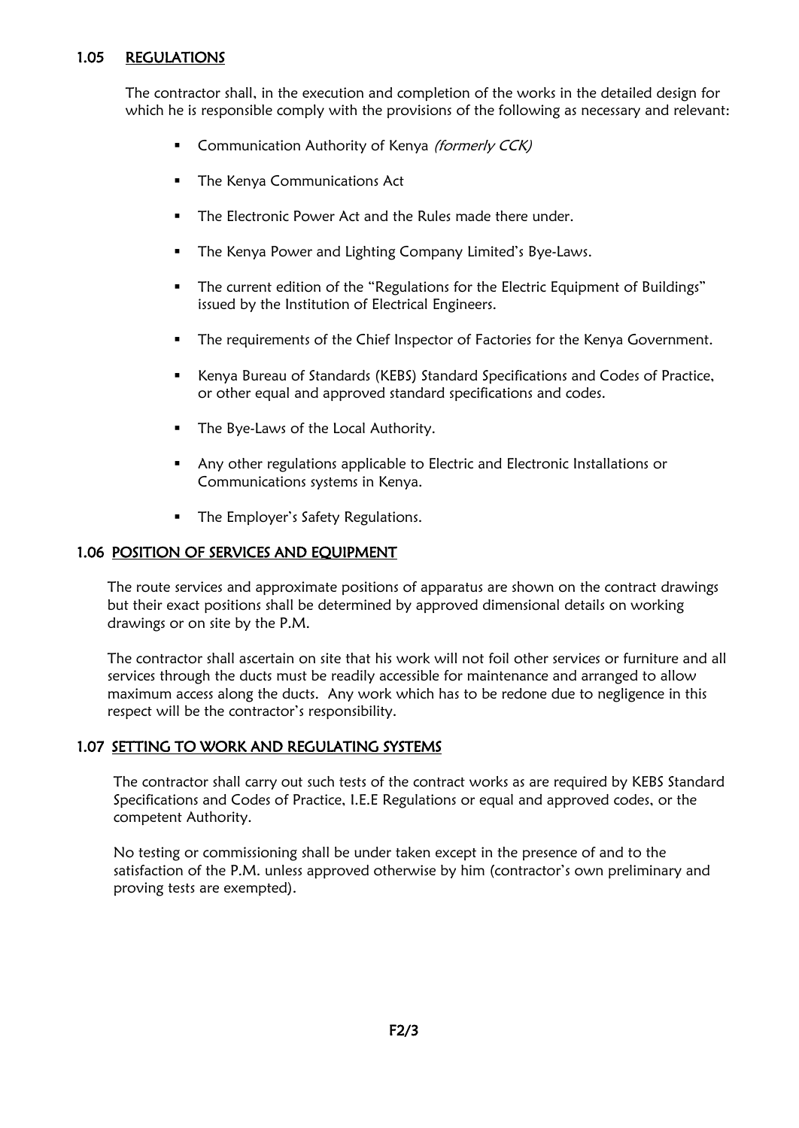#### 1.05 REGULATIONS

The contractor shall, in the execution and completion of the works in the detailed design for which he is responsible comply with the provisions of the following as necessary and relevant:

- **Communication Authority of Kenya (formerly CCK)**
- **The Kenya Communications Act**
- The Electronic Power Act and the Rules made there under
- The Kenya Power and Lighting Company Limited's Bye-Laws.
- The current edition of the "Regulations for the Electric Equipment of Buildings" issued by the Institution of Electrical Engineers.
- **•** The requirements of the Chief Inspector of Factories for the Kenya Government.
- Kenya Bureau of Standards (KEBS) Standard Specifications and Codes of Practice, or other equal and approved standard specifications and codes.
- The Bye-Laws of the Local Authority.
- Any other regulations applicable to Electric and Electronic Installations or Communications systems in Kenya.
- **■** The Employer's Safety Regulations.

#### 1.06 POSITION OF SERVICES AND EQUIPMENT

The route services and approximate positions of apparatus are shown on the contract drawings but their exact positions shall be determined by approved dimensional details on working drawings or on site by the P.M.

The contractor shall ascertain on site that his work will not foil other services or furniture and all services through the ducts must be readily accessible for maintenance and arranged to allow maximum access along the ducts. Any work which has to be redone due to negligence in this respect will be the contractor's responsibility.

#### 1.07 SETTING TO WORK AND REGULATING SYSTEMS

The contractor shall carry out such tests of the contract works as are required by KEBS Standard Specifications and Codes of Practice, I.E.E Regulations or equal and approved codes, or the competent Authority.

No testing or commissioning shall be under taken except in the presence of and to the satisfaction of the P.M. unless approved otherwise by him (contractor's own preliminary and proving tests are exempted).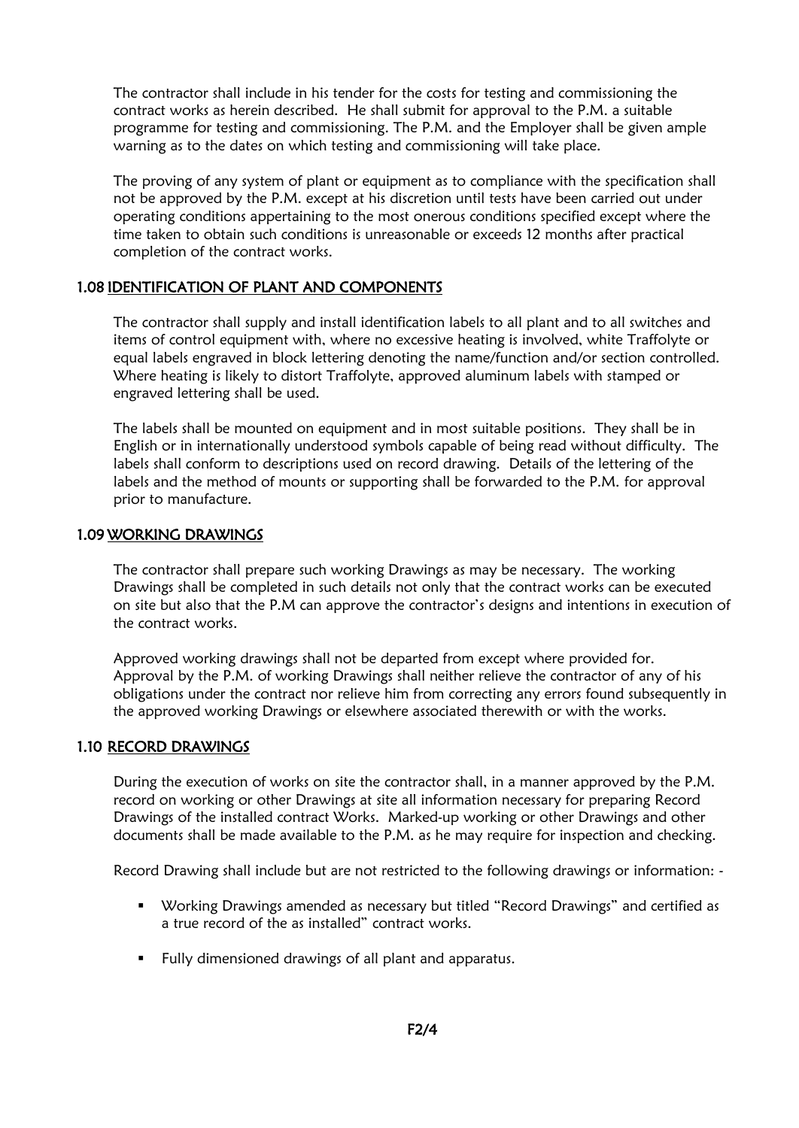The contractor shall include in his tender for the costs for testing and commissioning the contract works as herein described. He shall submit for approval to the P.M. a suitable programme for testing and commissioning. The P.M. and the Employer shall be given ample warning as to the dates on which testing and commissioning will take place.

The proving of any system of plant or equipment as to compliance with the specification shall not be approved by the P.M. except at his discretion until tests have been carried out under operating conditions appertaining to the most onerous conditions specified except where the time taken to obtain such conditions is unreasonable or exceeds 12 months after practical completion of the contract works.

#### 1.08 IDENTIFICATION OF PLANT AND COMPONENTS

The contractor shall supply and install identification labels to all plant and to all switches and items of control equipment with, where no excessive heating is involved, white Traffolyte or equal labels engraved in block lettering denoting the name/function and/or section controlled. Where heating is likely to distort Traffolyte, approved aluminum labels with stamped or engraved lettering shall be used.

The labels shall be mounted on equipment and in most suitable positions. They shall be in English or in internationally understood symbols capable of being read without difficulty. The labels shall conform to descriptions used on record drawing. Details of the lettering of the labels and the method of mounts or supporting shall be forwarded to the P.M. for approval prior to manufacture.

#### 1.09 WORKING DRAWINGS

The contractor shall prepare such working Drawings as may be necessary. The working Drawings shall be completed in such details not only that the contract works can be executed on site but also that the P.M can approve the contractor's designs and intentions in execution of the contract works.

Approved working drawings shall not be departed from except where provided for. Approval by the P.M. of working Drawings shall neither relieve the contractor of any of his obligations under the contract nor relieve him from correcting any errors found subsequently in the approved working Drawings or elsewhere associated therewith or with the works.

#### 1.10 RECORD DRAWINGS

During the execution of works on site the contractor shall, in a manner approved by the P.M. record on working or other Drawings at site all information necessary for preparing Record Drawings of the installed contract Works. Marked-up working or other Drawings and other documents shall be made available to the P.M. as he may require for inspection and checking.

Record Drawing shall include but are not restricted to the following drawings or information: -

- Working Drawings amended as necessary but titled "Record Drawings" and certified as a true record of the as installed" contract works.
- Fully dimensioned drawings of all plant and apparatus.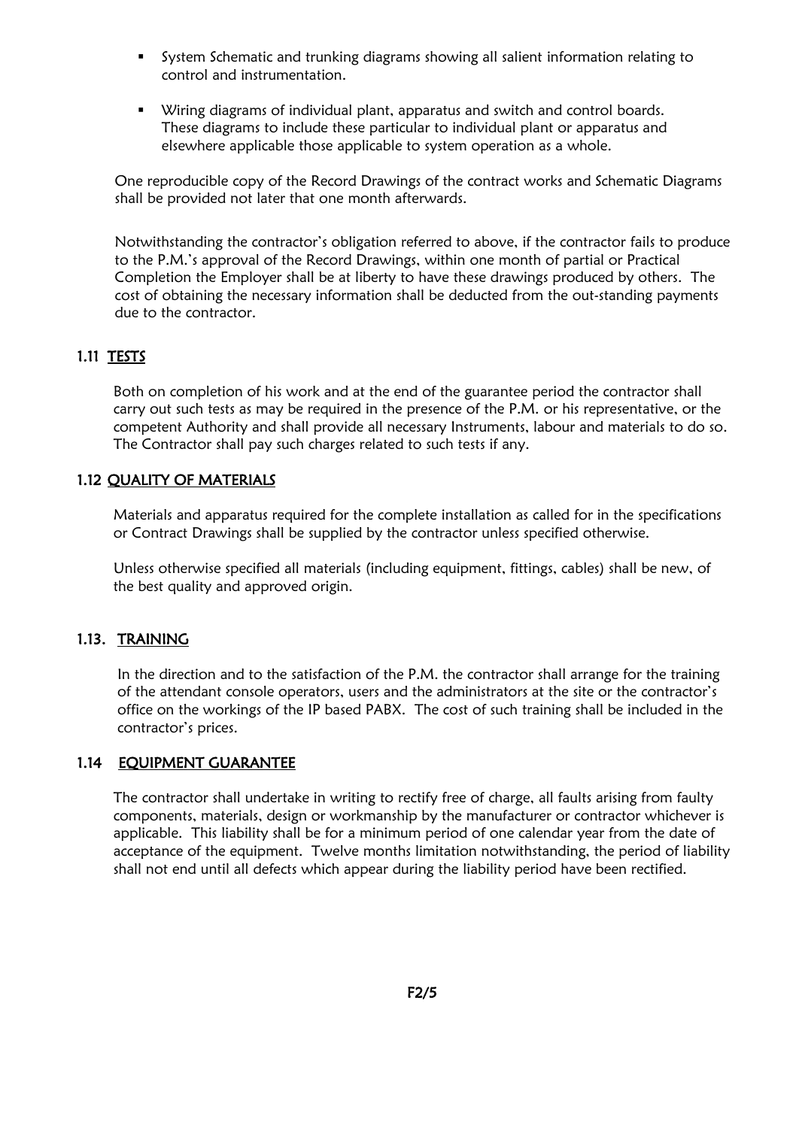- System Schematic and trunking diagrams showing all salient information relating to control and instrumentation.
- Wiring diagrams of individual plant, apparatus and switch and control boards. These diagrams to include these particular to individual plant or apparatus and elsewhere applicable those applicable to system operation as a whole.

One reproducible copy of the Record Drawings of the contract works and Schematic Diagrams shall be provided not later that one month afterwards.

Notwithstanding the contractor's obligation referred to above, if the contractor fails to produce to the P.M.'s approval of the Record Drawings, within one month of partial or Practical Completion the Employer shall be at liberty to have these drawings produced by others. The cost of obtaining the necessary information shall be deducted from the out-standing payments due to the contractor.

### 1.11 TESTS

Both on completion of his work and at the end of the guarantee period the contractor shall carry out such tests as may be required in the presence of the P.M. or his representative, or the competent Authority and shall provide all necessary Instruments, labour and materials to do so. The Contractor shall pay such charges related to such tests if any.

#### 1.12 QUALITY OF MATERIALS

Materials and apparatus required for the complete installation as called for in the specifications or Contract Drawings shall be supplied by the contractor unless specified otherwise.

Unless otherwise specified all materials (including equipment, fittings, cables) shall be new, of the best quality and approved origin.

#### 1.13. TRAINING

In the direction and to the satisfaction of the P.M. the contractor shall arrange for the training of the attendant console operators, users and the administrators at the site or the contractor's office on the workings of the IP based PABX. The cost of such training shall be included in the contractor's prices.

#### 1.14 EQUIPMENT GUARANTEE

The contractor shall undertake in writing to rectify free of charge, all faults arising from faulty components, materials, design or workmanship by the manufacturer or contractor whichever is applicable. This liability shall be for a minimum period of one calendar year from the date of acceptance of the equipment. Twelve months limitation notwithstanding, the period of liability shall not end until all defects which appear during the liability period have been rectified.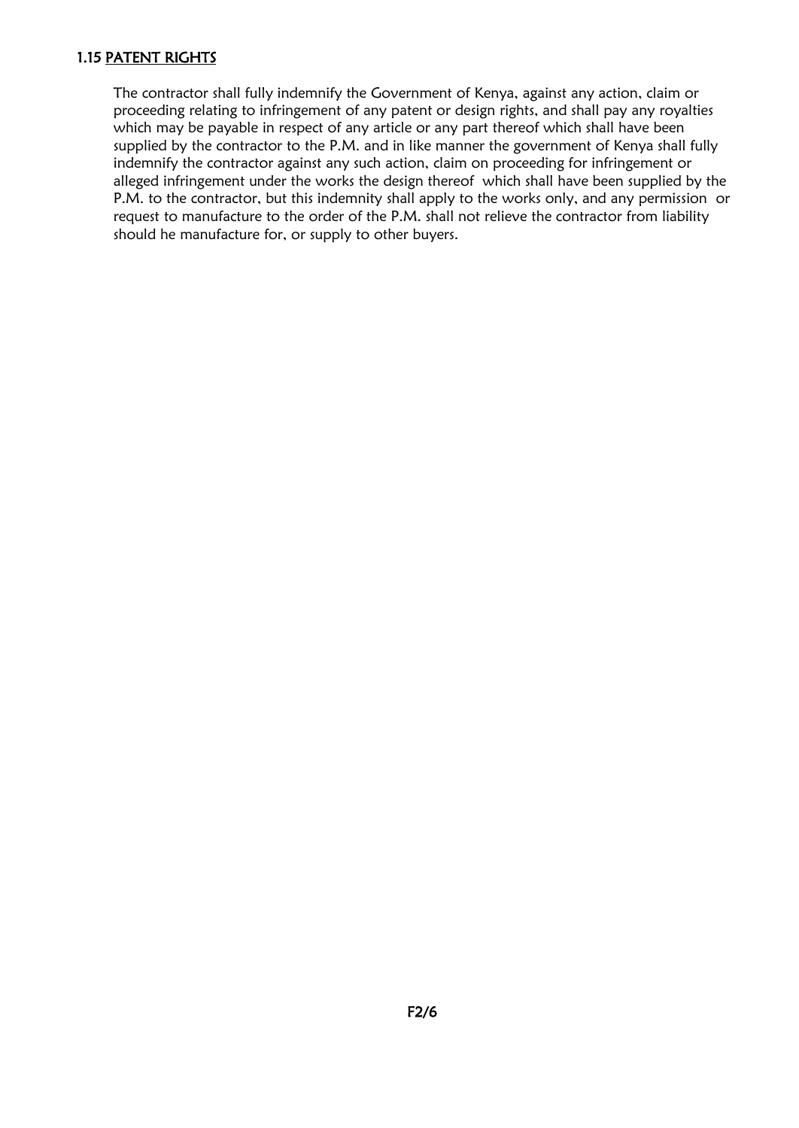#### 1.15 PATENT RIGHTS

The contractor shall fully indemnify the Government of Kenya, against any action, claim or proceeding relating to infringement of any patent or design rights, and shall pay any royalties which may be payable in respect of any article or any part thereof which shall have been supplied by the contractor to the P.M. and in like manner the government of Kenya shall fully indemnify the contractor against any such action, claim on proceeding for infringement or alleged infringement under the works the design thereof which shall have been supplied by the P.M. to the contractor, but this indemnity shall apply to the works only, and any permission or request to manufacture to the order of the P.M. shall not relieve the contractor from liability should he manufacture for, or supply to other buyers.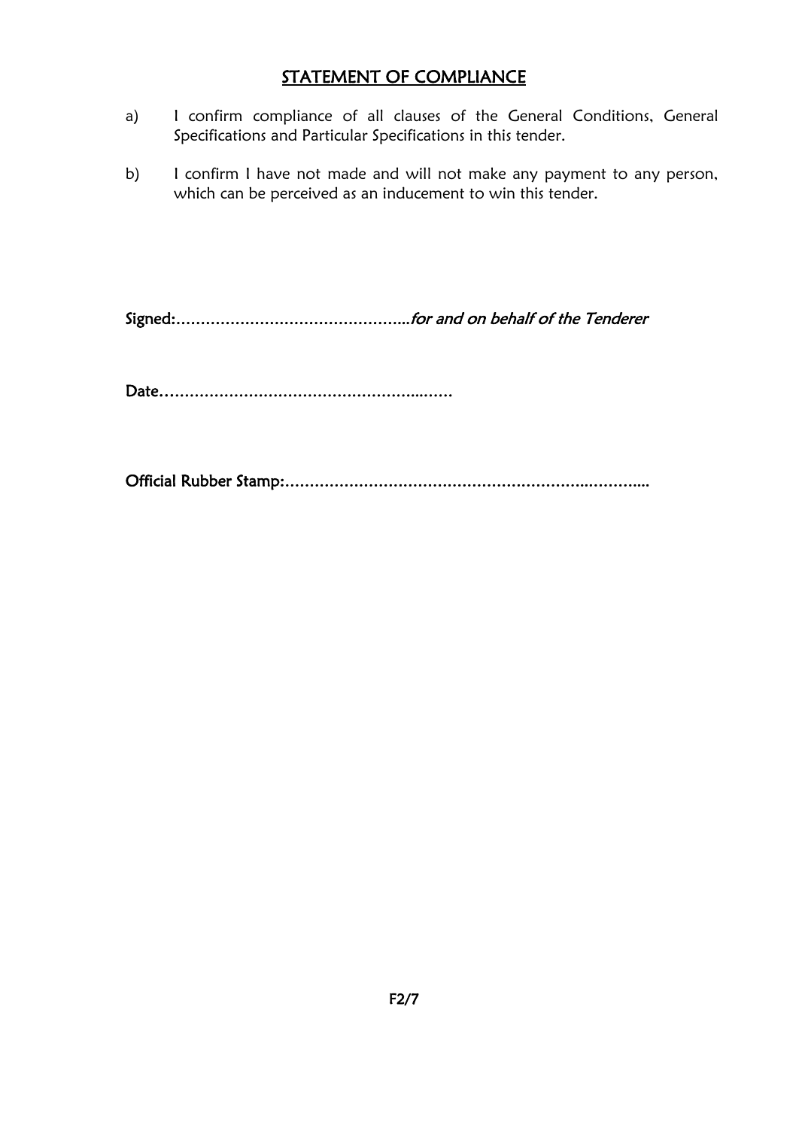# STATEMENT OF COMPLIANCE

- a) I confirm compliance of all clauses of the General Conditions, General Specifications and Particular Specifications in this tender.
- b) I confirm I have not made and will not make any payment to any person, which can be perceived as an inducement to win this tender.

Signed:………………………………………...for and on behalf of the Tenderer

Date……………………………………………...……

Official Rubber Stamp:……………………………………………………..………....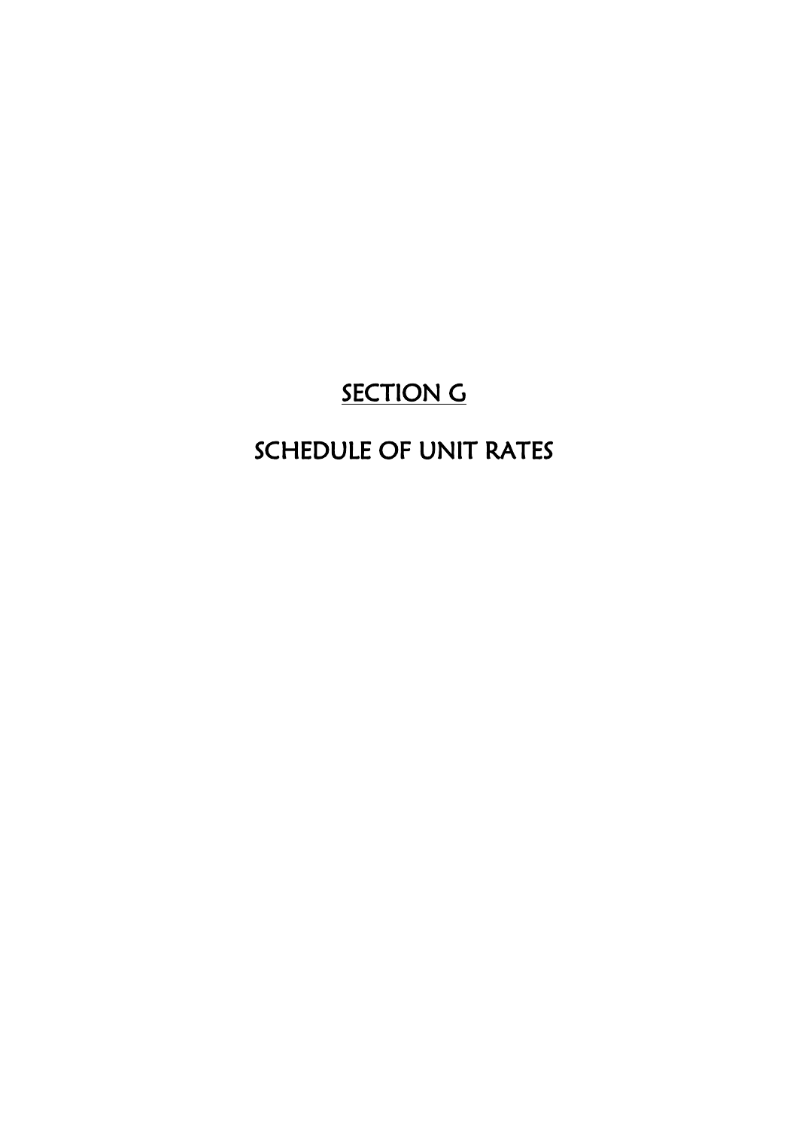# **SECTION G**

# SCHEDULE OF UNIT RATES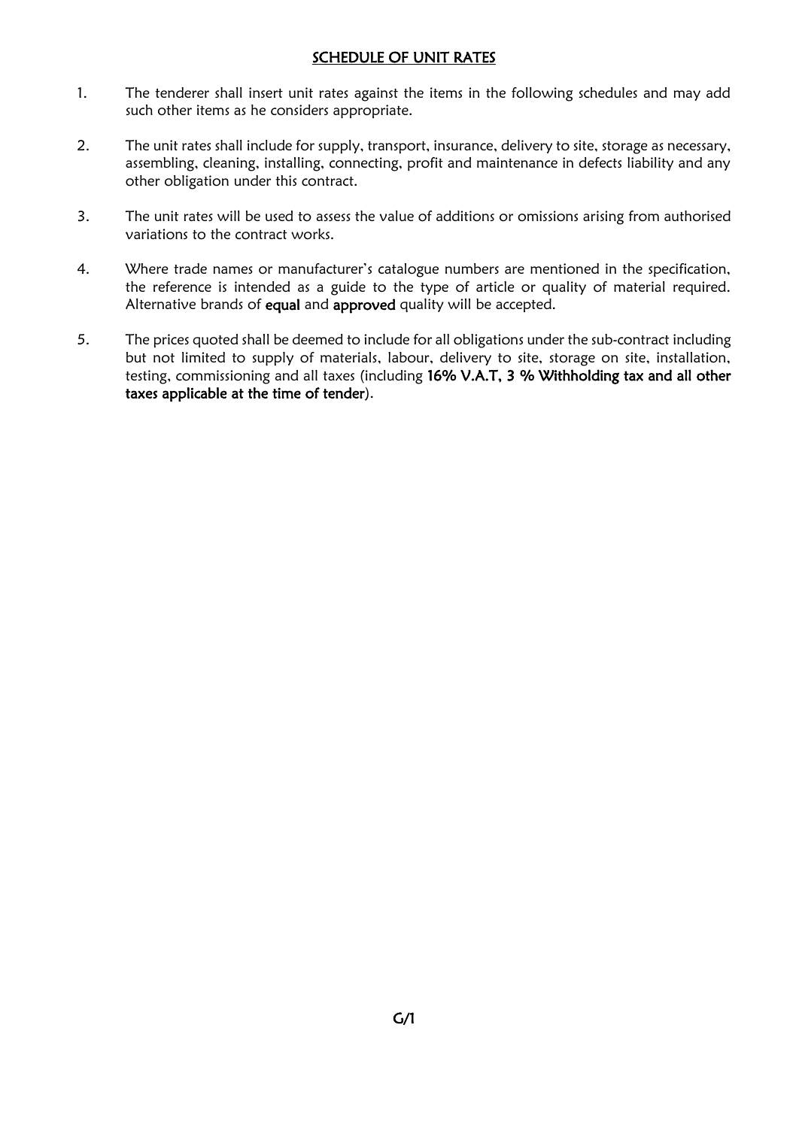#### SCHEDULE OF UNIT RATES

- 1. The tenderer shall insert unit rates against the items in the following schedules and may add such other items as he considers appropriate.
- 2. The unit rates shall include for supply, transport, insurance, delivery to site, storage as necessary, assembling, cleaning, installing, connecting, profit and maintenance in defects liability and any other obligation under this contract.
- 3. The unit rates will be used to assess the value of additions or omissions arising from authorised variations to the contract works.
- 4. Where trade names or manufacturer's catalogue numbers are mentioned in the specification, the reference is intended as a guide to the type of article or quality of material required. Alternative brands of equal and approved quality will be accepted.
- 5. The prices quoted shall be deemed to include for all obligations under the sub-contract including but not limited to supply of materials, labour, delivery to site, storage on site, installation, testing, commissioning and all taxes (including 16% V.A.T, 3 % Withholding tax and all other taxes applicable at the time of tender).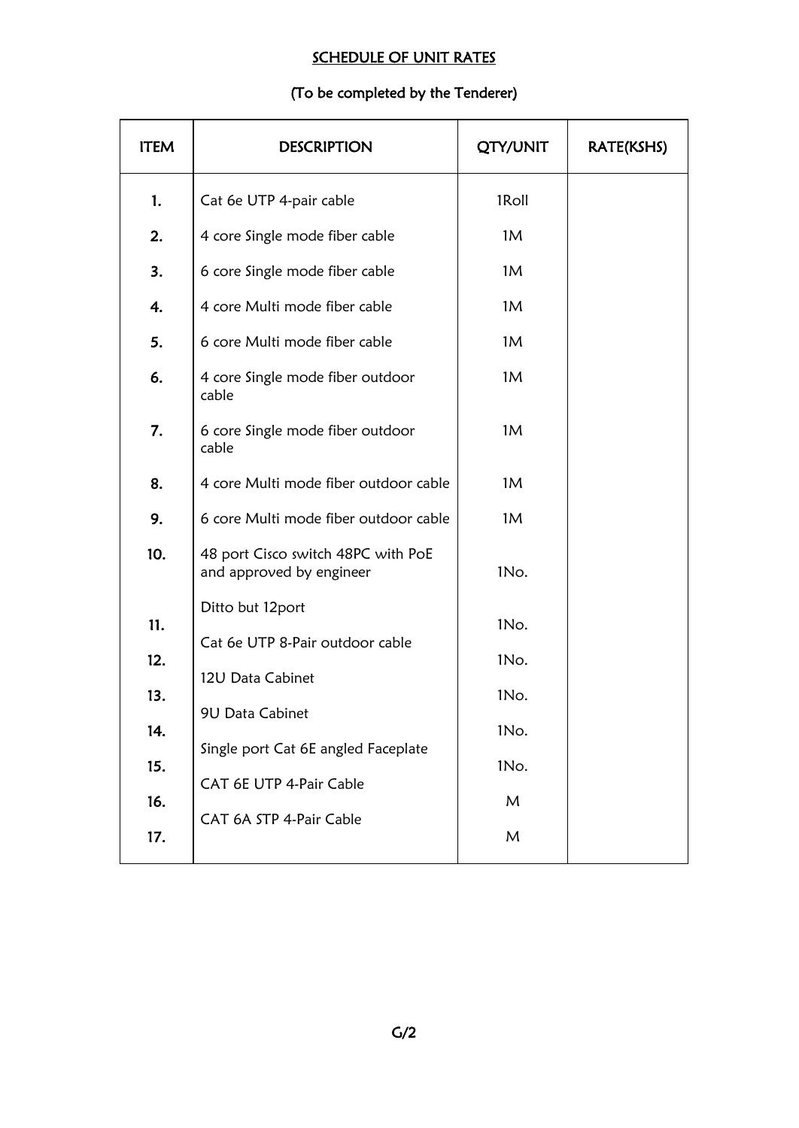# SCHEDULE OF UNIT RATES

# (To be completed by the Tenderer)

| <b>ITEM</b> | <b>DESCRIPTION</b>                                             | <b>QTY/UNIT</b> | RATE(KSHS) |
|-------------|----------------------------------------------------------------|-----------------|------------|
| 1.          | Cat 6e UTP 4-pair cable                                        | 1Roll           |            |
| 2.          | 4 core Single mode fiber cable                                 | 1M              |            |
| 3.          | 6 core Single mode fiber cable                                 | 1M              |            |
| 4.          | 4 core Multi mode fiber cable                                  | 1M              |            |
| 5.          | 6 core Multi mode fiber cable                                  | 1M              |            |
| 6.          | 4 core Single mode fiber outdoor<br>cable                      | 1M              |            |
| 7.          | 6 core Single mode fiber outdoor<br>cable                      | 1M              |            |
| 8.          | 4 core Multi mode fiber outdoor cable                          | 1M              |            |
| 9.          | 6 core Multi mode fiber outdoor cable                          | 1M              |            |
| 10.         | 48 port Cisco switch 48PC with PoE<br>and approved by engineer | 1No.            |            |
| 11.         | Ditto but 12port<br>Cat 6e UTP 8-Pair outdoor cable            | 1No.            |            |
| 12.         | 12U Data Cabinet                                               | 1No.            |            |
| 13.         | 9U Data Cabinet                                                | 1No.            |            |
| 14.         | Single port Cat 6E angled Faceplate                            | 1No.            |            |
| 15.         | CAT 6E UTP 4-Pair Cable                                        | 1No.            |            |
| 16.         | CAT 6A STP 4-Pair Cable                                        | M               |            |
| 17.         |                                                                | M               |            |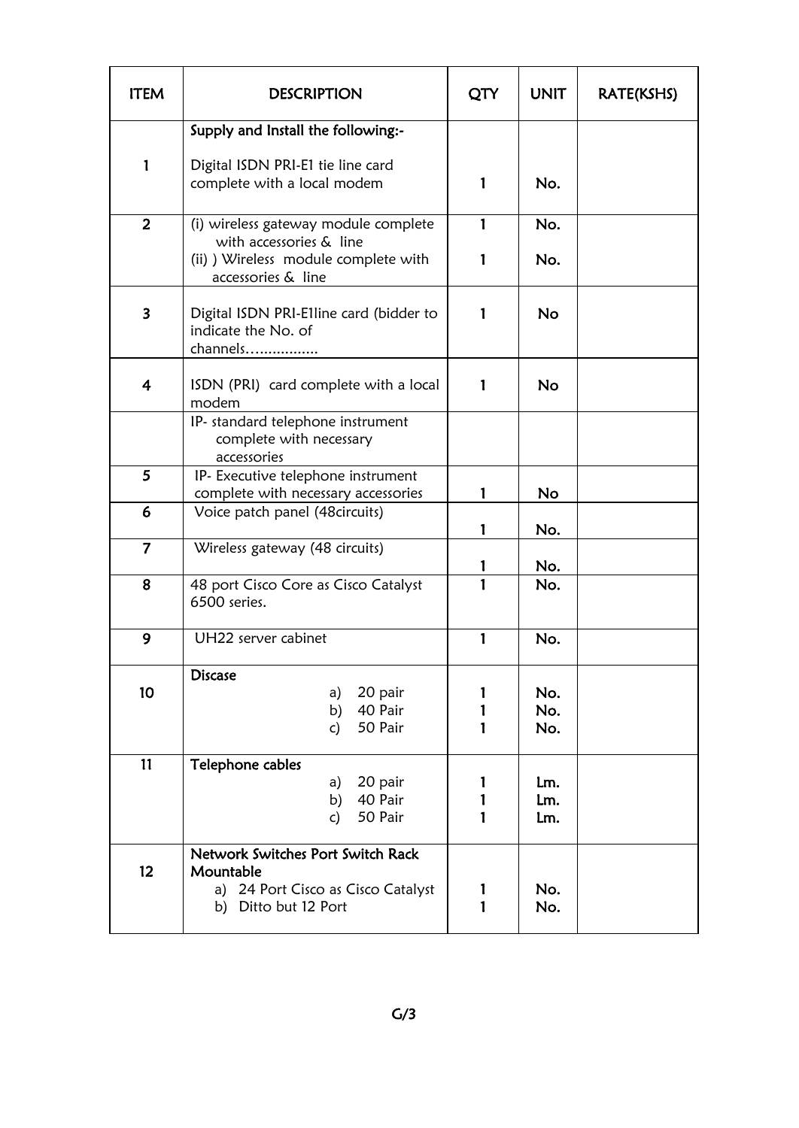| <b>ITEM</b>             | <b>DESCRIPTION</b>                                                                                           | QTY         | <b>UNIT</b>       | RATE(KSHS) |
|-------------------------|--------------------------------------------------------------------------------------------------------------|-------------|-------------------|------------|
|                         | Supply and Install the following:-                                                                           |             |                   |            |
| 1                       | Digital ISDN PRI-E1 tie line card<br>complete with a local modem                                             | 1           | No.               |            |
| $\overline{2}$          | (i) wireless gateway module complete<br>with accessories & line                                              | 1           | No.               |            |
|                         | (ii) ) Wireless module complete with<br>accessories & line                                                   | 1           | No.               |            |
| $\overline{\mathbf{3}}$ | Digital ISDN PRI-E1line card (bidder to<br>indicate the No. of<br>channels                                   | 1           | No                |            |
| $\overline{4}$          | ISDN (PRI) card complete with a local<br>modem                                                               | 1           | <b>No</b>         |            |
|                         | IP- standard telephone instrument<br>complete with necessary<br>accessories                                  |             |                   |            |
| 5                       | IP- Executive telephone instrument<br>complete with necessary accessories                                    | 1           | No                |            |
| 6                       | Voice patch panel (48 circuits)                                                                              | 1           | No.               |            |
| $\overline{7}$          | Wireless gateway (48 circuits)                                                                               |             | No.               |            |
| 8                       | 48 port Cisco Core as Cisco Catalyst<br>6500 series.                                                         | 1           | No.               |            |
| 9                       | UH22 server cabinet                                                                                          | 1           | No.               |            |
| 10                      | <b>Discase</b><br>20 pair<br>a)<br>40 Pair<br>b)<br>50 Pair<br>c)                                            | 1<br>1<br>1 | No.<br>No.<br>No. |            |
| 11                      | Telephone cables<br>20 pair<br>a)<br>40 Pair<br>b)<br>50 Pair<br>c)                                          | 1<br>1<br>1 | Lm.<br>Lm.<br>Lm. |            |
| 12 <sup>2</sup>         | Network Switches Port Switch Rack<br>Mountable<br>a) 24 Port Cisco as Cisco Catalyst<br>b) Ditto but 12 Port | 1<br>1      | No.<br>No.        |            |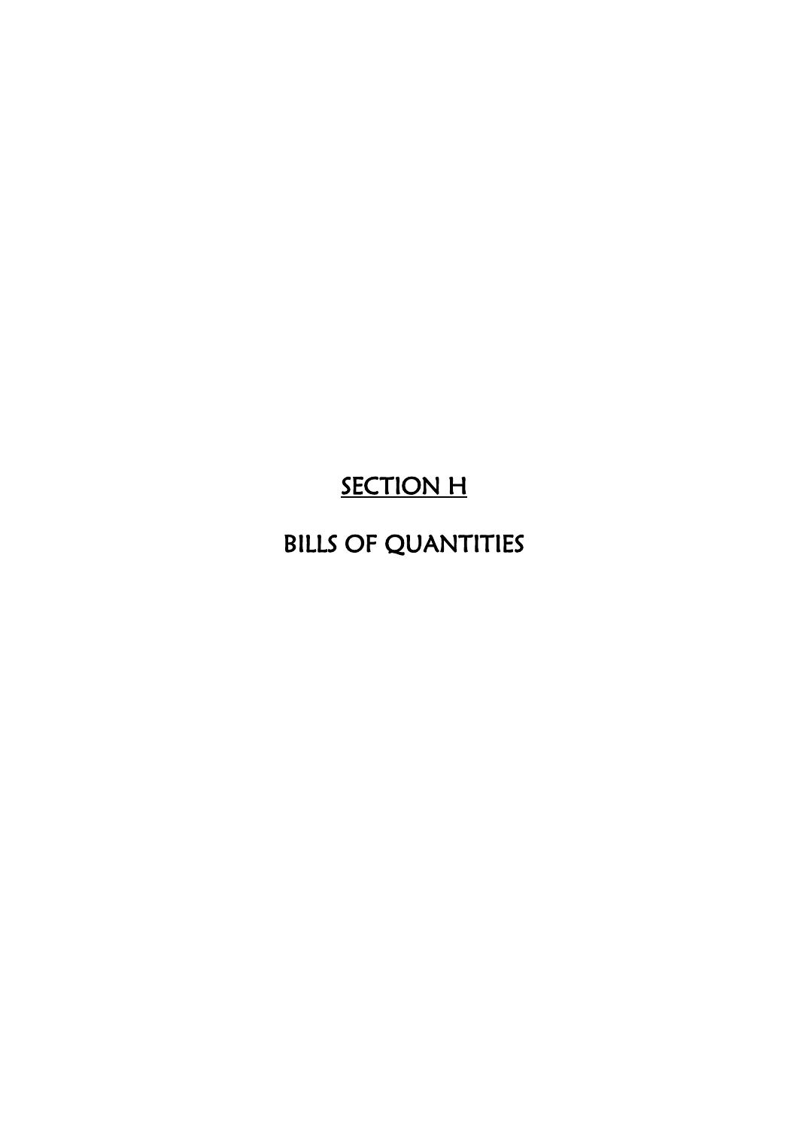# **SECTION H**

# BILLS OF QUANTITIES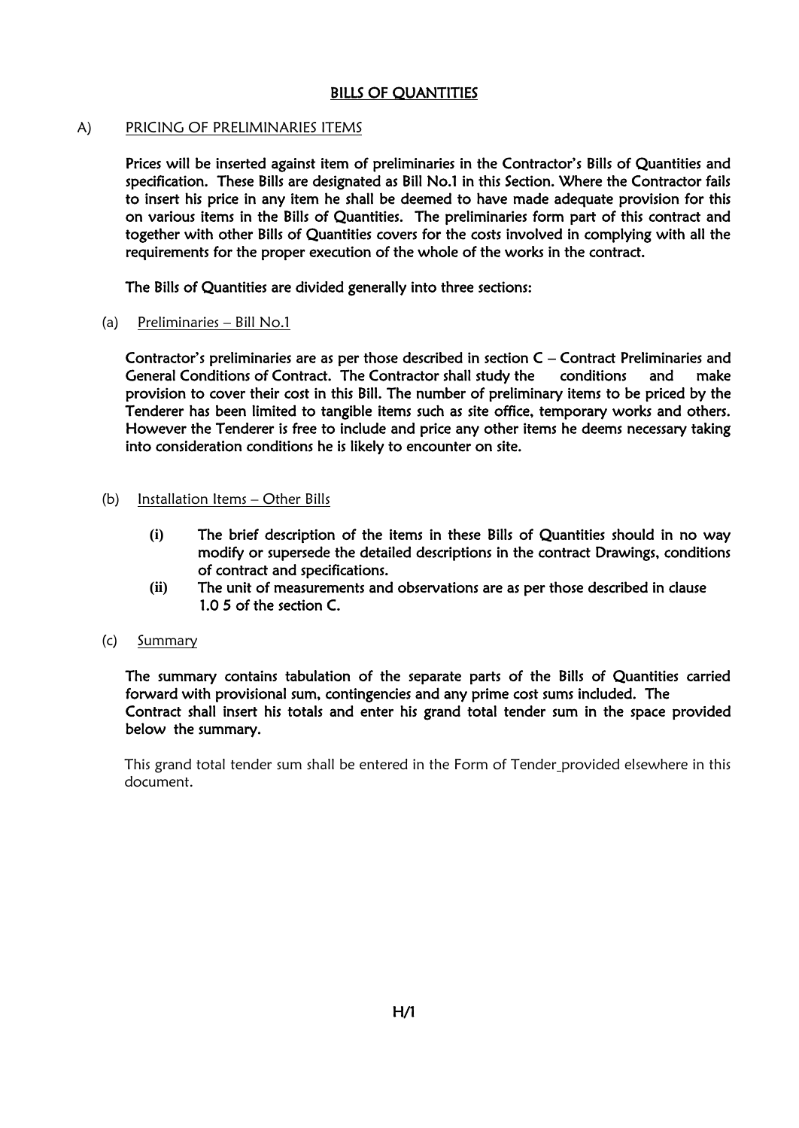#### BILLS OF QUANTITIES

#### A) PRICING OF PRELIMINARIES ITEMS

 Prices will be inserted against item of preliminaries in the Contractor's Bills of Quantities and specification. These Bills are designated as Bill No.1 in this Section. Where the Contractor fails to insert his price in any item he shall be deemed to have made adequate provision for this on various items in the Bills of Quantities. The preliminaries form part of this contract and together with other Bills of Quantities covers for the costs involved in complying with all the requirements for the proper execution of the whole of the works in the contract.

The Bills of Quantities are divided generally into three sections:

(a) Preliminaries – Bill No.1

Contractor's preliminaries are as per those described in section C – Contract Preliminaries and General Conditions of Contract. The Contractor shall study the conditions and make provision to cover their cost in this Bill. The number of preliminary items to be priced by the Tenderer has been limited to tangible items such as site office, temporary works and others. However the Tenderer is free to include and price any other items he deems necessary taking into consideration conditions he is likely to encounter on site.

- (b) Installation Items Other Bills
	- **(i)** The brief description of the items in these Bills of Quantities should in no way modify or supersede the detailed descriptions in the contract Drawings, conditions of contract and specifications.
	- **(ii)** The unit of measurements and observations are as per those described in clause 1.0 5 of the section C.
- (c) Summary

 The summary contains tabulation of the separate parts of the Bills of Quantities carried forward with provisional sum, contingencies and any prime cost sums included. The Contract shall insert his totals and enter his grand total tender sum in the space provided below the summary.

This grand total tender sum shall be entered in the Form of Tender provided elsewhere in this document.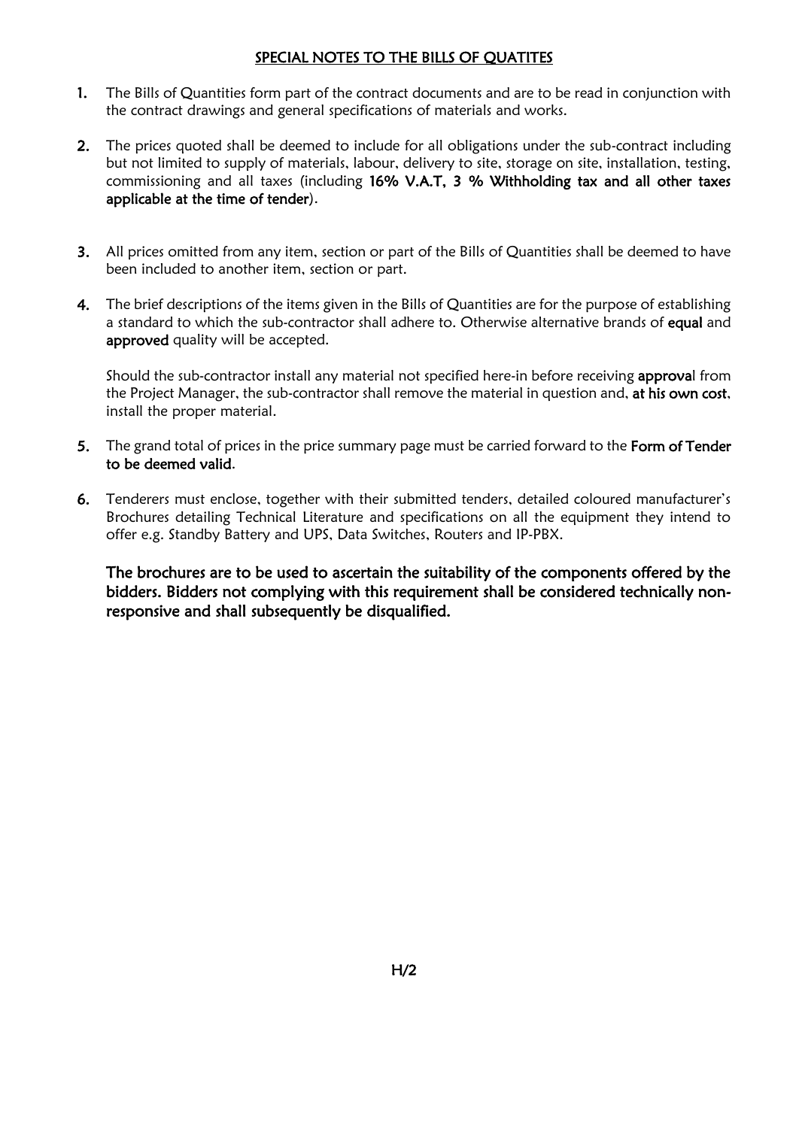#### SPECIAL NOTES TO THE BILLS OF QUATITES

- 1. The Bills of Quantities form part of the contract documents and are to be read in conjunction with the contract drawings and general specifications of materials and works.
- 2. The prices quoted shall be deemed to include for all obligations under the sub-contract including but not limited to supply of materials, labour, delivery to site, storage on site, installation, testing, commissioning and all taxes (including 16% V.A.T, 3 % Withholding tax and all other taxes applicable at the time of tender).
- 3. All prices omitted from any item, section or part of the Bills of Quantities shall be deemed to have been included to another item, section or part.
- 4. The brief descriptions of the items given in the Bills of Quantities are for the purpose of establishing a standard to which the sub-contractor shall adhere to. Otherwise alternative brands of equal and approved quality will be accepted.

Should the sub-contractor install any material not specified here-in before receiving approval from the Project Manager, the sub-contractor shall remove the material in question and, at his own cost, install the proper material.

- 5. The grand total of prices in the price summary page must be carried forward to the Form of Tender to be deemed valid.
- 6. Tenderers must enclose, together with their submitted tenders, detailed coloured manufacturer's Brochures detailing Technical Literature and specifications on all the equipment they intend to offer e.g. Standby Battery and UPS, Data Switches, Routers and IP-PBX.

The brochures are to be used to ascertain the suitability of the components offered by the bidders. Bidders not complying with this requirement shall be considered technically nonresponsive and shall subsequently be disqualified.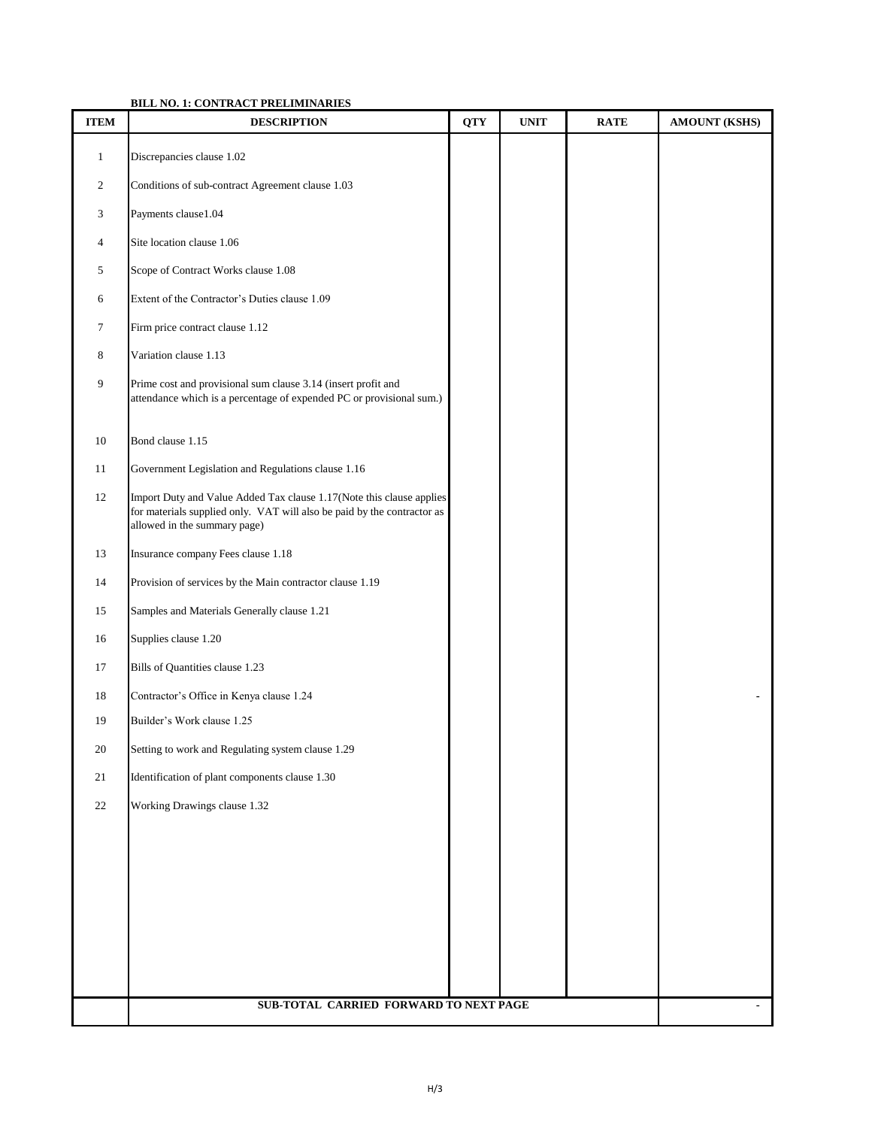#### **BILL NO. 1: CONTRACT PRELIMINARIES**

| <b>ITEM</b>  | <b>DESCRIPTION</b>                                                                                                                                                              | <b>QTY</b> | <b>UNIT</b> | <b>RATE</b> | <b>AMOUNT (KSHS)</b> |
|--------------|---------------------------------------------------------------------------------------------------------------------------------------------------------------------------------|------------|-------------|-------------|----------------------|
| $\mathbf{1}$ | Discrepancies clause 1.02                                                                                                                                                       |            |             |             |                      |
| 2            | Conditions of sub-contract Agreement clause 1.03                                                                                                                                |            |             |             |                      |
| 3            | Payments clause1.04                                                                                                                                                             |            |             |             |                      |
| 4            | Site location clause 1.06                                                                                                                                                       |            |             |             |                      |
| 5            | Scope of Contract Works clause 1.08                                                                                                                                             |            |             |             |                      |
| 6            | Extent of the Contractor's Duties clause 1.09                                                                                                                                   |            |             |             |                      |
| 7            | Firm price contract clause 1.12                                                                                                                                                 |            |             |             |                      |
| 8            | Variation clause 1.13                                                                                                                                                           |            |             |             |                      |
| 9            | Prime cost and provisional sum clause 3.14 (insert profit and<br>attendance which is a percentage of expended PC or provisional sum.)                                           |            |             |             |                      |
| 10           | Bond clause 1.15                                                                                                                                                                |            |             |             |                      |
| 11           | Government Legislation and Regulations clause 1.16                                                                                                                              |            |             |             |                      |
| 12           | Import Duty and Value Added Tax clause 1.17(Note this clause applies<br>for materials supplied only. VAT will also be paid by the contractor as<br>allowed in the summary page) |            |             |             |                      |
| 13           | Insurance company Fees clause 1.18                                                                                                                                              |            |             |             |                      |
| 14           | Provision of services by the Main contractor clause 1.19                                                                                                                        |            |             |             |                      |
| 15           | Samples and Materials Generally clause 1.21                                                                                                                                     |            |             |             |                      |
| 16           | Supplies clause 1.20                                                                                                                                                            |            |             |             |                      |
| 17           | Bills of Quantities clause 1.23                                                                                                                                                 |            |             |             |                      |
| 18           | Contractor's Office in Kenya clause 1.24                                                                                                                                        |            |             |             |                      |
| 19           | Builder's Work clause 1.25                                                                                                                                                      |            |             |             |                      |
| $20\,$       | Setting to work and Regulating system clause 1.29                                                                                                                               |            |             |             |                      |
| 21           | Identification of plant components clause 1.30                                                                                                                                  |            |             |             |                      |
| $22\,$       | Working Drawings clause 1.32                                                                                                                                                    |            |             |             |                      |
|              |                                                                                                                                                                                 |            |             |             |                      |
|              |                                                                                                                                                                                 |            |             |             |                      |
|              |                                                                                                                                                                                 |            |             |             |                      |
|              |                                                                                                                                                                                 |            |             |             |                      |
|              |                                                                                                                                                                                 |            |             |             |                      |
|              |                                                                                                                                                                                 |            |             |             |                      |
|              | SUB-TOTAL CARRIED FORWARD TO NEXT PAGE                                                                                                                                          |            |             |             |                      |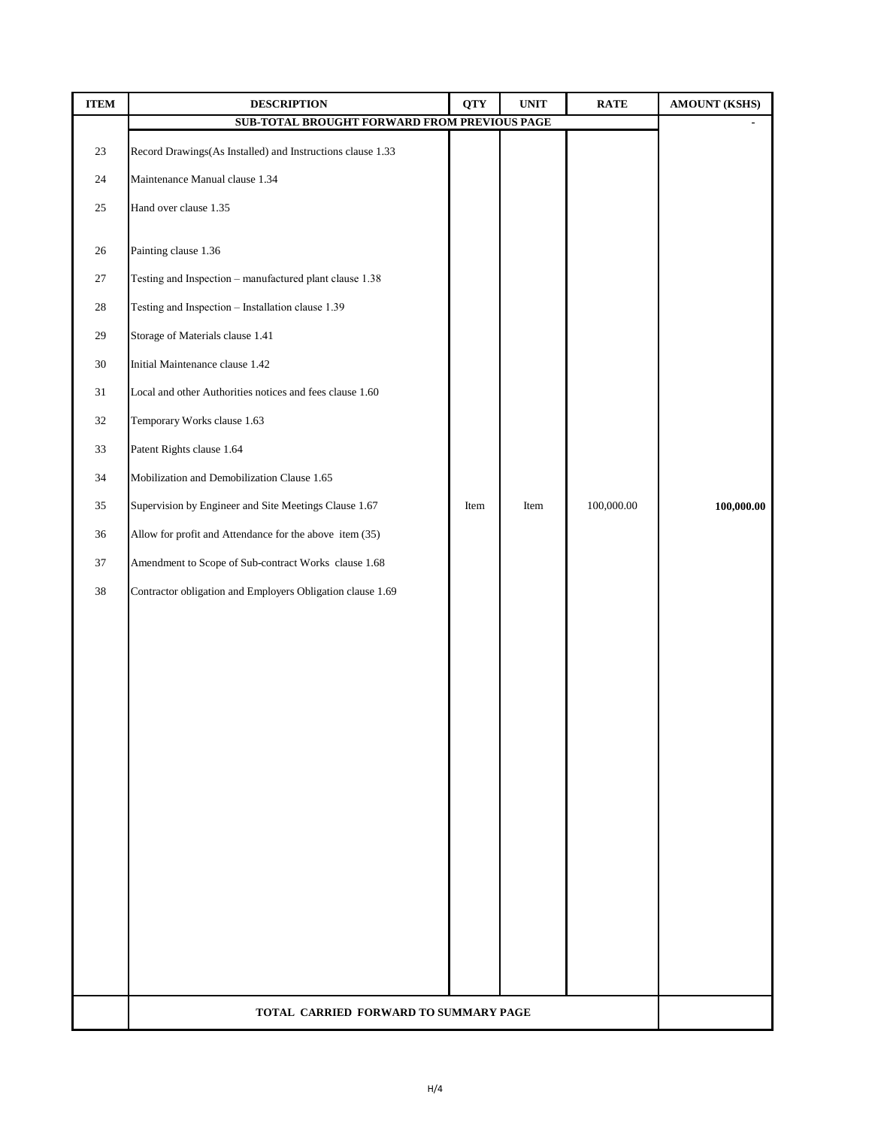| <b>ITEM</b> | <b>DESCRIPTION</b>                                         | <b>QTY</b> | $\ensuremath{\mathbf{UNIT}}$ | <b>RATE</b> | <b>AMOUNT (KSHS)</b> |
|-------------|------------------------------------------------------------|------------|------------------------------|-------------|----------------------|
|             | SUB-TOTAL BROUGHT FORWARD FROM PREVIOUS PAGE               |            |                              |             |                      |
| 23          | Record Drawings(As Installed) and Instructions clause 1.33 |            |                              |             |                      |
| 24          | Maintenance Manual clause 1.34                             |            |                              |             |                      |
| 25          | Hand over clause 1.35                                      |            |                              |             |                      |
| 26          | Painting clause 1.36                                       |            |                              |             |                      |
| 27          | Testing and Inspection - manufactured plant clause 1.38    |            |                              |             |                      |
| 28          | Testing and Inspection - Installation clause 1.39          |            |                              |             |                      |
| 29          | Storage of Materials clause 1.41                           |            |                              |             |                      |
| 30          | Initial Maintenance clause 1.42                            |            |                              |             |                      |
| 31          | Local and other Authorities notices and fees clause 1.60   |            |                              |             |                      |
| 32          | Temporary Works clause 1.63                                |            |                              |             |                      |
| 33          | Patent Rights clause 1.64                                  |            |                              |             |                      |
| 34          | Mobilization and Demobilization Clause 1.65                |            |                              |             |                      |
| 35          | Supervision by Engineer and Site Meetings Clause 1.67      | Item       | Item                         | 100,000.00  | 100,000.00           |
| 36          | Allow for profit and Attendance for the above item (35)    |            |                              |             |                      |
| 37          | Amendment to Scope of Sub-contract Works clause 1.68       |            |                              |             |                      |
| $38\,$      | Contractor obligation and Employers Obligation clause 1.69 |            |                              |             |                      |
|             |                                                            |            |                              |             |                      |
|             |                                                            |            |                              |             |                      |
|             |                                                            |            |                              |             |                      |
|             |                                                            |            |                              |             |                      |
|             |                                                            |            |                              |             |                      |
|             |                                                            |            |                              |             |                      |
|             |                                                            |            |                              |             |                      |
|             |                                                            |            |                              |             |                      |
|             |                                                            |            |                              |             |                      |
|             |                                                            |            |                              |             |                      |
|             |                                                            |            |                              |             |                      |
|             |                                                            |            |                              |             |                      |
|             |                                                            |            |                              |             |                      |
|             |                                                            |            |                              |             |                      |
|             | TOTAL CARRIED FORWARD TO SUMMARY PAGE                      |            |                              |             |                      |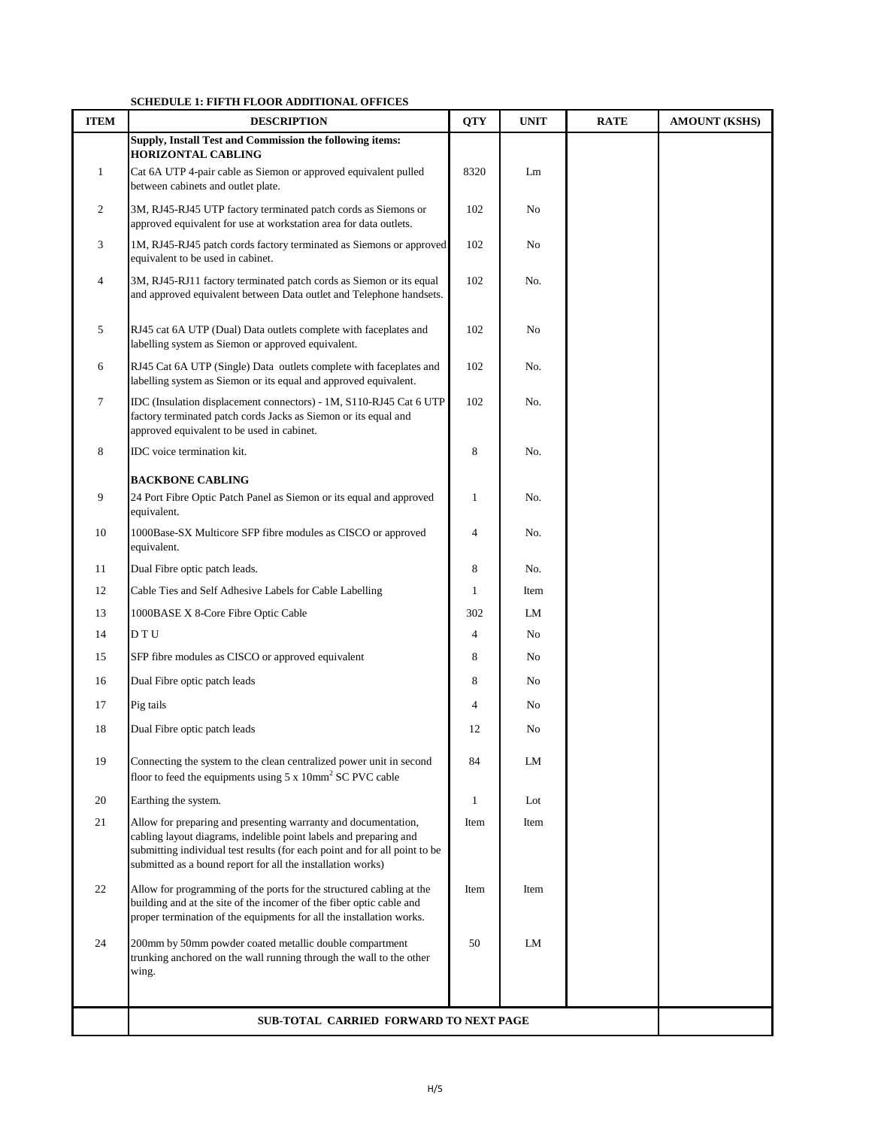#### **SCHEDULE 1: FIFTH FLOOR ADDITIONAL OFFICES**

| <b>ITEM</b>    | SCHEDULE 1. THE HIT LOOK RODH HORNE OF FICES<br><b>DESCRIPTION</b>                                                                                                                                                                                                               | <b>QTY</b>   | <b>UNIT</b> | <b>RATE</b> | <b>AMOUNT (KSHS)</b> |
|----------------|----------------------------------------------------------------------------------------------------------------------------------------------------------------------------------------------------------------------------------------------------------------------------------|--------------|-------------|-------------|----------------------|
|                | Supply, Install Test and Commission the following items:                                                                                                                                                                                                                         |              |             |             |                      |
| $\mathbf{1}$   | <b>HORIZONTAL CABLING</b><br>Cat 6A UTP 4-pair cable as Siemon or approved equivalent pulled                                                                                                                                                                                     | 8320         |             |             |                      |
|                | between cabinets and outlet plate.                                                                                                                                                                                                                                               |              | Lm          |             |                      |
| 2              | 3M, RJ45-RJ45 UTP factory terminated patch cords as Siemons or                                                                                                                                                                                                                   | 102          | No          |             |                      |
|                | approved equivalent for use at workstation area for data outlets.                                                                                                                                                                                                                |              |             |             |                      |
| 3              | 1M, RJ45-RJ45 patch cords factory terminated as Siemons or approved<br>equivalent to be used in cabinet.                                                                                                                                                                         | 102          | No          |             |                      |
| $\overline{4}$ | 3M, RJ45-RJ11 factory terminated patch cords as Siemon or its equal<br>and approved equivalent between Data outlet and Telephone handsets.                                                                                                                                       | 102          | No.         |             |                      |
| 5              | RJ45 cat 6A UTP (Dual) Data outlets complete with faceplates and<br>labelling system as Siemon or approved equivalent.                                                                                                                                                           | 102          | No          |             |                      |
| 6              | RJ45 Cat 6A UTP (Single) Data outlets complete with faceplates and<br>labelling system as Siemon or its equal and approved equivalent.                                                                                                                                           | 102          | No.         |             |                      |
| $\tau$         | IDC (Insulation displacement connectors) - 1M, S110-RJ45 Cat 6 UTP<br>factory terminated patch cords Jacks as Siemon or its equal and<br>approved equivalent to be used in cabinet.                                                                                              | 102          | No.         |             |                      |
| 8              | IDC voice termination kit.                                                                                                                                                                                                                                                       | 8            | No.         |             |                      |
|                | <b>BACKBONE CABLING</b>                                                                                                                                                                                                                                                          |              |             |             |                      |
| 9              | 24 Port Fibre Optic Patch Panel as Siemon or its equal and approved<br>equivalent.                                                                                                                                                                                               | 1            | No.         |             |                      |
| 10             | 1000Base-SX Multicore SFP fibre modules as CISCO or approved<br>equivalent.                                                                                                                                                                                                      | 4            | No.         |             |                      |
| 11             | Dual Fibre optic patch leads.                                                                                                                                                                                                                                                    | 8            | No.         |             |                      |
| 12             | Cable Ties and Self Adhesive Labels for Cable Labelling                                                                                                                                                                                                                          | $\mathbf{1}$ | Item        |             |                      |
| 13             | 1000BASE X 8-Core Fibre Optic Cable                                                                                                                                                                                                                                              | 302          | LM          |             |                      |
| 14             | D T U                                                                                                                                                                                                                                                                            | 4            | No          |             |                      |
| 15             | SFP fibre modules as CISCO or approved equivalent                                                                                                                                                                                                                                | 8            | No          |             |                      |
| 16             | Dual Fibre optic patch leads                                                                                                                                                                                                                                                     | 8            | No          |             |                      |
| 17             | Pig tails                                                                                                                                                                                                                                                                        | 4            | No          |             |                      |
| 18             | Dual Fibre optic patch leads                                                                                                                                                                                                                                                     | 12           | No          |             |                      |
| 19             | Connecting the system to the clean centralized power unit in second<br>floor to feed the equipments using $5 \times 10$ mm <sup>2</sup> SC PVC cable                                                                                                                             | 84           | LM          |             |                      |
| 20             | Earthing the system.                                                                                                                                                                                                                                                             | 1            | Lot         |             |                      |
| 21             | Allow for preparing and presenting warranty and documentation,<br>cabling layout diagrams, indelible point labels and preparing and<br>submitting individual test results (for each point and for all point to be<br>submitted as a bound report for all the installation works) | Item         | Item        |             |                      |
| 22             | Allow for programming of the ports for the structured cabling at the<br>building and at the site of the incomer of the fiber optic cable and<br>proper termination of the equipments for all the installation works.                                                             | Item         | Item        |             |                      |
| 24             | 200mm by 50mm powder coated metallic double compartment<br>trunking anchored on the wall running through the wall to the other<br>wing.                                                                                                                                          | 50           | LM          |             |                      |
|                |                                                                                                                                                                                                                                                                                  |              |             |             |                      |
|                | SUB-TOTAL CARRIED FORWARD TO NEXT PAGE                                                                                                                                                                                                                                           |              |             |             |                      |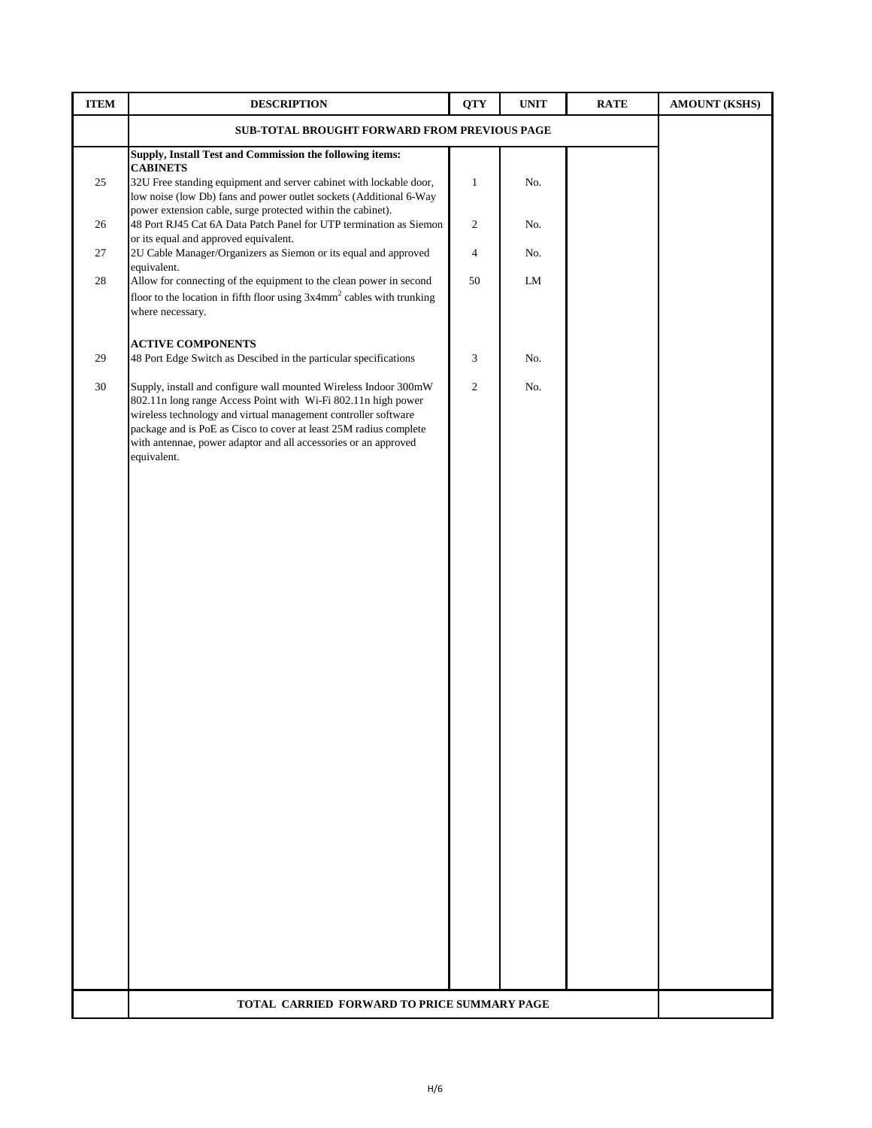| <b>ITEM</b> | <b>DESCRIPTION</b>                                                                                                                                                                                                                                                                                                                                         | <b>QTY</b>     | <b>UNIT</b> | <b>RATE</b> | <b>AMOUNT (KSHS)</b> |
|-------------|------------------------------------------------------------------------------------------------------------------------------------------------------------------------------------------------------------------------------------------------------------------------------------------------------------------------------------------------------------|----------------|-------------|-------------|----------------------|
|             | SUB-TOTAL BROUGHT FORWARD FROM PREVIOUS PAGE                                                                                                                                                                                                                                                                                                               |                |             |             |                      |
|             | Supply, Install Test and Commission the following items:                                                                                                                                                                                                                                                                                                   |                |             |             |                      |
| 25          | <b>CABINETS</b><br>32U Free standing equipment and server cabinet with lockable door,<br>low noise (low Db) fans and power outlet sockets (Additional 6-Way                                                                                                                                                                                                | $\mathbf{1}$   | No.         |             |                      |
| 26          | power extension cable, surge protected within the cabinet).<br>48 Port RJ45 Cat 6A Data Patch Panel for UTP termination as Siemon<br>or its equal and approved equivalent.                                                                                                                                                                                 | $\overline{c}$ | No.         |             |                      |
| 27          | 2U Cable Manager/Organizers as Siemon or its equal and approved<br>equivalent.                                                                                                                                                                                                                                                                             | $\overline{4}$ | No.         |             |                      |
| 28          | Allow for connecting of the equipment to the clean power in second<br>floor to the location in fifth floor using $3x4mm^2$ cables with trunking<br>where necessary.                                                                                                                                                                                        | 50             | LM          |             |                      |
| 29          | <b>ACTIVE COMPONENTS</b><br>48 Port Edge Switch as Descibed in the particular specifications                                                                                                                                                                                                                                                               | 3              | No.         |             |                      |
| 30          | Supply, install and configure wall mounted Wireless Indoor 300mW<br>802.11n long range Access Point with Wi-Fi 802.11n high power<br>wireless technology and virtual management controller software<br>package and is PoE as Cisco to cover at least 25M radius complete<br>with antennae, power adaptor and all accessories or an approved<br>equivalent. | 2              | No.         |             |                      |
|             |                                                                                                                                                                                                                                                                                                                                                            |                |             |             |                      |
|             | TOTAL CARRIED FORWARD TO PRICE SUMMARY PAGE                                                                                                                                                                                                                                                                                                                |                |             |             |                      |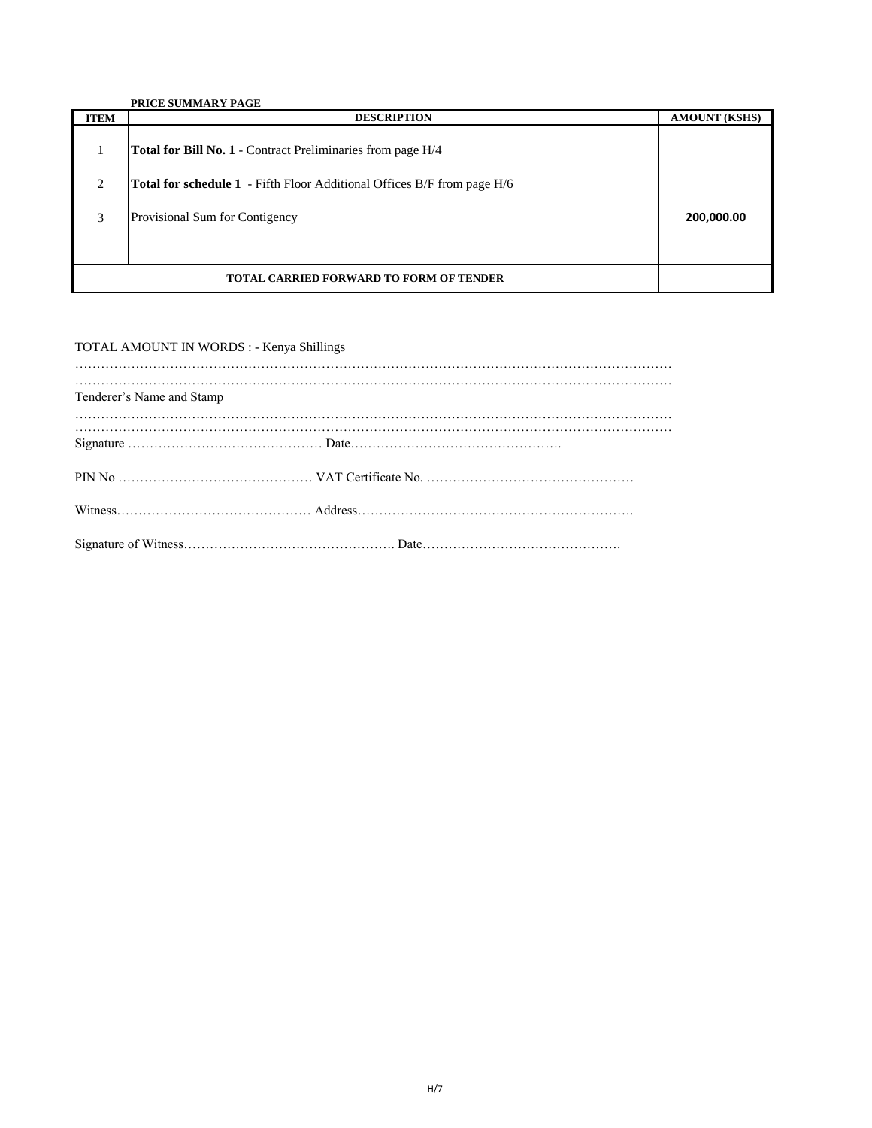|                                                | <b>PRICE SUMMARY PAGE</b>                                                      |                      |
|------------------------------------------------|--------------------------------------------------------------------------------|----------------------|
| <b>ITEM</b>                                    | <b>DESCRIPTION</b>                                                             | <b>AMOUNT (KSHS)</b> |
|                                                | <b>Total for Bill No. 1</b> - Contract Preliminaries from page H/4             |                      |
| 2                                              | <b>Total for schedule 1</b> - Fifth Floor Additional Offices B/F from page H/6 |                      |
|                                                |                                                                                |                      |
| 3                                              | Provisional Sum for Contigency                                                 | 200,000.00           |
|                                                |                                                                                |                      |
|                                                |                                                                                |                      |
| <b>TOTAL CARRIED FORWARD TO FORM OF TENDER</b> |                                                                                |                      |

#### TOTAL AMOUNT IN WORDS : - Kenya Shillings

| Tenderer's Name and Stamp |  |
|---------------------------|--|
|                           |  |
|                           |  |
|                           |  |
|                           |  |
|                           |  |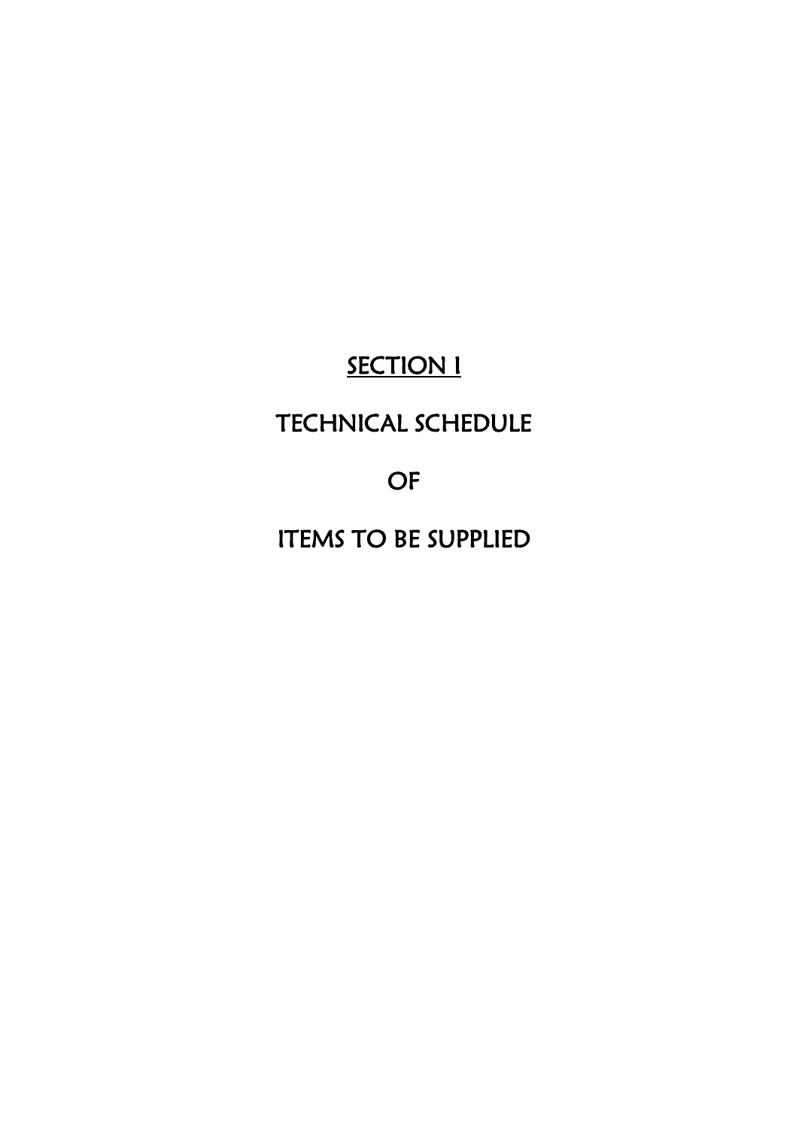# **SECTION I**

## TECHNICAL SCHEDULE

OF

ITEMS TO BE SUPPLIED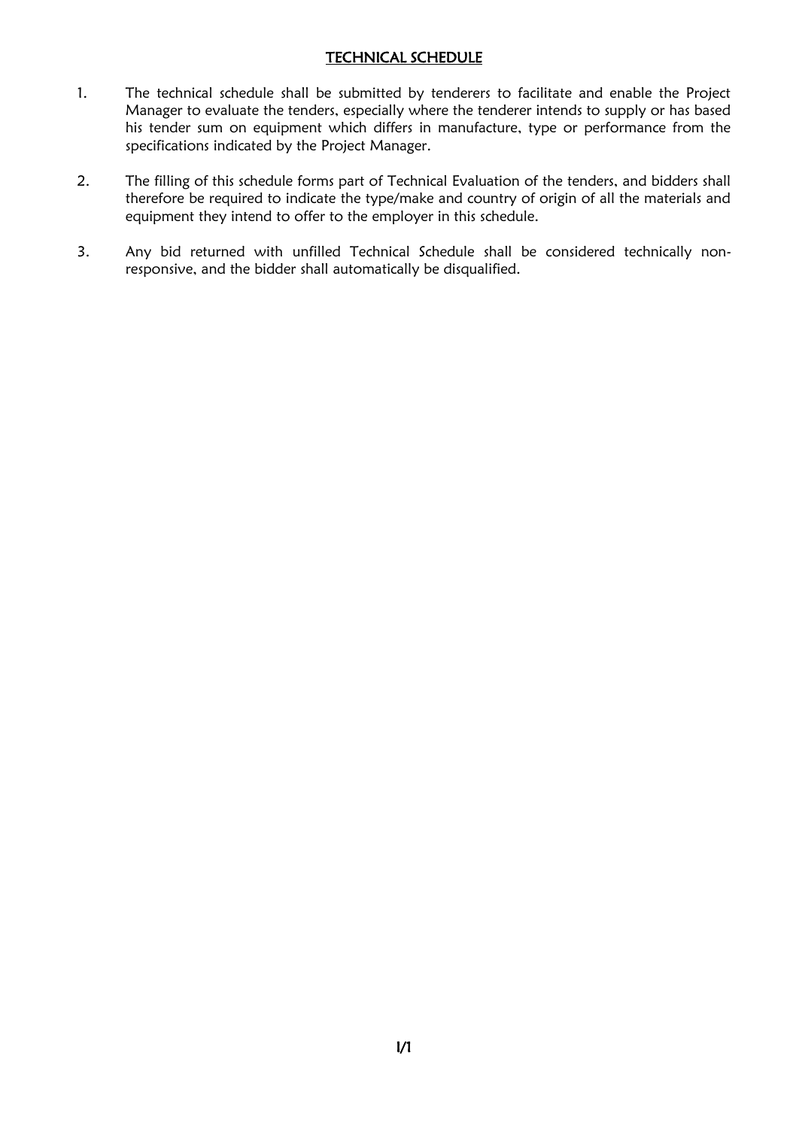#### TECHNICAL SCHEDULE

- 1. The technical schedule shall be submitted by tenderers to facilitate and enable the Project Manager to evaluate the tenders, especially where the tenderer intends to supply or has based his tender sum on equipment which differs in manufacture, type or performance from the specifications indicated by the Project Manager.
- 2. The filling of this schedule forms part of Technical Evaluation of the tenders, and bidders shall therefore be required to indicate the type/make and country of origin of all the materials and equipment they intend to offer to the employer in this schedule.
- 3. Any bid returned with unfilled Technical Schedule shall be considered technically nonresponsive, and the bidder shall automatically be disqualified.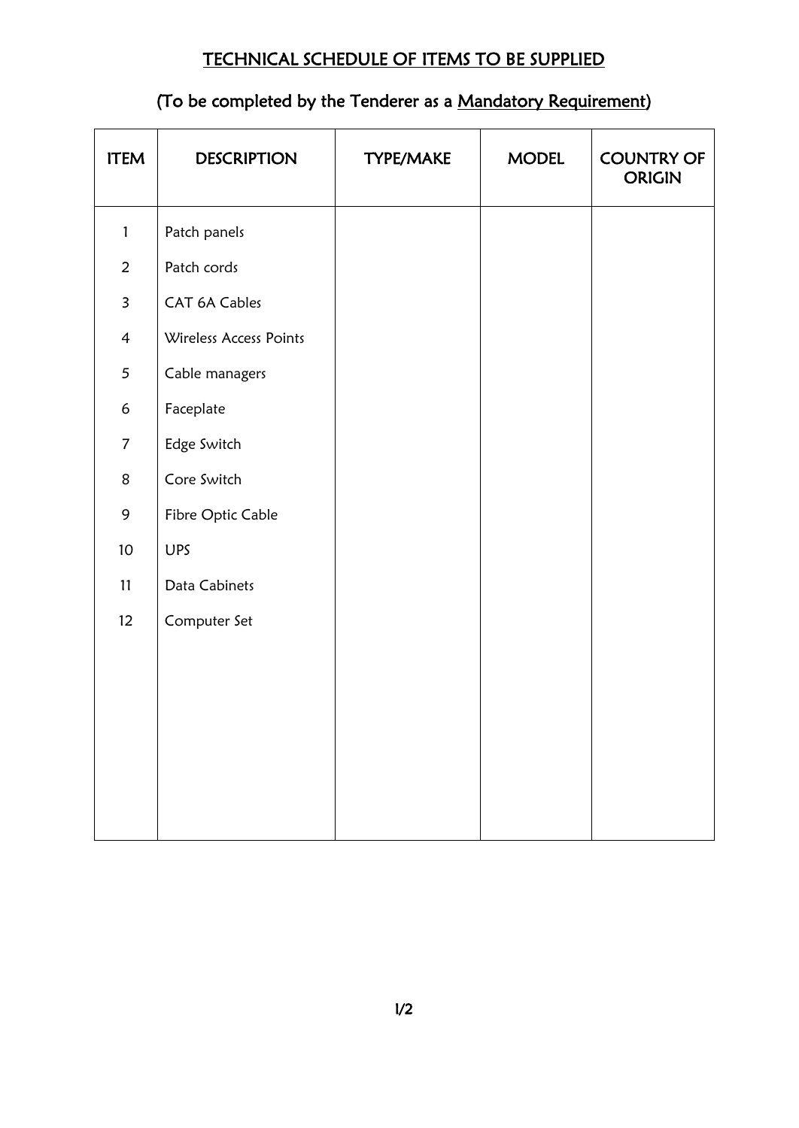## TECHNICAL SCHEDULE OF ITEMS TO BE SUPPLIED

## (To be completed by the Tenderer as a Mandatory Requirement)

| <b>ITEM</b>             | <b>DESCRIPTION</b>     | TYPE/MAKE | <b>MODEL</b> | <b>COUNTRY OF</b><br><b>ORIGIN</b> |
|-------------------------|------------------------|-----------|--------------|------------------------------------|
| $\mathbf{1}$            | Patch panels           |           |              |                                    |
| $\overline{2}$          | Patch cords            |           |              |                                    |
| $\overline{\mathbf{3}}$ | CAT 6A Cables          |           |              |                                    |
| $\overline{4}$          | Wireless Access Points |           |              |                                    |
| 5                       | Cable managers         |           |              |                                    |
| 6                       | Faceplate              |           |              |                                    |
| $\overline{7}$          | Edge Switch            |           |              |                                    |
| 8                       | Core Switch            |           |              |                                    |
| 9                       | Fibre Optic Cable      |           |              |                                    |
| $10\,$                  | <b>UPS</b>             |           |              |                                    |
| 11                      | Data Cabinets          |           |              |                                    |
| 12                      | Computer Set           |           |              |                                    |
|                         |                        |           |              |                                    |
|                         |                        |           |              |                                    |
|                         |                        |           |              |                                    |
|                         |                        |           |              |                                    |
|                         |                        |           |              |                                    |
|                         |                        |           |              |                                    |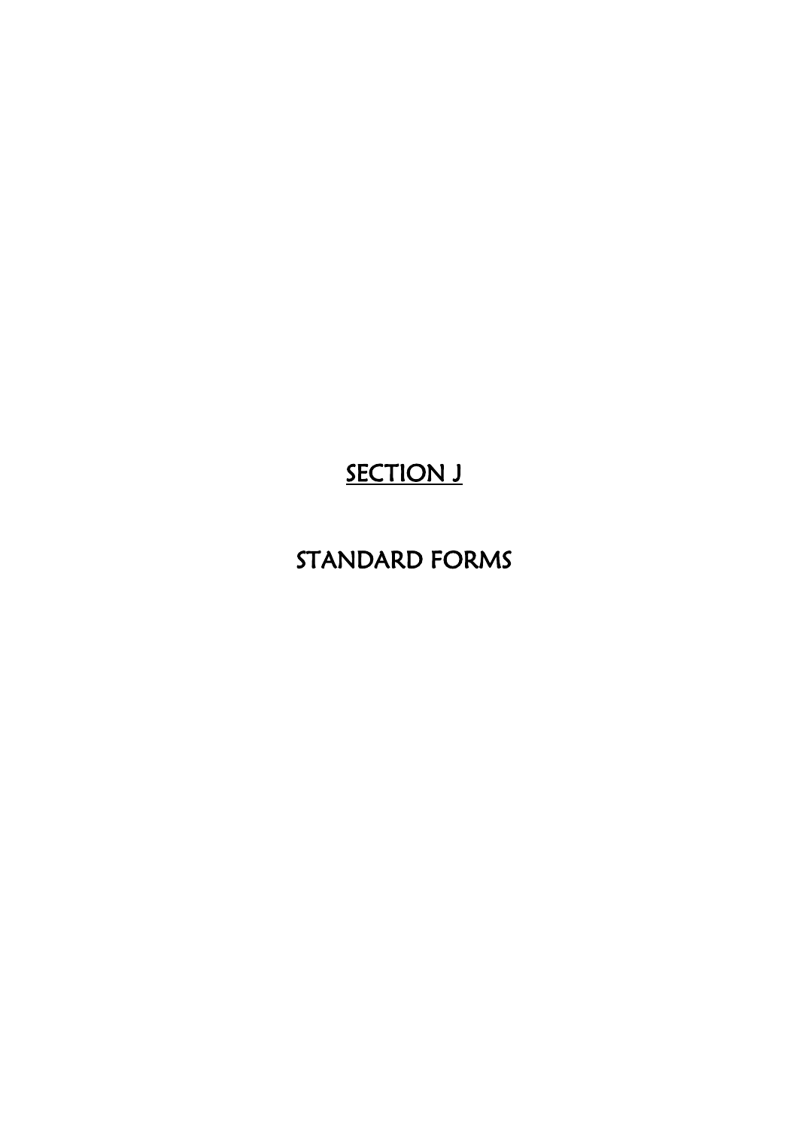## SECTION J

## STANDARD FORMS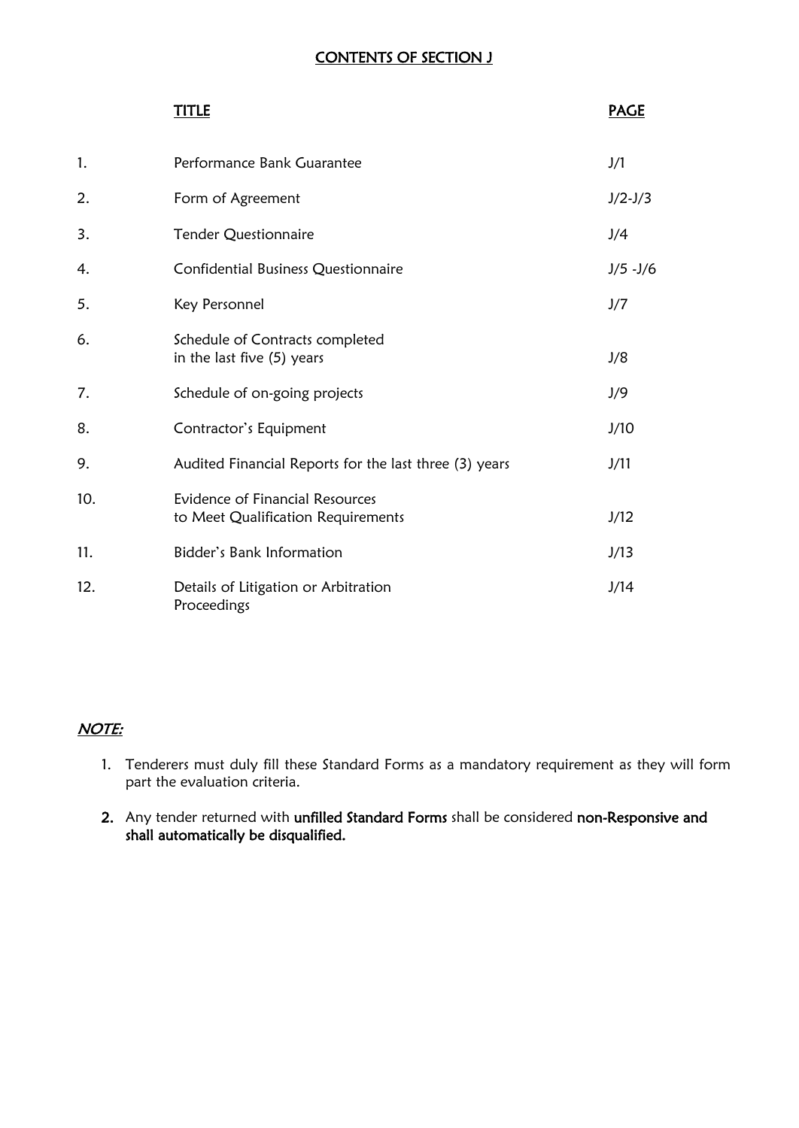## CONTENTS OF SECTION J

|     | TITLE                                                                 | <b>PAGE</b>   |
|-----|-----------------------------------------------------------------------|---------------|
| 1.  | Performance Bank Guarantee                                            | J/1           |
| 2.  | Form of Agreement                                                     | $J/2-J/3$     |
| 3.  | <b>Tender Questionnaire</b>                                           | J/4           |
| 4.  | Confidential Business Questionnaire                                   | $J/5$ - $J/6$ |
| 5.  | Key Personnel                                                         | J/7           |
| 6.  | Schedule of Contracts completed<br>in the last five (5) years         | J/8           |
| 7.  | Schedule of on-going projects                                         | J/9           |
| 8.  | Contractor's Equipment                                                | J/10          |
| 9.  | Audited Financial Reports for the last three (3) years                | J/11          |
| 10. | Evidence of Financial Resources<br>to Meet Qualification Requirements | J/12          |
| 11. | <b>Bidder's Bank Information</b>                                      | J/13          |
| 12. | Details of Litigation or Arbitration<br>Proceedings                   | J/14          |

## NOTE:

- 1. Tenderers must duly fill these Standard Forms as a mandatory requirement as they will form part the evaluation criteria.
- 2. Any tender returned with unfilled Standard Forms shall be considered non-Responsive and shall automatically be disqualified.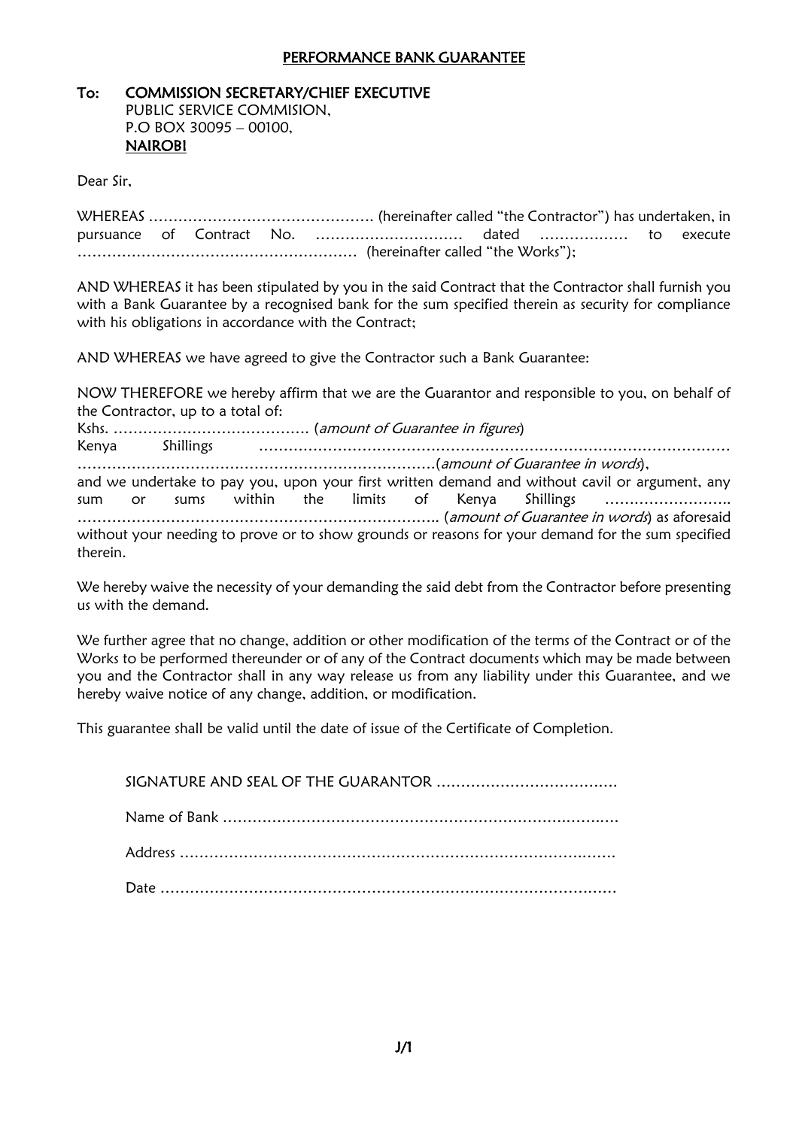#### PERFORMANCE BANK GUARANTEE

#### To: COMMISSION SECRETARY/CHIEF EXECUTIVE

PUBLIC SERVICE COMMISION, P.O BOX 30095 – 00100, NAIROBI

Dear Sir,

WHEREAS ………………………………………. (hereinafter called "the Contractor") has undertaken, in pursuance of Contract No. ………………………… dated ……………… to execute ………………………………………………… (hereinafter called "the Works");

AND WHEREAS it has been stipulated by you in the said Contract that the Contractor shall furnish you with a Bank Guarantee by a recognised bank for the sum specified therein as security for compliance with his obligations in accordance with the Contract;

AND WHEREAS we have agreed to give the Contractor such a Bank Guarantee:

NOW THEREFORE we hereby affirm that we are the Guarantor and responsible to you, on behalf of the Contractor, up to a total of:

Kshs. …………………………………. (amount of Guarantee in figures) Kenya Shillings …………………………………………………………………………………… ……………………………………………………………….(amount of Guarantee in words), and we undertake to pay you, upon your first written demand and without cavil or argument, any sum or sums within the limits of Kenya Shillings …………………….. ……………………………………………………………….. (amount of Guarantee in words) as aforesaid without your needing to prove or to show grounds or reasons for your demand for the sum specified therein.

We hereby waive the necessity of your demanding the said debt from the Contractor before presenting us with the demand.

We further agree that no change, addition or other modification of the terms of the Contract or of the Works to be performed thereunder or of any of the Contract documents which may be made between you and the Contractor shall in any way release us from any liability under this Guarantee, and we hereby waive notice of any change, addition, or modification.

This guarantee shall be valid until the date of issue of the Certificate of Completion.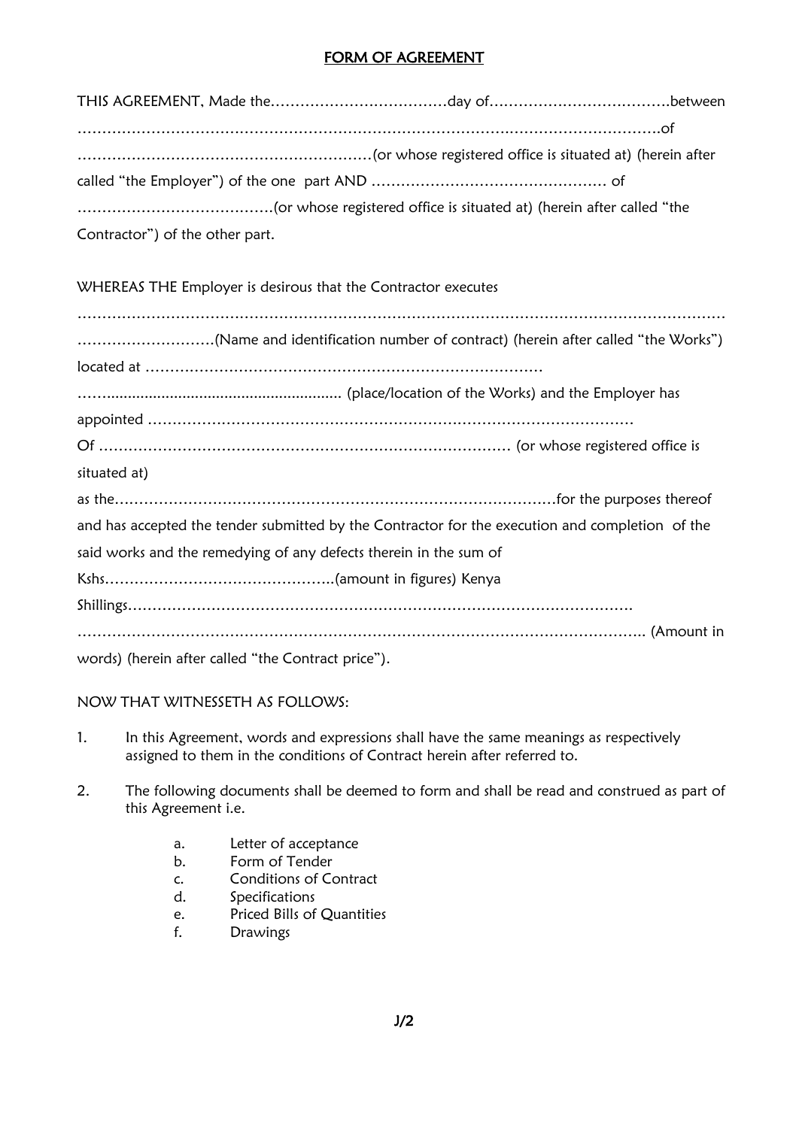#### FORM OF AGREEMENT

| (herein after (herein until the content to the registered office is situated at ) (herein after |  |
|-------------------------------------------------------------------------------------------------|--|
|                                                                                                 |  |
|                                                                                                 |  |
| Contractor") of the other part.                                                                 |  |

WHEREAS THE Employer is desirous that the Contractor executes

| (Name and identification number of contract) (herein after called "the Works")                  |
|-------------------------------------------------------------------------------------------------|
|                                                                                                 |
|                                                                                                 |
|                                                                                                 |
|                                                                                                 |
| situated at)                                                                                    |
|                                                                                                 |
| and has accepted the tender submitted by the Contractor for the execution and completion of the |
| said works and the remedying of any defects therein in the sum of                               |
|                                                                                                 |
|                                                                                                 |
|                                                                                                 |
| words) (herein after called "the Contract price").                                              |

#### NOW THAT WITNESSETH AS FOLLOWS:

- 1. In this Agreement, words and expressions shall have the same meanings as respectively assigned to them in the conditions of Contract herein after referred to.
- 2. The following documents shall be deemed to form and shall be read and construed as part of this Agreement i.e.
	- a. Letter of acceptance
	- b. Form of Tender
	- c. Conditions of Contract
	- d. Specifications
	- e. Priced Bills of Quantities
	- f. Drawings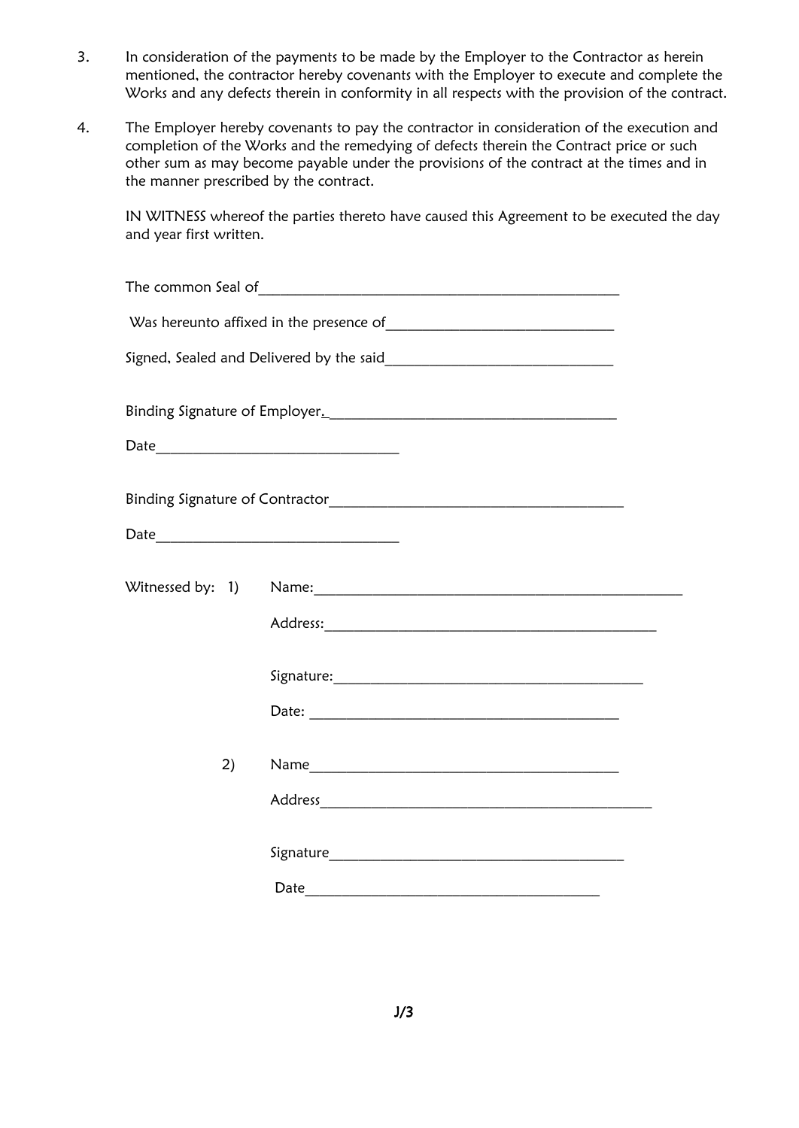- 3. In consideration of the payments to be made by the Employer to the Contractor as herein mentioned, the contractor hereby covenants with the Employer to execute and complete the Works and any defects therein in conformity in all respects with the provision of the contract.
- 4. The Employer hereby covenants to pay the contractor in consideration of the execution and completion of the Works and the remedying of defects therein the Contract price or such other sum as may become payable under the provisions of the contract at the times and in the manner prescribed by the contract.

IN WITNESS whereof the parties thereto have caused this Agreement to be executed the day and year first written.

| 2) |  |
|----|--|
|    |  |
|    |  |
|    |  |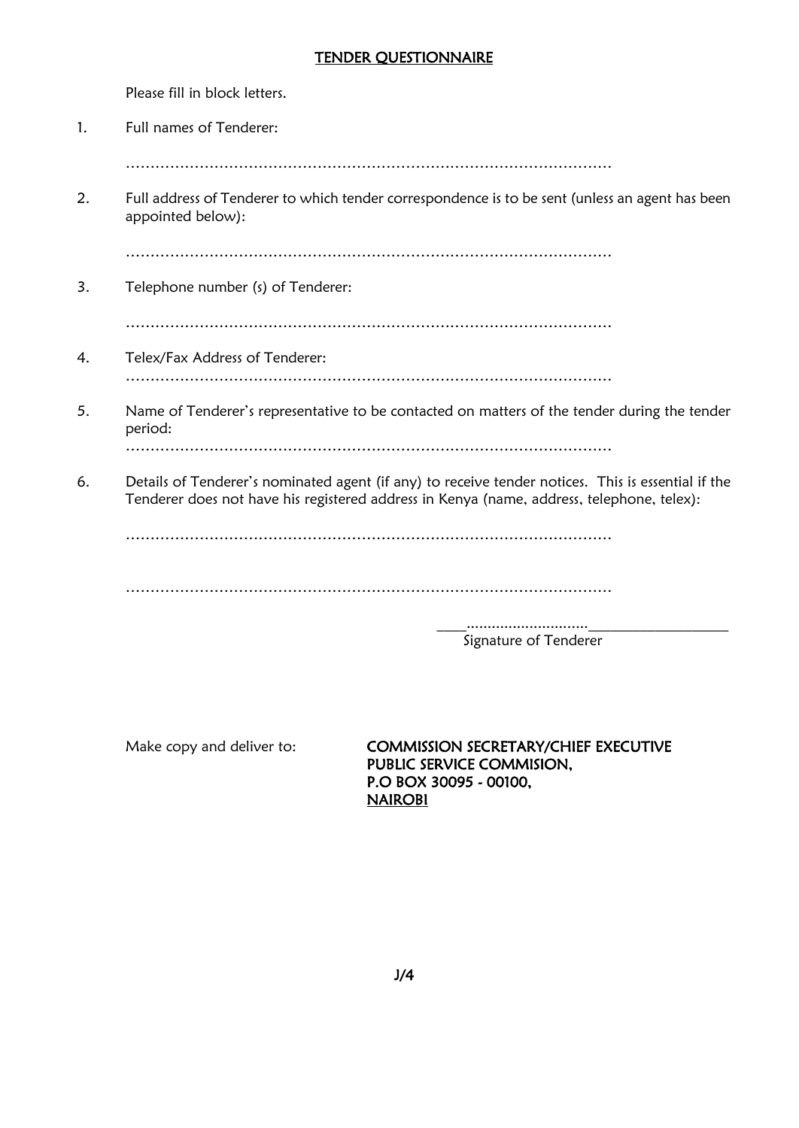#### TENDER QUESTIONNAIRE

Please fill in block letters.

- 1. Full names of Tenderer:
	- ………………………………………………………………………………………
- 2. Full address of Tenderer to which tender correspondence is to be sent (unless an agent has been appointed below):

………………………………………………………………………………………

3. Telephone number (s) of Tenderer:

………………………………………………………………………………………

- 4. Telex/Fax Address of Tenderer: ………………………………………………………………………………………
- 5. Name of Tenderer's representative to be contacted on matters of the tender during the tender period:

………………………………………………………………………………………

6. Details of Tenderer's nominated agent (if any) to receive tender notices. This is essential if the Tenderer does not have his registered address in Kenya (name, address, telephone, telex):

………………………………………………………………………………………

………………………………………………………………………………………

 \_\_\_\_.............................\_\_\_\_\_\_\_\_\_\_\_\_\_\_\_\_\_\_\_ Signature of Tenderer

Make copy and deliver to: **COMMISSION SECRETARY/CHIEF EXECUTIVE** PUBLIC SERVICE COMMISION, P.O BOX 30095 - 00100, NAIROBI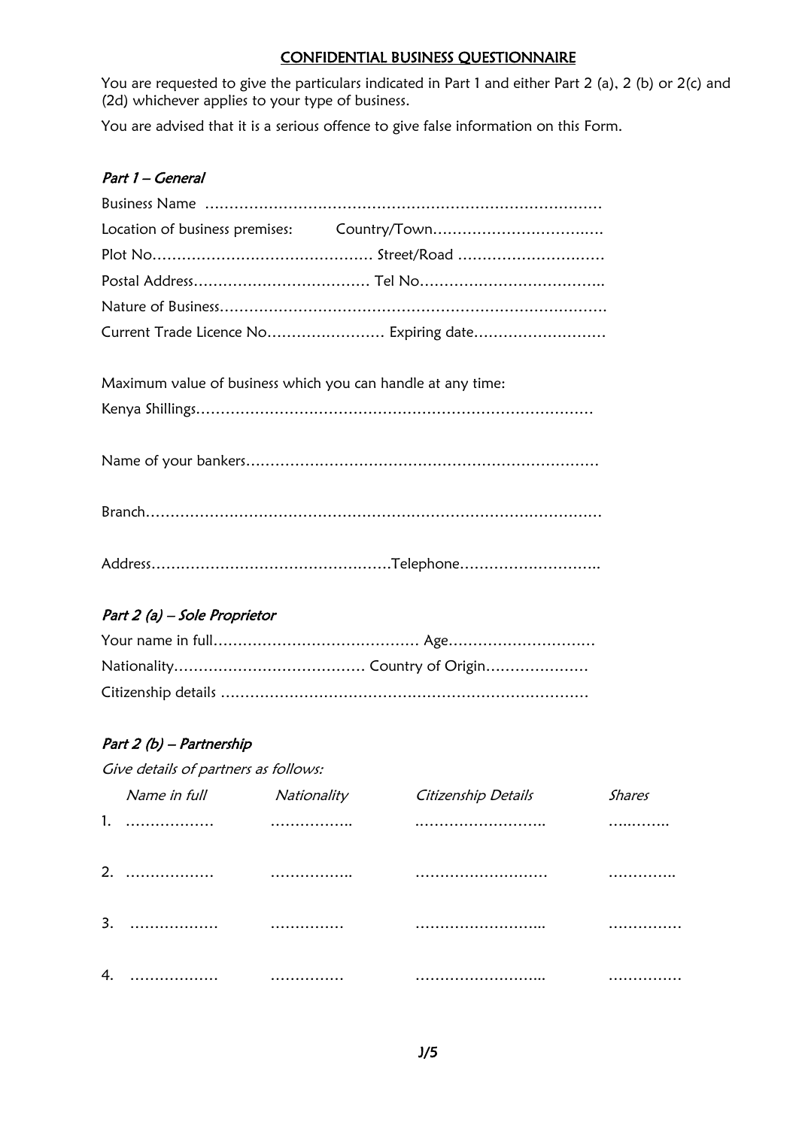#### CONFIDENTIAL BUSINESS QUESTIONNAIRE

You are requested to give the particulars indicated in Part 1 and either Part 2 (a), 2 (b) or 2(c) and (2d) whichever applies to your type of business.

You are advised that it is a serious offence to give false information on this Form.

#### Part 1 – General

Maximum value of business which you can handle at any time:

Kenya Shillings………………………………………………………………………

| $\mathbf{r}$ |  |
|--------------|--|
|              |  |

### Part 2 (a) – Sole Proprietor

### Part 2 (b) – Partnership

Give details of partners as follows:

|                  | Name in full | Nationality | Citizenship Details | <b>Shares</b> |
|------------------|--------------|-------------|---------------------|---------------|
|                  |              |             |                     |               |
| 2.               |              |             |                     | .             |
| $\overline{3}$ . |              |             |                     |               |
|                  |              |             |                     |               |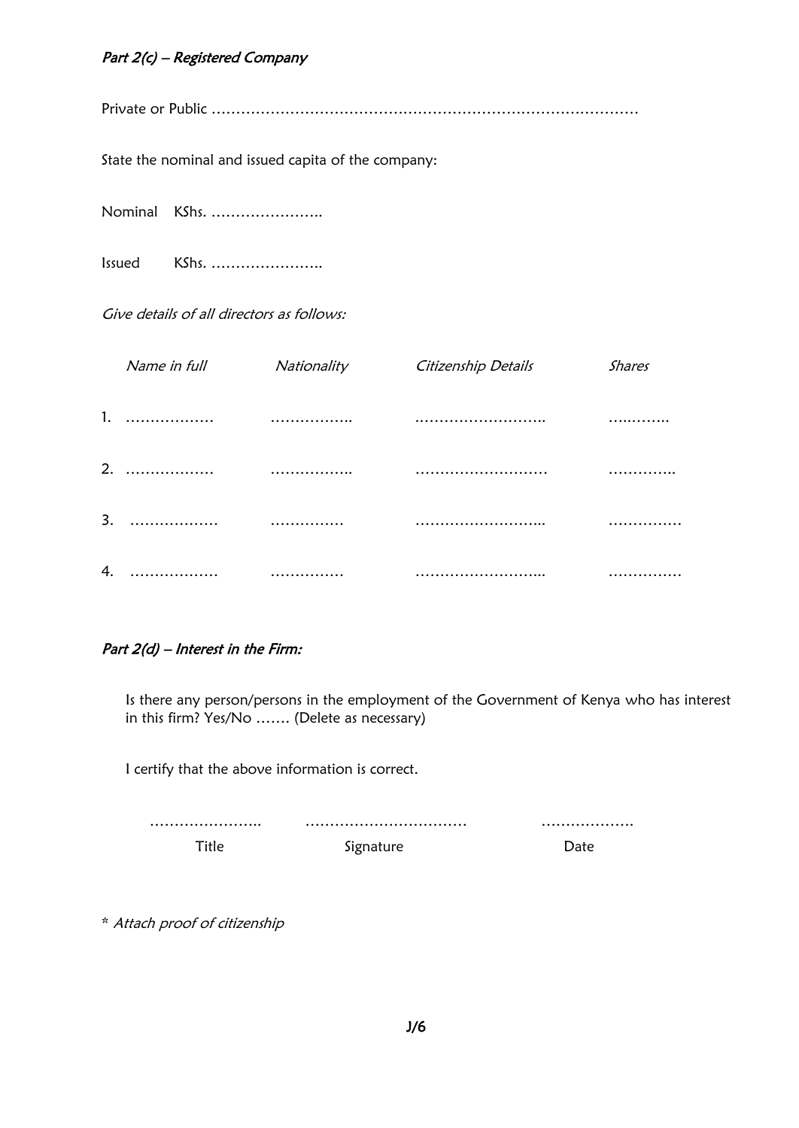#### Part 2(c) – Registered Company

Private or Public ……………………………………………………………………………

State the nominal and issued capita of the company:

Nominal KShs. …………………..

Issued KShs. …………………..

Give details of all directors as follows:

| Name in full | Nationality | Citizenship Details | <b>Shares</b> |
|--------------|-------------|---------------------|---------------|
|              |             |                     |               |
|              |             |                     |               |
|              |             |                     |               |
|              |             |                     |               |

#### Part 2(d) – Interest in the Firm:

Is there any person/persons in the employment of the Government of Kenya who has interest in this firm? Yes/No ……. (Delete as necessary)

I certify that the above information is correct.

|  | . |
|--|---|
|  |   |

\* Attach proof of citizenship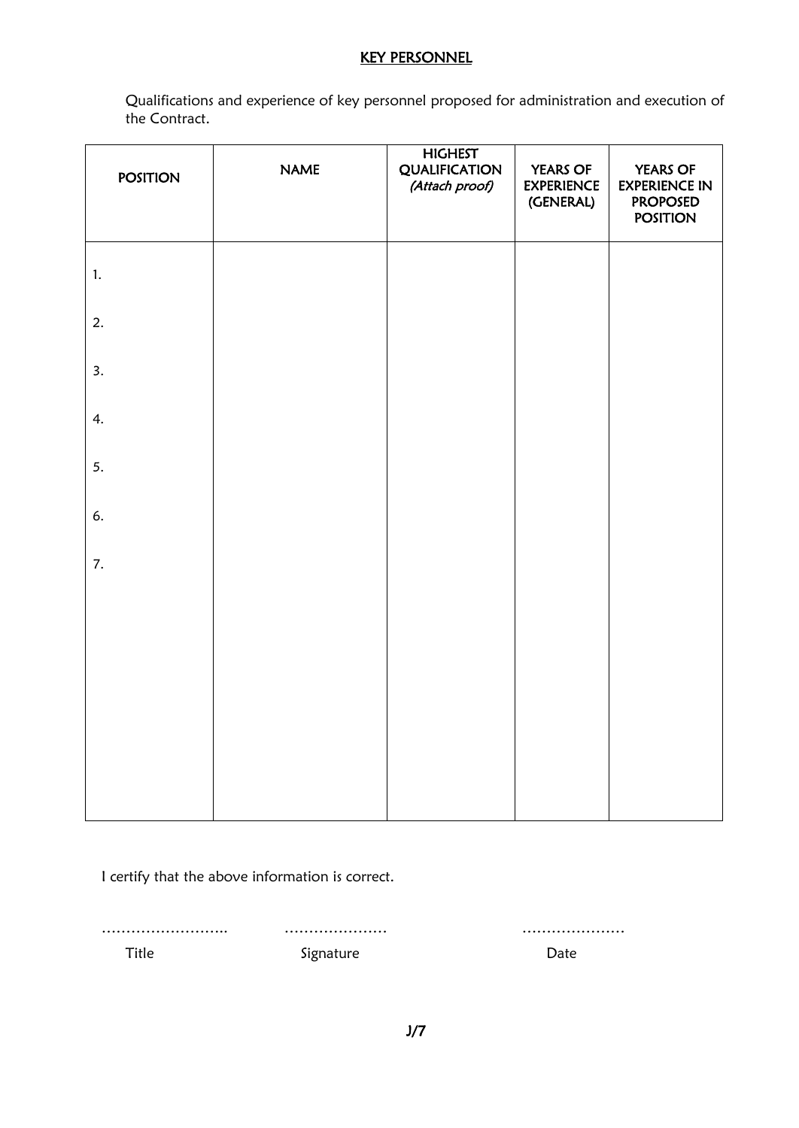#### KEY PERSONNEL

Qualifications and experience of key personnel proposed for administration and execution of the Contract.

| <b>POSITION</b> | <b>NAME</b> | <b>HIGHEST</b><br><b>QUALIFICATION</b><br>(Attach proof) | <b>YEARS OF</b><br><b>EXPERIENCE</b><br>(GENERAL) | <b>YEARS OF</b><br><b>EXPERIENCE IN</b><br><b>PROPOSED</b><br><b>POSITION</b> |
|-----------------|-------------|----------------------------------------------------------|---------------------------------------------------|-------------------------------------------------------------------------------|
| $\mathbf{1}$ .  |             |                                                          |                                                   |                                                                               |
| 2.              |             |                                                          |                                                   |                                                                               |
| 3.              |             |                                                          |                                                   |                                                                               |
| 4.              |             |                                                          |                                                   |                                                                               |
| 5.              |             |                                                          |                                                   |                                                                               |
| 6.              |             |                                                          |                                                   |                                                                               |
| 7.              |             |                                                          |                                                   |                                                                               |
|                 |             |                                                          |                                                   |                                                                               |
|                 |             |                                                          |                                                   |                                                                               |
|                 |             |                                                          |                                                   |                                                                               |
|                 |             |                                                          |                                                   |                                                                               |

I certify that the above information is correct.

…………………….. ………………… …………………

Title **Signature** Signature **Date**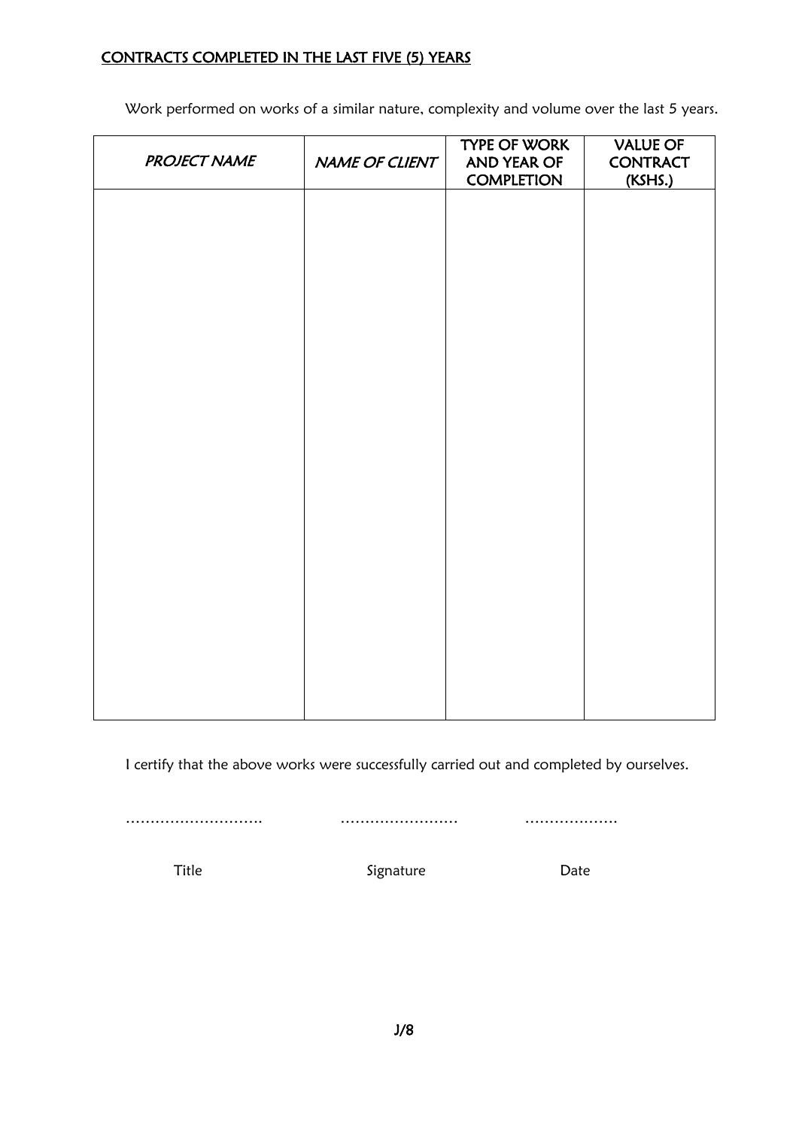### CONTRACTS COMPLETED IN THE LAST FIVE (5) YEARS

Work performed on works of a similar nature, complexity and volume over the last 5 years.

| <b>PROJECT NAME</b> | NAME OF CLIENT | <b>TYPE OF WORK</b><br>AND YEAR OF<br><b>COMPLETION</b> | <b>VALUE OF</b><br><b>CONTRACT</b><br>(KSHS.) |
|---------------------|----------------|---------------------------------------------------------|-----------------------------------------------|
|                     |                |                                                         |                                               |
|                     |                |                                                         |                                               |
|                     |                |                                                         |                                               |
|                     |                |                                                         |                                               |
|                     |                |                                                         |                                               |
|                     |                |                                                         |                                               |
|                     |                |                                                         |                                               |
|                     |                |                                                         |                                               |
|                     |                |                                                         |                                               |
|                     |                |                                                         |                                               |
|                     |                |                                                         |                                               |

I certify that the above works were successfully carried out and completed by ourselves.

………………………. …………………… ……………….

Title **Signature** Signature Date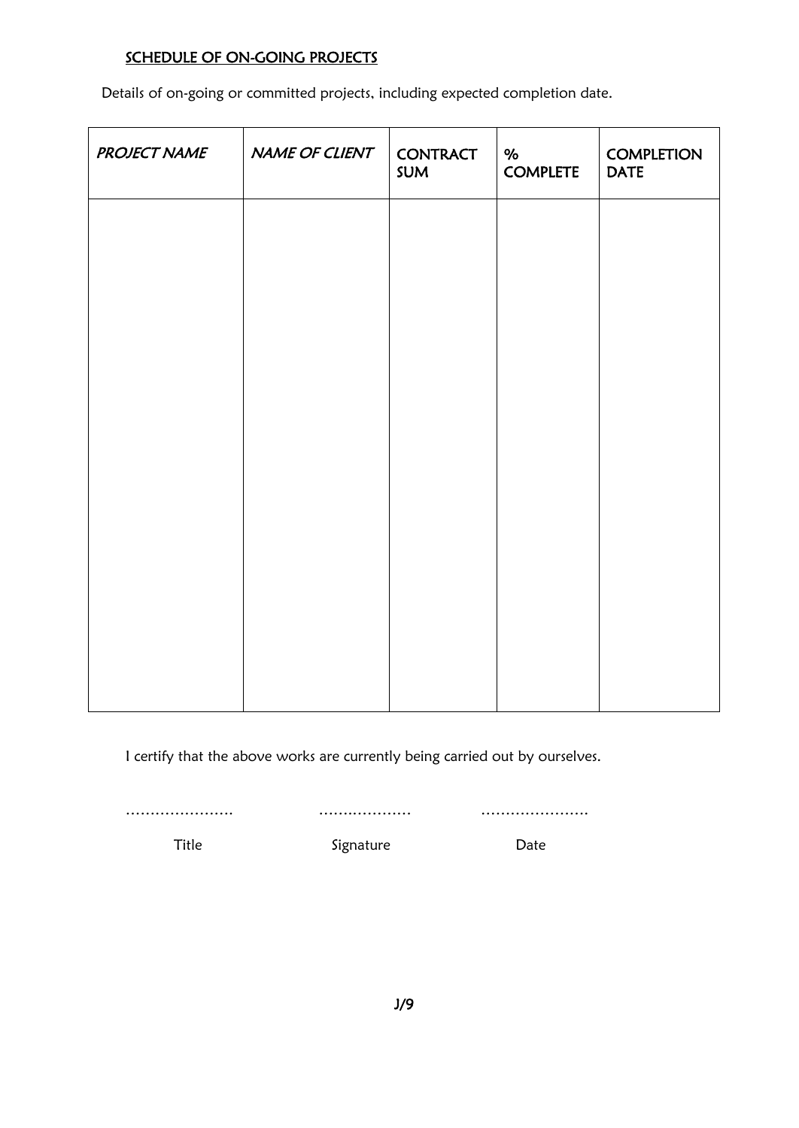## SCHEDULE OF ON-GOING PROJECTS

Details of on-going or committed projects, including expected completion date.

| <b>PROJECT NAME</b> | NAME OF CLIENT | <b>CONTRACT</b><br>SUM | $\%$<br><b>COMPLETE</b> | <b>COMPLETION</b><br><b>DATE</b> |
|---------------------|----------------|------------------------|-------------------------|----------------------------------|
|                     |                |                        |                         |                                  |
|                     |                |                        |                         |                                  |
|                     |                |                        |                         |                                  |
|                     |                |                        |                         |                                  |
|                     |                |                        |                         |                                  |
|                     |                |                        |                         |                                  |
|                     |                |                        |                         |                                  |
|                     |                |                        |                         |                                  |

I certify that the above works are currently being carried out by ourselves.

…………………. …….………… ………………….

Title Signature Date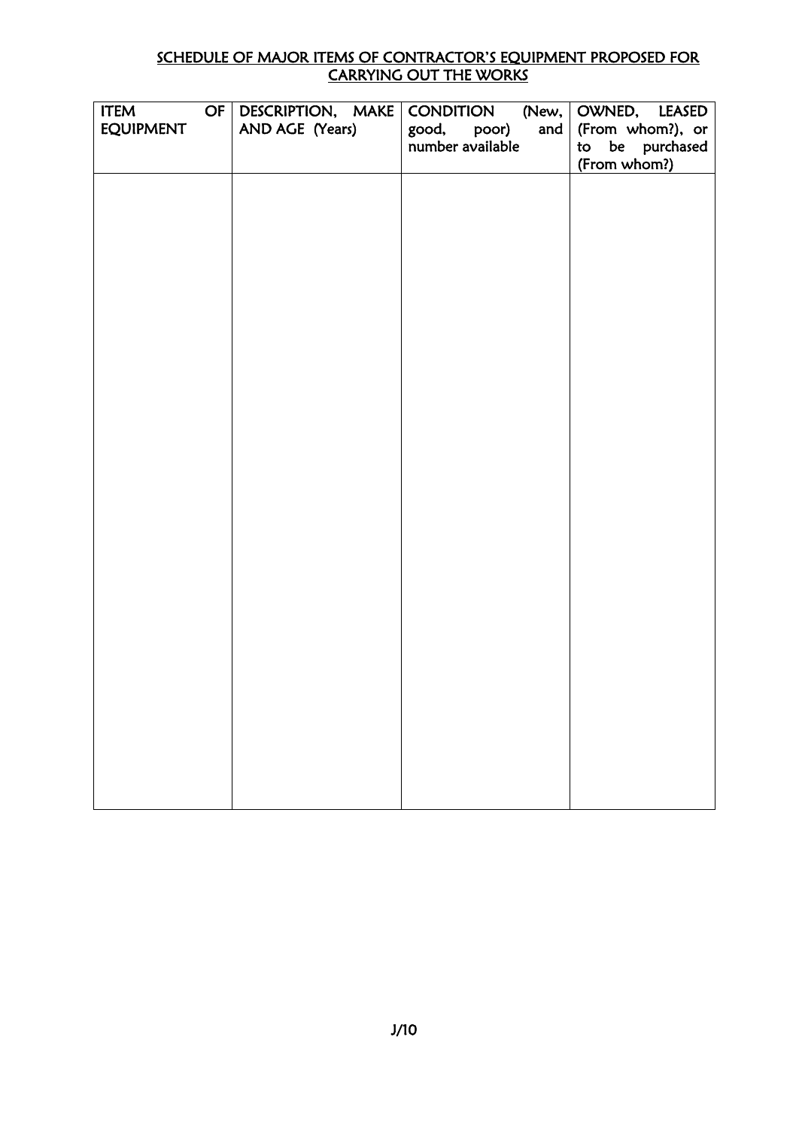#### SCHEDULE OF MAJOR ITEMS OF CONTRACTOR'S EQUIPMENT PROPOSED FOR CARRYING OUT THE WORKS

| <b>ITEM</b>      | OF | DESCRIPTION, MAKE | <b>CONDITION</b>   | (New, OWNED, LEASED |
|------------------|----|-------------------|--------------------|---------------------|
| <b>EQUIPMENT</b> |    | AND AGE (Years)   | good, poor)<br>and | (From whom?), or    |
|                  |    |                   | number available   | to be purchased     |
|                  |    |                   |                    | (From whom?)        |
|                  |    |                   |                    |                     |
|                  |    |                   |                    |                     |
|                  |    |                   |                    |                     |
|                  |    |                   |                    |                     |
|                  |    |                   |                    |                     |
|                  |    |                   |                    |                     |
|                  |    |                   |                    |                     |
|                  |    |                   |                    |                     |
|                  |    |                   |                    |                     |
|                  |    |                   |                    |                     |
|                  |    |                   |                    |                     |
|                  |    |                   |                    |                     |
|                  |    |                   |                    |                     |
|                  |    |                   |                    |                     |
|                  |    |                   |                    |                     |
|                  |    |                   |                    |                     |
|                  |    |                   |                    |                     |
|                  |    |                   |                    |                     |
|                  |    |                   |                    |                     |
|                  |    |                   |                    |                     |
|                  |    |                   |                    |                     |
|                  |    |                   |                    |                     |
|                  |    |                   |                    |                     |
|                  |    |                   |                    |                     |
|                  |    |                   |                    |                     |
|                  |    |                   |                    |                     |
|                  |    |                   |                    |                     |
|                  |    |                   |                    |                     |
|                  |    |                   |                    |                     |
|                  |    |                   |                    |                     |
|                  |    |                   |                    |                     |
|                  |    |                   |                    |                     |
|                  |    |                   |                    |                     |
|                  |    |                   |                    |                     |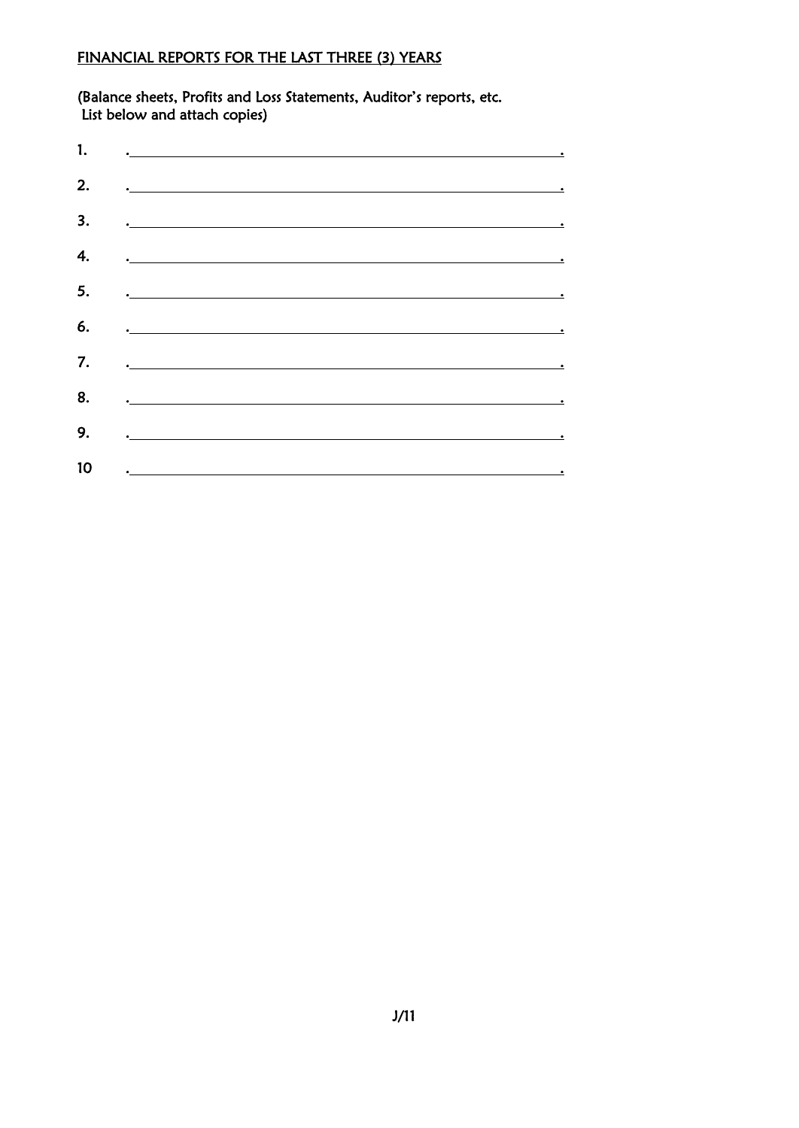## FINANCIAL REPORTS FOR THE LAST THREE (3) YEARS

(Balance sheets, Profits and Loss Statements, Auditor's reports, etc. List below and attach copies)

| 1. | $\overline{\phantom{a}}$ , and the contract of the contract of the contract of the contract of the contract of the contract of the contract of the contract of the contract of the contract of the contract of the contract of the contrac |
|----|--------------------------------------------------------------------------------------------------------------------------------------------------------------------------------------------------------------------------------------------|
| 2. |                                                                                                                                                                                                                                            |
| 3. | $\overline{\phantom{a}}$ . The contract of the contract of the contract of the contract of the contract of the contract of the contract of the contract of the contract of the contract of the contract of the contract of the contract of |
| 4. | $\overline{\phantom{a}}$ , and the contract of the contract of the contract of the contract of the contract of the contract of the contract of the contract of the contract of the contract of the contract of the contract of the contrac |
| 5. | <u>. In the second contract of the second contract of the second contract of the second contract of the second contract of the second contract of the second contract of the second contract of the second contract of the secon</u>       |
| 6. | $\ddotsc$ . The contract of the contract of the contract of the contract of the contract of the contract of the contract of the contract of the contract of the contract of the contract of the contract of the contract of the            |
| 7. | <u>a construction of the construction of the construction of the construction of the construction of the construction of the construction of the construction of the construction of the construction of the construction of the</u>       |
| 8. | $\frac{1}{2}$ . The contract of the contract of the contract of the contract of the contract of the contract of the contract of the contract of the contract of the contract of the contract of the contract of the contract of t          |
| 9. | $\overline{\phantom{a}}$ , and the contract of the contract of the contract of the contract of the contract of the contract of the contract of the contract of the contract of the contract of the contract of the contract of the contrac |
| 10 | <u>in the contract of the contract of the contract of the contract of the contract of the contract of the contract of the contract of the contract of the contract of the contract of the contract of the contract of the contra</u>       |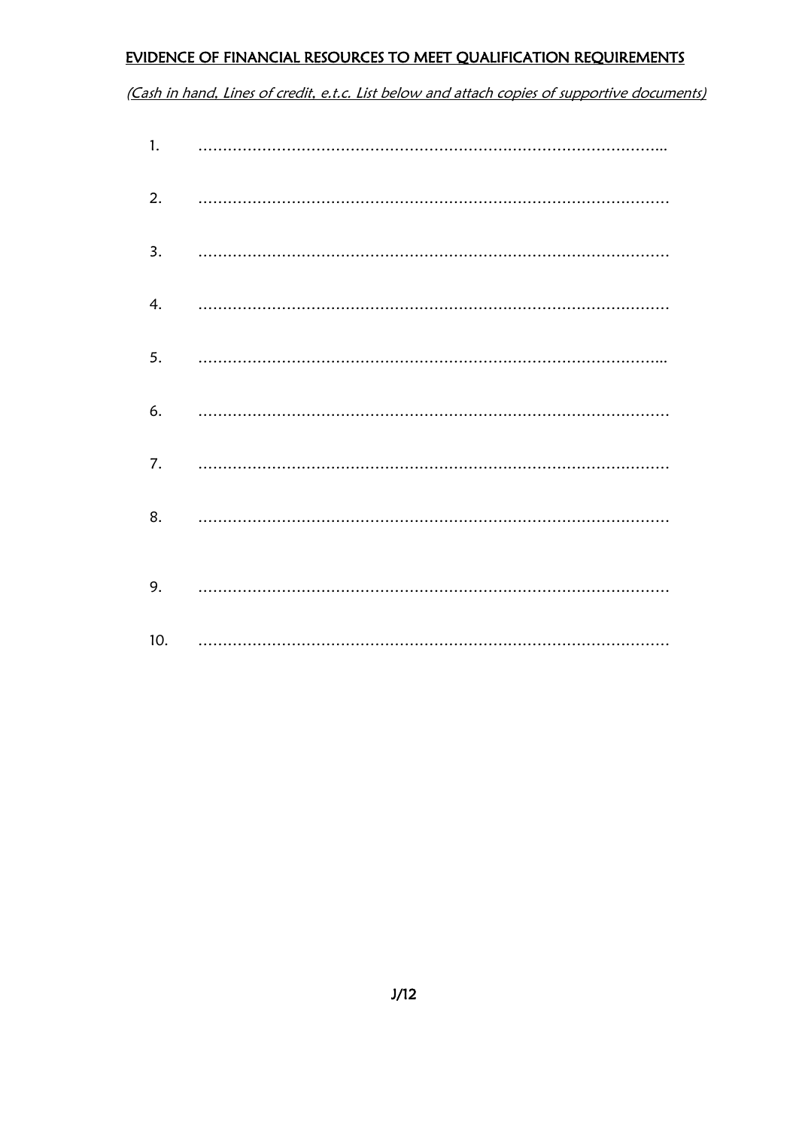## EVIDENCE OF FINANCIAL RESOURCES TO MEET QUALIFICATION REQUIREMENTS

(Cash in hand, Lines of credit, e.t.c. List below and attach copies of supportive documents)

| 1.  |  |
|-----|--|
| 2.  |  |
| 3.  |  |
| 4.  |  |
| 5.  |  |
| 6.  |  |
| 7.  |  |
| 8.  |  |
| 9.  |  |
| 10. |  |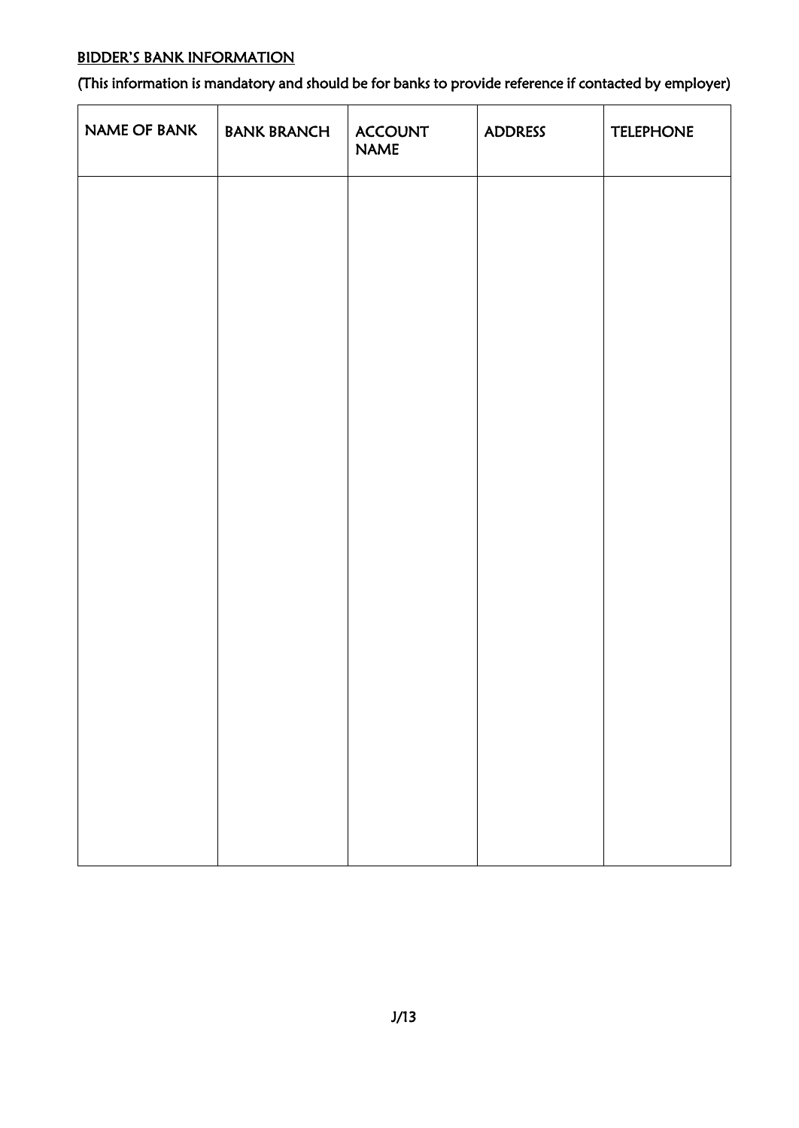## BIDDER'S BANK INFORMATION

(This information is mandatory and should be for banks to provide reference if contacted by employer)

| NAME OF BANK | <b>BANK BRANCH</b> | <b>ACCOUNT</b><br><b>NAME</b> | <b>ADDRESS</b> | <b>TELEPHONE</b> |
|--------------|--------------------|-------------------------------|----------------|------------------|
|              |                    |                               |                |                  |
|              |                    |                               |                |                  |
|              |                    |                               |                |                  |
|              |                    |                               |                |                  |
|              |                    |                               |                |                  |
|              |                    |                               |                |                  |
|              |                    |                               |                |                  |
|              |                    |                               |                |                  |
|              |                    |                               |                |                  |
|              |                    |                               |                |                  |